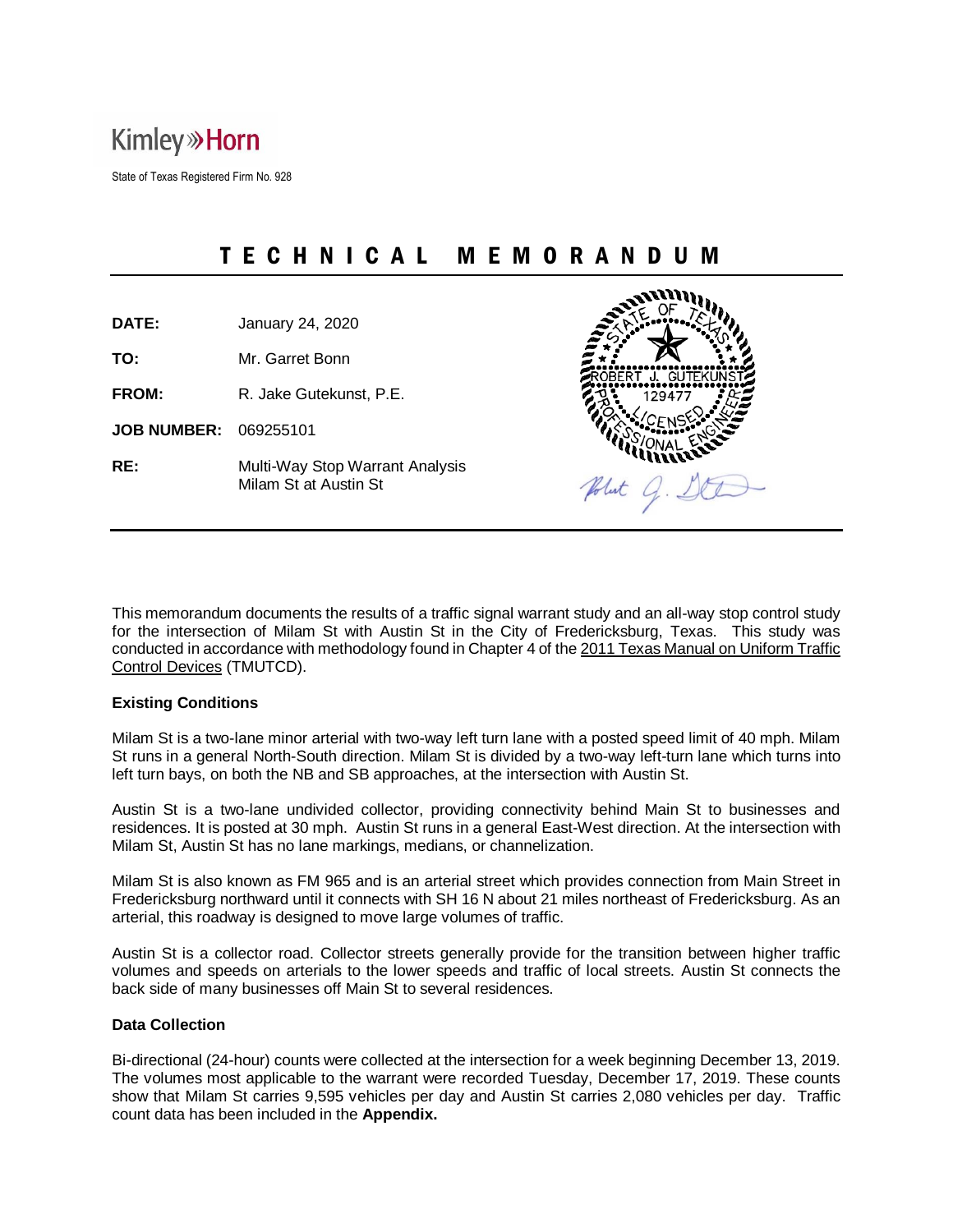## **Kimley » Horn**

State of Texas Registered Firm No. 928

## T E C H N I C A L M E M O R A N D U M

**DATE:** January 24, 2020

**TO:** Mr. Garret Bonn

**FROM:** R. Jake Gutekunst, P.E.

**JOB NUMBER:** 069255101

**RE:** Multi-Way Stop Warrant Analysis Milam St at Austin St



This memorandum documents the results of a traffic signal warrant study and an all-way stop control study for the intersection of Milam St with Austin St in the City of Fredericksburg, Texas. This study was conducted in accordance with methodology found in Chapter 4 of the 2011 Texas Manual on Uniform Traffic Control Devices (TMUTCD).

#### **Existing Conditions**

Milam St is a two-lane minor arterial with two-way left turn lane with a posted speed limit of 40 mph. Milam St runs in a general North-South direction. Milam St is divided by a two-way left-turn lane which turns into left turn bays, on both the NB and SB approaches, at the intersection with Austin St.

Austin St is a two-lane undivided collector, providing connectivity behind Main St to businesses and residences. It is posted at 30 mph. Austin St runs in a general East-West direction. At the intersection with Milam St, Austin St has no lane markings, medians, or channelization.

Milam St is also known as FM 965 and is an arterial street which provides connection from Main Street in Fredericksburg northward until it connects with SH 16 N about 21 miles northeast of Fredericksburg. As an arterial, this roadway is designed to move large volumes of traffic.

Austin St is a collector road. Collector streets generally provide for the transition between higher traffic volumes and speeds on arterials to the lower speeds and traffic of local streets. Austin St connects the back side of many businesses off Main St to several residences.

#### **Data Collection**

Bi-directional (24-hour) counts were collected at the intersection for a week beginning December 13, 2019. The volumes most applicable to the warrant were recorded Tuesday, December 17, 2019. These counts show that Milam St carries 9,595 vehicles per day and Austin St carries 2,080 vehicles per day. Traffic count data has been included in the **Appendix.**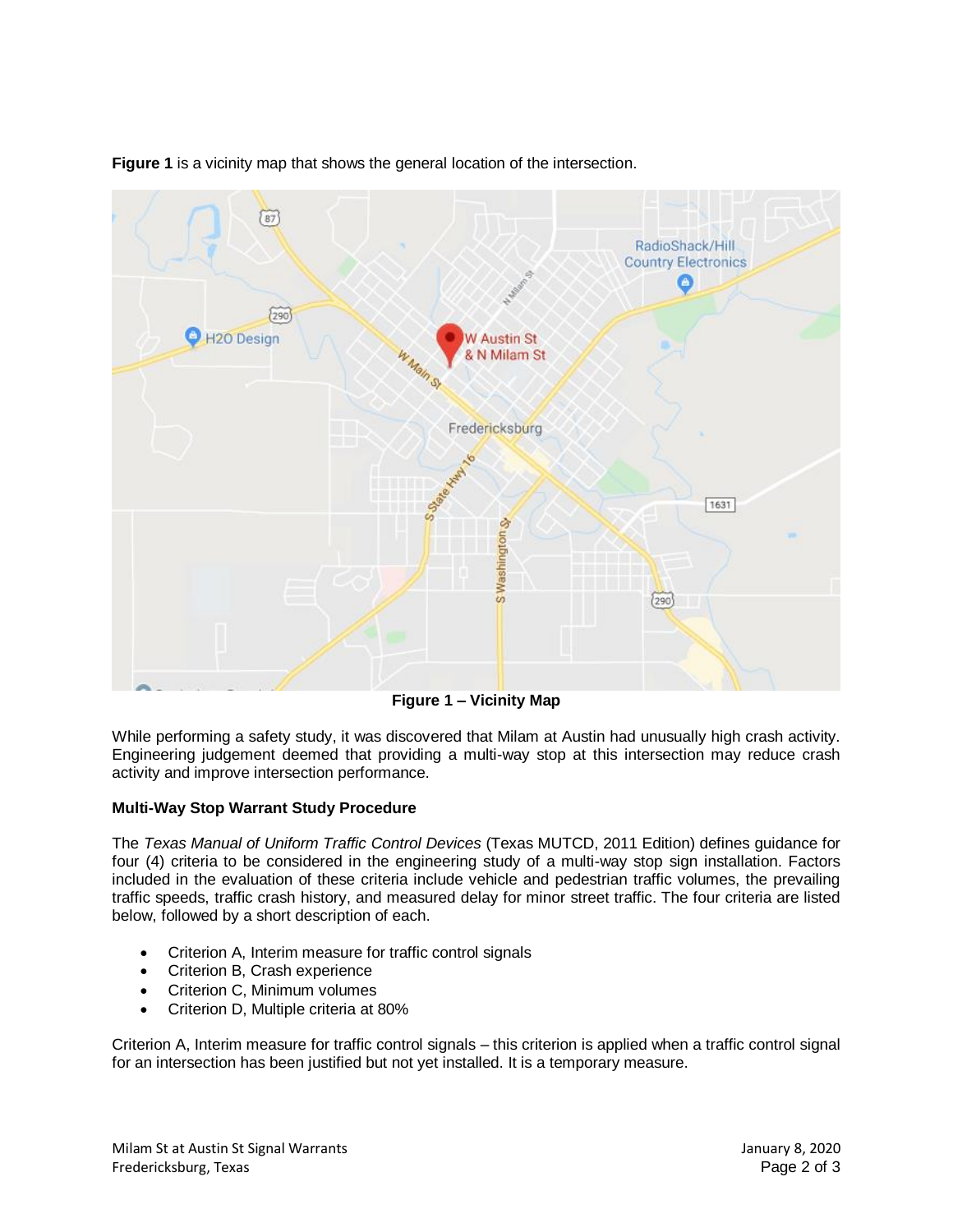

**Figure 1** is a vicinity map that shows the general location of the intersection.

**Figure 1 – Vicinity Map**

While performing a safety study, it was discovered that Milam at Austin had unusually high crash activity. Engineering judgement deemed that providing a multi-way stop at this intersection may reduce crash activity and improve intersection performance.

#### **Multi-Way Stop Warrant Study Procedure**

The *Texas Manual of Uniform Traffic Control Devices* (Texas MUTCD, 2011 Edition) defines guidance for four (4) criteria to be considered in the engineering study of a multi-way stop sign installation. Factors included in the evaluation of these criteria include vehicle and pedestrian traffic volumes, the prevailing traffic speeds, traffic crash history, and measured delay for minor street traffic. The four criteria are listed below, followed by a short description of each.

- Criterion A, Interim measure for traffic control signals
- Criterion B, Crash experience
- Criterion C, Minimum volumes
- Criterion D, Multiple criteria at 80%

Criterion A, Interim measure for traffic control signals – this criterion is applied when a traffic control signal for an intersection has been justified but not yet installed. It is a temporary measure.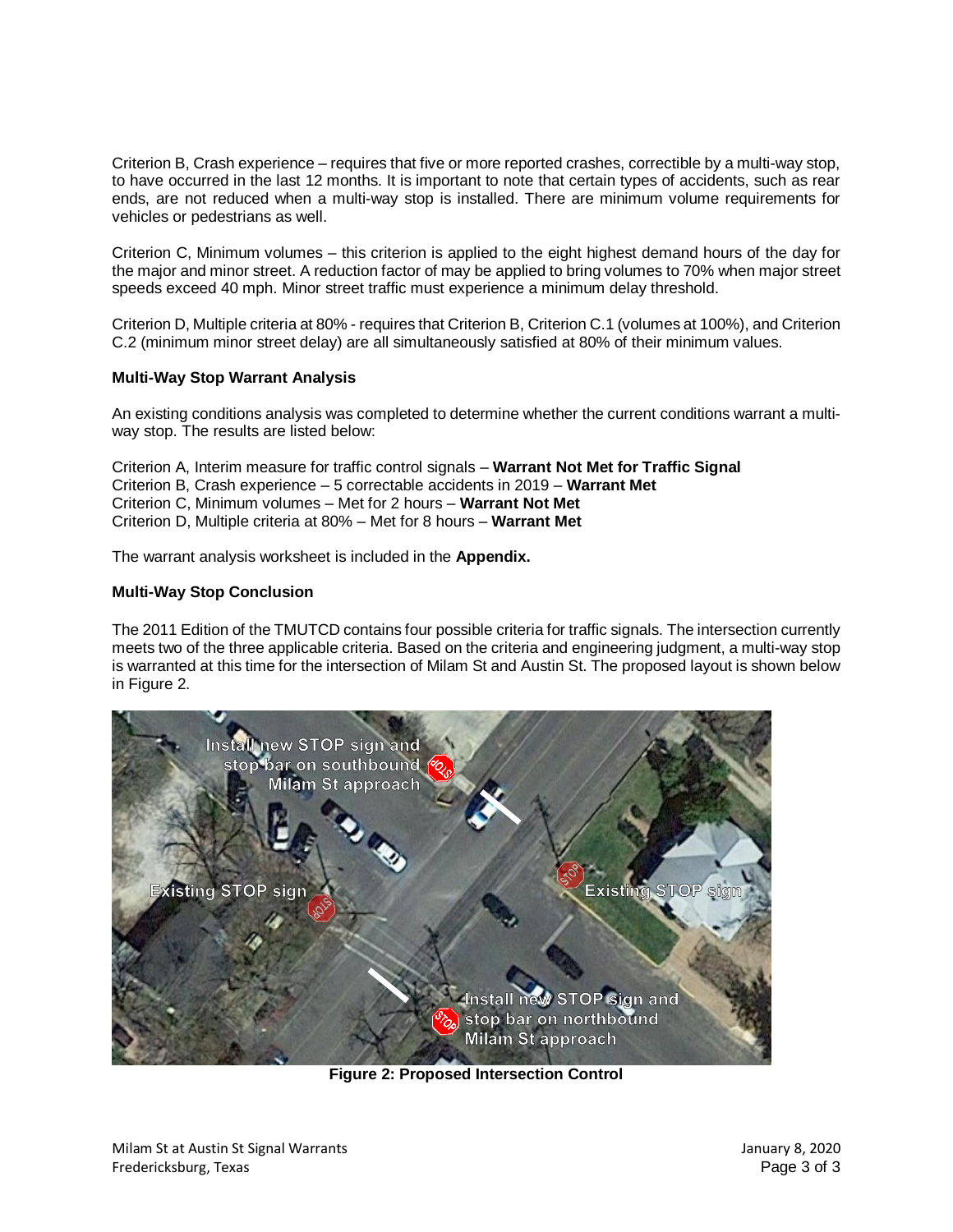Criterion B, Crash experience – requires that five or more reported crashes, correctible by a multi-way stop, to have occurred in the last 12 months. It is important to note that certain types of accidents, such as rear ends, are not reduced when a multi-way stop is installed. There are minimum volume requirements for vehicles or pedestrians as well.

Criterion C, Minimum volumes – this criterion is applied to the eight highest demand hours of the day for the major and minor street. A reduction factor of may be applied to bring volumes to 70% when major street speeds exceed 40 mph. Minor street traffic must experience a minimum delay threshold.

Criterion D, Multiple criteria at 80% - requires that Criterion B, Criterion C.1 (volumes at 100%), and Criterion C.2 (minimum minor street delay) are all simultaneously satisfied at 80% of their minimum values.

#### **Multi-Way Stop Warrant Analysis**

An existing conditions analysis was completed to determine whether the current conditions warrant a multiway stop. The results are listed below:

Criterion A, Interim measure for traffic control signals – **Warrant Not Met for Traffic Signal** Criterion B, Crash experience – 5 correctable accidents in 2019 – **Warrant Met** Criterion C, Minimum volumes – Met for 2 hours – **Warrant Not Met** Criterion D, Multiple criteria at 80% – Met for 8 hours – **Warrant Met**

The warrant analysis worksheet is included in the **Appendix.**

#### **Multi-Way Stop Conclusion**

The 2011 Edition of the TMUTCD contains four possible criteria for traffic signals. The intersection currently meets two of the three applicable criteria. Based on the criteria and engineering judgment, a multi-way stop is warranted at this time for the intersection of Milam St and Austin St. The proposed layout is shown below in [Figure 2.](#page-2-0)

<span id="page-2-0"></span>

**Figure 2: Proposed Intersection Control**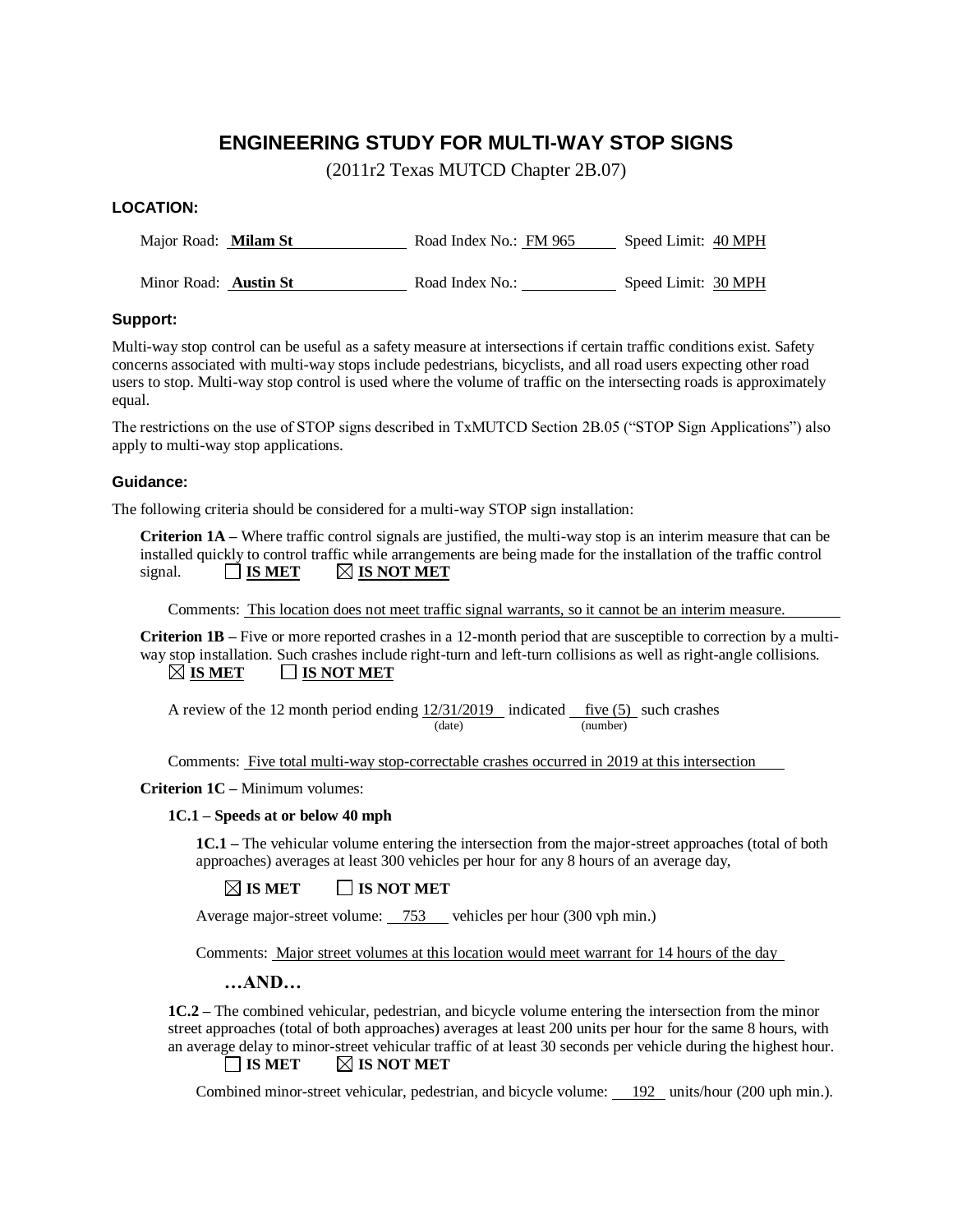#### **ENGINEERING STUDY FOR MULTI-WAY STOP SIGNS**

(2011r2 Texas MUTCD Chapter 2B.07)

#### **LOCATION:**

Major Road: **Milam St Road Index No.: FM 965** Speed Limit: 40 MPH

Minor Road: **Austin St Road Index No.:** Speed Limit: 30 MPH

#### **Support:**

Multi-way stop control can be useful as a safety measure at intersections if certain traffic conditions exist. Safety concerns associated with multi-way stops include pedestrians, bicyclists, and all road users expecting other road users to stop. Multi-way stop control is used where the volume of traffic on the intersecting roads is approximately equal.

The restrictions on the use of STOP signs described in TxMUTCD Section 2B.05 ("STOP Sign Applications") also apply to multi-way stop applications.

#### **Guidance:**

The following criteria should be considered for a multi-way STOP sign installation:

**Criterion 1A –** Where traffic control signals are justified, the multi-way stop is an interim measure that can be installed quickly to control traffic while arrangements are being made for the installation of the traffic control signal.  $\Box$  **IS MET**  $\Box$  **IS NOT MET** 

Comments: This location does not meet traffic signal warrants, so it cannot be an interim measure.

**Criterion 1B –** Five or more reported crashes in a 12-month period that are susceptible to correction by a multiway stop installation. Such crashes include right-turn and left-turn collisions as well as right-angle collisions.  $\boxtimes$  **IS MET**  $\Box$  **IS NOT MET** 

A review of the 12 month period ending  $12/31/2019$  indicated five (5) such crashes (date) (number)

Comments: Five total multi-way stop-correctable crashes occurred in 2019 at this intersection

**Criterion 1C –** Minimum volumes:

#### **1C.1 – Speeds at or below 40 mph**

**1C.1 –** The vehicular volume entering the intersection from the major-street approaches (total of both approaches) averages at least 300 vehicles per hour for any 8 hours of an average day,

#### $\boxtimes$  **IS MET**  $\qquad \qquad$  **IS NOT MET**

Average major-street volume: 753 vehicles per hour (300 vph min.)

Comments: Major street volumes at this location would meet warrant for 14 hours of the day

**…AND…**

**1C.2 –** The combined vehicular, pedestrian, and bicycle volume entering the intersection from the minor street approaches (total of both approaches) averages at least 200 units per hour for the same 8 hours, with an average delay to minor-street vehicular traffic of at least 30 seconds per vehicle during the highest hour.

#### $\Box$  **IS MET**  $\Box$  **IS NOT MET**

Combined minor-street vehicular, pedestrian, and bicycle volume: 192 units/hour (200 uph min.).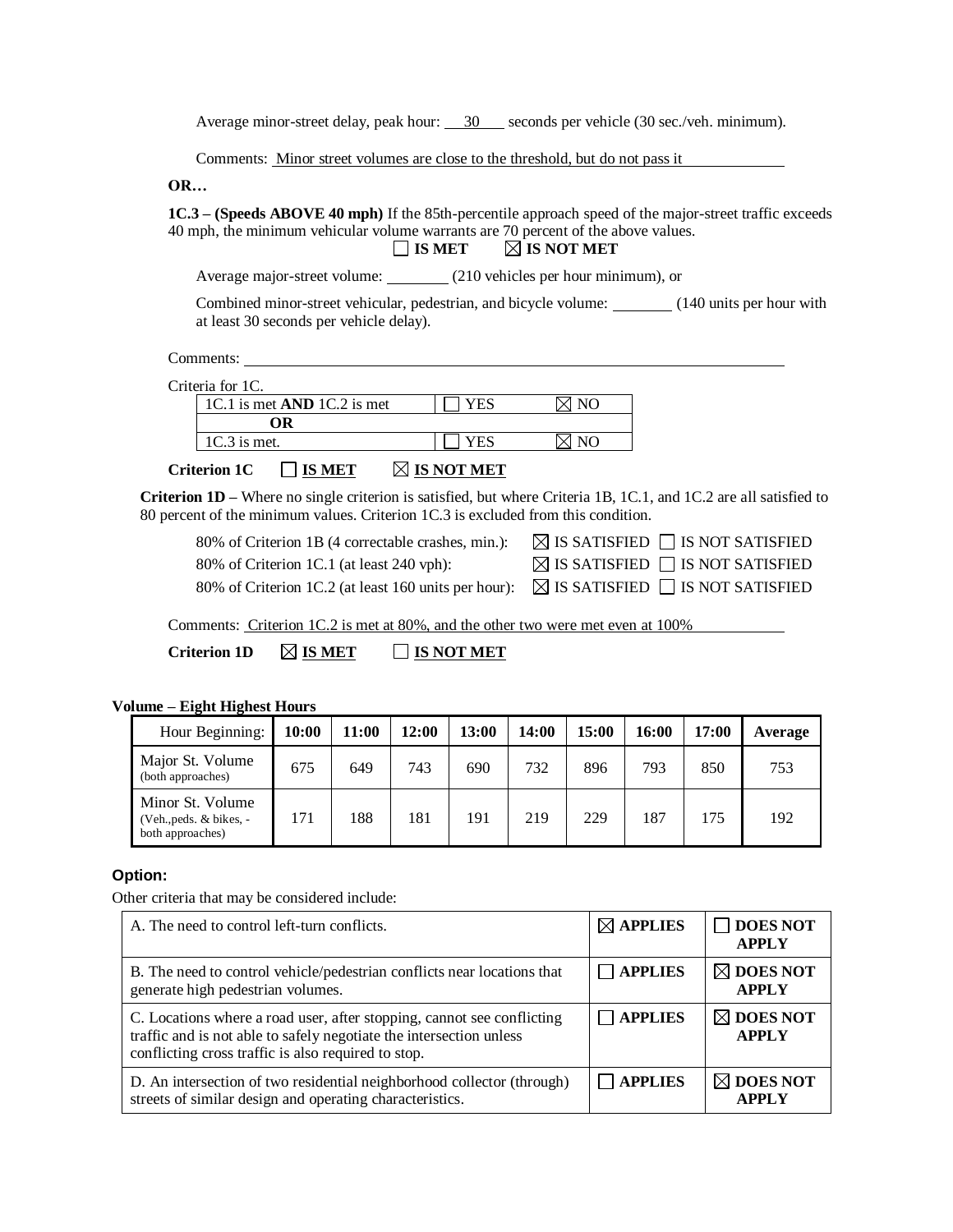Average minor-street delay, peak hour: 30 seconds per vehicle (30 sec./veh. minimum).

Comments: Minor street volumes are close to the threshold, but do not pass it

**OR…**

**1C.3 – (Speeds ABOVE 40 mph)** If the 85th-percentile approach speed of the major-street traffic exceeds 40 mph, the minimum vehicular volume warrants are 70 percent of the above values.<br>  $\Box$  IS MET  $\Box$  IS NOT MET

**IS MET IS NOT MET**

Average major-street volume: (210 vehicles per hour minimum), or

Combined minor-street vehicular, pedestrian, and bicycle volume: (140 units per hour with at least 30 seconds per vehicle delay).

Comments:

Criteria for 1C.

| 1C.1 is met $AND$ 1C.2 is met                           |                       |  |
|---------------------------------------------------------|-----------------------|--|
|                                                         |                       |  |
| $1C.3$ is met.                                          |                       |  |
| $\Box$ $\pi$ $\alpha$ $\pi$ $\pi$<br>$\sim$<br>$\cdots$ | $\nabla$ to warm work |  |

#### **Criterion 1C IS MET IS NOT MET**

**Criterion 1D –** Where no single criterion is satisfied, but where Criteria 1B, 1C.1, and 1C.2 are all satisfied to 80 percent of the minimum values. Criterion 1C.3 is excluded from this condition.

| 80% of Criterion 1B (4 correctable crashes, min.):                                                    | $\boxtimes$ IS SATISFIED $\Box$ IS NOT SATISFIED |
|-------------------------------------------------------------------------------------------------------|--------------------------------------------------|
| 80% of Criterion 1C.1 (at least 240 vph):                                                             | $\boxtimes$ IS SATISFIED $\Box$ IS NOT SATISFIED |
| 80% of Criterion 1C.2 (at least 160 units per hour): $\boxtimes$ IS SATISFIED $\Box$ IS NOT SATISFIED |                                                  |

Comments: Criterion 1C.2 is met at 80%, and the other two were met even at 100%

| <b>Criterion 1D</b> | $\boxtimes$ is met | <b>IS NOT MET</b> |
|---------------------|--------------------|-------------------|
|---------------------|--------------------|-------------------|

#### **Volume – Eight Highest Hours**

| Hour Beginning:                                                 | 10:00 | 11:00 | 12:00 | 13:00 | 14:00 | 15:00 | 16:00 | 17:00 | Average |
|-----------------------------------------------------------------|-------|-------|-------|-------|-------|-------|-------|-------|---------|
| Major St. Volume<br>(both approaches)                           | 675   | 649   | 743   | 690   | 732   | 896   | 793   | 850   | 753     |
| Minor St. Volume<br>(Veh., peds. & bikes, -<br>both approaches) | 171   | 188   | 181   | 191   | 219   | 229   | 187   | 175   | 192     |

#### **Option:**

Other criteria that may be considered include:

| A. The need to control left-turn conflicts.                                                                                                                                                          | $\boxtimes$ APPLIES | <b>DOES NOT</b><br><b>APPLY</b>      |
|------------------------------------------------------------------------------------------------------------------------------------------------------------------------------------------------------|---------------------|--------------------------------------|
| B. The need to control vehicle/pedestrian conflicts near locations that<br>generate high pedestrian volumes.                                                                                         | <b>APPLIES</b>      | $\boxtimes$ DOES NOT<br><b>APPLY</b> |
| C. Locations where a road user, after stopping, cannot see conflicting<br>traffic and is not able to safely negotiate the intersection unless<br>conflicting cross traffic is also required to stop. | <b>APPLIES</b>      | $\boxtimes$ DOES NOT<br><b>APPLY</b> |
| D. An intersection of two residential neighborhood collector (through)<br>streets of similar design and operating characteristics.                                                                   | <b>APPLIES</b>      | $\boxtimes$ DOES NOT<br><b>APPLY</b> |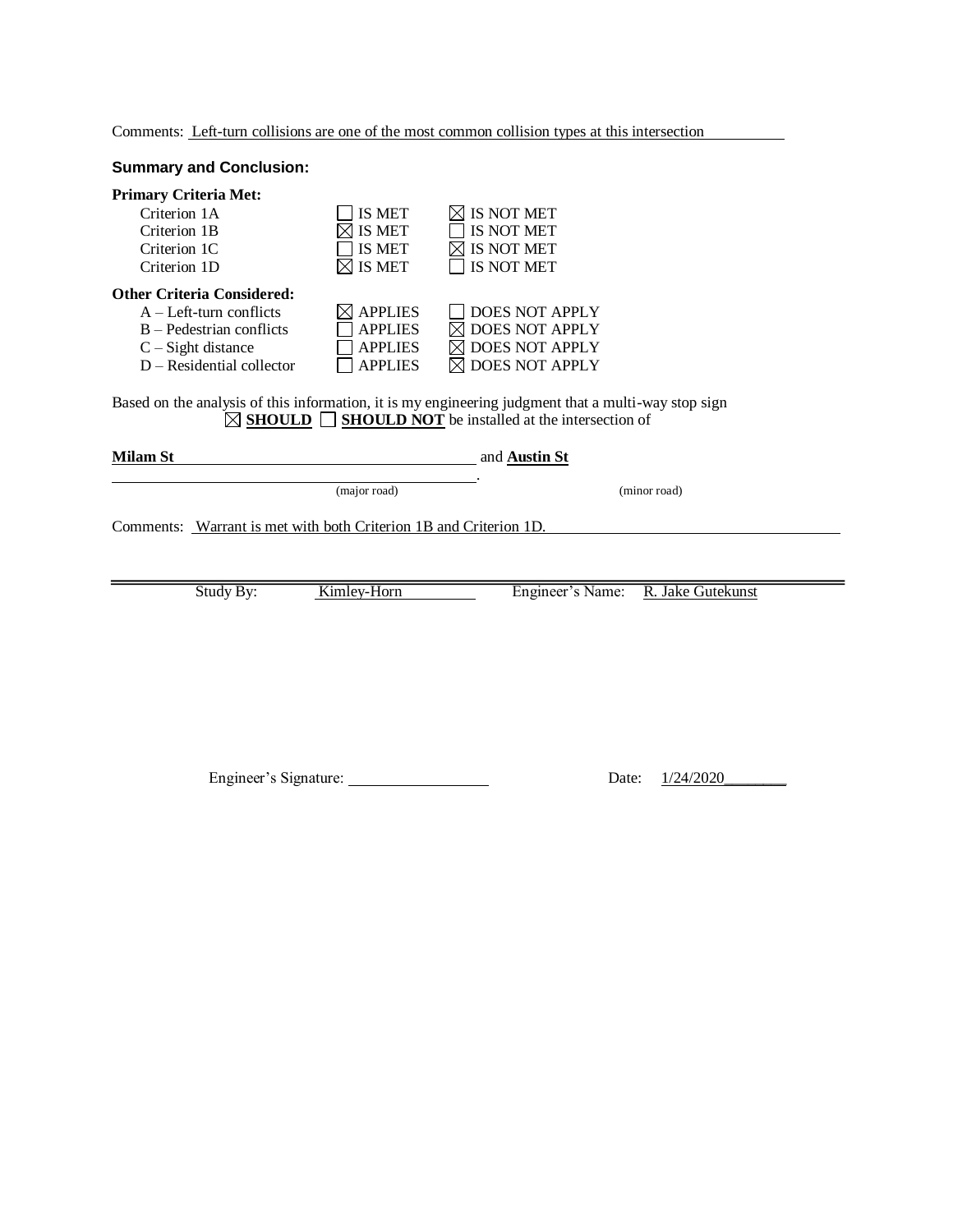Comments: Left-turn collisions are one of the most common collision types at this intersection

#### **Summary and Conclusion:**

| <b>Primary Criteria Met:</b><br>Criterion 1A<br>Criterion 1B<br>Criterion 1C<br>Criterion 1D                                                        | IS MET<br>IS MET<br>IS MET<br>IS MET                                 | $\boxtimes$ is not met<br>IS NOT MET<br>IS NOT MET<br>IS NOT MET                                    |
|-----------------------------------------------------------------------------------------------------------------------------------------------------|----------------------------------------------------------------------|-----------------------------------------------------------------------------------------------------|
| <b>Other Criteria Considered:</b><br>$A - Left$ -turn conflicts<br>$B - Pedestrian$ conflicts<br>$C - Sight distance$<br>$D - Residental collector$ | <b>APPLIES</b><br><b>APPLIES</b><br><b>APPLIES</b><br><b>APPLIES</b> | DOES NOT APPLY<br>$\boxtimes$ DOES NOT APPLY<br>$\boxtimes$ DOES NOT APPLY<br><b>DOES NOT APPLY</b> |

Based on the analysis of this information, it is my engineering judgment that a multi-way stop sign ■ SHOULD SHOULD NOT be installed at the intersection of

| Milam St |                                                                   | and <b>Austin St</b> |              |
|----------|-------------------------------------------------------------------|----------------------|--------------|
|          | (major road)                                                      |                      | (minor road) |
|          | Comments: Warrant is met with both Criterion 1B and Criterion 1D. |                      |              |
|          |                                                                   |                      |              |

Study By: Kimley-Horn Engineer's Name: R. Jake Gutekunst

Engineer's Signature: Date: 1/24/2020\_\_\_\_\_\_\_\_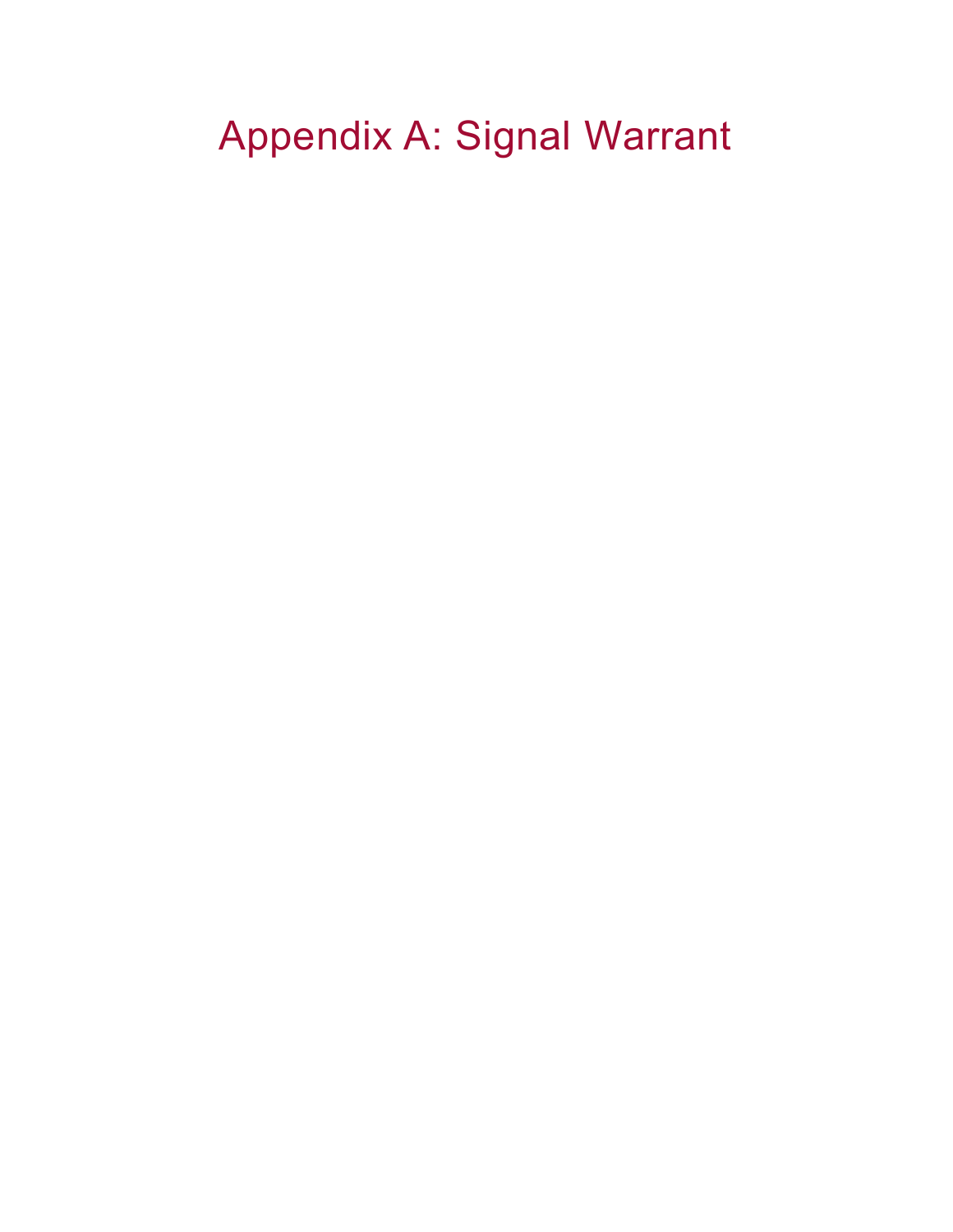# Appendix A: Signal Warrant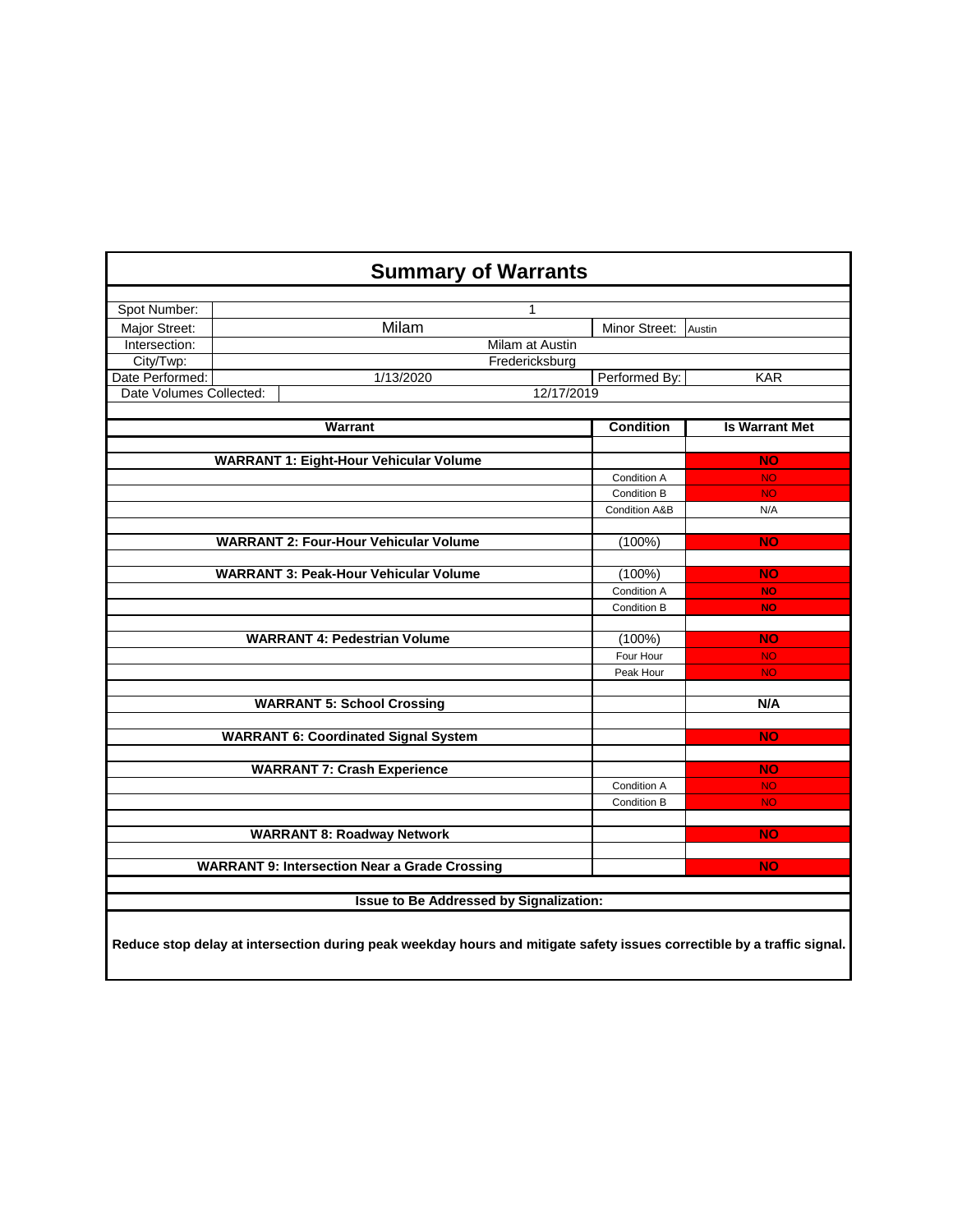## **Summary of Warrants**

| Spot Number:            | $\mathbf 1$                                                                                                             |                  |                       |  |  |  |
|-------------------------|-------------------------------------------------------------------------------------------------------------------------|------------------|-----------------------|--|--|--|
| Major Street:           | Milam                                                                                                                   | Minor Street:    | Austin                |  |  |  |
| Intersection:           | Milam at Austin                                                                                                         |                  |                       |  |  |  |
| City/Twp:               | Fredericksburg                                                                                                          |                  |                       |  |  |  |
| Date Performed:         | 1/13/2020                                                                                                               | Performed By:    | <b>KAR</b>            |  |  |  |
| Date Volumes Collected: |                                                                                                                         | 12/17/2019       |                       |  |  |  |
|                         |                                                                                                                         |                  |                       |  |  |  |
|                         | <b>Warrant</b>                                                                                                          | <b>Condition</b> | <b>Is Warrant Met</b> |  |  |  |
|                         |                                                                                                                         |                  |                       |  |  |  |
|                         | <b>WARRANT 1: Eight-Hour Vehicular Volume</b>                                                                           |                  | <b>NO</b>             |  |  |  |
|                         |                                                                                                                         | Condition A      | <b>NO</b>             |  |  |  |
|                         |                                                                                                                         | Condition B      | <b>NO</b>             |  |  |  |
|                         |                                                                                                                         | Condition A&B    | N/A                   |  |  |  |
|                         |                                                                                                                         |                  |                       |  |  |  |
|                         | <b>WARRANT 2: Four-Hour Vehicular Volume</b>                                                                            | (100%)           | <b>NO</b>             |  |  |  |
|                         |                                                                                                                         |                  |                       |  |  |  |
|                         | <b>WARRANT 3: Peak-Hour Vehicular Volume</b>                                                                            | (100%)           | <b>NO</b>             |  |  |  |
|                         |                                                                                                                         | Condition A      | <b>NO</b>             |  |  |  |
|                         |                                                                                                                         | Condition B      | <b>NO</b>             |  |  |  |
|                         |                                                                                                                         |                  |                       |  |  |  |
|                         | <b>WARRANT 4: Pedestrian Volume</b>                                                                                     | $(100\%)$        | <b>NO</b>             |  |  |  |
|                         |                                                                                                                         | Four Hour        | <b>NO</b>             |  |  |  |
|                         |                                                                                                                         | Peak Hour        | <b>NO</b>             |  |  |  |
|                         |                                                                                                                         |                  |                       |  |  |  |
|                         | <b>WARRANT 5: School Crossing</b>                                                                                       |                  | N/A                   |  |  |  |
|                         |                                                                                                                         |                  |                       |  |  |  |
|                         | <b>WARRANT 6: Coordinated Signal System</b>                                                                             |                  | <b>NO</b>             |  |  |  |
|                         |                                                                                                                         |                  |                       |  |  |  |
|                         | <b>WARRANT 7: Crash Experience</b>                                                                                      |                  | <b>NO</b>             |  |  |  |
|                         |                                                                                                                         | Condition A      | <b>NO</b>             |  |  |  |
|                         |                                                                                                                         | Condition B      | <b>NO</b>             |  |  |  |
|                         |                                                                                                                         |                  |                       |  |  |  |
|                         | <b>WARRANT 8: Roadway Network</b>                                                                                       |                  | <b>NO</b>             |  |  |  |
|                         |                                                                                                                         |                  |                       |  |  |  |
|                         | <b>WARRANT 9: Intersection Near a Grade Crossing</b>                                                                    |                  | <b>NO</b>             |  |  |  |
|                         |                                                                                                                         |                  |                       |  |  |  |
|                         | <b>Issue to Be Addressed by Signalization:</b>                                                                          |                  |                       |  |  |  |
|                         |                                                                                                                         |                  |                       |  |  |  |
|                         |                                                                                                                         |                  |                       |  |  |  |
|                         | Reduce stop delay at intersection during peak weekday hours and mitigate safety issues correctible by a traffic signal. |                  |                       |  |  |  |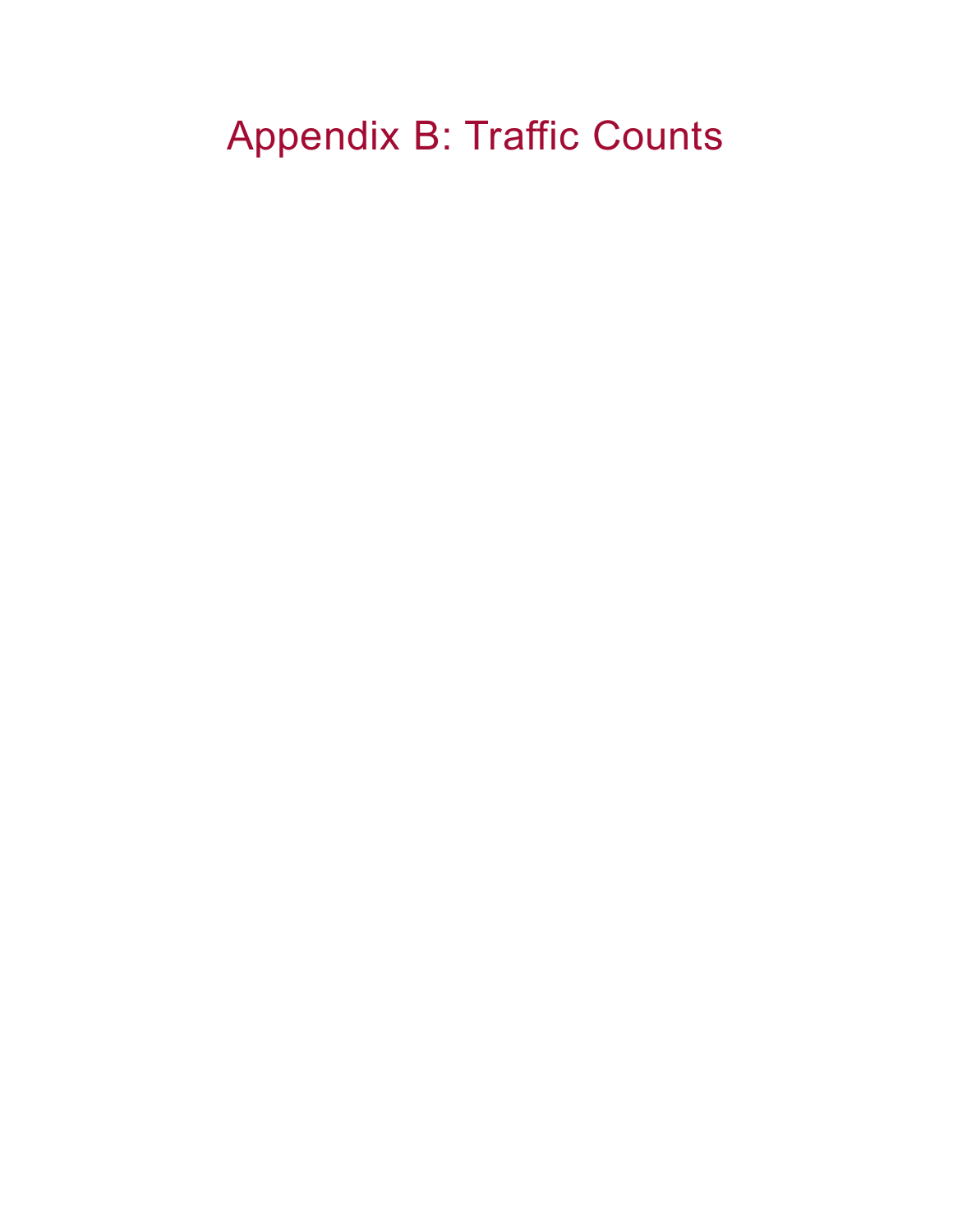## Appendix B: Traffic Counts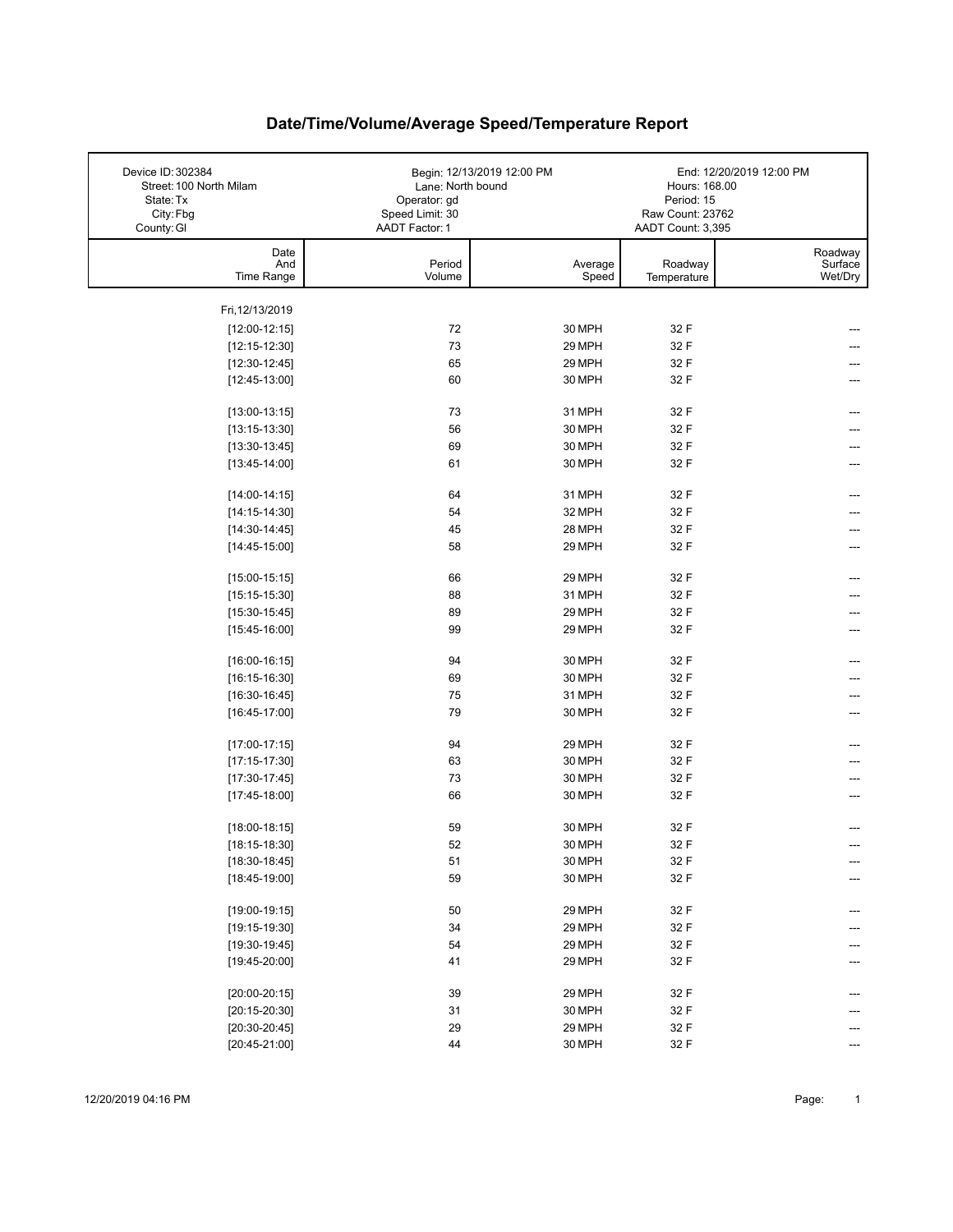| Device ID: 302384<br>Street: 100 North Milam<br>State: Tx<br>City: Fbg<br>County: GI | Lane: North bound<br>Operator: gd<br>Speed Limit: 30<br>AADT Factor: 1 | Begin: 12/13/2019 12:00 PM | Hours: 168.00<br>Period: 15<br>Raw Count: 23762<br>AADT Count: 3,395 | End: 12/20/2019 12:00 PM      |
|--------------------------------------------------------------------------------------|------------------------------------------------------------------------|----------------------------|----------------------------------------------------------------------|-------------------------------|
| Date<br>And<br>Time Range                                                            | Period<br>Volume                                                       | Average<br>Speed           | Roadway<br>Temperature                                               | Roadway<br>Surface<br>Wet/Dry |
|                                                                                      |                                                                        |                            |                                                                      |                               |
| Fri, 12/13/2019                                                                      | 72                                                                     |                            |                                                                      |                               |
| $[12:00-12:15]$<br>$[12:15-12:30]$                                                   | 73                                                                     | 30 MPH<br>29 MPH           | 32 F<br>32 F                                                         |                               |
| $[12:30-12:45]$                                                                      | 65                                                                     | 29 MPH                     | 32 F                                                                 |                               |
| $[12:45-13:00]$                                                                      | 60                                                                     | 30 MPH                     | 32 F                                                                 |                               |
|                                                                                      |                                                                        |                            |                                                                      |                               |
| $[13:00-13:15]$                                                                      | 73                                                                     | 31 MPH                     | 32 F                                                                 |                               |
| $[13:15-13:30]$                                                                      | 56                                                                     | 30 MPH                     | 32 F                                                                 |                               |
| $[13:30-13:45]$                                                                      | 69                                                                     | 30 MPH                     | 32 F                                                                 |                               |
| $[13:45-14:00]$                                                                      | 61                                                                     | 30 MPH                     | 32 F                                                                 | ---                           |
| $[14:00-14:15]$                                                                      | 64                                                                     | 31 MPH                     | 32 F                                                                 | ---                           |
| $[14:15-14:30]$                                                                      | 54                                                                     | 32 MPH                     | 32 F                                                                 |                               |
| $[14:30-14:45]$                                                                      | 45                                                                     | 28 MPH                     | 32 F                                                                 |                               |
| $[14:45-15:00]$                                                                      | 58                                                                     | 29 MPH                     | 32 F                                                                 |                               |
|                                                                                      |                                                                        |                            |                                                                      |                               |
| $[15:00-15:15]$                                                                      | 66                                                                     | 29 MPH                     | 32 F                                                                 | ---                           |
| $[15:15-15:30]$                                                                      | 88                                                                     | 31 MPH                     | 32 F                                                                 |                               |
| $[15:30-15:45]$                                                                      | 89                                                                     | 29 MPH                     | 32 F                                                                 |                               |
| $[15:45-16:00]$                                                                      | 99                                                                     | 29 MPH                     | 32 F                                                                 | ---                           |
| $[16:00-16:15]$                                                                      | 94                                                                     | 30 MPH                     | 32 F                                                                 |                               |
| $[16:15-16:30]$                                                                      | 69                                                                     | 30 MPH                     | 32 F                                                                 |                               |
| $[16:30-16:45]$                                                                      | 75                                                                     | 31 MPH                     | 32 F                                                                 |                               |
| $[16:45-17:00]$                                                                      | 79                                                                     | 30 MPH                     | 32 F                                                                 |                               |
|                                                                                      |                                                                        |                            |                                                                      |                               |
| $[17:00-17:15]$                                                                      | 94                                                                     | 29 MPH                     | 32 F                                                                 |                               |
| $[17:15-17:30]$                                                                      | 63                                                                     | 30 MPH                     | 32 F                                                                 |                               |
| $[17:30-17:45]$                                                                      | 73                                                                     | 30 MPH                     | 32 F                                                                 |                               |
| $[17:45-18:00]$                                                                      | 66                                                                     | 30 MPH                     | 32 F                                                                 |                               |
| $[18:00-18:15]$                                                                      | 59                                                                     | 30 MPH                     | 32 F                                                                 |                               |
| $[18:15-18:30]$                                                                      | 52                                                                     | 30 MPH                     | 32 F                                                                 |                               |
| $[18:30-18:45]$                                                                      | 51                                                                     | 30 MPH                     | 32 F                                                                 | ---                           |
| $[18:45-19:00]$                                                                      | 59                                                                     | 30 MPH                     | 32 F                                                                 |                               |
|                                                                                      |                                                                        |                            |                                                                      |                               |
| $[19:00-19:15]$                                                                      | 50                                                                     | 29 MPH                     | 32 F                                                                 | ---                           |
| $[19:15-19:30]$                                                                      | 34                                                                     | 29 MPH                     | 32 F                                                                 |                               |
| $[19:30-19:45]$                                                                      | 54                                                                     | 29 MPH                     | 32 F                                                                 |                               |
| $[19:45-20:00]$                                                                      | 41                                                                     | 29 MPH                     | 32 F                                                                 |                               |
| $[20:00-20:15]$                                                                      | 39                                                                     | 29 MPH                     | 32 F                                                                 |                               |
| $[20:15-20:30]$                                                                      | 31                                                                     | 30 MPH                     | 32 F                                                                 |                               |
| $[20:30-20:45]$                                                                      | 29                                                                     | 29 MPH                     | 32 F                                                                 |                               |
| $[20:45-21:00]$                                                                      | 44                                                                     | 30 MPH                     | 32 F                                                                 | ---                           |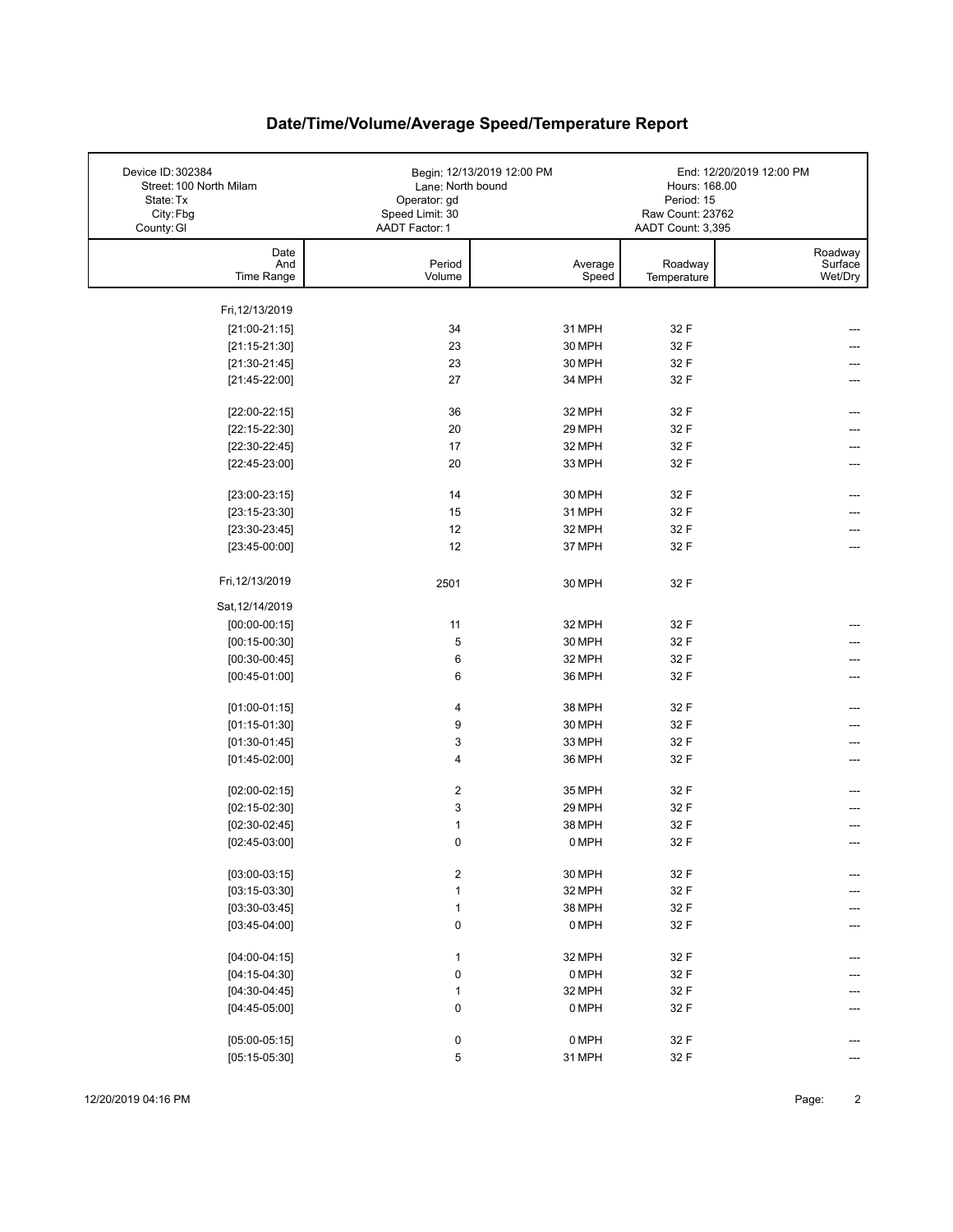| Device ID: 302384<br>Street: 100 North Milam<br>State: Tx<br>City: Fbg | Lane: North bound<br>Operator: gd<br>Speed Limit: 30 | Begin: 12/13/2019 12:00 PM | Hours: 168.00<br>Period: 15<br>Raw Count: 23762<br>AADT Count: 3,395 | End: 12/20/2019 12:00 PM      |
|------------------------------------------------------------------------|------------------------------------------------------|----------------------------|----------------------------------------------------------------------|-------------------------------|
| County: GI                                                             | AADT Factor: 1                                       |                            |                                                                      |                               |
| Date<br>And<br>Time Range                                              | Period<br>Volume                                     | Average<br>Speed           | Roadway<br>Temperature                                               | Roadway<br>Surface<br>Wet/Dry |
|                                                                        |                                                      |                            |                                                                      |                               |
| Fri, 12/13/2019                                                        |                                                      |                            |                                                                      |                               |
| $[21:00-21:15]$                                                        | 34                                                   | 31 MPH                     | 32 F                                                                 |                               |
| $[21:15-21:30]$                                                        | 23                                                   | 30 MPH                     | 32 F                                                                 |                               |
| $[21:30-21:45]$                                                        | 23                                                   | 30 MPH                     | 32 F                                                                 |                               |
| $[21:45-22:00]$                                                        | 27                                                   | 34 MPH                     | 32 F                                                                 |                               |
| $[22:00-22:15]$                                                        | 36                                                   | 32 MPH                     | 32 F                                                                 | ---                           |
| $[22:15-22:30]$                                                        | 20                                                   | 29 MPH                     | 32 F                                                                 |                               |
| $[22:30-22:45]$                                                        | 17                                                   | 32 MPH                     | 32 F                                                                 |                               |
| $[22:45-23:00]$                                                        | 20                                                   | 33 MPH                     | 32 F                                                                 | ---                           |
| $[23:00-23:15]$                                                        | 14                                                   |                            |                                                                      |                               |
|                                                                        | 15                                                   | 30 MPH<br>31 MPH           | 32 F<br>32 F                                                         | ---                           |
| $[23:15-23:30]$                                                        | 12                                                   |                            | 32 F                                                                 |                               |
| $[23:30-23:45]$                                                        |                                                      | 32 MPH                     |                                                                      |                               |
| $[23:45-00:00]$                                                        | 12                                                   | 37 MPH                     | 32 F                                                                 |                               |
| Fri, 12/13/2019                                                        | 2501                                                 | 30 MPH                     | 32 F                                                                 |                               |
| Sat, 12/14/2019                                                        |                                                      |                            |                                                                      |                               |
| $[00:00-00:15]$                                                        | 11                                                   | 32 MPH                     | 32 F                                                                 |                               |
| $[00:15-00:30]$                                                        | 5                                                    | 30 MPH                     | 32 F                                                                 |                               |
| $[00:30-00:45]$                                                        | 6                                                    | 32 MPH                     | 32 F                                                                 |                               |
| $[00:45-01:00]$                                                        | 6                                                    | 36 MPH                     | 32 F                                                                 |                               |
|                                                                        |                                                      |                            | 32 F                                                                 |                               |
| $[01:00-01:15]$                                                        | 4<br>9                                               | 38 MPH                     |                                                                      |                               |
| $[01:15-01:30]$                                                        |                                                      | 30 MPH                     | 32 F                                                                 |                               |
| $[01:30-01:45]$                                                        | 3                                                    | 33 MPH                     | 32 F                                                                 |                               |
| $[01:45-02:00]$                                                        | 4                                                    | 36 MPH                     | 32 F                                                                 | ---                           |
| $[02:00-02:15]$                                                        | 2                                                    | 35 MPH                     | 32 F                                                                 |                               |
| $[02:15-02:30]$                                                        | 3                                                    | 29 MPH                     | 32 F                                                                 |                               |
| $[02:30-02:45]$                                                        | $\mathbf 1$                                          | 38 MPH                     | 32 F                                                                 |                               |
| $[02:45-03:00]$                                                        | $\mathbf 0$                                          | 0 MPH                      | 32 F                                                                 |                               |
| $[03:00-03:15]$                                                        | $\boldsymbol{2}$                                     | 30 MPH                     | 32 F                                                                 |                               |
| $[03:15-03:30]$                                                        | $\mathbf{1}$                                         | 32 MPH                     | 32 F                                                                 |                               |
| $[03:30-03:45]$                                                        | $\mathbf{1}$                                         | 38 MPH                     | 32 F                                                                 |                               |
| $[03:45-04:00]$                                                        | $\pmb{0}$                                            | 0 MPH                      | 32 F                                                                 |                               |
|                                                                        |                                                      |                            |                                                                      |                               |
| $[04:00-04:15]$                                                        | $\mathbf{1}$                                         | 32 MPH                     | 32 F                                                                 |                               |
| $[04:15-04:30]$                                                        | $\pmb{0}$                                            | 0 MPH                      | 32 F                                                                 |                               |
| $[04:30-04:45]$                                                        | $\mathbf{1}$                                         | 32 MPH                     | 32 F                                                                 |                               |
| $[04:45-05:00]$                                                        | $\pmb{0}$                                            | 0 MPH                      | 32 F                                                                 |                               |
|                                                                        |                                                      |                            |                                                                      |                               |
| $[05:00-05:15]$                                                        | $\pmb{0}$                                            | 0 MPH                      | 32 F                                                                 |                               |
| $[05:15-05:30]$                                                        | $\,$ 5 $\,$                                          | 31 MPH                     | 32 F                                                                 |                               |

12/20/2019 04:16 PM Page: 2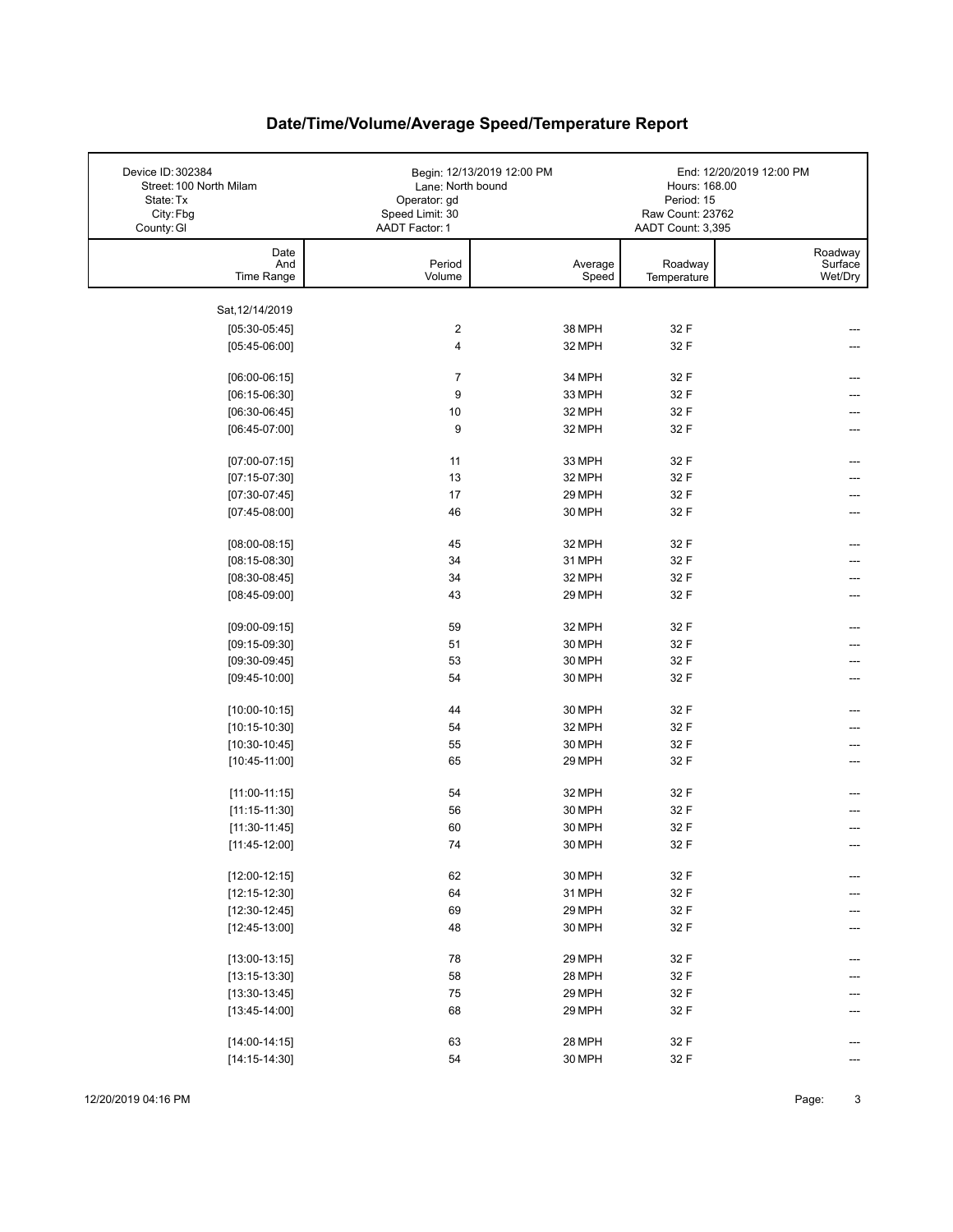| Device ID: 302384<br>Street: 100 North Milam<br>State: Tx<br>City: Fbg | Lane: North bound<br>Operator: gd<br>Speed Limit: 30 | Begin: 12/13/2019 12:00 PM | Hours: 168.00<br>Period: 15<br>Raw Count: 23762 | End: 12/20/2019 12:00 PM      |
|------------------------------------------------------------------------|------------------------------------------------------|----------------------------|-------------------------------------------------|-------------------------------|
| County: GI                                                             | AADT Factor: 1                                       |                            | AADT Count: 3,395                               |                               |
| Date<br>And<br>Time Range                                              | Period<br>Volume                                     | Average<br>Speed           | Roadway<br>Temperature                          | Roadway<br>Surface<br>Wet/Dry |
|                                                                        |                                                      |                            |                                                 |                               |
| Sat, 12/14/2019                                                        |                                                      |                            |                                                 |                               |
| $[05:30-05:45]$                                                        | $\overline{\mathbf{c}}$                              | 38 MPH                     | 32 F                                            |                               |
| $[05:45-06:00]$                                                        | 4                                                    | 32 MPH                     | 32 F                                            |                               |
|                                                                        |                                                      |                            |                                                 |                               |
| $[06:00-06:15]$                                                        | $\overline{7}$                                       | 34 MPH                     | 32 F                                            |                               |
| $[06:15-06:30]$<br>$[06:30-06:45]$                                     | 9<br>10                                              | 33 MPH<br>32 MPH           | 32 F<br>32 F                                    |                               |
| $[06:45-07:00]$                                                        | 9                                                    | 32 MPH                     | 32 F                                            | ---                           |
|                                                                        |                                                      |                            |                                                 |                               |
| $[07:00-07:15]$                                                        | 11                                                   | 33 MPH                     | 32 F                                            |                               |
| $[07:15-07:30]$                                                        | 13                                                   | 32 MPH                     | 32 F                                            |                               |
| $[07:30-07:45]$                                                        | 17                                                   | 29 MPH                     | 32 F                                            |                               |
| $[07:45-08:00]$                                                        | 46                                                   | 30 MPH                     | 32 F                                            | ---                           |
|                                                                        |                                                      |                            |                                                 |                               |
| $[08:00-08:15]$                                                        | 45                                                   | 32 MPH                     | 32 F                                            |                               |
| $[08:15-08:30]$                                                        | 34                                                   | 31 MPH                     | 32 F                                            |                               |
| $[08:30-08:45]$                                                        | 34                                                   | 32 MPH                     | 32 F                                            |                               |
| $[08:45-09:00]$                                                        | 43                                                   | 29 MPH                     | 32 F                                            |                               |
| $[09:00-09:15]$                                                        | 59                                                   | 32 MPH                     | 32 F                                            |                               |
| $[09:15-09:30]$                                                        | 51                                                   | 30 MPH                     | 32 F                                            |                               |
| $[09:30-09:45]$                                                        | 53                                                   | 30 MPH                     | 32 F                                            |                               |
| $[09:45-10:00]$                                                        | 54                                                   | 30 MPH                     | 32 F                                            |                               |
|                                                                        |                                                      |                            |                                                 |                               |
| $[10:00-10:15]$                                                        | 44                                                   | 30 MPH                     | 32 F                                            | ---                           |
| $[10:15-10:30]$                                                        | 54                                                   | 32 MPH                     | 32 F                                            |                               |
| $[10:30-10:45]$                                                        | 55                                                   | 30 MPH                     | 32 F                                            |                               |
| $[10:45-11:00]$                                                        | 65                                                   | 29 MPH                     | 32 F                                            |                               |
| $[11:00-11:15]$                                                        | 54                                                   | 32 MPH                     | 32 F                                            | ---                           |
| $[11:15-11:30]$                                                        | 56                                                   | 30 MPH                     | 32 F                                            |                               |
| $[11:30-11:45]$                                                        | 60                                                   | 30 MPH                     | 32 F                                            |                               |
| $[11:45-12:00]$                                                        | 74                                                   | 30 MPH                     | 32 F                                            |                               |
|                                                                        |                                                      |                            |                                                 |                               |
| $[12:00-12:15]$                                                        | 62                                                   | 30 MPH                     | 32 F                                            | ---                           |
| $[12:15-12:30]$                                                        | 64                                                   | 31 MPH                     | 32 F                                            |                               |
| $[12:30-12:45]$                                                        | 69                                                   | 29 MPH                     | 32 F                                            |                               |
| $[12:45-13:00]$                                                        | 48                                                   | 30 MPH                     | 32 F                                            |                               |
| $[13:00-13:15]$                                                        | 78                                                   | 29 MPH                     | 32 F                                            |                               |
| $[13:15-13:30]$                                                        | 58                                                   | 28 MPH                     | 32 F                                            |                               |
| $[13:30-13:45]$                                                        | 75                                                   | 29 MPH                     | 32 F                                            |                               |
| $[13:45-14:00]$                                                        | 68                                                   | 29 MPH                     | 32 F                                            |                               |
|                                                                        |                                                      |                            |                                                 |                               |
| $[14:00-14:15]$                                                        | 63                                                   | 28 MPH                     | 32 F                                            |                               |
| $[14:15-14:30]$                                                        | 54                                                   | 30 MPH                     | 32 F                                            |                               |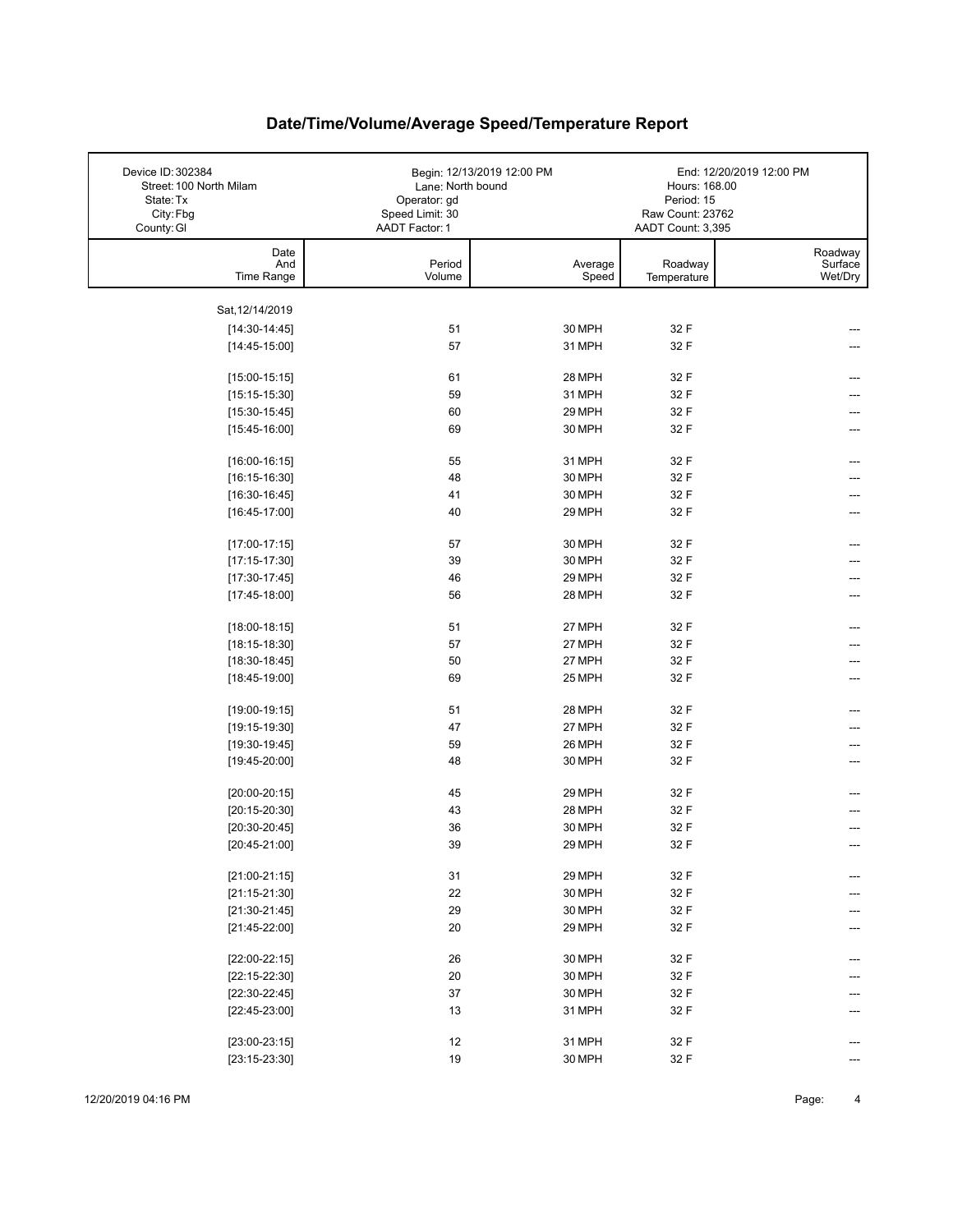| Device ID: 302384<br>Street: 100 North Milam<br>State: Tx<br>City: Fbg<br>County: GI | Lane: North bound<br>Operator: gd<br>Speed Limit: 30<br>AADT Factor: 1 | Begin: 12/13/2019 12:00 PM | Hours: 168.00<br>Period: 15<br>Raw Count: 23762<br>AADT Count: 3,395 | End: 12/20/2019 12:00 PM      |
|--------------------------------------------------------------------------------------|------------------------------------------------------------------------|----------------------------|----------------------------------------------------------------------|-------------------------------|
| Date<br>And<br>Time Range                                                            | Period<br>Volume                                                       | Average<br>Speed           | Roadway<br>Temperature                                               | Roadway<br>Surface<br>Wet/Dry |
|                                                                                      |                                                                        |                            |                                                                      |                               |
| Sat, 12/14/2019                                                                      | 51                                                                     | 30 MPH                     |                                                                      |                               |
| $[14:30-14:45]$<br>$[14:45-15:00]$                                                   | 57                                                                     | 31 MPH                     | 32 F<br>32 F                                                         |                               |
|                                                                                      |                                                                        |                            |                                                                      |                               |
| $[15:00-15:15]$                                                                      | 61                                                                     | 28 MPH                     | 32 F                                                                 |                               |
| $[15:15-15:30]$                                                                      | 59                                                                     | 31 MPH                     | 32 F                                                                 |                               |
| $[15:30-15:45]$                                                                      | 60                                                                     | 29 MPH                     | 32 F                                                                 |                               |
| $[15:45-16:00]$                                                                      | 69                                                                     | 30 MPH                     | 32 F                                                                 |                               |
|                                                                                      |                                                                        |                            | 32 F                                                                 |                               |
| $[16:00-16:15]$<br>$[16:15-16:30]$                                                   | 55<br>48                                                               | 31 MPH<br>30 MPH           | 32 F                                                                 |                               |
| $[16:30-16:45]$                                                                      | 41                                                                     | 30 MPH                     | 32 F                                                                 |                               |
| $[16:45-17:00]$                                                                      | 40                                                                     | 29 MPH                     | 32 F                                                                 |                               |
|                                                                                      |                                                                        |                            |                                                                      |                               |
| $[17:00-17:15]$                                                                      | 57                                                                     | 30 MPH                     | 32 F                                                                 |                               |
| $[17:15-17:30]$                                                                      | 39                                                                     | 30 MPH                     | 32 F                                                                 |                               |
| $[17:30-17:45]$                                                                      | 46                                                                     | 29 MPH                     | 32 F                                                                 |                               |
| $[17:45-18:00]$                                                                      | 56                                                                     | 28 MPH                     | 32 F                                                                 |                               |
| $[18:00-18:15]$                                                                      | 51                                                                     | 27 MPH                     | 32 F                                                                 |                               |
| $[18:15-18:30]$                                                                      | 57                                                                     | 27 MPH                     | 32 F                                                                 |                               |
| $[18:30-18:45]$                                                                      | 50                                                                     | 27 MPH                     | 32 F                                                                 |                               |
| $[18:45-19:00]$                                                                      | 69                                                                     | 25 MPH                     | 32 F                                                                 |                               |
|                                                                                      |                                                                        |                            |                                                                      |                               |
| $[19:00-19:15]$                                                                      | 51                                                                     | 28 MPH                     | 32 F                                                                 |                               |
| $[19:15-19:30]$                                                                      | 47                                                                     | 27 MPH                     | 32 F                                                                 |                               |
| $[19:30-19:45]$                                                                      | 59                                                                     | 26 MPH                     | 32 F                                                                 |                               |
| $[19:45-20:00]$                                                                      | 48                                                                     | 30 MPH                     | 32 F                                                                 |                               |
| $[20:00-20:15]$                                                                      | 45                                                                     | 29 MPH                     | 32 F                                                                 |                               |
| $[20:15-20:30]$                                                                      | 43                                                                     | 28 MPH                     | 32 F                                                                 |                               |
| $[20:30-20:45]$                                                                      | 36                                                                     | 30 MPH                     | 32 F                                                                 |                               |
| $[20:45-21:00]$                                                                      | 39                                                                     | 29 MPH                     | 32 F                                                                 |                               |
|                                                                                      |                                                                        |                            |                                                                      |                               |
| $[21:00-21:15]$                                                                      | 31                                                                     | 29 MPH                     | 32 F                                                                 | ---                           |
| $[21:15-21:30]$                                                                      | 22                                                                     | 30 MPH                     | 32 F                                                                 |                               |
| $[21:30-21:45]$                                                                      | 29                                                                     | 30 MPH                     | 32 F                                                                 |                               |
| $[21:45-22:00]$                                                                      | 20                                                                     | 29 MPH                     | 32 F                                                                 |                               |
| $[22:00-22:15]$                                                                      | 26                                                                     | 30 MPH                     | 32 F                                                                 |                               |
| $[22:15-22:30]$                                                                      | $20\,$                                                                 | 30 MPH                     | 32 F                                                                 |                               |
| $[22:30-22:45]$                                                                      | 37                                                                     | 30 MPH                     | 32 F                                                                 |                               |
| $[22:45-23:00]$                                                                      | 13                                                                     | 31 MPH                     | 32 F                                                                 |                               |
|                                                                                      |                                                                        |                            |                                                                      |                               |
| $[23:00-23:15]$                                                                      | 12                                                                     | 31 MPH                     | 32 F                                                                 |                               |
| $[23:15-23:30]$                                                                      | 19                                                                     | 30 MPH                     | 32 F                                                                 |                               |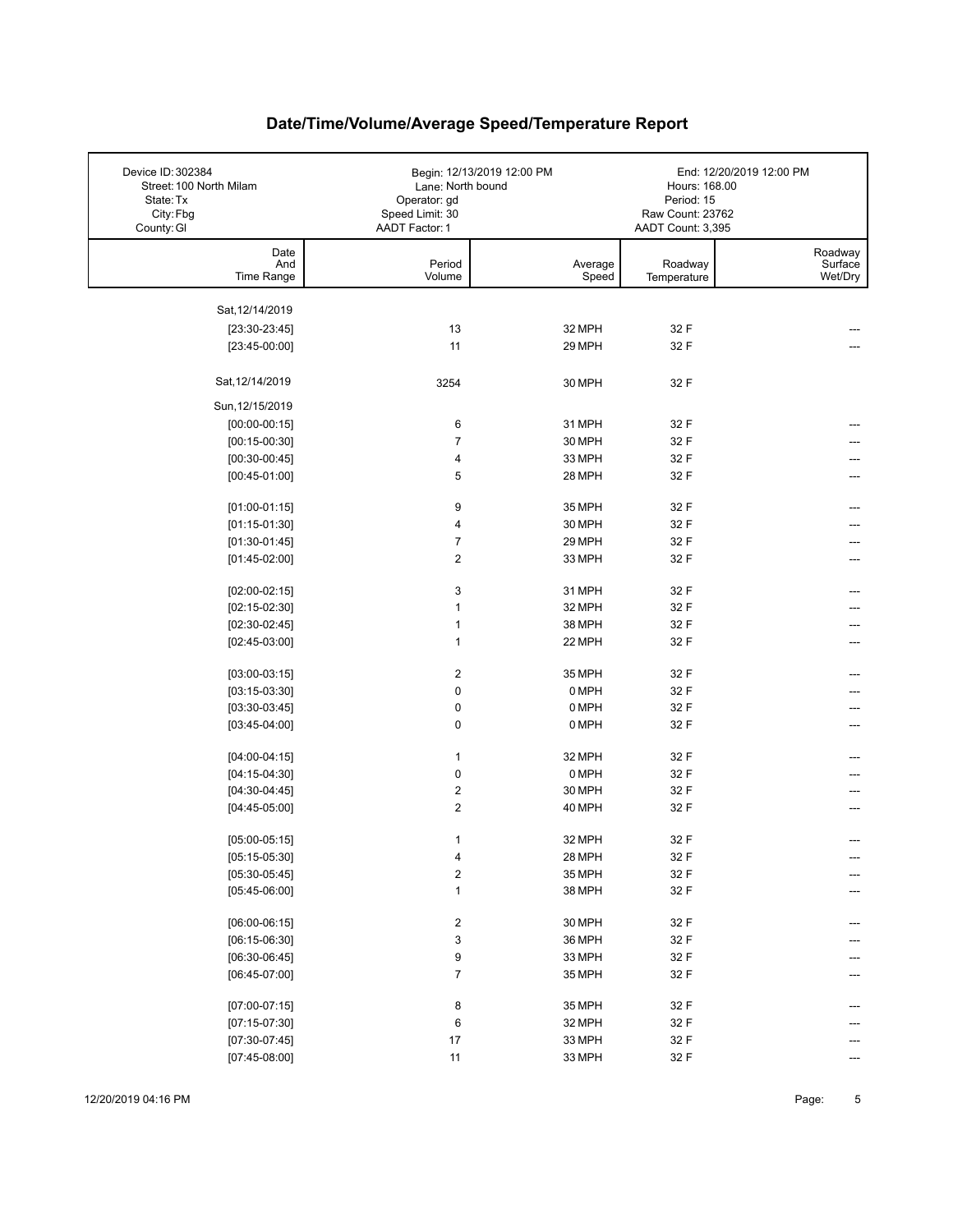| Device ID: 302384<br>Street: 100 North Milam<br>State: Tx<br>City: Fbg | Lane: North bound<br>Operator: gd<br>Speed Limit: 30 | Begin: 12/13/2019 12:00 PM | Hours: 168.00<br>Period: 15<br>Raw Count: 23762 | End: 12/20/2019 12:00 PM |
|------------------------------------------------------------------------|------------------------------------------------------|----------------------------|-------------------------------------------------|--------------------------|
| County: GI                                                             | AADT Factor: 1                                       |                            | AADT Count: 3,395                               |                          |
| Date                                                                   |                                                      |                            |                                                 | Roadway                  |
| And                                                                    | Period                                               | Average                    | Roadway                                         | Surface                  |
| Time Range                                                             | Volume                                               | Speed                      | Temperature                                     | Wet/Dry                  |
| Sat, 12/14/2019                                                        |                                                      |                            |                                                 |                          |
| $[23:30-23:45]$                                                        | 13                                                   | 32 MPH                     | 32 F                                            |                          |
| $[23:45-00:00]$                                                        | 11                                                   | 29 MPH                     | 32 F                                            |                          |
|                                                                        |                                                      |                            |                                                 |                          |
| Sat, 12/14/2019                                                        | 3254                                                 | 30 MPH                     | 32 F                                            |                          |
| Sun, 12/15/2019                                                        |                                                      |                            |                                                 |                          |
| $[00:00-00:15]$                                                        | 6                                                    | 31 MPH                     | 32 F                                            |                          |
| $[00:15-00:30]$                                                        | $\overline{7}$                                       | 30 MPH                     | 32 F                                            |                          |
| $[00:30-00:45]$                                                        | $\overline{\mathbf{4}}$                              | 33 MPH                     | 32 F                                            |                          |
| $[00:45-01:00]$                                                        | 5                                                    | 28 MPH                     | 32 F                                            |                          |
|                                                                        |                                                      |                            |                                                 |                          |
| $[01:00-01:15]$                                                        | 9                                                    | 35 MPH                     | 32 F                                            | ---                      |
| $[01:15-01:30]$                                                        | $\overline{\mathbf{4}}$                              | 30 MPH                     | 32 F                                            |                          |
| $[01:30-01:45]$                                                        | $\overline{7}$                                       | 29 MPH                     | 32 F                                            | ---                      |
| $[01:45-02:00]$                                                        | $\overline{2}$                                       | 33 MPH                     | 32 F                                            | ---                      |
| $[02:00-02:15]$                                                        | 3                                                    | 31 MPH                     | 32 F                                            |                          |
| $[02:15-02:30]$                                                        | $\mathbf{1}$                                         | 32 MPH                     | 32 F                                            |                          |
| $[02:30-02:45]$                                                        | $\mathbf{1}$                                         | 38 MPH                     | 32 F                                            |                          |
| $[02:45-03:00]$                                                        | $\mathbf{1}$                                         | 22 MPH                     | 32 F                                            |                          |
|                                                                        |                                                      |                            |                                                 |                          |
| $[03:00-03:15]$                                                        | $\boldsymbol{2}$                                     | 35 MPH                     | 32 F                                            | ---                      |
| $[03:15-03:30]$                                                        | $\mathbf 0$                                          | 0 MPH                      | 32 F                                            |                          |
| $[03:30-03:45]$                                                        | $\pmb{0}$                                            | 0 MPH                      | 32 F                                            |                          |
| $[03:45-04:00]$                                                        | $\mathbf 0$                                          | 0 MPH                      | 32 F                                            | ---                      |
| $[04:00-04:15]$                                                        | $\mathbf{1}$                                         | 32 MPH                     | 32 F                                            | ---                      |
| $[04:15-04:30]$                                                        | $\pmb{0}$                                            | 0 MPH                      | 32 F                                            |                          |
| $[04:30-04:45]$                                                        | $\boldsymbol{2}$                                     | 30 MPH                     | 32 F                                            |                          |
| $[04:45-05:00]$                                                        | $\overline{2}$                                       | 40 MPH                     | 32 F                                            |                          |
|                                                                        |                                                      |                            |                                                 |                          |
| $[05:00-05:15]$                                                        | $\mathbf{1}$                                         | 32 MPH                     | 32 F                                            | $---$                    |
| $[05:15-05:30]$                                                        | 4                                                    | 28 MPH                     | 32 F                                            |                          |
| $[05:30-05:45]$                                                        | $\mathbf 2$                                          | 35 MPH                     | 32 F                                            |                          |
| $[05:45-06:00]$                                                        | $\mathbf{1}$                                         | 38 MPH                     | 32 F                                            |                          |
| $[06:00-06:15]$                                                        | $\overline{\mathbf{c}}$                              | 30 MPH                     | 32 F                                            |                          |
| $[06:15-06:30]$                                                        | 3                                                    | 36 MPH                     | 32 F                                            |                          |
| $[06:30-06:45]$                                                        | 9                                                    | 33 MPH                     | 32 F                                            |                          |
| $[06:45-07:00]$                                                        | $\overline{7}$                                       | 35 MPH                     | 32 F                                            |                          |
|                                                                        |                                                      |                            |                                                 |                          |
| $[07:00-07:15]$                                                        | 8                                                    | 35 MPH                     | 32 F                                            |                          |
| $[07:15-07:30]$                                                        | 6                                                    | 32 MPH                     | 32 F                                            |                          |
| $[07:30-07:45]$                                                        | $17\,$                                               | 33 MPH                     | 32 F                                            |                          |
| $[07:45-08:00]$                                                        | $11$                                                 | 33 MPH                     | 32 F                                            | ---                      |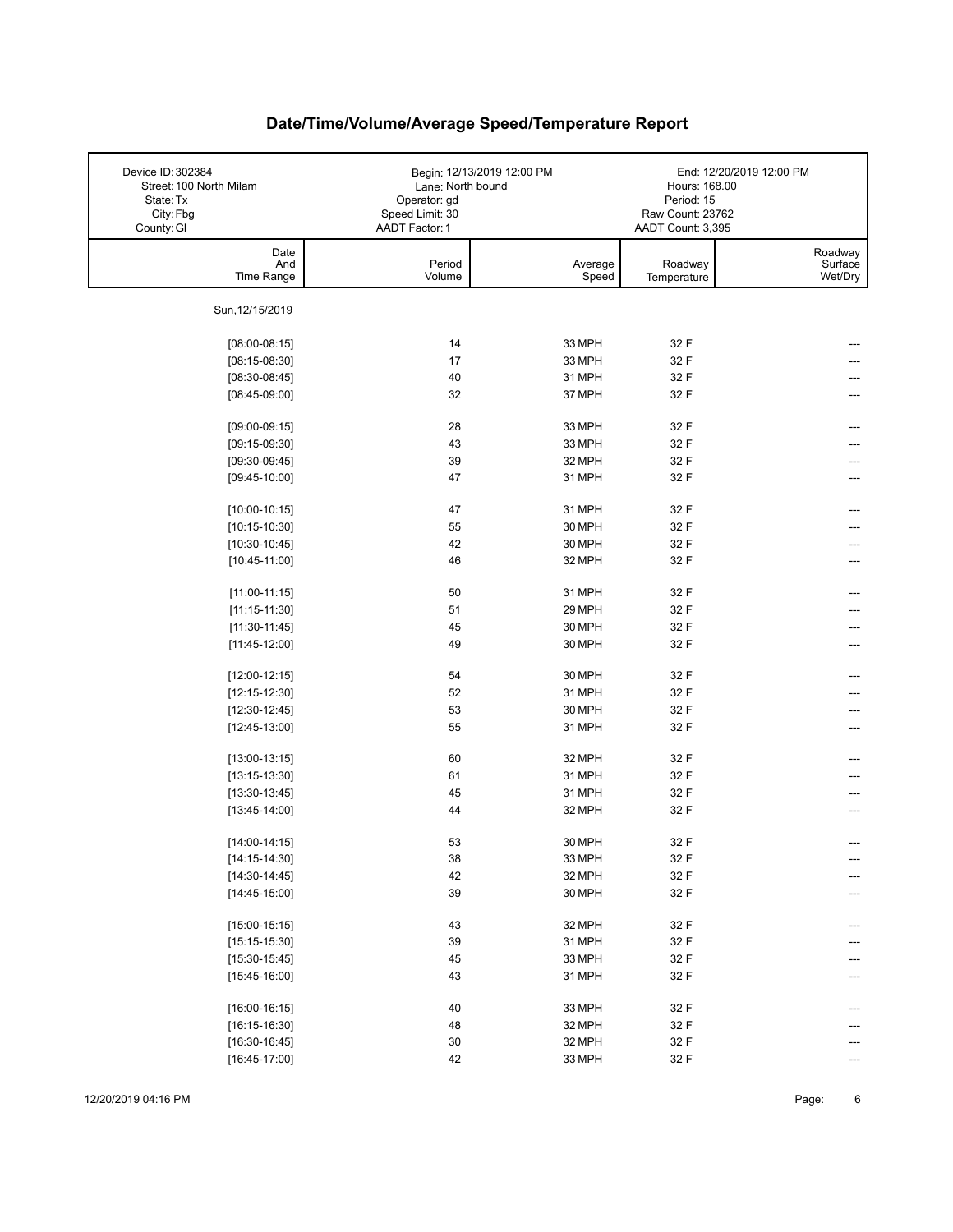| Device ID: 302384<br>Street: 100 North Milam<br>State: Tx<br>City: Fbg<br>County: GI | Lane: North bound<br>Operator: gd<br>Speed Limit: 30<br>AADT Factor: 1 | Begin: 12/13/2019 12:00 PM | Hours: 168.00<br>Period: 15<br>Raw Count: 23762<br>AADT Count: 3,395 | End: 12/20/2019 12:00 PM      |
|--------------------------------------------------------------------------------------|------------------------------------------------------------------------|----------------------------|----------------------------------------------------------------------|-------------------------------|
| Date<br>And<br>Time Range                                                            | Period<br>Volume                                                       | Average<br>Speed           | Roadway<br>Temperature                                               | Roadway<br>Surface<br>Wet/Dry |
| Sun, 12/15/2019                                                                      |                                                                        |                            |                                                                      |                               |
| $[08:00-08:15]$                                                                      | 14                                                                     | 33 MPH                     | 32 F                                                                 |                               |
| $[08:15-08:30]$                                                                      | 17                                                                     | 33 MPH                     | 32 F                                                                 |                               |
| $[08:30-08:45]$                                                                      | 40                                                                     | 31 MPH                     | 32 F                                                                 |                               |
| $[08:45-09:00]$                                                                      | 32                                                                     | 37 MPH                     | 32 F                                                                 |                               |
|                                                                                      |                                                                        |                            |                                                                      |                               |
| $[09:00-09:15]$                                                                      | 28                                                                     | 33 MPH                     | 32 F                                                                 |                               |
| $[09:15-09:30]$                                                                      | 43                                                                     | 33 MPH                     | 32 F                                                                 |                               |
| $[09:30-09:45]$                                                                      | 39                                                                     | 32 MPH                     | 32 F                                                                 |                               |
| $[09:45-10:00]$                                                                      | 47                                                                     | 31 MPH                     | 32 F                                                                 |                               |
| $[10:00-10:15]$                                                                      | 47                                                                     | 31 MPH                     | 32 F                                                                 |                               |
| $[10:15-10:30]$                                                                      | 55                                                                     | 30 MPH                     | 32 F                                                                 |                               |
| $[10:30-10:45]$                                                                      | 42                                                                     | 30 MPH                     | 32 F                                                                 |                               |
| $[10:45-11:00]$                                                                      | 46                                                                     | 32 MPH                     | 32 F                                                                 |                               |
|                                                                                      |                                                                        |                            |                                                                      |                               |
| $[11:00-11:15]$                                                                      | 50                                                                     | 31 MPH                     | 32 F                                                                 |                               |
| $[11:15-11:30]$                                                                      | 51                                                                     | 29 MPH                     | 32 F                                                                 |                               |
| $[11:30-11:45]$                                                                      | 45                                                                     | 30 MPH                     | 32 F                                                                 |                               |
| $[11:45-12:00]$                                                                      | 49                                                                     | 30 MPH                     | 32 F                                                                 | ---                           |
| $[12:00-12:15]$                                                                      | 54                                                                     | 30 MPH                     | 32 F                                                                 | ---                           |
| $[12:15-12:30]$                                                                      | 52                                                                     | 31 MPH                     | 32 F                                                                 |                               |
| $[12:30-12:45]$                                                                      | 53                                                                     | 30 MPH                     | 32 F                                                                 |                               |
| $[12:45-13:00]$                                                                      | 55                                                                     | 31 MPH                     | 32 F                                                                 | ---                           |
|                                                                                      |                                                                        |                            |                                                                      |                               |
| $[13:00-13:15]$                                                                      | 60                                                                     | 32 MPH                     | 32 F                                                                 |                               |
| $[13:15-13:30]$                                                                      | 61                                                                     | 31 MPH                     | 32 F                                                                 |                               |
| $[13:30-13:45]$                                                                      | 45                                                                     | 31 MPH                     | 32 F                                                                 | ---                           |
| $[13:45-14:00]$                                                                      | 44                                                                     | 32 MPH                     | 32 F                                                                 |                               |
| $[14:00-14:15]$                                                                      | 53                                                                     | 30 MPH                     | 32 F                                                                 |                               |
| $[14:15-14:30]$                                                                      | $38\,$                                                                 | 33 MPH                     | 32 F                                                                 | ---                           |
| $[14:30-14:45]$                                                                      | 42                                                                     | 32 MPH                     | 32 F                                                                 | ---                           |
| $[14:45-15:00]$                                                                      | 39                                                                     | 30 MPH                     | 32 F                                                                 | ---                           |
|                                                                                      |                                                                        |                            |                                                                      |                               |
| $[15:00-15:15]$                                                                      | 43                                                                     | 32 MPH                     | 32 F                                                                 | ---                           |
| $[15:15-15:30]$                                                                      | 39                                                                     | 31 MPH                     | 32 F                                                                 |                               |
| $[15:30-15:45]$                                                                      | 45                                                                     | 33 MPH                     | 32 F                                                                 |                               |
| $[15:45-16:00]$                                                                      | 43                                                                     | 31 MPH                     | 32 F                                                                 | ---                           |
| $[16:00-16:15]$                                                                      | 40                                                                     | 33 MPH                     | 32 F                                                                 | ---                           |
| $[16:15-16:30]$                                                                      | 48                                                                     | 32 MPH                     | 32 F                                                                 |                               |
| $[16:30-16:45]$                                                                      | $30\,$                                                                 | 32 MPH                     | 32 F                                                                 |                               |
| $[16:45-17:00]$                                                                      | 42                                                                     | 33 MPH                     | 32 F                                                                 | $---$                         |
|                                                                                      |                                                                        |                            |                                                                      |                               |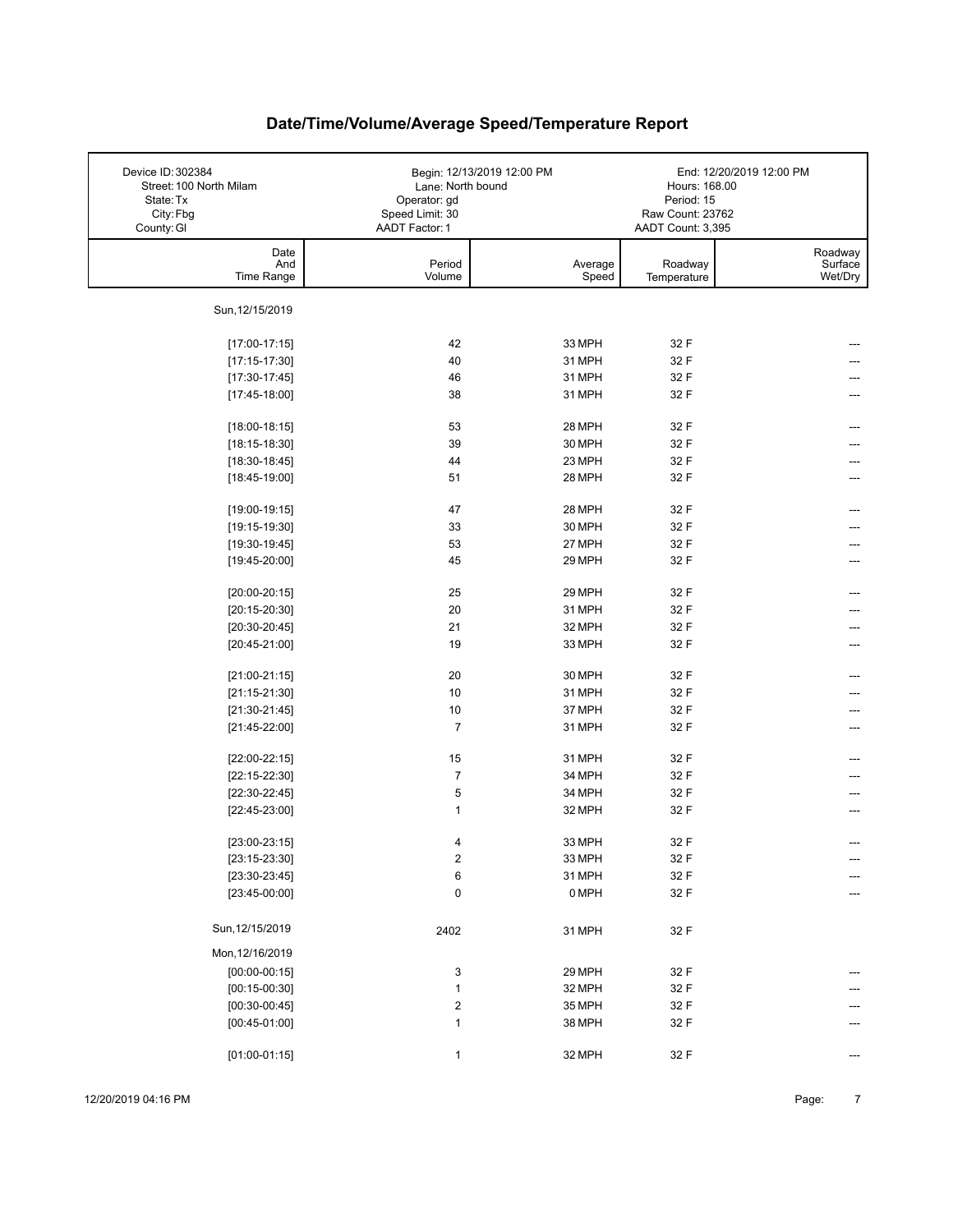| Device ID: 302384<br>Street: 100 North Milam<br>State: Tx<br>City: Fbg<br>County: GI | Lane: North bound<br>Operator: gd<br>Speed Limit: 30<br>AADT Factor: 1 | Begin: 12/13/2019 12:00 PM | Hours: 168.00<br>Period: 15<br>Raw Count: 23762<br>AADT Count: 3,395 | End: 12/20/2019 12:00 PM      |
|--------------------------------------------------------------------------------------|------------------------------------------------------------------------|----------------------------|----------------------------------------------------------------------|-------------------------------|
| Date<br>And<br>Time Range                                                            | Period<br>Volume                                                       | Average<br>Speed           | Roadway<br>Temperature                                               | Roadway<br>Surface<br>Wet/Dry |
| Sun, 12/15/2019                                                                      |                                                                        |                            |                                                                      |                               |
| $[17:00-17:15]$                                                                      | 42                                                                     | 33 MPH                     | 32 F                                                                 |                               |
| $[17:15-17:30]$                                                                      | 40                                                                     | 31 MPH                     | 32 F                                                                 |                               |
| $[17:30-17:45]$                                                                      | 46                                                                     | 31 MPH                     | 32 F                                                                 |                               |
| $[17:45-18:00]$                                                                      | 38                                                                     | 31 MPH                     | 32 F                                                                 |                               |
| $[18:00-18:15]$                                                                      | 53                                                                     | 28 MPH                     | 32 F                                                                 |                               |
| $[18:15-18:30]$                                                                      | 39                                                                     | 30 MPH                     | 32 F                                                                 |                               |
| $[18:30-18:45]$                                                                      | 44                                                                     | 23 MPH                     | 32 F                                                                 |                               |
| $[18:45-19:00]$                                                                      | 51                                                                     | 28 MPH                     | 32 F                                                                 |                               |
| $[19:00-19:15]$                                                                      | 47                                                                     | 28 MPH                     | 32 F                                                                 |                               |
| $[19:15-19:30]$                                                                      | 33                                                                     | 30 MPH                     | 32 F                                                                 |                               |
| $[19:30-19:45]$                                                                      | 53                                                                     | 27 MPH                     | 32 F                                                                 |                               |
| $[19:45-20:00]$                                                                      | 45                                                                     | 29 MPH                     | 32 F                                                                 |                               |
| $[20:00-20:15]$                                                                      | 25                                                                     | 29 MPH                     | 32 F                                                                 |                               |
| $[20:15-20:30]$                                                                      | 20                                                                     | 31 MPH                     | 32 F                                                                 |                               |
| $[20:30-20:45]$                                                                      | 21                                                                     | 32 MPH                     | 32 F                                                                 |                               |
| $[20:45-21:00]$                                                                      | 19                                                                     | 33 MPH                     | 32 F                                                                 |                               |
| $[21:00-21:15]$                                                                      | 20                                                                     | 30 MPH                     | 32 F                                                                 |                               |
| $[21:15-21:30]$                                                                      | 10                                                                     | 31 MPH                     | 32 F                                                                 |                               |
| $[21:30-21:45]$                                                                      | 10                                                                     | 37 MPH                     | 32 F                                                                 |                               |
| $[21:45-22:00]$                                                                      | $\overline{7}$                                                         | 31 MPH                     | 32 F                                                                 | ---                           |
| $[22:00-22:15]$                                                                      | 15                                                                     | 31 MPH                     | 32 F                                                                 |                               |
| $[22:15-22:30]$                                                                      | $\overline{7}$                                                         | 34 MPH                     | 32 F                                                                 |                               |
| $[22:30-22:45]$                                                                      | 5                                                                      | 34 MPH                     | 32 F                                                                 |                               |
| $[22:45-23:00]$                                                                      | $\mathbf{1}$                                                           | 32 MPH                     | 32 F                                                                 | ---                           |
| $[23:00-23:15]$                                                                      | 4                                                                      | 33 MPH                     | 32 F                                                                 |                               |
| $[23:15-23:30]$                                                                      | $\overline{\mathbf{c}}$                                                | 33 MPH                     | 32 F                                                                 | ---                           |
| $[23:30-23:45]$                                                                      | 6                                                                      | 31 MPH                     | 32 F                                                                 | ---                           |
| $[23:45-00:00]$                                                                      | 0                                                                      | 0 MPH                      | 32 F                                                                 | $---$                         |
| Sun, 12/15/2019                                                                      | 2402                                                                   | 31 MPH                     | 32 F                                                                 |                               |
| Mon, 12/16/2019                                                                      |                                                                        |                            |                                                                      |                               |
| $[00:00-00:15]$                                                                      | 3                                                                      | 29 MPH                     | 32 F                                                                 |                               |
| $[00:15-00:30]$                                                                      | $\mathbf{1}$                                                           | 32 MPH                     | 32 F                                                                 |                               |
| $[00:30-00:45]$                                                                      | $\overline{\mathbf{c}}$                                                | 35 MPH                     | 32 F                                                                 |                               |
| $[00:45-01:00]$                                                                      | $\mathbf{1}$                                                           | 38 MPH                     | 32 F                                                                 |                               |
| $[01:00-01:15]$                                                                      | $\mathbf{1}$                                                           | 32 MPH                     | 32 F                                                                 | ---                           |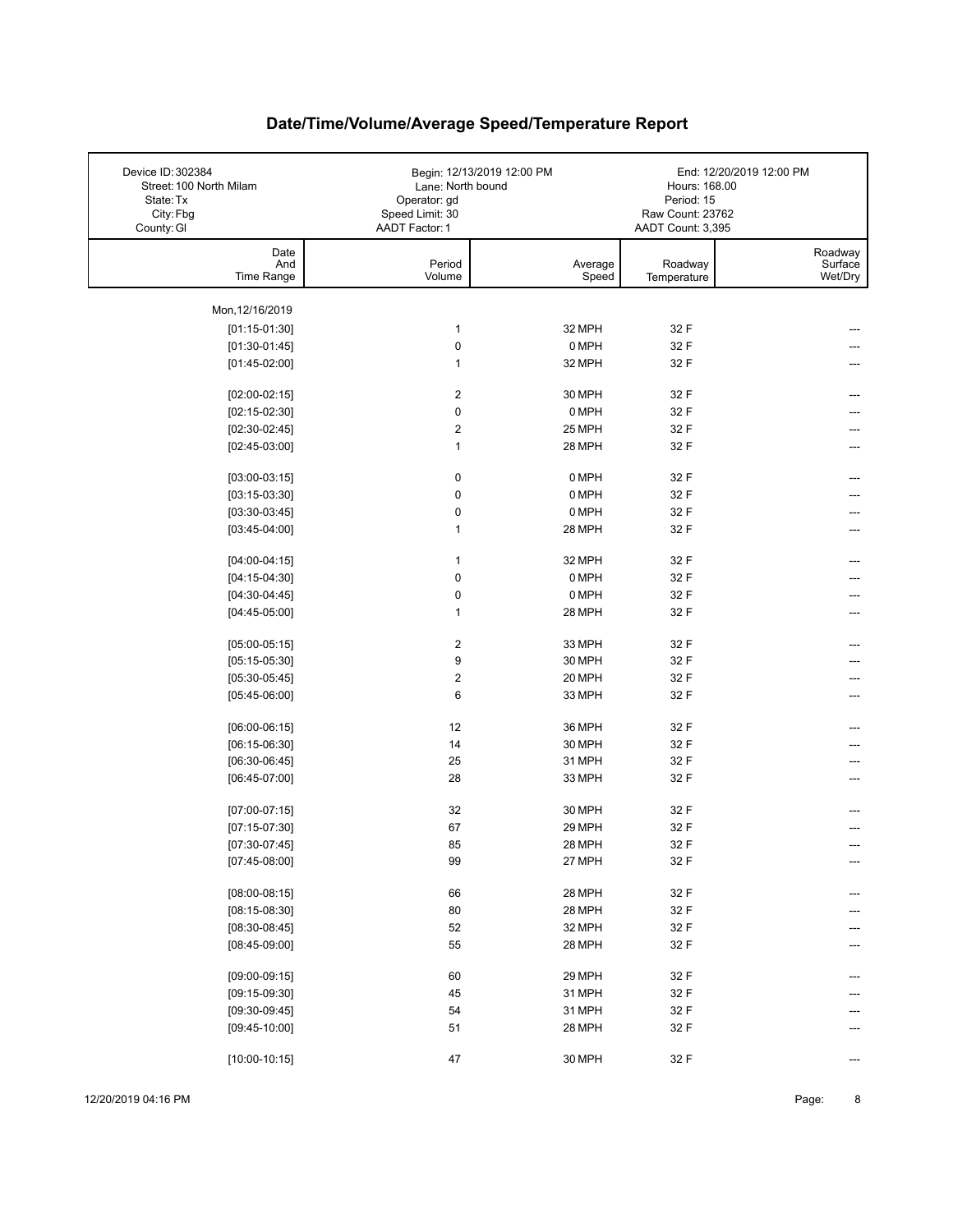| Device ID: 302384<br>Street: 100 North Milam<br>State: Tx<br>City: Fbg<br>County: GI | Lane: North bound<br>Operator: gd<br>Speed Limit: 30<br>AADT Factor: 1 | Begin: 12/13/2019 12:00 PM | Hours: 168.00<br>Period: 15<br>Raw Count: 23762<br>AADT Count: 3,395 | End: 12/20/2019 12:00 PM      |
|--------------------------------------------------------------------------------------|------------------------------------------------------------------------|----------------------------|----------------------------------------------------------------------|-------------------------------|
| Date<br>And<br>Time Range                                                            | Period<br>Volume                                                       | Average<br>Speed           | Roadway<br>Temperature                                               | Roadway<br>Surface<br>Wet/Dry |
| Mon, 12/16/2019                                                                      |                                                                        |                            |                                                                      |                               |
| $[01:15-01:30]$                                                                      | $\mathbf{1}$                                                           | 32 MPH                     | 32 F                                                                 |                               |
| $[01:30-01:45]$                                                                      | $\pmb{0}$                                                              | 0 MPH                      | 32 F                                                                 |                               |
| $[01:45-02:00]$                                                                      | 1                                                                      | 32 MPH                     | 32 F                                                                 |                               |
|                                                                                      |                                                                        |                            |                                                                      |                               |
| $[02:00-02:15]$                                                                      | 2                                                                      | 30 MPH                     | 32 F                                                                 |                               |
| $[02:15-02:30]$                                                                      | 0                                                                      | 0 MPH                      | 32 F                                                                 |                               |
| $[02:30-02:45]$                                                                      | $\overline{c}$                                                         | 25 MPH                     | 32 F                                                                 |                               |
| $[02:45-03:00]$                                                                      | $\mathbf{1}$                                                           | 28 MPH                     | 32 F                                                                 |                               |
|                                                                                      | $\pmb{0}$                                                              | 0 MPH                      | 32 F                                                                 |                               |
| $[03:00-03:15]$<br>$[03:15-03:30]$                                                   | 0                                                                      | 0 MPH                      |                                                                      |                               |
| $[03:30-03:45]$                                                                      | 0                                                                      | 0 MPH                      | 32 F<br>32 F                                                         |                               |
| $[03:45-04:00]$                                                                      | 1                                                                      | 28 MPH                     | 32 F                                                                 |                               |
|                                                                                      |                                                                        |                            |                                                                      |                               |
| $[04:00-04:15]$                                                                      | $\mathbf{1}$                                                           | 32 MPH                     | 32 F                                                                 |                               |
| $[04:15-04:30]$                                                                      | $\pmb{0}$                                                              | 0 MPH                      | 32 F                                                                 |                               |
| $[04:30-04:45]$                                                                      | $\pmb{0}$                                                              | 0 MPH                      | 32 F                                                                 |                               |
| $[04:45-05:00]$                                                                      | 1                                                                      | 28 MPH                     | 32 F                                                                 |                               |
|                                                                                      |                                                                        |                            |                                                                      |                               |
| $[05:00-05:15]$                                                                      | $\overline{\mathbf{c}}$                                                | 33 MPH                     | 32 F                                                                 |                               |
| $[05:15-05:30]$                                                                      | 9                                                                      | 30 MPH                     | 32 F                                                                 |                               |
| $[05:30-05:45]$                                                                      | 2                                                                      | 20 MPH                     | 32 F                                                                 |                               |
| $[05:45-06:00]$                                                                      | 6                                                                      | 33 MPH                     | 32 F                                                                 |                               |
| $[06:00-06:15]$                                                                      | 12                                                                     | 36 MPH                     | 32 F                                                                 |                               |
| $[06:15-06:30]$                                                                      | 14                                                                     | 30 MPH                     | 32 F                                                                 |                               |
| $[06:30-06:45]$                                                                      | 25                                                                     | 31 MPH                     | 32 F                                                                 |                               |
| $[06:45-07:00]$                                                                      | 28                                                                     | 33 MPH                     | 32 F                                                                 |                               |
|                                                                                      |                                                                        |                            |                                                                      |                               |
| $[07:00-07:15]$                                                                      | 32                                                                     | 30 MPH                     | 32 F                                                                 |                               |
| $[07:15-07:30]$                                                                      | 67                                                                     | 29 MPH                     | 32 F                                                                 |                               |
| $[07:30-07:45]$                                                                      | 85                                                                     | 28 MPH                     | 32 F                                                                 |                               |
| $[07:45-08:00]$                                                                      | 99                                                                     | 27 MPH                     | 32 F                                                                 | ---                           |
| $[08:00-08:15]$                                                                      | 66                                                                     | 28 MPH                     | 32 F                                                                 |                               |
| $[08:15-08:30]$                                                                      | 80                                                                     | 28 MPH                     | 32 F                                                                 |                               |
| $[08:30-08:45]$                                                                      | 52                                                                     | 32 MPH                     | 32 F                                                                 |                               |
| $[08:45-09:00]$                                                                      | 55                                                                     | 28 MPH                     | 32 F                                                                 |                               |
|                                                                                      |                                                                        |                            |                                                                      |                               |
| $[09:00-09:15]$                                                                      | 60                                                                     | 29 MPH                     | 32 F                                                                 |                               |
| $[09:15-09:30]$                                                                      | 45                                                                     | 31 MPH                     | 32 F                                                                 |                               |
| $[09:30-09:45]$                                                                      | 54                                                                     | 31 MPH                     | 32 F                                                                 |                               |
| $[09:45-10:00]$                                                                      | 51                                                                     | 28 MPH                     | 32 F                                                                 |                               |
| $[10:00-10:15]$                                                                      | 47                                                                     | 30 MPH                     | 32 F                                                                 |                               |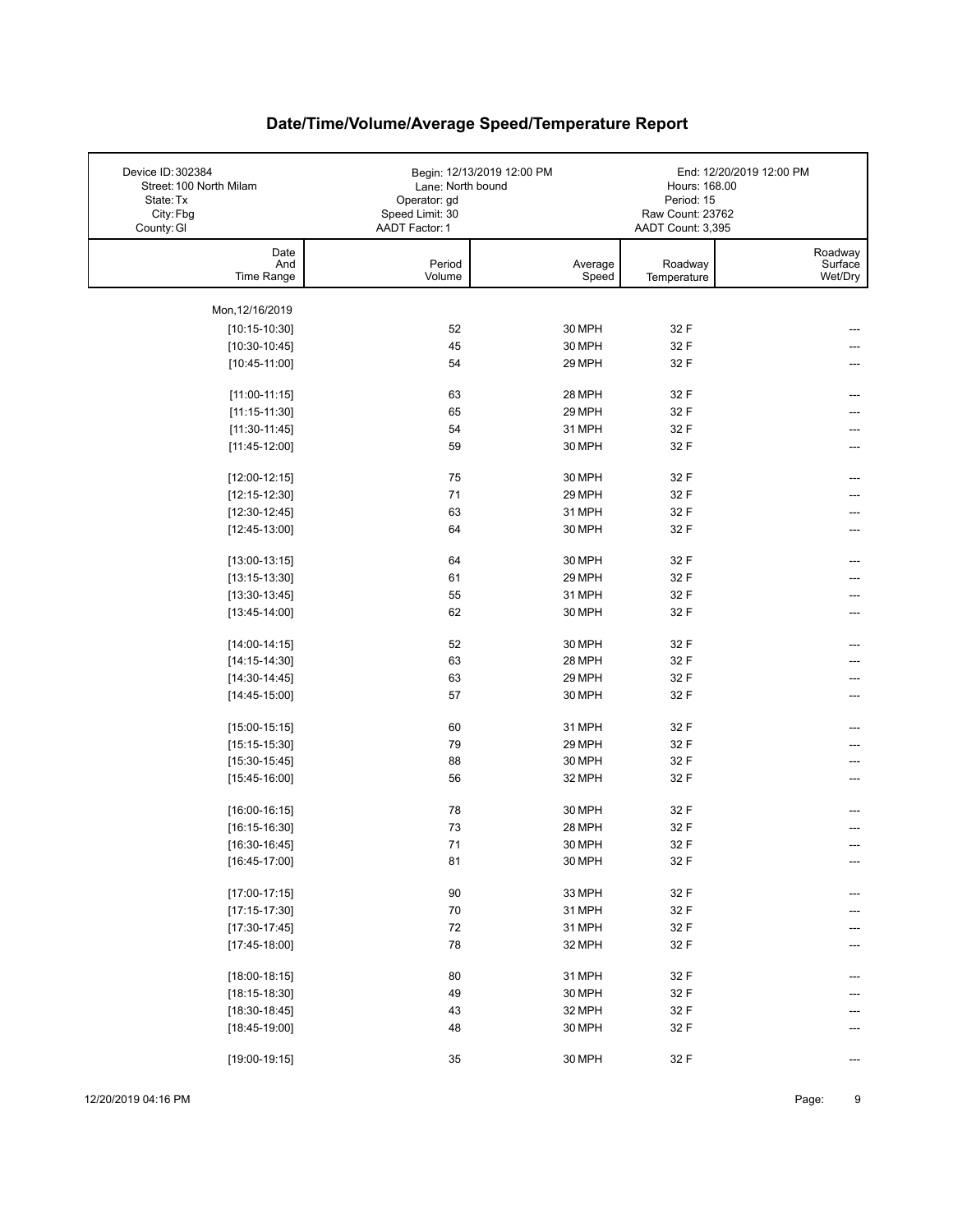| Device ID: 302384<br>Street: 100 North Milam<br>State: Tx<br>City: Fbg<br>County: GI | Lane: North bound<br>Operator: gd<br>Speed Limit: 30<br>AADT Factor: 1 | Begin: 12/13/2019 12:00 PM | Hours: 168.00<br>Period: 15<br>Raw Count: 23762<br>AADT Count: 3,395 | End: 12/20/2019 12:00 PM      |
|--------------------------------------------------------------------------------------|------------------------------------------------------------------------|----------------------------|----------------------------------------------------------------------|-------------------------------|
| Date<br>And<br>Time Range                                                            | Period<br>Volume                                                       | Average<br>Speed           | Roadway<br>Temperature                                               | Roadway<br>Surface<br>Wet/Dry |
| Mon, 12/16/2019                                                                      |                                                                        |                            |                                                                      |                               |
| $[10:15-10:30]$                                                                      | 52                                                                     | 30 MPH                     | 32 F                                                                 |                               |
| $[10:30-10:45]$                                                                      | 45                                                                     | 30 MPH                     | 32 F                                                                 |                               |
| $[10:45-11:00]$                                                                      | 54                                                                     | 29 MPH                     | 32 F                                                                 |                               |
|                                                                                      |                                                                        |                            |                                                                      |                               |
| $[11:00-11:15]$                                                                      | 63                                                                     | 28 MPH                     | 32 F                                                                 |                               |
| $[11:15-11:30]$                                                                      | 65                                                                     | 29 MPH                     | 32 F                                                                 |                               |
| $[11:30-11:45]$                                                                      | 54                                                                     | 31 MPH                     | 32 F                                                                 | ---                           |
| $[11:45-12:00]$                                                                      | 59                                                                     | 30 MPH                     | 32 F                                                                 |                               |
|                                                                                      |                                                                        |                            |                                                                      |                               |
| $[12:00-12:15]$                                                                      | 75                                                                     | 30 MPH                     | 32 F                                                                 |                               |
| $[12:15-12:30]$                                                                      | 71                                                                     | 29 MPH<br>31 MPH           | 32 F                                                                 |                               |
| $[12:30-12:45]$                                                                      | 63<br>64                                                               | 30 MPH                     | 32 F<br>32 F                                                         |                               |
| $[12:45-13:00]$                                                                      |                                                                        |                            |                                                                      |                               |
| $[13:00-13:15]$                                                                      | 64                                                                     | 30 MPH                     | 32 F                                                                 | ---                           |
| $[13:15-13:30]$                                                                      | 61                                                                     | 29 MPH                     | 32 F                                                                 |                               |
| $[13:30-13:45]$                                                                      | 55                                                                     | 31 MPH                     | 32 F                                                                 |                               |
| $[13:45-14:00]$                                                                      | 62                                                                     | 30 MPH                     | 32 F                                                                 | ---                           |
|                                                                                      |                                                                        |                            |                                                                      |                               |
| $[14:00-14:15]$                                                                      | 52                                                                     | 30 MPH                     | 32 F                                                                 | ---                           |
| $[14:15-14:30]$                                                                      | 63                                                                     | 28 MPH                     | 32 F                                                                 |                               |
| $[14:30-14:45]$                                                                      | 63                                                                     | 29 MPH                     | 32 F                                                                 |                               |
| $[14:45-15:00]$                                                                      | 57                                                                     | 30 MPH                     | 32 F                                                                 |                               |
|                                                                                      |                                                                        |                            |                                                                      |                               |
| $[15:00-15:15]$                                                                      | 60                                                                     | 31 MPH                     | 32 F                                                                 |                               |
| $[15:15-15:30]$                                                                      | 79<br>88                                                               | 29 MPH<br>30 MPH           | 32 F<br>32 F                                                         |                               |
| $[15:30-15:45]$<br>$[15:45-16:00]$                                                   | 56                                                                     | 32 MPH                     | 32 F                                                                 |                               |
|                                                                                      |                                                                        |                            |                                                                      |                               |
| $[16:00-16:15]$                                                                      | 78                                                                     | 30 MPH                     | 32 F                                                                 |                               |
| $[16:15-16:30]$                                                                      | 73                                                                     | 28 MPH                     | 32 F                                                                 |                               |
| $[16:30-16:45]$                                                                      | 71                                                                     | 30 MPH                     | 32 F                                                                 |                               |
| $[16:45-17:00]$                                                                      | 81                                                                     | 30 MPH                     | 32 F                                                                 | ---                           |
|                                                                                      |                                                                        |                            |                                                                      |                               |
| $[17:00-17:15]$                                                                      | $90\,$                                                                 | 33 MPH                     | 32 F                                                                 |                               |
| $[17:15-17:30]$                                                                      | $70\,$                                                                 | 31 MPH                     | 32 F                                                                 |                               |
| $[17:30-17:45]$                                                                      | $72\,$                                                                 | 31 MPH                     | 32 F                                                                 |                               |
| $[17:45-18:00]$                                                                      | 78                                                                     | 32 MPH                     | 32 F                                                                 |                               |
| $[18:00-18:15]$                                                                      | 80                                                                     | 31 MPH                     | 32 F                                                                 |                               |
| $[18:15-18:30]$                                                                      | 49                                                                     | 30 MPH                     | 32 F                                                                 |                               |
| $[18:30-18:45]$                                                                      | 43                                                                     | 32 MPH                     | 32 F                                                                 |                               |
| $[18:45-19:00]$                                                                      | 48                                                                     | 30 MPH                     | 32 F                                                                 |                               |
|                                                                                      |                                                                        |                            |                                                                      |                               |
| $[19:00-19:15]$                                                                      | 35                                                                     | 30 MPH                     | 32 F                                                                 | ---                           |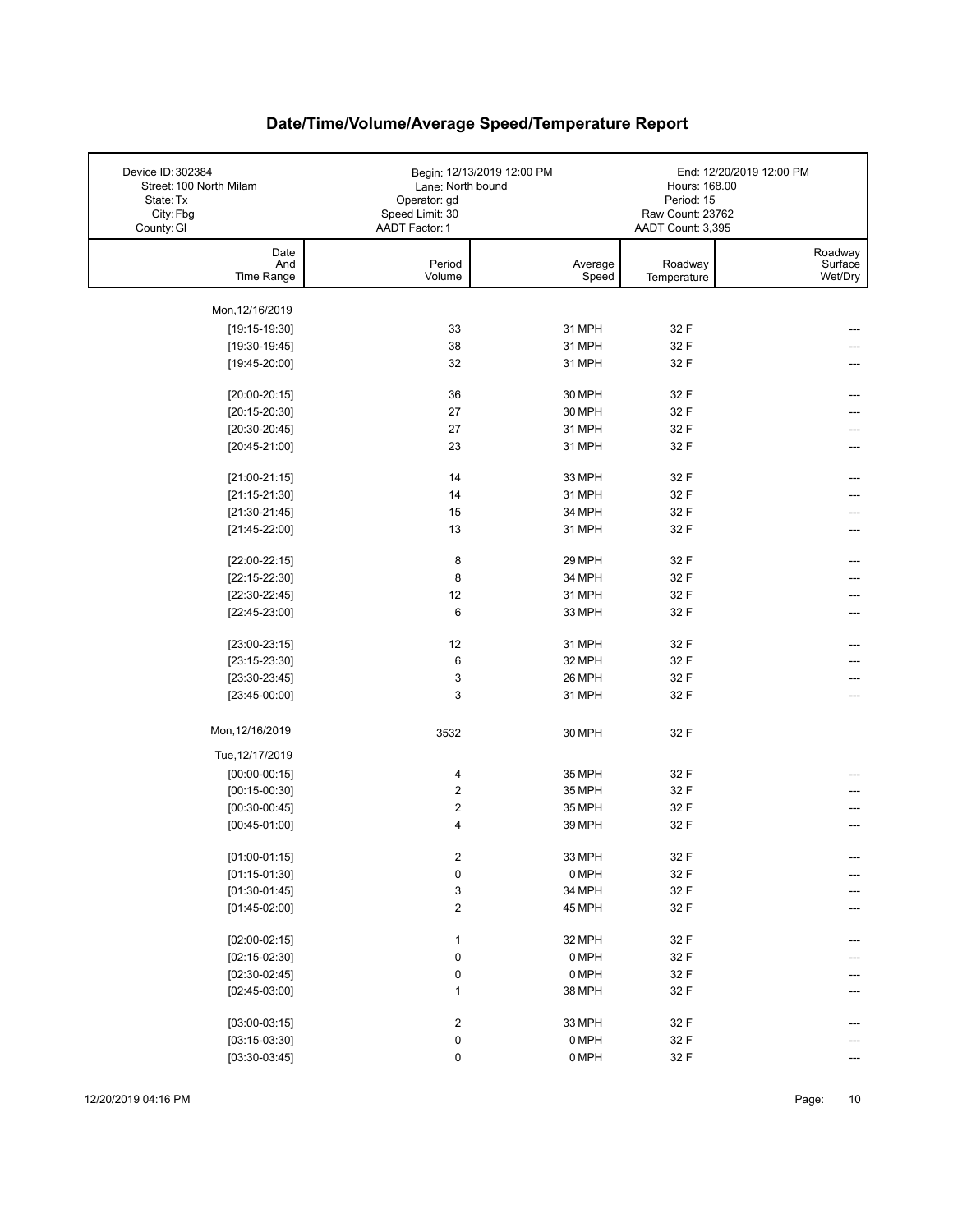| Device ID: 302384<br>Street: 100 North Milam<br>State: Tx<br>City: Fbg<br>County: GI | Lane: North bound<br>Operator: gd<br>Speed Limit: 30<br>AADT Factor: 1 | Begin: 12/13/2019 12:00 PM | Hours: 168.00<br>Period: 15<br>Raw Count: 23762<br>AADT Count: 3,395 | End: 12/20/2019 12:00 PM      |
|--------------------------------------------------------------------------------------|------------------------------------------------------------------------|----------------------------|----------------------------------------------------------------------|-------------------------------|
| Date<br>And<br>Time Range                                                            | Period<br>Volume                                                       | Average<br>Speed           | Roadway<br>Temperature                                               | Roadway<br>Surface<br>Wet/Dry |
| Mon, 12/16/2019                                                                      |                                                                        |                            |                                                                      |                               |
| $[19:15-19:30]$                                                                      | 33                                                                     | 31 MPH                     | 32 F                                                                 |                               |
| $[19:30-19:45]$                                                                      | 38                                                                     | 31 MPH                     | 32 F                                                                 |                               |
| $[19:45-20:00]$                                                                      | 32                                                                     | 31 MPH                     | 32 F                                                                 |                               |
|                                                                                      |                                                                        |                            |                                                                      |                               |
| $[20:00-20:15]$                                                                      | 36                                                                     | 30 MPH                     | 32 F                                                                 | ---                           |
| $[20:15-20:30]$                                                                      | 27                                                                     | 30 MPH                     | 32 F                                                                 |                               |
| $[20:30-20:45]$                                                                      | 27                                                                     | 31 MPH                     | 32 F                                                                 |                               |
| $[20:45-21:00]$                                                                      | 23                                                                     | 31 MPH                     | 32 F                                                                 |                               |
|                                                                                      |                                                                        |                            |                                                                      |                               |
| $[21:00-21:15]$                                                                      | 14                                                                     | 33 MPH                     | 32 F                                                                 |                               |
| $[21:15-21:30]$                                                                      | 14                                                                     | 31 MPH                     | 32 F                                                                 |                               |
| $[21:30-21:45]$                                                                      | 15                                                                     | 34 MPH                     | 32 F                                                                 |                               |
| $[21:45-22:00]$                                                                      | 13                                                                     | 31 MPH                     | 32 F                                                                 |                               |
| $[22:00-22:15]$                                                                      | 8                                                                      | 29 MPH                     | 32 F                                                                 |                               |
| $[22:15-22:30]$                                                                      | 8                                                                      | 34 MPH                     | 32 F                                                                 |                               |
| $[22:30-22:45]$                                                                      | 12                                                                     | 31 MPH                     | 32 F                                                                 |                               |
| $[22:45-23:00]$                                                                      | 6                                                                      | 33 MPH                     | 32 F                                                                 | ---                           |
|                                                                                      |                                                                        |                            |                                                                      |                               |
| $[23:00-23:15]$                                                                      | 12                                                                     | 31 MPH                     | 32 F                                                                 |                               |
| $[23:15-23:30]$                                                                      | 6                                                                      | 32 MPH                     | 32 F                                                                 |                               |
| $[23:30-23:45]$                                                                      | 3                                                                      | 26 MPH                     | 32 F                                                                 |                               |
| $[23:45-00:00]$                                                                      | 3                                                                      | 31 MPH                     | 32 F                                                                 | ---                           |
|                                                                                      |                                                                        |                            |                                                                      |                               |
| Mon, 12/16/2019                                                                      | 3532                                                                   | 30 MPH                     | 32 F                                                                 |                               |
| Tue, 12/17/2019                                                                      |                                                                        |                            |                                                                      |                               |
| $[00:00-00:15]$                                                                      | 4                                                                      | 35 MPH                     | 32 F                                                                 |                               |
| $[00:15-00:30]$                                                                      | $\overline{\mathbf{c}}$                                                | 35 MPH                     | 32 F                                                                 |                               |
| $[00:30-00:45]$                                                                      | $\overline{\mathbf{c}}$                                                | 35 MPH                     | 32 F                                                                 |                               |
| $[00:45-01:00]$                                                                      | 4                                                                      | 39 MPH                     | 32 F                                                                 |                               |
|                                                                                      |                                                                        |                            |                                                                      |                               |
| $[01:00-01:15]$                                                                      | $\boldsymbol{2}$                                                       | 33 MPH                     | 32 F                                                                 | ---                           |
| $[01:15-01:30]$                                                                      | 0                                                                      | 0 MPH                      | 32 F                                                                 |                               |
| $[01:30-01:45]$                                                                      | 3                                                                      | 34 MPH                     | 32 F                                                                 |                               |
| $[01:45-02:00]$                                                                      | $\overline{\mathbf{c}}$                                                | 45 MPH                     | 32 F                                                                 | ---                           |
|                                                                                      |                                                                        |                            |                                                                      |                               |
| $[02:00-02:15]$                                                                      | $\mathbf{1}$                                                           | 32 MPH                     | 32 F                                                                 |                               |
| $[02:15-02:30]$                                                                      | 0                                                                      | 0 MPH                      | 32 F                                                                 |                               |
| $[02:30-02:45]$                                                                      | $\pmb{0}$                                                              | 0 MPH                      | 32 F                                                                 |                               |
| $[02:45-03:00]$                                                                      | 1                                                                      | 38 MPH                     | 32 F                                                                 |                               |
|                                                                                      |                                                                        |                            |                                                                      |                               |
| $[03:00-03:15]$<br>$[03:15-03:30]$                                                   | $\overline{\mathbf{c}}$                                                | 33 MPH                     | 32 F                                                                 |                               |
|                                                                                      | 0                                                                      | 0 MPH                      | 32 F                                                                 |                               |
| $[03:30-03:45]$                                                                      | 0                                                                      | 0 MPH                      | 32 F                                                                 |                               |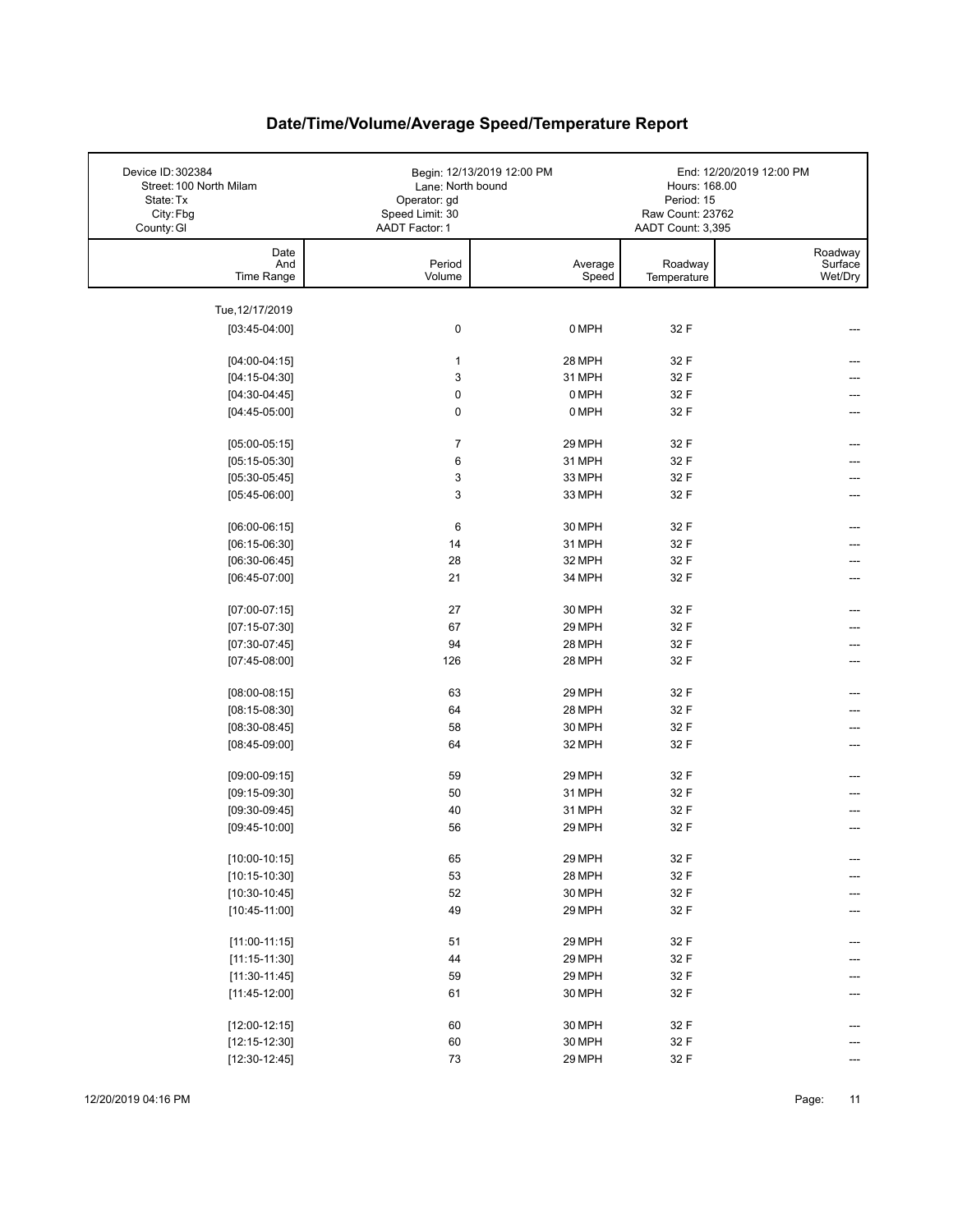| Device ID: 302384<br>Street: 100 North Milam<br>State: Tx<br>City: Fbg | Lane: North bound<br>Operator: gd<br>Speed Limit: 30 | Begin: 12/13/2019 12:00 PM | Hours: 168.00<br>Period: 15<br>Raw Count: 23762 | End: 12/20/2019 12:00 PM      |
|------------------------------------------------------------------------|------------------------------------------------------|----------------------------|-------------------------------------------------|-------------------------------|
| County: GI                                                             | AADT Factor: 1                                       |                            | AADT Count: 3,395                               |                               |
| Date<br>And<br>Time Range                                              | Period<br>Volume                                     | Average<br>Speed           | Roadway<br>Temperature                          | Roadway<br>Surface<br>Wet/Dry |
|                                                                        |                                                      |                            |                                                 |                               |
| Tue, 12/17/2019                                                        |                                                      |                            |                                                 |                               |
| $[03:45-04:00]$                                                        | $\pmb{0}$                                            | 0 MPH                      | 32 F                                            |                               |
| $[04:00-04:15]$                                                        | $\mathbf{1}$                                         | 28 MPH                     | 32 F                                            |                               |
| $[04:15-04:30]$                                                        | $\mathbf{3}$                                         | 31 MPH                     | 32 F                                            |                               |
| $[04:30-04:45]$                                                        | $\mathbf 0$                                          | 0 MPH                      | 32 F                                            |                               |
| $[04:45-05:00]$                                                        | $\pmb{0}$                                            | 0 MPH                      | 32 F                                            |                               |
| $[05:00-05:15]$                                                        | $\overline{7}$                                       | 29 MPH                     | 32 F                                            |                               |
| $[05:15-05:30]$                                                        | 6                                                    | 31 MPH                     | 32 F                                            |                               |
| $[05:30-05:45]$                                                        | 3                                                    | 33 MPH                     | 32 F                                            |                               |
| $[05:45-06:00]$                                                        | 3                                                    | 33 MPH                     | 32 F                                            |                               |
| $[06:00-06:15]$                                                        | 6                                                    | 30 MPH                     | 32 F                                            |                               |
| $[06:15-06:30]$                                                        | 14                                                   | 31 MPH                     | 32 F                                            |                               |
| $[06:30-06:45]$                                                        | 28                                                   | 32 MPH                     | 32 F                                            |                               |
| $[06:45-07:00]$                                                        | 21                                                   | 34 MPH                     | 32 F                                            | ---                           |
|                                                                        |                                                      |                            |                                                 |                               |
| $[07:00-07:15]$                                                        | 27                                                   | 30 MPH                     | 32 F                                            |                               |
| $[07:15-07:30]$                                                        | 67                                                   | 29 MPH                     | 32 F                                            |                               |
| $[07:30-07:45]$                                                        | 94                                                   | 28 MPH                     | 32 F                                            |                               |
| $[07:45-08:00]$                                                        | 126                                                  | 28 MPH                     | 32 F                                            |                               |
| $[08:00-08:15]$                                                        | 63                                                   | 29 MPH                     | 32 F                                            |                               |
| $[08:15-08:30]$                                                        | 64                                                   | 28 MPH                     | 32 F                                            |                               |
| $[08:30-08:45]$                                                        | 58                                                   | 30 MPH                     | 32 F                                            |                               |
| $[08:45-09:00]$                                                        | 64                                                   | 32 MPH                     | 32 F                                            |                               |
| $[09:00-09:15]$                                                        | 59                                                   | 29 MPH                     | 32 F                                            |                               |
| $[09:15-09:30]$                                                        | 50                                                   | 31 MPH                     | 32 F                                            |                               |
| $[09:30-09:45]$                                                        | 40                                                   | 31 MPH                     | 32 F                                            |                               |
| $[09:45-10:00]$                                                        | 56                                                   | 29 MPH                     | 32 F                                            |                               |
| $[10:00-10:15]$                                                        | 65                                                   | 29 MPH                     | 32 F                                            | ---                           |
| $[10:15-10:30]$                                                        | 53                                                   | 28 MPH                     | 32 F                                            | ---                           |
| $[10:30-10:45]$                                                        | 52                                                   | 30 MPH                     | 32 F                                            |                               |
| $[10:45-11:00]$                                                        | 49                                                   | 29 MPH                     | 32 F                                            |                               |
|                                                                        |                                                      |                            |                                                 |                               |
| $[11:00-11:15]$                                                        | 51                                                   | 29 MPH                     | 32 F                                            |                               |
| $[11:15-11:30]$                                                        | 44                                                   | 29 MPH                     | 32 F                                            |                               |
| $[11:30-11:45]$                                                        | 59                                                   | 29 MPH                     | 32 F                                            |                               |
| $[11:45-12:00]$                                                        | 61                                                   | 30 MPH                     | 32 F                                            |                               |
| $[12:00-12:15]$                                                        | 60                                                   | 30 MPH                     | 32 F                                            |                               |
| $[12:15-12:30]$                                                        | 60                                                   | 30 MPH                     | 32 F                                            |                               |
| $[12:30-12:45]$                                                        | $73\,$                                               | 29 MPH                     | 32 F                                            |                               |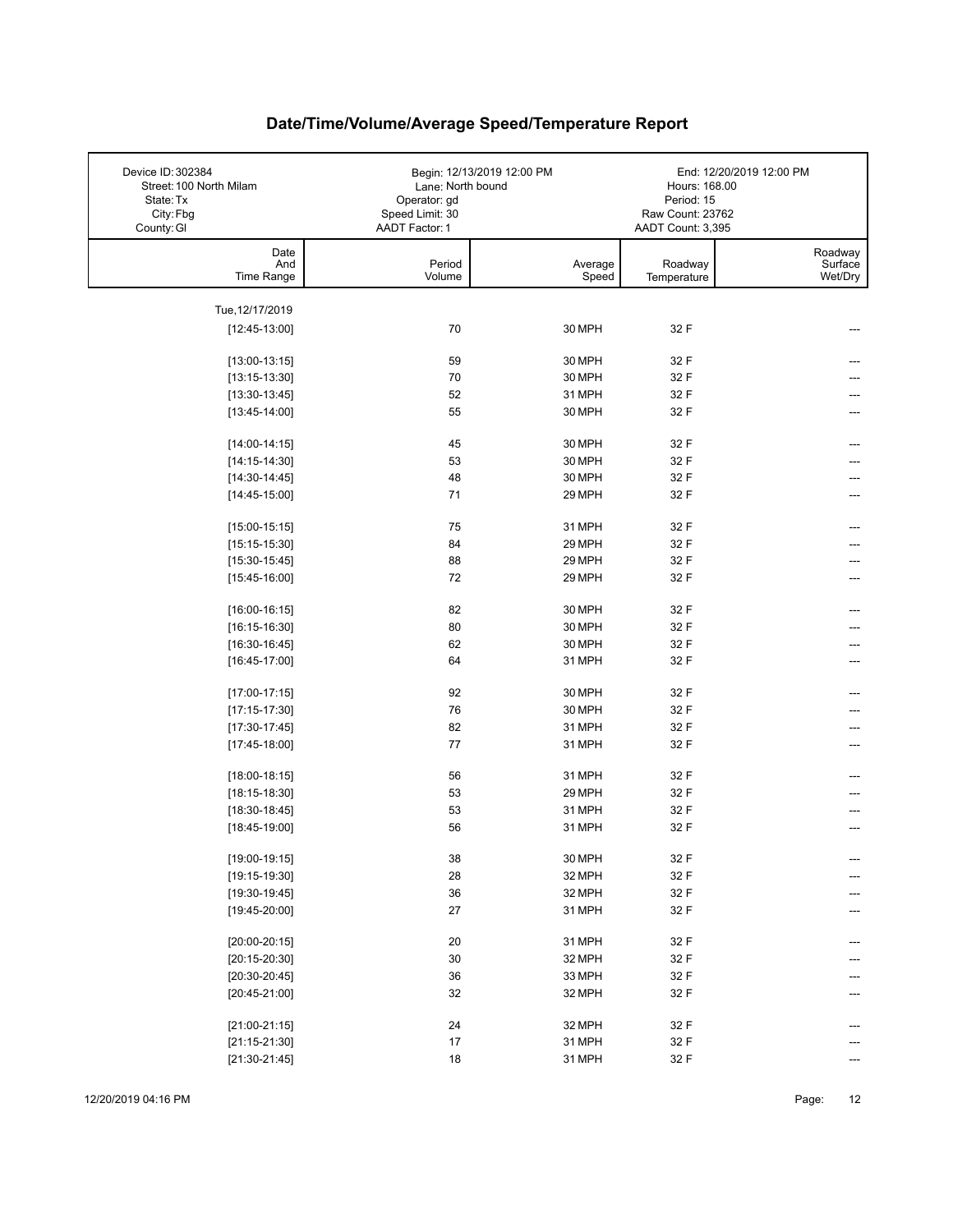| Device ID: 302384<br>Street: 100 North Milam<br>State: Tx<br>City: Fbg | Lane: North bound<br>Operator: gd<br>Speed Limit: 30 | Begin: 12/13/2019 12:00 PM | Hours: 168.00<br>Period: 15<br>Raw Count: 23762 | End: 12/20/2019 12:00 PM |
|------------------------------------------------------------------------|------------------------------------------------------|----------------------------|-------------------------------------------------|--------------------------|
| County: GI                                                             | AADT Factor: 1                                       |                            | AADT Count: 3,395                               |                          |
| Date                                                                   |                                                      |                            |                                                 | Roadway                  |
| And<br>Time Range                                                      | Period<br>Volume                                     | Average<br>Speed           | Roadway<br>Temperature                          | Surface<br>Wet/Dry       |
|                                                                        |                                                      |                            |                                                 |                          |
| Tue, 12/17/2019                                                        |                                                      |                            |                                                 |                          |
| $[12:45-13:00]$                                                        | 70                                                   | 30 MPH                     | 32 F                                            |                          |
|                                                                        |                                                      |                            |                                                 |                          |
| $[13:00-13:15]$                                                        | 59                                                   | 30 MPH                     | 32 F                                            |                          |
| $[13:15-13:30]$                                                        | 70                                                   | 30 MPH                     | 32 F                                            |                          |
| $[13:30-13:45]$                                                        | 52                                                   | 31 MPH                     | 32 F                                            |                          |
| $[13:45-14:00]$                                                        | 55                                                   | 30 MPH                     | 32 F                                            |                          |
|                                                                        | 45                                                   | 30 MPH                     | 32 F                                            |                          |
| $[14:00-14:15]$<br>$[14:15-14:30]$                                     | 53                                                   | 30 MPH                     | 32 F                                            |                          |
| $[14:30-14:45]$                                                        | 48                                                   | 30 MPH                     | 32 F                                            |                          |
| $[14:45-15:00]$                                                        | 71                                                   | 29 MPH                     | 32 F                                            |                          |
|                                                                        |                                                      |                            |                                                 |                          |
| $[15:00-15:15]$                                                        | 75                                                   | 31 MPH                     | 32 F                                            | ---                      |
| $[15:15-15:30]$                                                        | 84                                                   | 29 MPH                     | 32 F                                            |                          |
| $[15:30-15:45]$                                                        | 88                                                   | 29 MPH                     | 32 F                                            |                          |
| $[15:45-16:00]$                                                        | 72                                                   | 29 MPH                     | 32 F                                            | ---                      |
|                                                                        |                                                      |                            |                                                 |                          |
| $[16:00-16:15]$                                                        | 82                                                   | 30 MPH                     | 32 F                                            |                          |
| $[16:15-16:30]$                                                        | 80                                                   | 30 MPH                     | 32 F                                            |                          |
| $[16:30-16:45]$                                                        | 62                                                   | 30 MPH                     | 32 F                                            |                          |
| $[16:45-17:00]$                                                        | 64                                                   | 31 MPH                     | 32 F                                            |                          |
| $[17:00-17:15]$                                                        | 92                                                   | 30 MPH                     | 32 F                                            | ---                      |
| $[17:15-17:30]$                                                        | 76                                                   | 30 MPH                     | 32 F                                            |                          |
| $[17:30-17:45]$                                                        | 82                                                   | 31 MPH                     | 32 F                                            | ---                      |
| $[17:45-18:00]$                                                        | 77                                                   | 31 MPH                     | 32 F                                            | ---                      |
|                                                                        |                                                      |                            |                                                 |                          |
| $[18:00-18:15]$                                                        | 56                                                   | 31 MPH                     | 32 F                                            |                          |
| $[18:15-18:30]$                                                        | 53                                                   | 29 MPH                     | 32 F                                            |                          |
| $[18:30-18:45]$                                                        | 53                                                   | 31 MPH                     | 32 F                                            |                          |
| $[18:45-19:00]$                                                        | 56                                                   | 31 MPH                     | 32 F                                            |                          |
| $[19:00-19:15]$                                                        | $38\,$                                               | 30 MPH                     | 32 F                                            | ---                      |
| $[19:15-19:30]$                                                        | 28                                                   | 32 MPH                     | 32 F                                            | ---                      |
| $[19:30-19:45]$                                                        | $36\,$                                               | 32 MPH                     | 32 F                                            |                          |
| $[19:45-20:00]$                                                        | 27                                                   | 31 MPH                     | 32 F                                            |                          |
|                                                                        |                                                      |                            |                                                 |                          |
| $[20:00-20:15]$                                                        | 20                                                   | 31 MPH                     | 32 F                                            | ---                      |
| $[20:15-20:30]$                                                        | $30\,$                                               | 32 MPH                     | 32 F                                            |                          |
| $[20:30-20:45]$                                                        | $36\,$                                               | 33 MPH                     | 32 F                                            |                          |
| $[20:45-21:00]$                                                        | 32                                                   | 32 MPH                     | 32 F                                            | ---                      |
|                                                                        |                                                      |                            |                                                 |                          |
| $[21:00-21:15]$                                                        | 24                                                   | 32 MPH                     | 32 F                                            |                          |
| $[21:15-21:30]$                                                        | 17                                                   | 31 MPH                     | 32 F                                            |                          |
| $[21:30-21:45]$                                                        | 18                                                   | 31 MPH                     | 32 F                                            |                          |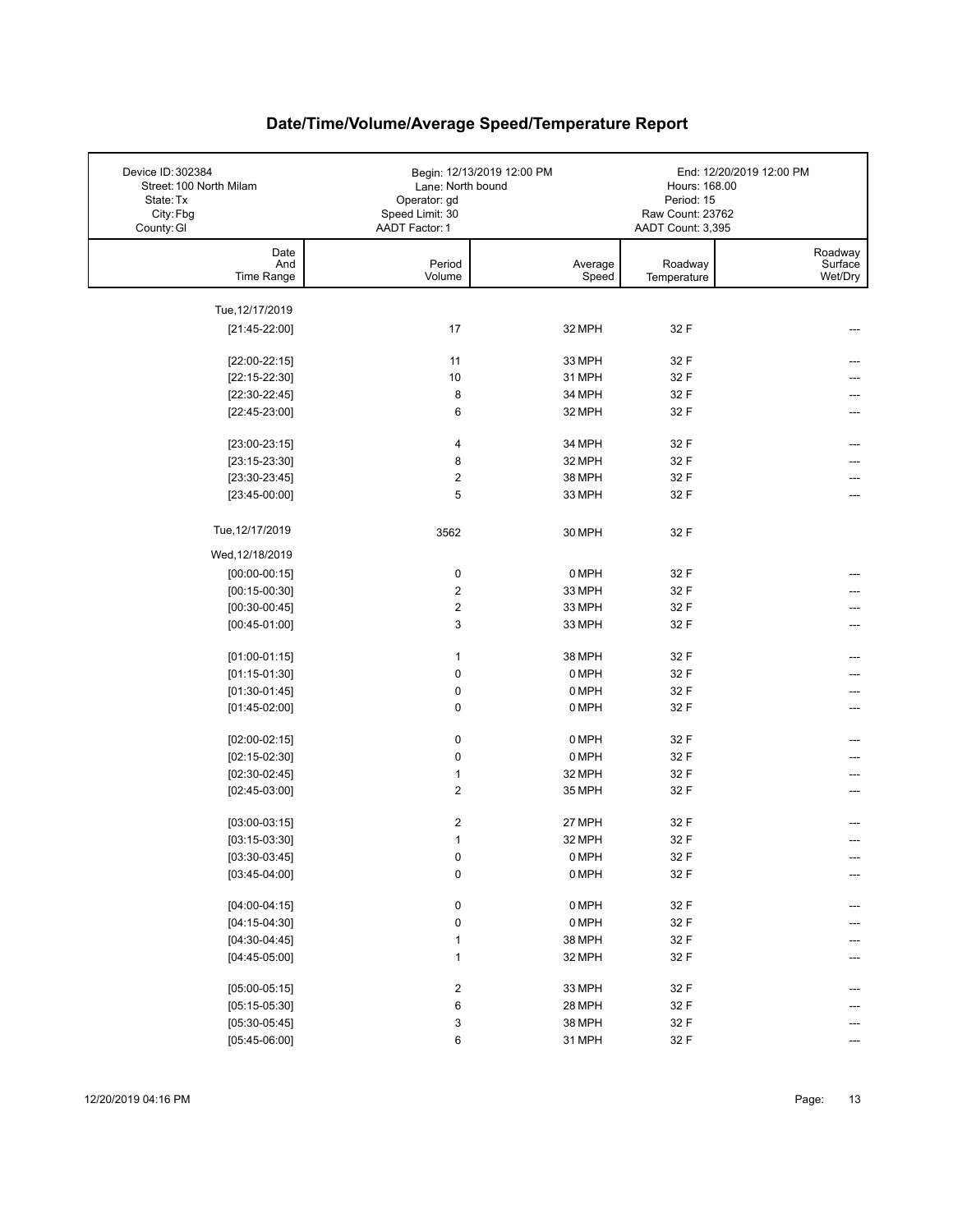| Device ID: 302384<br>Street: 100 North Milam<br>State: Tx<br>City: Fbg<br>County: GI | Lane: North bound<br>Operator: gd<br>Speed Limit: 30<br>AADT Factor: 1 | Begin: 12/13/2019 12:00 PM | Hours: 168.00<br>Period: 15<br>Raw Count: 23762<br>AADT Count: 3,395 | End: 12/20/2019 12:00 PM      |
|--------------------------------------------------------------------------------------|------------------------------------------------------------------------|----------------------------|----------------------------------------------------------------------|-------------------------------|
| Date<br>And<br>Time Range                                                            | Period<br>Volume                                                       | Average<br>Speed           | Roadway<br>Temperature                                               | Roadway<br>Surface<br>Wet/Dry |
| Tue, 12/17/2019                                                                      |                                                                        |                            |                                                                      |                               |
| $[21:45-22:00]$                                                                      | 17                                                                     | 32 MPH                     | 32 F                                                                 |                               |
|                                                                                      |                                                                        |                            |                                                                      |                               |
| $[22:00-22:15]$                                                                      | 11                                                                     | 33 MPH                     | 32 F                                                                 |                               |
| $[22:15-22:30]$                                                                      | 10                                                                     | 31 MPH                     | 32 F                                                                 |                               |
| $[22:30-22:45]$                                                                      | 8                                                                      | 34 MPH                     | 32 F                                                                 |                               |
| $[22:45-23:00]$                                                                      | 6                                                                      | 32 MPH                     | 32 F                                                                 |                               |
| $[23:00-23:15]$                                                                      | 4                                                                      | 34 MPH                     | 32 F                                                                 |                               |
| $[23:15-23:30]$                                                                      | 8                                                                      | 32 MPH                     | 32 F                                                                 |                               |
| $[23:30-23:45]$                                                                      | $\overline{2}$                                                         | 38 MPH                     | 32 F                                                                 |                               |
| $[23:45-00:00]$                                                                      | 5                                                                      | 33 MPH                     | 32 F                                                                 |                               |
|                                                                                      |                                                                        |                            |                                                                      |                               |
| Tue, 12/17/2019                                                                      | 3562                                                                   | 30 MPH                     | 32 F                                                                 |                               |
| Wed, 12/18/2019                                                                      |                                                                        |                            |                                                                      |                               |
| $[00:00-00:15]$                                                                      | $\pmb{0}$                                                              | 0 MPH                      | 32 F                                                                 |                               |
| $[00:15-00:30]$                                                                      | $\overline{2}$                                                         | 33 MPH                     | 32 F                                                                 |                               |
| $[00:30-00:45]$                                                                      | $\boldsymbol{2}$                                                       | 33 MPH                     | 32 F                                                                 |                               |
| $[00:45-01:00]$                                                                      | 3                                                                      | 33 MPH                     | 32 F                                                                 |                               |
|                                                                                      |                                                                        |                            |                                                                      |                               |
| $[01:00-01:15]$                                                                      | $\mathbf{1}$                                                           | 38 MPH                     | 32 F                                                                 |                               |
| $[01:15-01:30]$                                                                      | $\pmb{0}$                                                              | 0 MPH                      | 32 F                                                                 |                               |
| $[01:30-01:45]$                                                                      | $\pmb{0}$                                                              | 0 MPH                      | 32 F                                                                 |                               |
| $[01:45-02:00]$                                                                      | $\pmb{0}$                                                              | 0 MPH                      | 32 F                                                                 | ---                           |
| $[02:00-02:15]$                                                                      | 0                                                                      | 0 MPH                      | 32 F                                                                 |                               |
| $[02:15-02:30]$                                                                      | 0                                                                      | 0 MPH                      | 32 F                                                                 |                               |
| $[02:30-02:45]$                                                                      | $\mathbf{1}$                                                           | 32 MPH                     | 32 F                                                                 |                               |
| $[02:45-03:00]$                                                                      | $\overline{2}$                                                         | 35 MPH                     | 32 F                                                                 |                               |
|                                                                                      |                                                                        |                            |                                                                      |                               |
| $[03:00-03:15]$                                                                      | $\boldsymbol{2}$                                                       | 27 MPH                     | 32 F                                                                 |                               |
| $[03:15-03:30]$                                                                      | $\mathbf{1}$                                                           | 32 MPH                     | 32 F                                                                 |                               |
| $[03:30-03:45]$                                                                      | 0                                                                      | 0 MPH                      | 32 F                                                                 | ---                           |
| $[03:45-04:00]$                                                                      | $\pmb{0}$                                                              | 0 MPH                      | 32 F                                                                 |                               |
| $[04:00-04:15]$                                                                      | 0                                                                      | 0 MPH                      | 32 F                                                                 | ---                           |
| $[04:15-04:30]$                                                                      | $\pmb{0}$                                                              | 0 MPH                      | 32 F                                                                 |                               |
| $[04:30-04:45]$                                                                      | 1                                                                      | 38 MPH                     | 32 F                                                                 |                               |
| $[04:45-05:00]$                                                                      | 1                                                                      | 32 MPH                     | 32 F                                                                 |                               |
|                                                                                      |                                                                        |                            |                                                                      |                               |
| $[05:00-05:15]$                                                                      | $\overline{\mathbf{c}}$                                                | 33 MPH                     | 32 F                                                                 | ---                           |
| $[05:15-05:30]$                                                                      | 6                                                                      | 28 MPH                     | 32 F                                                                 |                               |
| $[05:30-05:45]$                                                                      | 3                                                                      | 38 MPH                     | 32 F                                                                 |                               |
| $[05:45-06:00]$                                                                      | 6                                                                      | 31 MPH                     | 32 F                                                                 |                               |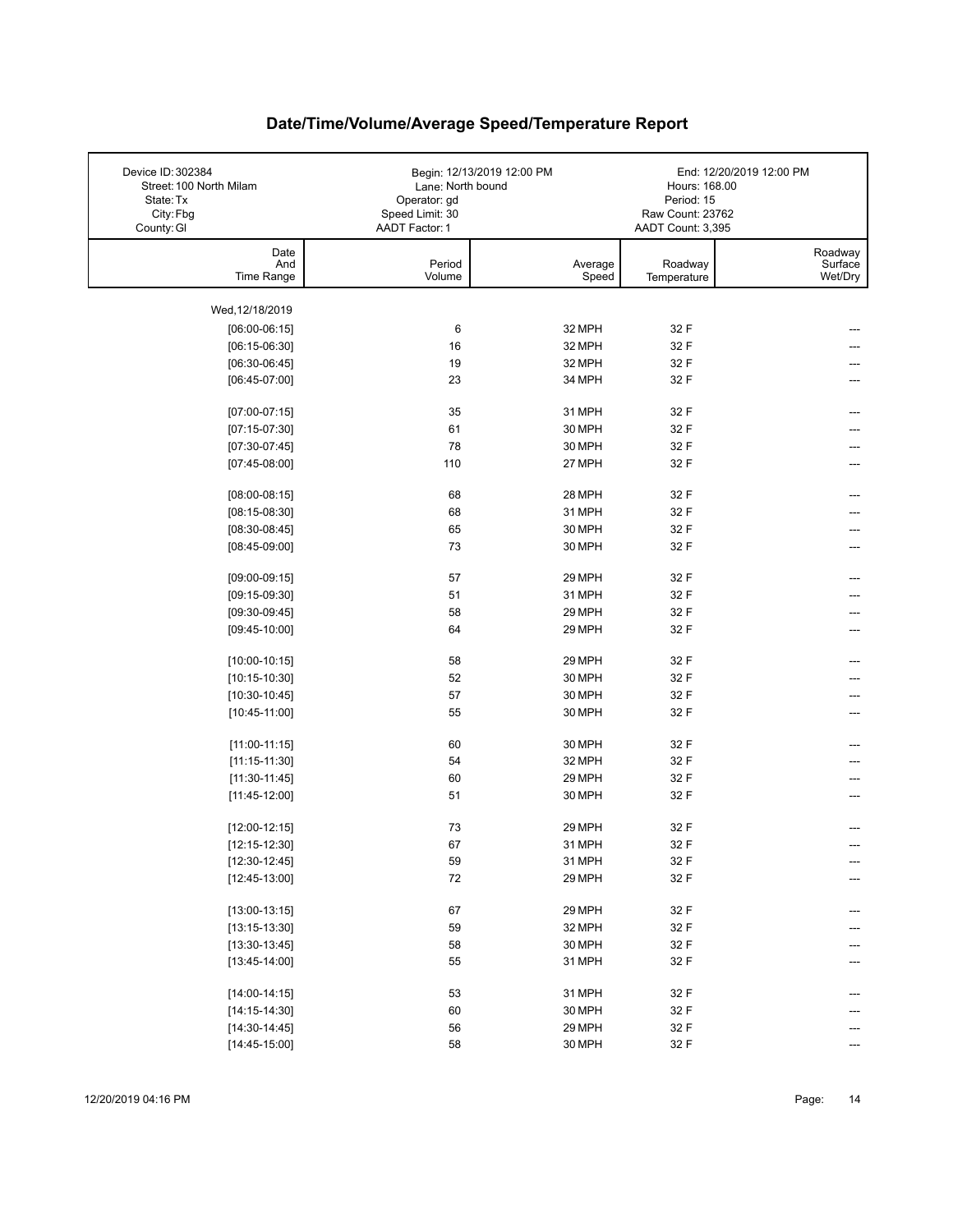| Device ID: 302384<br>Street: 100 North Milam<br>State: Tx<br>City: Fbg<br>County: GI | Lane: North bound<br>Operator: gd<br>Speed Limit: 30<br>AADT Factor: 1 | Begin: 12/13/2019 12:00 PM | Hours: 168.00<br>Period: 15<br>Raw Count: 23762<br>AADT Count: 3,395 | End: 12/20/2019 12:00 PM      |
|--------------------------------------------------------------------------------------|------------------------------------------------------------------------|----------------------------|----------------------------------------------------------------------|-------------------------------|
| Date<br>And<br>Time Range                                                            | Period<br>Volume                                                       | Average<br>Speed           | Roadway<br>Temperature                                               | Roadway<br>Surface<br>Wet/Dry |
| Wed, 12/18/2019                                                                      |                                                                        |                            |                                                                      |                               |
| $[06:00-06:15]$                                                                      | 6                                                                      | 32 MPH                     | 32 F                                                                 |                               |
| $[06:15-06:30]$                                                                      | 16                                                                     | 32 MPH                     | 32 F                                                                 |                               |
| $[06:30-06:45]$                                                                      | 19                                                                     | 32 MPH                     | 32 F                                                                 |                               |
| $[06:45-07:00]$                                                                      | 23                                                                     | 34 MPH                     | 32 F                                                                 |                               |
| $[07:00-07:15]$                                                                      | 35                                                                     | 31 MPH                     | 32 F                                                                 |                               |
| $[07:15-07:30]$                                                                      | 61                                                                     | 30 MPH                     | 32 F                                                                 |                               |
| $[07:30-07:45]$                                                                      | 78                                                                     | 30 MPH                     | 32 F                                                                 |                               |
| $[07:45-08:00]$                                                                      | 110                                                                    | 27 MPH                     | 32 F                                                                 | ---                           |
| $[08:00-08:15]$                                                                      | 68                                                                     | 28 MPH                     | 32 F                                                                 | ---                           |
| $[08:15-08:30]$                                                                      | 68                                                                     | 31 MPH                     | 32 F                                                                 |                               |
| $[08:30-08:45]$                                                                      | 65                                                                     | 30 MPH                     | 32 F                                                                 |                               |
| $[08:45-09:00]$                                                                      | 73                                                                     | 30 MPH                     | 32 F                                                                 |                               |
| $[09:00-09:15]$                                                                      | 57                                                                     | 29 MPH                     | 32 F                                                                 | ---                           |
| $[09:15-09:30]$                                                                      | 51                                                                     | 31 MPH                     | 32 F                                                                 |                               |
| $[09:30-09:45]$                                                                      | 58                                                                     | 29 MPH                     | 32 F                                                                 |                               |
| $[09:45-10:00]$                                                                      | 64                                                                     | 29 MPH                     | 32 F                                                                 | ---                           |
| $[10:00-10:15]$                                                                      | 58                                                                     | 29 MPH                     | 32 F                                                                 | ---                           |
| $[10:15-10:30]$                                                                      | 52                                                                     | 30 MPH                     | 32 F                                                                 |                               |
| $[10:30-10:45]$                                                                      | 57                                                                     | 30 MPH                     | 32 F                                                                 |                               |
| $[10:45-11:00]$                                                                      | 55                                                                     | 30 MPH                     | 32 F                                                                 |                               |
| $[11:00-11:15]$                                                                      | 60                                                                     | 30 MPH                     | 32 F                                                                 |                               |
| $[11:15-11:30]$                                                                      | 54                                                                     | 32 MPH                     | 32 F                                                                 |                               |
| $[11:30-11:45]$                                                                      | 60                                                                     | 29 MPH                     | 32 F                                                                 |                               |
| $[11:45-12:00]$                                                                      | 51                                                                     | 30 MPH                     | 32 F                                                                 |                               |
| $[12:00-12:15]$                                                                      | 73                                                                     | 29 MPH                     | 32 F                                                                 |                               |
| $[12:15-12:30]$                                                                      | 67                                                                     | 31 MPH                     | 32 F                                                                 |                               |
| $[12:30-12:45]$                                                                      | 59                                                                     | 31 MPH                     | 32 F                                                                 | ---                           |
| $[12:45-13:00]$                                                                      | 72                                                                     | 29 MPH                     | 32 F                                                                 | ---                           |
| $[13:00-13:15]$                                                                      | 67                                                                     | 29 MPH                     | 32 F                                                                 | ---                           |
| $[13:15-13:30]$                                                                      | 59                                                                     | 32 MPH                     | 32 F                                                                 |                               |
| $[13:30-13:45]$                                                                      | 58                                                                     | 30 MPH                     | 32 F                                                                 |                               |
| $[13:45-14:00]$                                                                      | 55                                                                     | 31 MPH                     | 32 F                                                                 |                               |
| $[14:00-14:15]$                                                                      | 53                                                                     | 31 MPH                     | 32 F                                                                 |                               |
| $[14:15-14:30]$                                                                      | 60                                                                     | 30 MPH                     | 32 F                                                                 |                               |
| $[14:30-14:45]$                                                                      | 56                                                                     | 29 MPH                     | 32 F                                                                 |                               |
| $[14:45-15:00]$                                                                      | 58                                                                     | 30 MPH                     | 32 F                                                                 | ---                           |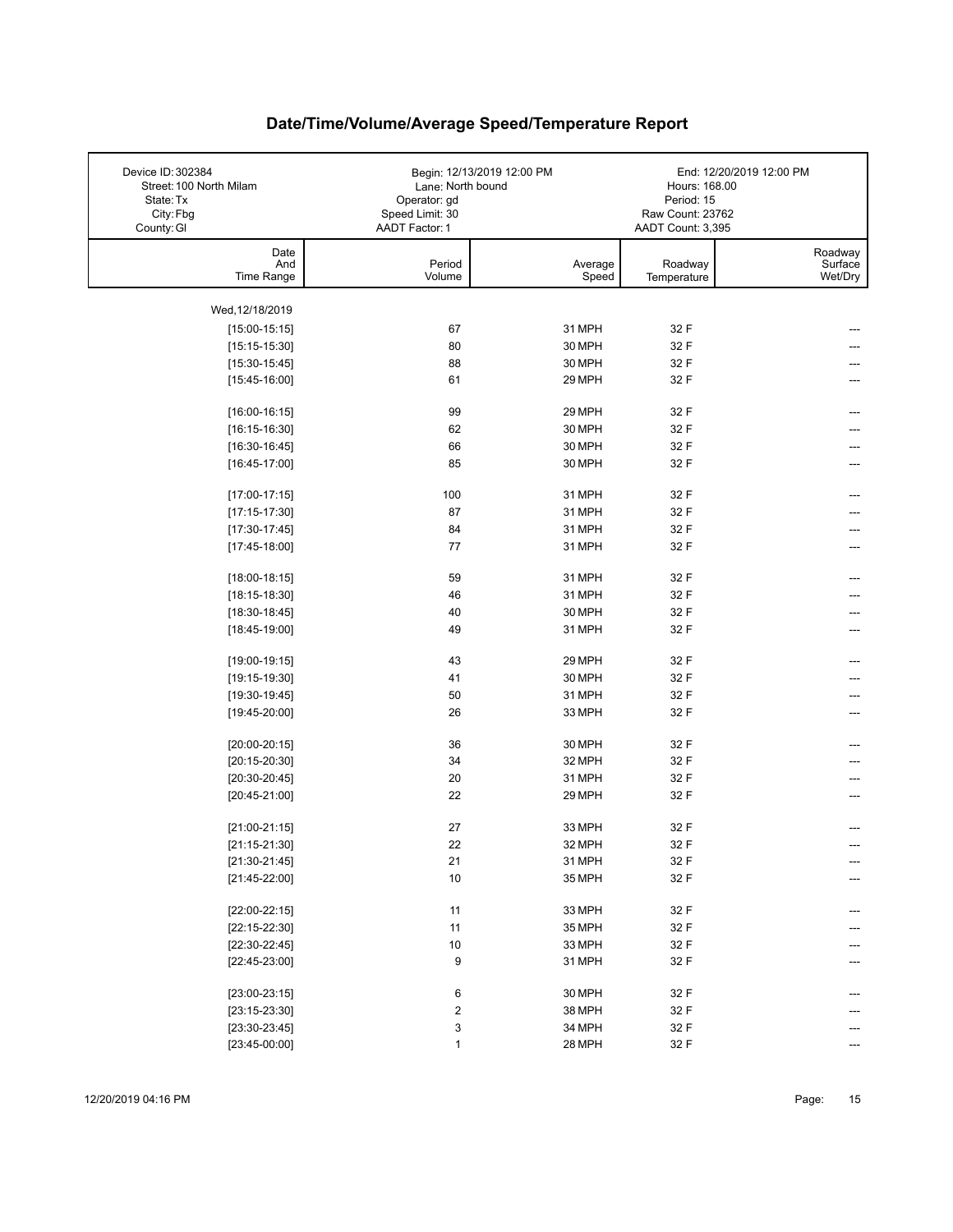| Device ID: 302384<br>Street: 100 North Milam<br>State: Tx<br>City: Fbg<br>County: GI | Lane: North bound<br>Operator: gd<br>Speed Limit: 30<br>AADT Factor: 1 | Begin: 12/13/2019 12:00 PM | Hours: 168.00<br>Period: 15<br>Raw Count: 23762<br>AADT Count: 3,395 | End: 12/20/2019 12:00 PM      |
|--------------------------------------------------------------------------------------|------------------------------------------------------------------------|----------------------------|----------------------------------------------------------------------|-------------------------------|
| Date<br>And<br>Time Range                                                            | Period<br>Volume                                                       | Average<br>Speed           | Roadway<br>Temperature                                               | Roadway<br>Surface<br>Wet/Dry |
| Wed, 12/18/2019                                                                      |                                                                        |                            |                                                                      |                               |
| $[15:00-15:15]$                                                                      | 67                                                                     | 31 MPH                     | 32 F                                                                 |                               |
| $[15:15-15:30]$                                                                      | 80                                                                     | 30 MPH                     | 32 F                                                                 |                               |
| $[15:30-15:45]$                                                                      | 88                                                                     | 30 MPH                     | 32 F                                                                 |                               |
| $[15:45-16:00]$                                                                      | 61                                                                     | 29 MPH                     | 32 F                                                                 |                               |
| $[16:00-16:15]$                                                                      | 99                                                                     | 29 MPH                     | 32 F                                                                 | ---                           |
| $[16:15-16:30]$                                                                      | 62                                                                     | 30 MPH                     | 32 F                                                                 |                               |
| $[16:30-16:45]$                                                                      | 66                                                                     | 30 MPH                     | 32 F                                                                 | ---                           |
| $[16:45-17:00]$                                                                      | 85                                                                     | 30 MPH                     | 32 F                                                                 | ---                           |
| $[17:00-17:15]$                                                                      | 100                                                                    | 31 MPH                     | 32 F                                                                 | ---                           |
| $[17:15-17:30]$                                                                      | 87                                                                     | 31 MPH                     | 32 F                                                                 |                               |
| $[17:30-17:45]$                                                                      | 84                                                                     | 31 MPH                     | 32 F                                                                 |                               |
| $[17:45-18:00]$                                                                      | 77                                                                     | 31 MPH                     | 32 F                                                                 |                               |
| $[18:00-18:15]$                                                                      | 59                                                                     | 31 MPH                     | 32 F                                                                 | ---                           |
| $[18:15-18:30]$                                                                      | 46                                                                     | 31 MPH                     | 32 F                                                                 |                               |
| $[18:30-18:45]$                                                                      | 40                                                                     | 30 MPH                     | 32 F                                                                 |                               |
| $[18:45-19:00]$                                                                      | 49                                                                     | 31 MPH                     | 32 F                                                                 | ---                           |
| $[19:00-19:15]$                                                                      | 43                                                                     | 29 MPH                     | 32 F                                                                 | ---                           |
| $[19:15-19:30]$                                                                      | 41                                                                     | 30 MPH                     | 32 F                                                                 |                               |
| $[19:30-19:45]$                                                                      | 50                                                                     | 31 MPH                     | 32 F                                                                 |                               |
| $[19:45-20:00]$                                                                      | 26                                                                     | 33 MPH                     | 32 F                                                                 |                               |
| $[20:00-20:15]$                                                                      | 36                                                                     | 30 MPH                     | 32 F                                                                 |                               |
| $[20:15-20:30]$                                                                      | 34                                                                     | 32 MPH                     | 32 F                                                                 |                               |
| $[20:30-20:45]$                                                                      | 20                                                                     | 31 MPH                     | 32 F                                                                 |                               |
| $[20:45-21:00]$                                                                      | 22                                                                     | 29 MPH                     | 32 F                                                                 |                               |
| $[21:00-21:15]$                                                                      | 27                                                                     | 33 MPH                     | 32 F                                                                 |                               |
| $[21:15-21:30]$                                                                      | 22                                                                     | 32 MPH                     | 32 F                                                                 |                               |
| $[21:30-21:45]$                                                                      | 21                                                                     | 31 MPH                     | 32 F                                                                 | ---                           |
| $[21:45-22:00]$                                                                      | 10                                                                     | 35 MPH                     | 32 F                                                                 |                               |
| $[22:00-22:15]$                                                                      | 11                                                                     | 33 MPH                     | 32 F                                                                 | ---                           |
| $[22:15-22:30]$                                                                      | 11                                                                     | 35 MPH                     | 32 F                                                                 |                               |
| $[22:30-22:45]$                                                                      | 10                                                                     | 33 MPH                     | 32 F                                                                 |                               |
| $[22:45-23:00]$                                                                      | 9                                                                      | 31 MPH                     | 32 F                                                                 |                               |
| $[23:00-23:15]$                                                                      | 6                                                                      | 30 MPH                     | 32 F                                                                 |                               |
| $[23:15-23:30]$                                                                      | 2                                                                      | 38 MPH                     | 32 F                                                                 |                               |
| $[23:30-23:45]$                                                                      | 3                                                                      | 34 MPH                     | 32 F                                                                 |                               |
| $[23:45-00:00]$                                                                      | $\mathbf{1}$                                                           | 28 MPH                     | 32 F                                                                 | ---                           |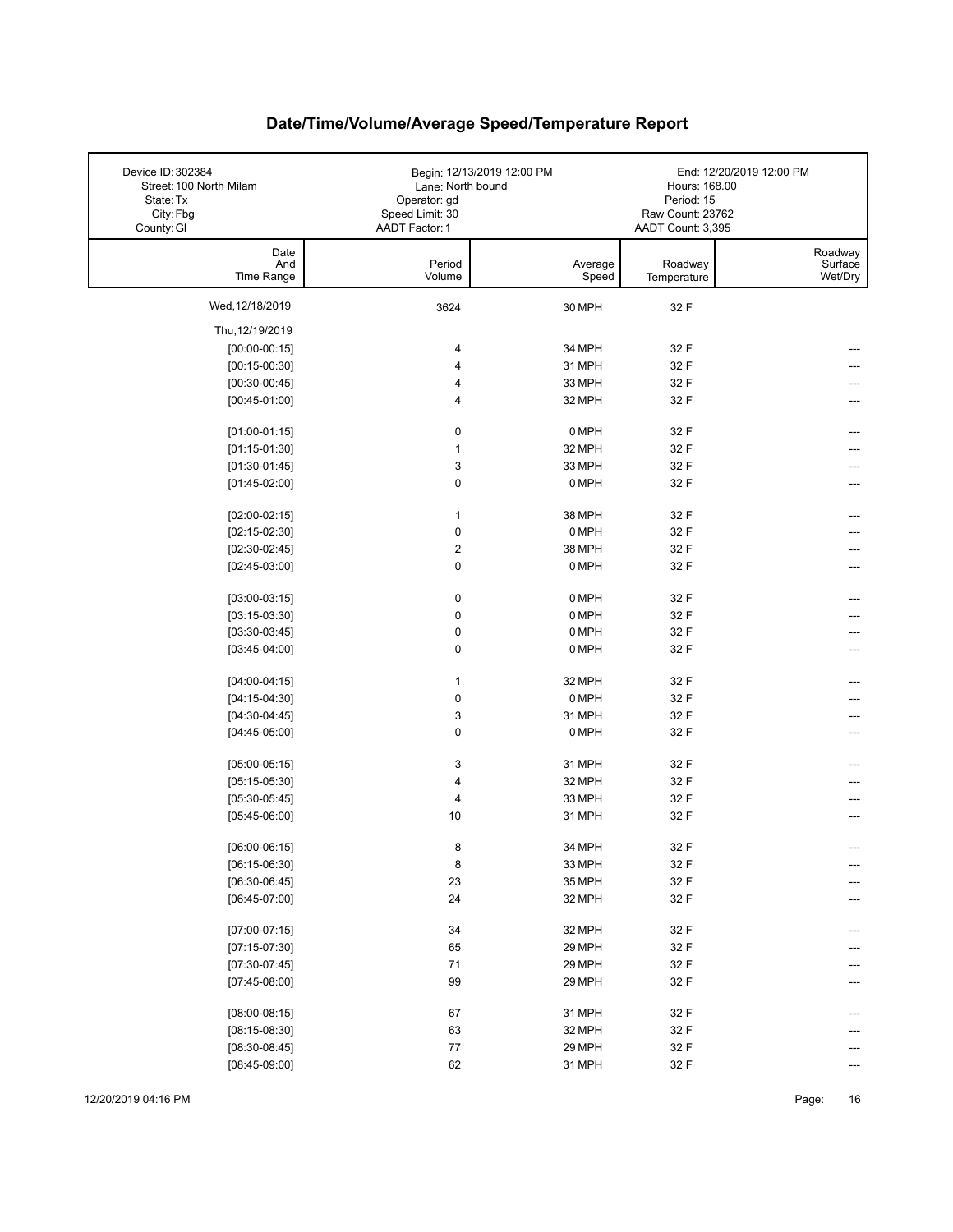| Device ID: 302384<br>Street: 100 North Milam<br>State: Tx<br>City: Fbg<br>County: GI | Lane: North bound<br>Operator: gd<br>Speed Limit: 30<br>AADT Factor: 1 | Begin: 12/13/2019 12:00 PM | Hours: 168.00<br>Period: 15<br>Raw Count: 23762<br>AADT Count: 3,395 | End: 12/20/2019 12:00 PM      |
|--------------------------------------------------------------------------------------|------------------------------------------------------------------------|----------------------------|----------------------------------------------------------------------|-------------------------------|
| Date<br>And<br>Time Range                                                            | Period<br>Volume                                                       | Average<br>Speed           | Roadway<br>Temperature                                               | Roadway<br>Surface<br>Wet/Dry |
| Wed, 12/18/2019                                                                      | 3624                                                                   | 30 MPH                     | 32 F                                                                 |                               |
| Thu, 12/19/2019                                                                      |                                                                        |                            |                                                                      |                               |
| $[00:00-00:15]$                                                                      | 4                                                                      | 34 MPH                     | 32 F                                                                 |                               |
| $[00:15-00:30]$                                                                      | 4                                                                      | 31 MPH                     | 32 F                                                                 |                               |
| $[00:30-00:45]$                                                                      | 4                                                                      | 33 MPH                     | 32 F                                                                 |                               |
| $[00:45-01:00]$                                                                      | $\overline{4}$                                                         | 32 MPH                     | 32 F                                                                 |                               |
| $[01:00-01:15]$                                                                      | 0                                                                      | 0 MPH                      | 32 F                                                                 |                               |
| $[01:15-01:30]$                                                                      | $\mathbf{1}$                                                           | 32 MPH                     | 32 F                                                                 |                               |
| $[01:30-01:45]$                                                                      | 3                                                                      | 33 MPH                     | 32 F                                                                 |                               |
| $[01:45-02:00]$                                                                      | $\mathbf 0$                                                            | 0 MPH                      | 32 F                                                                 |                               |
| $[02:00-02:15]$                                                                      | $\mathbf{1}$                                                           | 38 MPH                     | 32 F                                                                 |                               |
| $[02:15-02:30]$                                                                      | $\pmb{0}$                                                              | 0 MPH                      | 32 F                                                                 |                               |
| $[02:30-02:45]$                                                                      | $\boldsymbol{2}$                                                       | 38 MPH                     | 32 F                                                                 |                               |
| $[02:45-03:00]$                                                                      | 0                                                                      | 0 MPH                      | 32 F                                                                 |                               |
| $[03:00-03:15]$                                                                      | $\pmb{0}$                                                              | 0 MPH                      | 32 F                                                                 |                               |
| $[03:15-03:30]$                                                                      | $\pmb{0}$                                                              | 0 MPH                      | 32 F                                                                 |                               |
| $[03:30-03:45]$                                                                      | $\pmb{0}$                                                              | 0 MPH                      | 32 F                                                                 |                               |
| $[03:45-04:00]$                                                                      | $\pmb{0}$                                                              | 0 MPH                      | 32 F                                                                 | ---                           |
| $[04:00-04:15]$                                                                      | $\mathbf{1}$                                                           | 32 MPH                     | 32 F                                                                 |                               |
| $[04:15-04:30]$                                                                      | $\pmb{0}$                                                              | 0 MPH                      | 32 F                                                                 |                               |
| $[04:30-04:45]$                                                                      | 3                                                                      | 31 MPH                     | 32 F                                                                 |                               |
| $[04:45-05:00]$                                                                      | $\mathbf 0$                                                            | 0 MPH                      | 32 F                                                                 |                               |
| $[05:00-05:15]$                                                                      | 3                                                                      | 31 MPH                     | 32 F                                                                 |                               |
| $[05:15-05:30]$                                                                      | 4                                                                      | 32 MPH                     | 32 F                                                                 |                               |
| $[05:30-05:45]$                                                                      | 4                                                                      | 33 MPH                     | 32 F                                                                 |                               |
| $[05:45-06:00]$                                                                      | 10                                                                     | 31 MPH                     | 32 F                                                                 |                               |
| $[06:00-06:15]$                                                                      | 8                                                                      | 34 MPH                     | 32 F                                                                 |                               |
| $[06:15-06:30]$                                                                      | 8                                                                      | 33 MPH                     | 32 F                                                                 | ---                           |
| $[06:30-06:45]$                                                                      | 23                                                                     | 35 MPH                     | 32 F                                                                 |                               |
| $[06:45-07:00]$                                                                      | 24                                                                     | 32 MPH                     | 32 F                                                                 |                               |
| $[07:00-07:15]$                                                                      | 34                                                                     | 32 MPH                     | 32 F                                                                 | ---                           |
| $[07:15-07:30]$                                                                      | 65                                                                     | 29 MPH                     | 32 F                                                                 |                               |
| $[07:30-07:45]$                                                                      | 71                                                                     | 29 MPH                     | 32 F                                                                 |                               |
| $[07:45-08:00]$                                                                      | 99                                                                     | 29 MPH                     | 32 F                                                                 |                               |
| $[08:00-08:15]$                                                                      | 67                                                                     | 31 MPH                     | 32 F                                                                 |                               |
| $[08:15-08:30]$                                                                      | 63                                                                     | 32 MPH                     | 32 F                                                                 |                               |
| $[08:30-08:45]$                                                                      | $77\,$                                                                 | 29 MPH                     | 32 F                                                                 |                               |
| $[08:45-09:00]$                                                                      | 62                                                                     | 31 MPH                     | 32 F                                                                 | ---                           |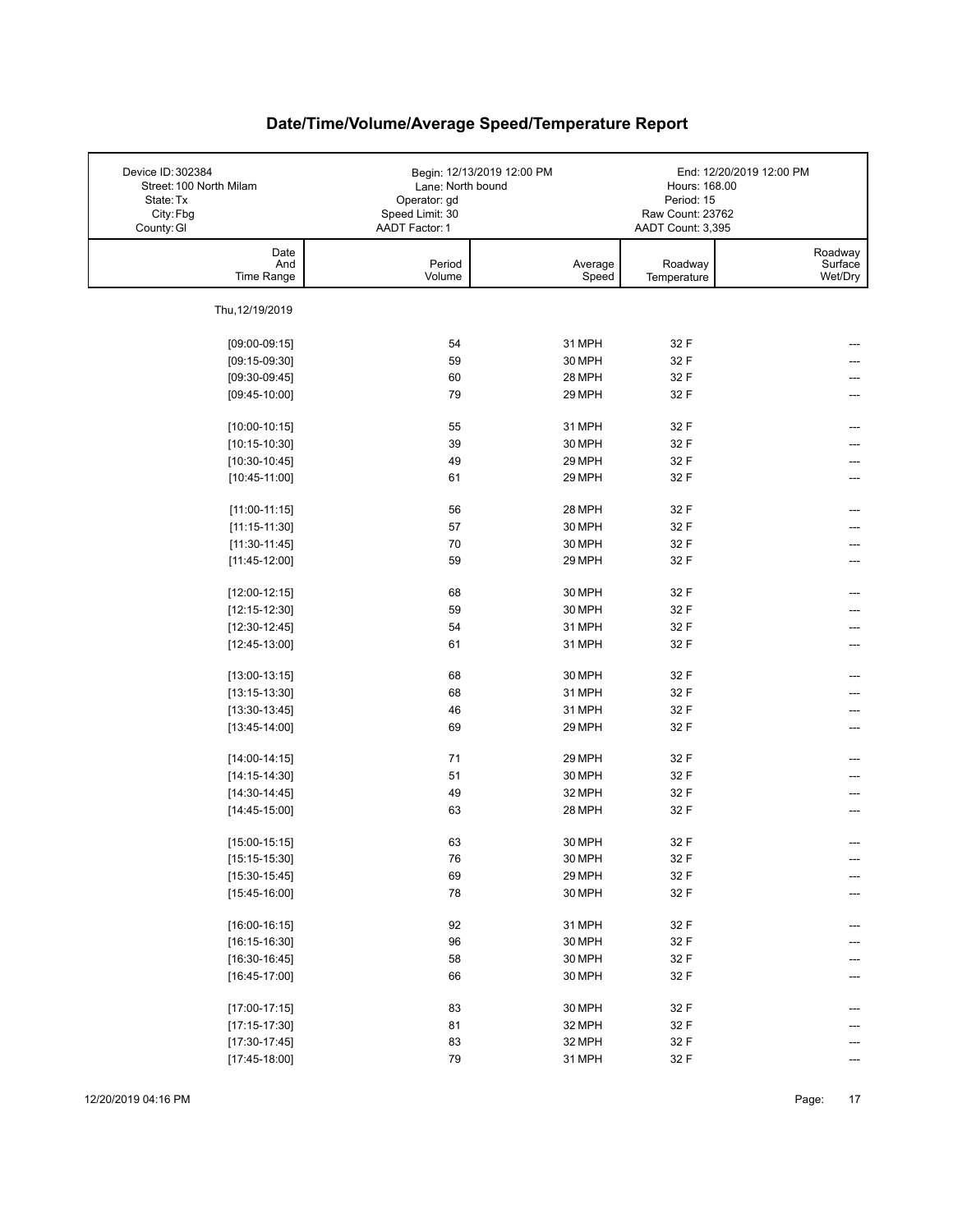| County: GI<br>AADT Factor: 1<br>AADT Count: 3,395<br>Date<br>And<br>Period<br>Average<br>Roadway<br>Time Range<br>Volume<br>Speed<br>Temperature<br>Thu, 12/19/2019<br>31 MPH<br>54<br>32 F<br>$[09:00-09:15]$ |                               |
|----------------------------------------------------------------------------------------------------------------------------------------------------------------------------------------------------------------|-------------------------------|
|                                                                                                                                                                                                                |                               |
|                                                                                                                                                                                                                | Roadway<br>Surface<br>Wet/Dry |
|                                                                                                                                                                                                                |                               |
|                                                                                                                                                                                                                |                               |
| 30 MPH<br>59<br>32 F<br>$[09:15-09:30]$                                                                                                                                                                        |                               |
| 28 MPH<br>32 F<br>60<br>$[09:30-09:45]$                                                                                                                                                                        |                               |
| 79<br>29 MPH<br>32 F<br>$[09:45-10:00]$                                                                                                                                                                        |                               |
|                                                                                                                                                                                                                |                               |
| 32 F<br>$[10:00-10:15]$<br>55<br>31 MPH                                                                                                                                                                        |                               |
| 39<br>30 MPH<br>$[10:15-10:30]$<br>32 F                                                                                                                                                                        |                               |
| 49<br>29 MPH<br>32 F<br>$[10:30-10:45]$                                                                                                                                                                        |                               |
| 61<br>29 MPH<br>32 F<br>$[10:45-11:00]$                                                                                                                                                                        |                               |
| 28 MPH<br>32 F<br>$[11:00-11:15]$<br>56                                                                                                                                                                        |                               |
| 57<br>30 MPH<br>32 F<br>$[11:15-11:30]$                                                                                                                                                                        |                               |
| 70<br>30 MPH<br>32 F<br>$[11:30-11:45]$                                                                                                                                                                        |                               |
| 59<br>$[11:45-12:00]$<br>29 MPH<br>32 F                                                                                                                                                                        |                               |
|                                                                                                                                                                                                                |                               |
| 32 F<br>68<br>30 MPH<br>$[12:00-12:15]$<br>59<br>30 MPH                                                                                                                                                        |                               |
| 32 F<br>$[12:15-12:30]$<br>54<br>31 MPH<br>32 F                                                                                                                                                                |                               |
| $[12:30-12:45]$<br>61<br>31 MPH<br>32 F<br>$[12:45-13:00]$                                                                                                                                                     | ---                           |
|                                                                                                                                                                                                                |                               |
| 68<br>30 MPH<br>32 F<br>$[13:00-13:15]$                                                                                                                                                                        |                               |
| 68<br>31 MPH<br>32 F<br>$[13:15-13:30]$                                                                                                                                                                        |                               |
| 46<br>31 MPH<br>32 F<br>$[13:30-13:45]$                                                                                                                                                                        | ---                           |
| 69<br>29 MPH<br>32 F<br>$[13:45-14:00]$                                                                                                                                                                        |                               |
| 71<br>29 MPH<br>32 F<br>$[14:00-14:15]$                                                                                                                                                                        |                               |
| 51<br>30 MPH<br>32 F<br>$[14:15-14:30]$                                                                                                                                                                        |                               |
| 49<br>32 MPH<br>32 F<br>$[14:30-14:45]$                                                                                                                                                                        |                               |
| $[14:45-15:00]$<br>63<br>28 MPH<br>32 F                                                                                                                                                                        | ---                           |
| 30 MPH<br>32 F<br>$[15:00-15:15]$<br>63                                                                                                                                                                        |                               |
| ${\bf 76}$<br>32 F<br>$[15:15-15:30]$<br>30 MPH                                                                                                                                                                |                               |
| 69<br>29 MPH<br>32 F<br>$[15:30-15:45]$                                                                                                                                                                        |                               |
| 78<br>30 MPH<br>32 F<br>$[15:45-16:00]$                                                                                                                                                                        |                               |
|                                                                                                                                                                                                                |                               |
| 32 F<br>$[16:00-16:15]$<br>92<br>31 MPH                                                                                                                                                                        |                               |
| 96<br>32 F<br>$[16:15-16:30]$<br>30 MPH                                                                                                                                                                        |                               |
| 58<br>$[16:30-16:45]$<br>30 MPH<br>32 F                                                                                                                                                                        |                               |
| 32 F<br>$[16:45-17:00]$<br>66<br>30 MPH                                                                                                                                                                        |                               |
| 83<br>32 F<br>30 MPH<br>$[17:00-17:15]$                                                                                                                                                                        |                               |
| 81<br>$[17:15-17:30]$<br>32 MPH<br>32 F                                                                                                                                                                        |                               |
| 83<br>32 MPH<br>32 F<br>$[17:30-17:45]$                                                                                                                                                                        |                               |
| 79<br>31 MPH<br>32 F<br>$[17:45-18:00]$                                                                                                                                                                        | ---                           |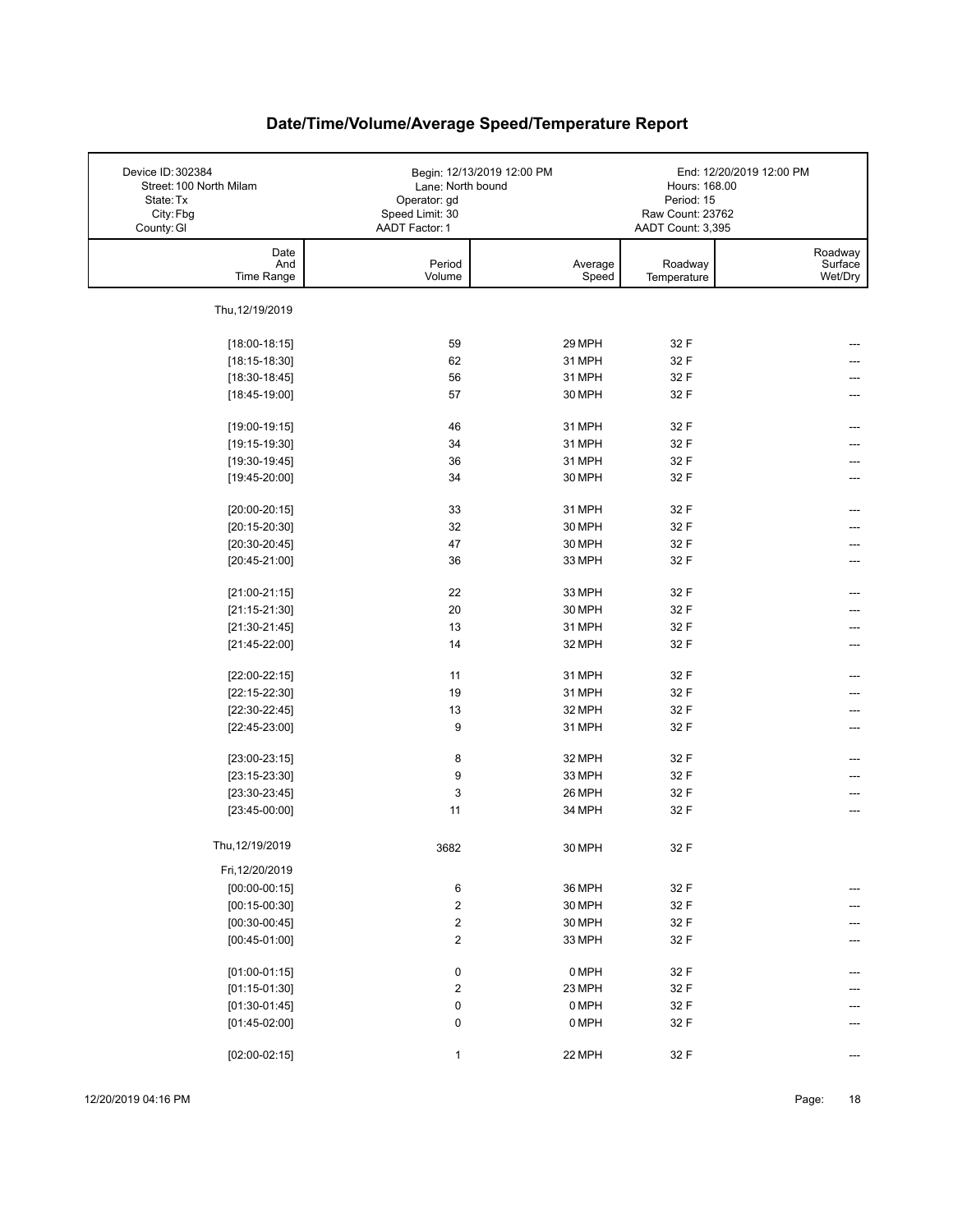| Device ID: 302384<br>Street: 100 North Milam<br>State: Tx<br>City: Fbg<br>County: GI | Lane: North bound<br>Operator: gd<br>Speed Limit: 30<br>AADT Factor: 1 | Begin: 12/13/2019 12:00 PM | Hours: 168.00<br>Period: 15<br>Raw Count: 23762<br>AADT Count: 3,395 | End: 12/20/2019 12:00 PM      |
|--------------------------------------------------------------------------------------|------------------------------------------------------------------------|----------------------------|----------------------------------------------------------------------|-------------------------------|
| Date<br>And<br>Time Range                                                            | Period<br>Volume                                                       | Average<br>Speed           | Roadway<br>Temperature                                               | Roadway<br>Surface<br>Wet/Dry |
| Thu, 12/19/2019                                                                      |                                                                        |                            |                                                                      |                               |
| $[18:00-18:15]$                                                                      | 59                                                                     | 29 MPH                     | 32 F                                                                 |                               |
| $[18:15-18:30]$                                                                      | 62                                                                     | 31 MPH                     | 32 F                                                                 |                               |
| $[18:30-18:45]$                                                                      | 56                                                                     | 31 MPH                     | 32 F                                                                 |                               |
| $[18:45-19:00]$                                                                      | 57                                                                     | 30 MPH                     | 32 F                                                                 |                               |
|                                                                                      |                                                                        |                            |                                                                      |                               |
| $[19:00-19:15]$                                                                      | 46                                                                     | 31 MPH                     | 32 F                                                                 |                               |
| $[19:15-19:30]$                                                                      | 34                                                                     | 31 MPH                     | 32 F                                                                 |                               |
| $[19:30-19:45]$                                                                      | 36                                                                     | 31 MPH                     | 32 F                                                                 |                               |
| $[19:45-20:00]$                                                                      | 34                                                                     | 30 MPH                     | 32 F                                                                 |                               |
| $[20:00-20:15]$                                                                      | 33                                                                     | 31 MPH                     | 32 F                                                                 |                               |
| $[20:15-20:30]$                                                                      | 32                                                                     | 30 MPH                     | 32 F                                                                 |                               |
| $[20:30-20:45]$                                                                      | 47                                                                     | 30 MPH                     | 32 F                                                                 |                               |
| $[20:45-21:00]$                                                                      | 36                                                                     | 33 MPH                     | 32 F                                                                 |                               |
|                                                                                      |                                                                        |                            |                                                                      |                               |
| $[21:00-21:15]$                                                                      | 22                                                                     | 33 MPH                     | 32 F                                                                 |                               |
| $[21:15-21:30]$                                                                      | 20                                                                     | 30 MPH                     | 32 F                                                                 |                               |
| $[21:30-21:45]$                                                                      | 13                                                                     | 31 MPH                     | 32 F                                                                 |                               |
| $[21:45-22:00]$                                                                      | 14                                                                     | 32 MPH                     | 32 F                                                                 | ---                           |
|                                                                                      |                                                                        |                            |                                                                      |                               |
| $[22:00-22:15]$                                                                      | 11                                                                     | 31 MPH                     | 32 F                                                                 | ---                           |
| $[22:15-22:30]$                                                                      | 19                                                                     | 31 MPH                     | 32 F                                                                 |                               |
| $[22:30-22:45]$                                                                      | 13<br>9                                                                | 32 MPH                     | 32 F<br>32 F                                                         |                               |
| $[22:45-23:00]$                                                                      |                                                                        | 31 MPH                     |                                                                      | ---                           |
| $[23:00-23:15]$                                                                      | 8                                                                      | 32 MPH                     | 32 F                                                                 |                               |
| $[23:15-23:30]$                                                                      | 9                                                                      | 33 MPH                     | 32 F                                                                 |                               |
| $[23:30-23:45]$                                                                      | $\ensuremath{\mathsf{3}}$                                              | 26 MPH                     | 32 F                                                                 | ---                           |
| $[23:45-00:00]$                                                                      | 11                                                                     | 34 MPH                     | 32 F                                                                 | ---                           |
|                                                                                      |                                                                        |                            |                                                                      |                               |
| Thu, 12/19/2019                                                                      | 3682                                                                   | 30 MPH                     | 32 F                                                                 |                               |
| Fri, 12/20/2019                                                                      |                                                                        |                            |                                                                      |                               |
| $[00:00-00:15]$                                                                      | 6                                                                      | 36 MPH                     | 32 F                                                                 | ---                           |
| $[00:15-00:30]$                                                                      | $\mathbf 2$                                                            | 30 MPH                     | 32 F                                                                 |                               |
| $[00:30-00:45]$                                                                      | $\overline{\mathbf{c}}$                                                | 30 MPH                     | 32 F                                                                 | ---                           |
| $[00:45-01:00]$                                                                      | $\boldsymbol{2}$                                                       | 33 MPH                     | 32 F                                                                 | ---                           |
|                                                                                      |                                                                        |                            |                                                                      |                               |
| $[01:00-01:15]$                                                                      | 0                                                                      | 0 MPH                      | 32 F                                                                 | ---                           |
| $[01:15-01:30]$                                                                      | $\boldsymbol{2}$                                                       | 23 MPH                     | 32 F                                                                 |                               |
| $[01:30-01:45]$                                                                      | 0                                                                      | 0 MPH                      | 32 F                                                                 |                               |
| $[01:45-02:00]$                                                                      | $\pmb{0}$                                                              | 0 MPH                      | 32 F                                                                 |                               |
| $[02:00-02:15]$                                                                      | $\mathbf{1}$                                                           | 22 MPH                     | 32 F                                                                 |                               |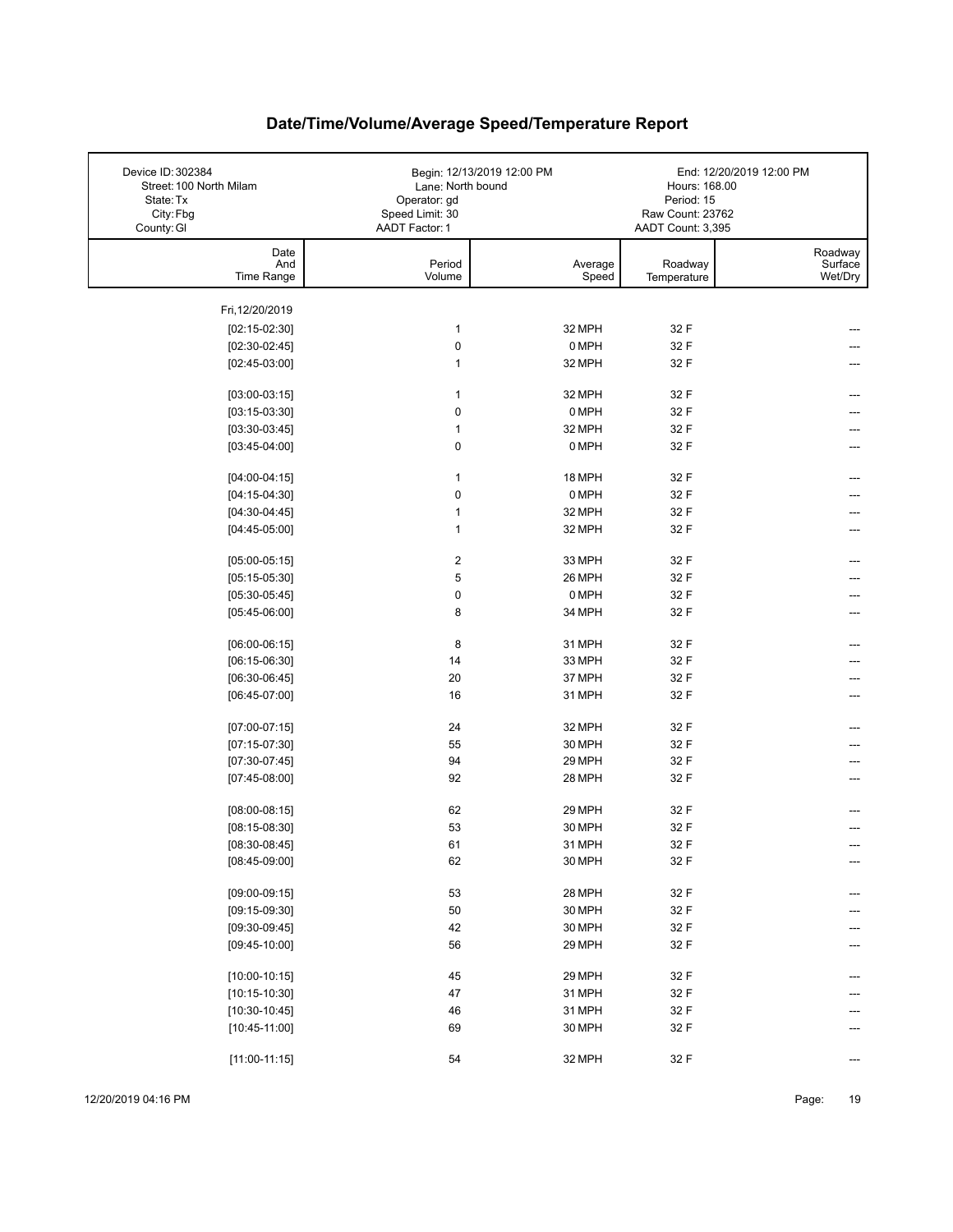| Device ID: 302384<br>Street: 100 North Milam<br>State: Tx<br>City: Fbg<br>County: GI | Lane: North bound<br>Operator: gd<br>Speed Limit: 30<br>AADT Factor: 1 | Begin: 12/13/2019 12:00 PM | Hours: 168.00<br>Period: 15<br>Raw Count: 23762<br>AADT Count: 3,395 | End: 12/20/2019 12:00 PM      |
|--------------------------------------------------------------------------------------|------------------------------------------------------------------------|----------------------------|----------------------------------------------------------------------|-------------------------------|
| Date<br>And<br>Time Range                                                            | Period<br>Volume                                                       | Average<br>Speed           | Roadway<br>Temperature                                               | Roadway<br>Surface<br>Wet/Dry |
| Fri, 12/20/2019                                                                      |                                                                        |                            |                                                                      |                               |
| $[02:15-02:30]$                                                                      | $\mathbf{1}$                                                           | 32 MPH                     | 32 F                                                                 |                               |
| $[02:30-02:45]$                                                                      | $\pmb{0}$                                                              | 0 MPH                      | 32 F                                                                 |                               |
| $[02:45-03:00]$                                                                      | $\mathbf{1}$                                                           | 32 MPH                     | 32 F                                                                 |                               |
|                                                                                      |                                                                        |                            |                                                                      |                               |
| $[03:00-03:15]$                                                                      | $\mathbf{1}$                                                           | 32 MPH                     | 32 F                                                                 |                               |
| $[03:15-03:30]$                                                                      | $\pmb{0}$                                                              | 0 MPH                      | 32 F                                                                 |                               |
| $[03:30-03:45]$                                                                      | $\mathbf{1}$                                                           | 32 MPH                     | 32 F                                                                 | ---                           |
| $[03:45-04:00]$                                                                      | 0                                                                      | 0 MPH                      | 32 F                                                                 |                               |
| $[04:00-04:15]$                                                                      | $\mathbf{1}$                                                           | 18 MPH                     | 32 F                                                                 |                               |
| $[04:15-04:30]$                                                                      | $\pmb{0}$                                                              | 0 MPH                      | 32 F                                                                 |                               |
| $[04:30-04:45]$                                                                      | $\mathbf{1}$                                                           | 32 MPH                     | 32 F                                                                 |                               |
| $[04:45-05:00]$                                                                      | $\mathbf{1}$                                                           | 32 MPH                     | 32 F                                                                 |                               |
|                                                                                      |                                                                        |                            |                                                                      |                               |
| $[05:00-05:15]$                                                                      | $\boldsymbol{2}$                                                       | 33 MPH                     | 32 F                                                                 |                               |
| $[05:15-05:30]$                                                                      | 5                                                                      | 26 MPH                     | 32 F                                                                 |                               |
| $[05:30-05:45]$                                                                      | $\pmb{0}$                                                              | 0 MPH                      | 32 F                                                                 |                               |
| $[05:45-06:00]$                                                                      | 8                                                                      | 34 MPH                     | 32 F                                                                 |                               |
| $[06:00-06:15]$                                                                      | 8                                                                      | 31 MPH                     | 32 F                                                                 | ---                           |
| $[06:15-06:30]$                                                                      | 14                                                                     | 33 MPH                     | 32 F                                                                 |                               |
| $[06:30-06:45]$                                                                      | 20                                                                     | 37 MPH                     | 32 F                                                                 |                               |
| $[06:45-07:00]$                                                                      | 16                                                                     | 31 MPH                     | 32 F                                                                 |                               |
| $[07:00-07:15]$                                                                      | 24                                                                     | 32 MPH                     | 32 F                                                                 |                               |
| $[07:15-07:30]$                                                                      | 55                                                                     | 30 MPH                     | 32 F                                                                 |                               |
| $[07:30-07:45]$                                                                      | 94                                                                     | 29 MPH                     | 32 F                                                                 |                               |
| $[07:45-08:00]$                                                                      | 92                                                                     | 28 MPH                     | 32 F                                                                 |                               |
|                                                                                      |                                                                        |                            |                                                                      |                               |
| $[08:00-08:15]$                                                                      | 62                                                                     | 29 MPH                     | 32 F                                                                 |                               |
| $[08:15-08:30]$                                                                      | 53                                                                     | 30 MPH                     | 32 F                                                                 |                               |
| $[08:30-08:45]$                                                                      | 61                                                                     | 31 MPH                     | 32 F                                                                 |                               |
| $[08:45-09:00]$                                                                      | 62                                                                     | 30 MPH                     | 32 F                                                                 | ---                           |
| $[09:00-09:15]$                                                                      | 53                                                                     | 28 MPH                     | 32 F                                                                 |                               |
| $[09:15-09:30]$                                                                      | 50                                                                     | 30 MPH                     | 32 F                                                                 |                               |
| $[09:30-09:45]$                                                                      | 42                                                                     | 30 MPH                     | 32 F                                                                 |                               |
| $[09:45-10:00]$                                                                      | 56                                                                     | 29 MPH                     | 32 F                                                                 |                               |
|                                                                                      |                                                                        |                            |                                                                      |                               |
| $[10:00-10:15]$                                                                      | 45                                                                     | 29 MPH                     | 32 F                                                                 |                               |
| $[10:15-10:30]$                                                                      | 47                                                                     | 31 MPH                     | 32 F                                                                 |                               |
| $[10:30-10:45]$                                                                      | 46                                                                     | 31 MPH                     | 32 F                                                                 |                               |
| $[10:45-11:00]$                                                                      | 69                                                                     | 30 MPH                     | 32 F                                                                 |                               |
| $[11:00-11:15]$                                                                      | 54                                                                     | 32 MPH                     | 32 F                                                                 | ---                           |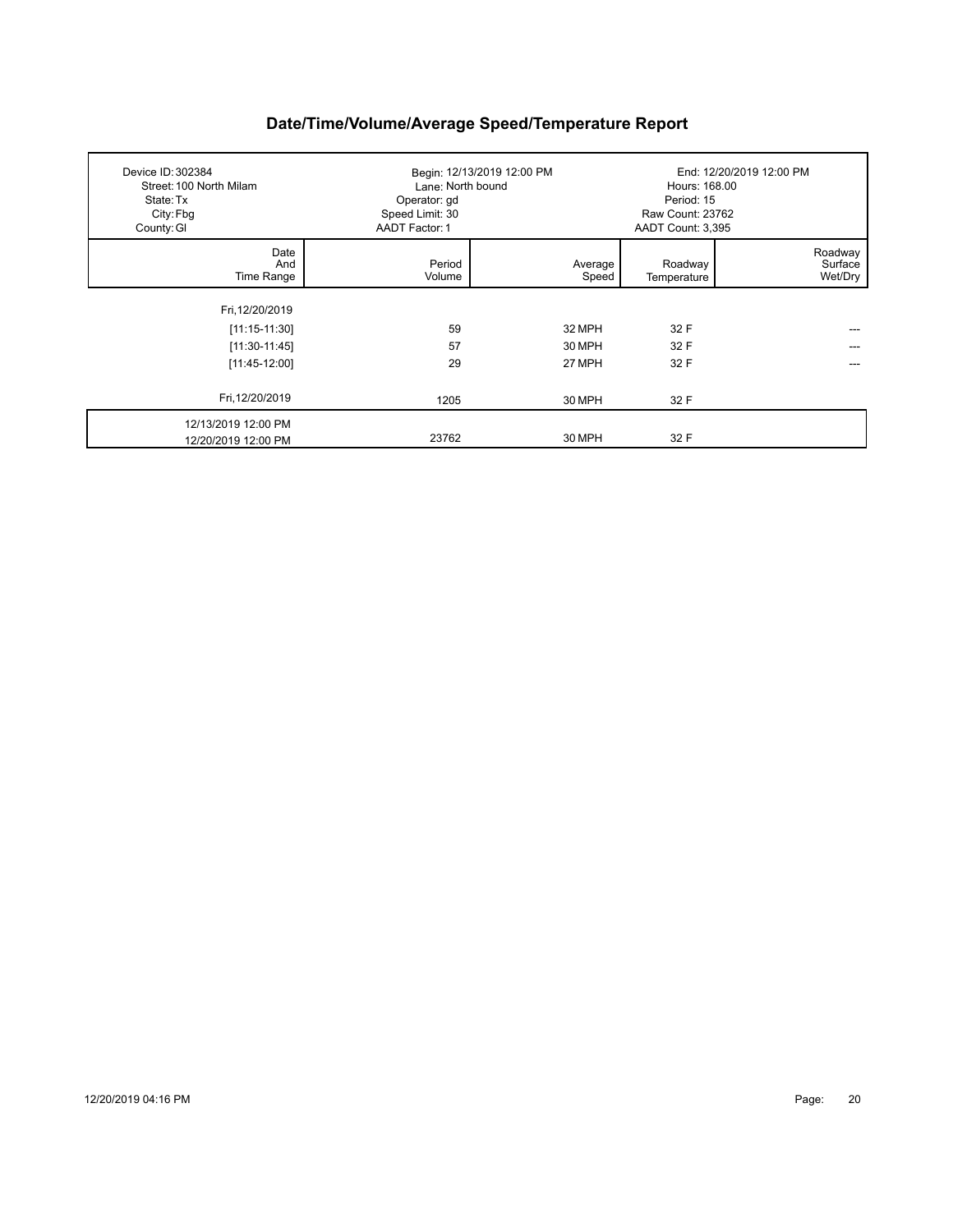| Device ID: 302384<br>Street: 100 North Milam<br>State: Tx<br>City: Fbg<br>County: GI | Lane: North bound<br>Operator: gd<br>Speed Limit: 30<br>AADT Factor: 1 | Begin: 12/13/2019 12:00 PM | Hours: 168.00<br>Period: 15<br>Raw Count: 23762<br>AADT Count: 3,395 | End: 12/20/2019 12:00 PM      |
|--------------------------------------------------------------------------------------|------------------------------------------------------------------------|----------------------------|----------------------------------------------------------------------|-------------------------------|
| Date<br>And<br>Time Range                                                            | Period<br>Volume                                                       | Average<br>Speed           | Roadway<br>Temperature                                               | Roadway<br>Surface<br>Wet/Dry |
| Fri, 12/20/2019                                                                      |                                                                        |                            |                                                                      |                               |
| $[11:15-11:30]$                                                                      | 59                                                                     | 32 MPH                     | 32 F                                                                 |                               |
| $[11:30-11:45]$                                                                      | 57                                                                     | 30 MPH                     | 32 F                                                                 | ---                           |
| $[11:45-12:00]$                                                                      | 29                                                                     | 27 MPH                     | 32 F                                                                 |                               |
| Fri, 12/20/2019                                                                      | 1205                                                                   | 30 MPH                     | 32 F                                                                 |                               |
| 12/13/2019 12:00 PM<br>12/20/2019 12:00 PM                                           | 23762                                                                  | 30 MPH                     | 32 F                                                                 |                               |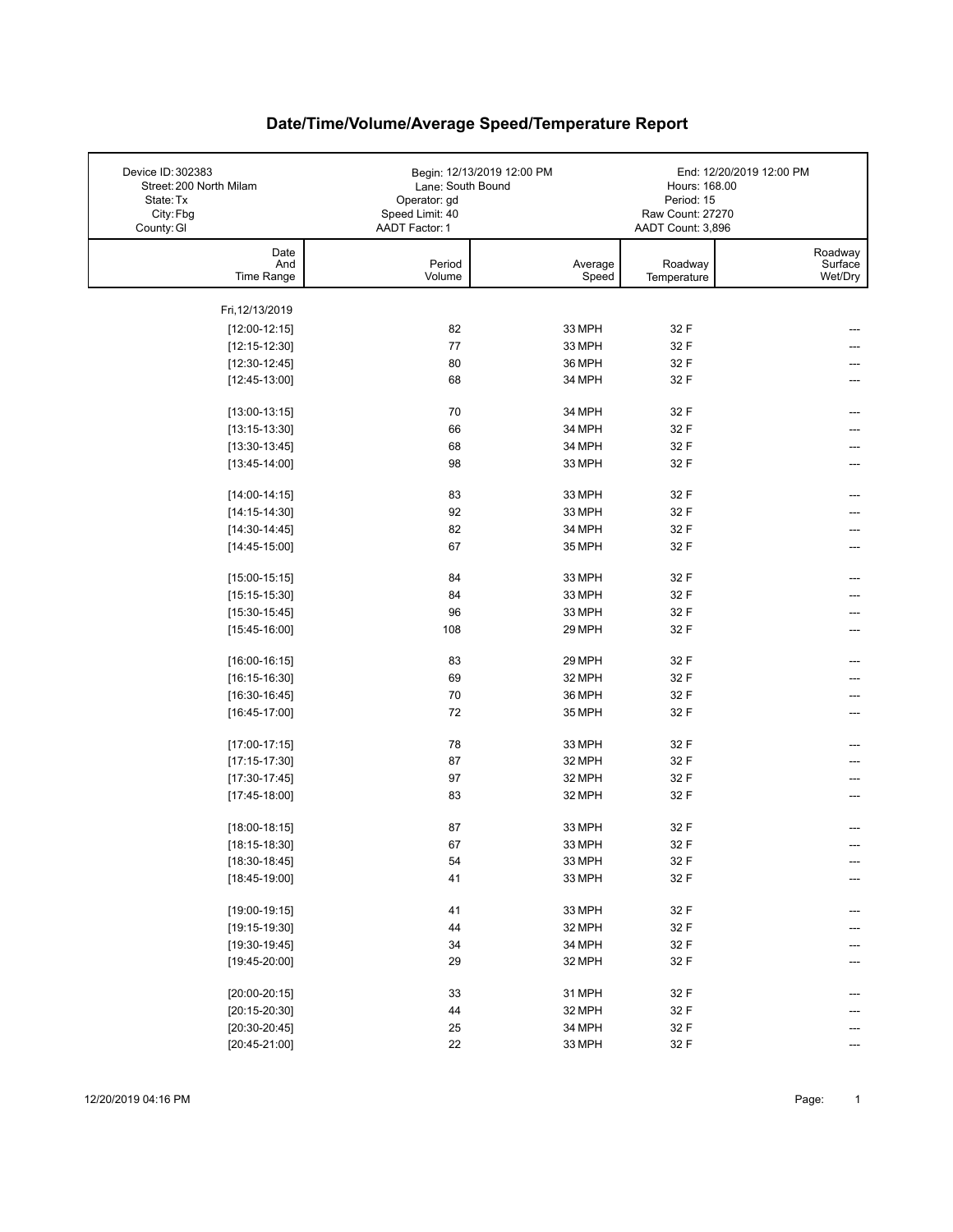| Device ID: 302383<br>Street: 200 North Milam<br>State: Tx<br>City: Fbg | Lane: South Bound<br>Operator: gd<br>Speed Limit: 40 | Begin: 12/13/2019 12:00 PM | Hours: 168.00<br>Period: 15<br>Raw Count: 27270 | End: 12/20/2019 12:00 PM |
|------------------------------------------------------------------------|------------------------------------------------------|----------------------------|-------------------------------------------------|--------------------------|
| County: GI<br>Date<br>And                                              | <b>AADT Factor: 1</b><br>Period                      | Average                    | AADT Count: 3,896<br>Roadway                    | Roadway<br>Surface       |
| Time Range                                                             | Volume                                               | Speed                      | Temperature                                     | Wet/Dry                  |
| Fri, 12/13/2019                                                        |                                                      |                            |                                                 |                          |
| $[12:00-12:15]$                                                        | 82                                                   | 33 MPH                     | 32 F                                            |                          |
| $[12:15-12:30]$                                                        | 77                                                   | 33 MPH                     | 32 F                                            |                          |
| $[12:30-12:45]$                                                        | 80                                                   | 36 MPH                     | 32 F                                            |                          |
| $[12:45-13:00]$                                                        | 68                                                   | 34 MPH                     | 32 F                                            |                          |
|                                                                        |                                                      |                            |                                                 |                          |
| $[13:00-13:15]$                                                        | 70                                                   | 34 MPH                     | 32 F                                            | ---                      |
| $[13:15-13:30]$                                                        | 66                                                   | 34 MPH                     | 32 F                                            |                          |
| $[13:30-13:45]$                                                        | 68                                                   | 34 MPH                     | 32 F                                            | ---                      |
| $[13:45-14:00]$                                                        | 98                                                   | 33 MPH                     | 32 F                                            | ---                      |
| $[14:00-14:15]$                                                        | 83                                                   | 33 MPH                     | 32 F                                            | ---                      |
| $[14:15-14:30]$                                                        | 92                                                   | 33 MPH                     | 32 F                                            |                          |
| $[14:30-14:45]$                                                        | 82                                                   | 34 MPH                     | 32 F                                            |                          |
| $[14:45-15:00]$                                                        | 67                                                   | 35 MPH                     | 32 F                                            |                          |
|                                                                        |                                                      |                            |                                                 |                          |
| $[15:00-15:15]$                                                        | 84                                                   | 33 MPH                     | 32 F                                            |                          |
| $[15:15-15:30]$                                                        | 84                                                   | 33 MPH                     | 32 F                                            |                          |
| $[15:30-15:45]$                                                        | 96                                                   | 33 MPH                     | 32 F                                            |                          |
| $[15:45-16:00]$                                                        | 108                                                  | 29 MPH                     | 32 F                                            | ---                      |
| $[16:00-16:15]$                                                        | 83                                                   | 29 MPH                     | 32 F                                            |                          |
| $[16:15-16:30]$                                                        | 69                                                   | 32 MPH                     | 32 F                                            |                          |
| $[16:30-16:45]$                                                        | 70                                                   | 36 MPH                     | 32 F                                            |                          |
| $[16:45-17:00]$                                                        | 72                                                   | 35 MPH                     | 32 F                                            |                          |
|                                                                        |                                                      |                            |                                                 |                          |
| $[17:00-17:15]$                                                        | 78                                                   | 33 MPH                     | 32 F                                            |                          |
| $[17:15-17:30]$                                                        | 87                                                   | 32 MPH                     | 32 F                                            |                          |
| $[17:30-17:45]$                                                        | 97                                                   | 32 MPH                     | 32 F                                            |                          |
| $[17:45-18:00]$                                                        | 83                                                   | 32 MPH                     | 32 F                                            |                          |
|                                                                        | 87                                                   | 33 MPH                     | 32 F                                            |                          |
| $[18:00-18:15]$                                                        | 67                                                   |                            |                                                 |                          |
| $[18:15-18:30]$<br>$[18:30-18:45]$                                     | 54                                                   | 33 MPH<br>33 MPH           | 32 F<br>32 F                                    |                          |
| $[18:45-19:00]$                                                        | 41                                                   | 33 MPH                     | 32 F                                            | ---                      |
|                                                                        |                                                      |                            |                                                 |                          |
| $[19:00-19:15]$                                                        | 41                                                   | 33 MPH                     | 32 F                                            | ---                      |
| $[19:15-19:30]$                                                        | 44                                                   | 32 MPH                     | 32 F                                            |                          |
| $[19:30-19:45]$                                                        | 34                                                   | 34 MPH                     | 32 F                                            |                          |
| $[19:45-20:00]$                                                        | 29                                                   | 32 MPH                     | 32 F                                            | ---                      |
|                                                                        |                                                      |                            |                                                 |                          |
| $[20:00-20:15]$                                                        | 33                                                   | 31 MPH                     | 32 F                                            |                          |
| $[20:15-20:30]$                                                        | 44                                                   | 32 MPH                     | 32 F                                            |                          |
| $[20:30-20:45]$                                                        | 25                                                   | 34 MPH                     | 32 F                                            |                          |
| $[20:45-21:00]$                                                        | 22                                                   | 33 MPH                     | 32 F                                            |                          |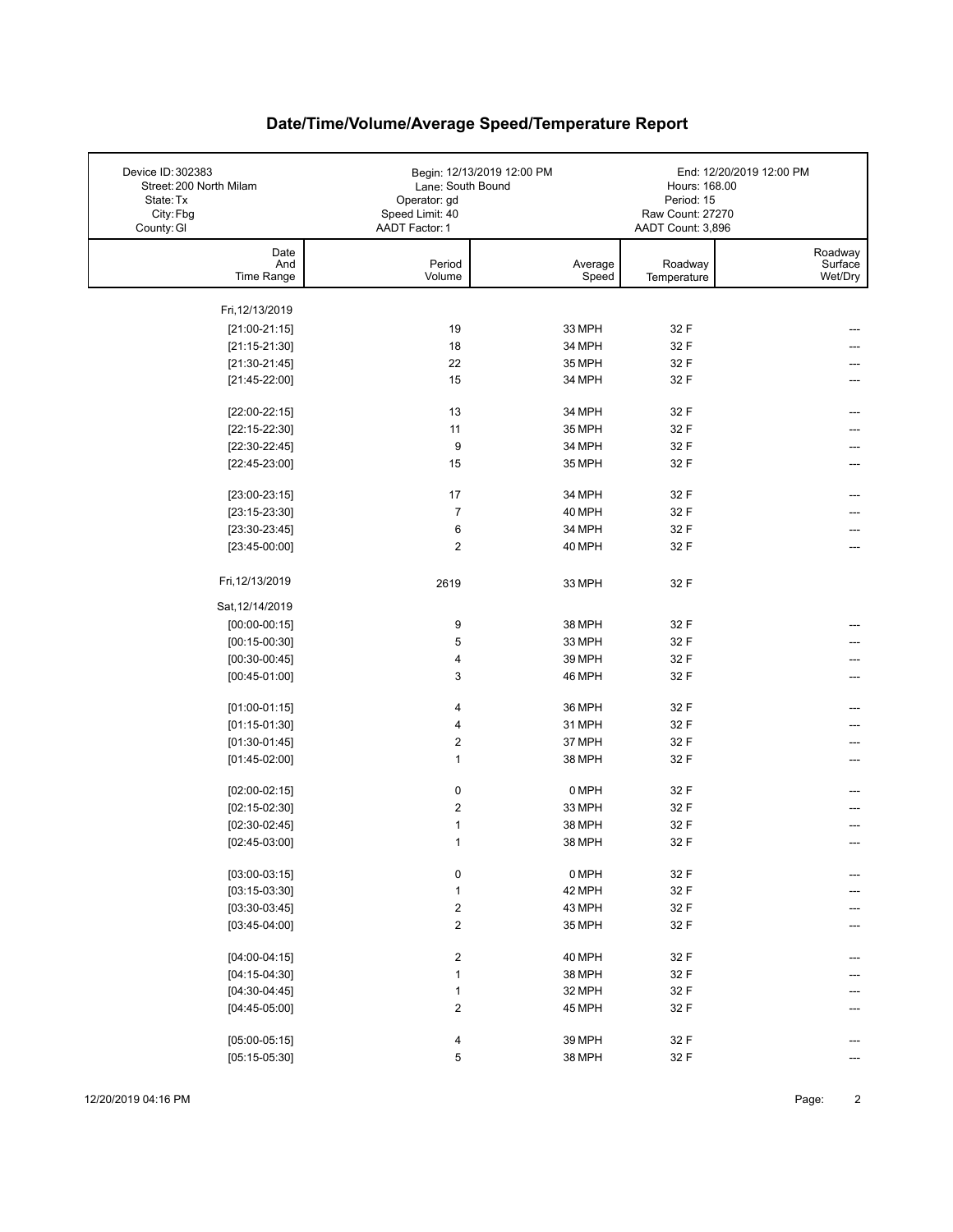| Device ID: 302383<br>Street: 200 North Milam<br>State: Tx<br>City: Fbg<br>County: GI | Lane: South Bound<br>Operator: gd<br>Speed Limit: 40<br>AADT Factor: 1 | Begin: 12/13/2019 12:00 PM | Hours: 168.00<br>Period: 15<br>Raw Count: 27270<br>AADT Count: 3,896 | End: 12/20/2019 12:00 PM      |
|--------------------------------------------------------------------------------------|------------------------------------------------------------------------|----------------------------|----------------------------------------------------------------------|-------------------------------|
| Date<br>And<br>Time Range                                                            | Period<br>Volume                                                       | Average<br>Speed           | Roadway                                                              | Roadway<br>Surface<br>Wet/Dry |
|                                                                                      |                                                                        |                            | Temperature                                                          |                               |
| Fri, 12/13/2019                                                                      |                                                                        |                            |                                                                      |                               |
| $[21:00-21:15]$                                                                      | 19                                                                     | 33 MPH                     | 32 F                                                                 |                               |
| $[21:15-21:30]$                                                                      | 18                                                                     | 34 MPH                     | 32 F                                                                 |                               |
| $[21:30-21:45]$                                                                      | 22                                                                     | 35 MPH                     | 32 F                                                                 |                               |
| $[21:45-22:00]$                                                                      | 15                                                                     | 34 MPH                     | 32 F                                                                 |                               |
|                                                                                      |                                                                        |                            |                                                                      |                               |
| $[22:00-22:15]$                                                                      | 13                                                                     | 34 MPH                     | 32 F                                                                 |                               |
| $[22:15-22:30]$                                                                      | 11                                                                     | 35 MPH                     | 32 F                                                                 |                               |
| $[22:30-22:45]$                                                                      | 9                                                                      | 34 MPH                     | 32 F                                                                 | ---                           |
| $[22:45-23:00]$                                                                      | 15                                                                     | 35 MPH                     | 32 F                                                                 |                               |
|                                                                                      | 17                                                                     | 34 MPH                     | 32 F                                                                 |                               |
| $[23:00-23:15]$<br>$[23:15-23:30]$                                                   | $\overline{7}$                                                         | 40 MPH                     | 32 F                                                                 |                               |
| $[23:30-23:45]$                                                                      | 6                                                                      | 34 MPH                     | 32 F                                                                 |                               |
| $[23:45-00:00]$                                                                      | $\overline{2}$                                                         | 40 MPH                     | 32 F                                                                 |                               |
|                                                                                      |                                                                        |                            |                                                                      |                               |
| Fri, 12/13/2019                                                                      | 2619                                                                   | 33 MPH                     | 32 F                                                                 |                               |
| Sat, 12/14/2019                                                                      |                                                                        |                            |                                                                      |                               |
| $[00:00-00:15]$                                                                      | 9                                                                      | 38 MPH                     | 32 F                                                                 |                               |
| $[00:15-00:30]$                                                                      | 5                                                                      | 33 MPH                     | 32 F                                                                 |                               |
| $[00:30-00:45]$                                                                      | 4                                                                      | 39 MPH                     | 32 F                                                                 |                               |
| $[00:45-01:00]$                                                                      | 3                                                                      | 46 MPH                     | 32 F                                                                 |                               |
|                                                                                      |                                                                        |                            |                                                                      |                               |
| $[01:00-01:15]$                                                                      | 4                                                                      | 36 MPH                     | 32 F                                                                 | ---                           |
| $[01:15-01:30]$                                                                      | 4                                                                      | 31 MPH                     | 32 F                                                                 |                               |
| $[01:30-01:45]$                                                                      | $\boldsymbol{2}$                                                       | 37 MPH                     | 32 F                                                                 |                               |
| $[01:45-02:00]$                                                                      | $\mathbf{1}$                                                           | 38 MPH                     | 32 F                                                                 | ---                           |
| $[02:00-02:15]$                                                                      | $\pmb{0}$                                                              | 0 MPH                      | 32 F                                                                 | ---                           |
| $[02:15-02:30]$                                                                      | $\boldsymbol{2}$                                                       | 33 MPH                     | 32 F                                                                 |                               |
| $[02:30-02:45]$                                                                      | 1                                                                      | 38 MPH                     | 32 F                                                                 |                               |
| $[02:45-03:00]$                                                                      | 1                                                                      | 38 MPH                     | 32 F                                                                 |                               |
|                                                                                      |                                                                        |                            |                                                                      |                               |
| $[03:00-03:15]$                                                                      | 0                                                                      | 0 MPH                      | 32 F                                                                 |                               |
| $[03:15-03:30]$                                                                      | $\mathbf{1}$                                                           | 42 MPH                     | 32 F                                                                 |                               |
| $[03:30-03:45]$                                                                      | $\boldsymbol{2}$                                                       | 43 MPH                     | 32 F                                                                 |                               |
| $[03:45-04:00]$                                                                      | $\boldsymbol{2}$                                                       | 35 MPH                     | 32 F                                                                 |                               |
| $[04:00-04:15]$                                                                      | $\overline{\mathbf{c}}$                                                | 40 MPH                     | 32 F                                                                 |                               |
| $[04:15-04:30]$                                                                      | $\mathbf{1}$                                                           | 38 MPH                     | 32 F                                                                 |                               |
| $[04:30-04:45]$                                                                      | $\mathbf{1}$                                                           | 32 MPH                     | 32 F                                                                 |                               |
| $[04:45-05:00]$                                                                      | $\boldsymbol{2}$                                                       | 45 MPH                     | 32 F                                                                 |                               |
|                                                                                      |                                                                        |                            |                                                                      |                               |
| $[05:00-05:15]$                                                                      | 4                                                                      | 39 MPH                     | 32 F                                                                 |                               |
| $[05:15-05:30]$                                                                      | 5                                                                      | 38 MPH                     | 32 F                                                                 | ---                           |

12/20/2019 04:16 PM Page: 2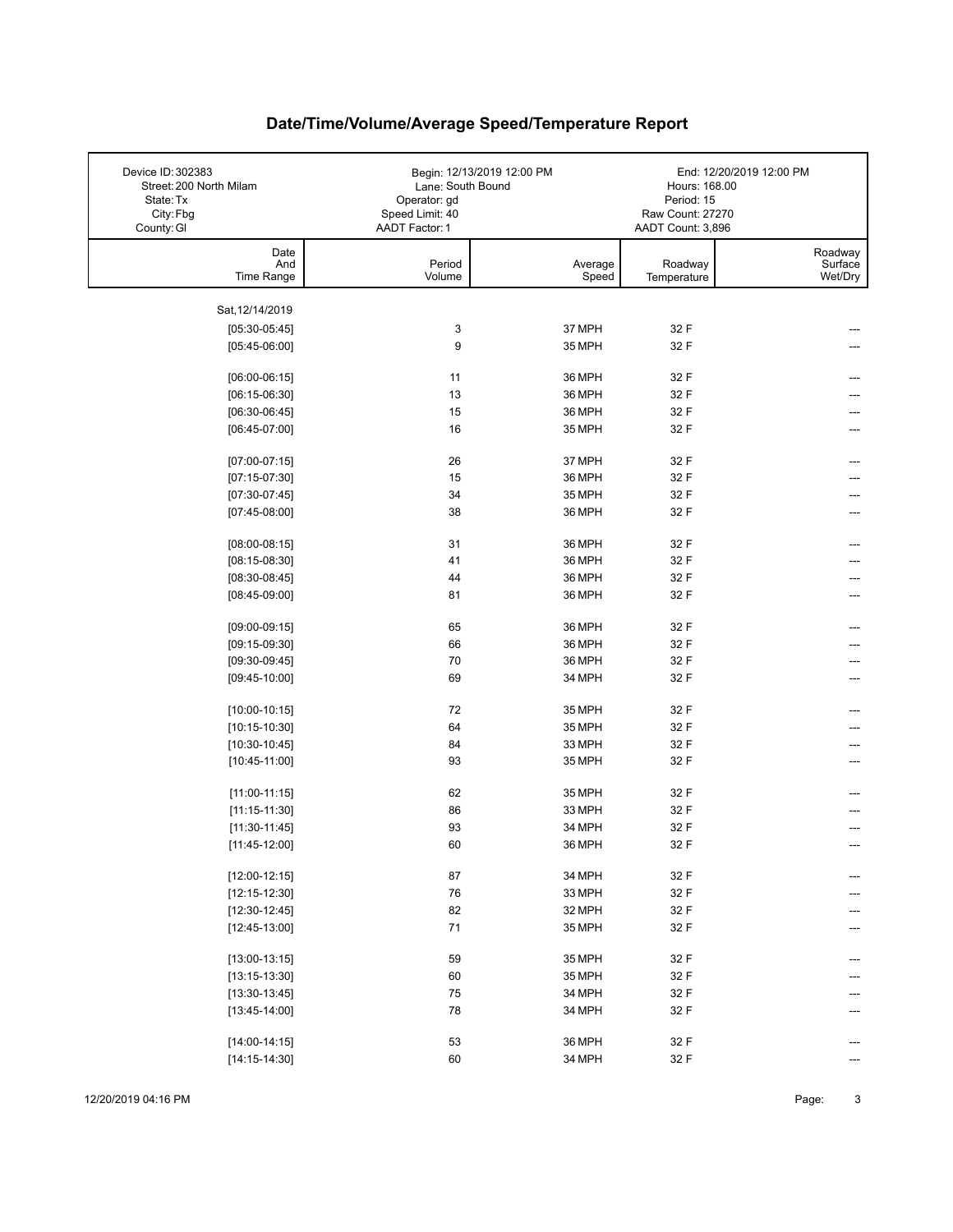| Device ID: 302383<br>Street: 200 North Milam<br>State: Tx<br>City: Fbg<br>County: GI | Lane: South Bound<br>Operator: gd<br>Speed Limit: 40<br>AADT Factor: 1 | Begin: 12/13/2019 12:00 PM | Hours: 168.00<br>Period: 15<br>Raw Count: 27270<br>AADT Count: 3,896 | End: 12/20/2019 12:00 PM      |
|--------------------------------------------------------------------------------------|------------------------------------------------------------------------|----------------------------|----------------------------------------------------------------------|-------------------------------|
| Date<br>And<br>Time Range                                                            | Period<br>Volume                                                       | Average<br>Speed           | Roadway<br>Temperature                                               | Roadway<br>Surface<br>Wet/Dry |
| Sat, 12/14/2019                                                                      |                                                                        |                            |                                                                      |                               |
|                                                                                      | 3                                                                      | 37 MPH                     | 32 F                                                                 |                               |
| $[05:30-05:45]$<br>$[05:45-06:00]$                                                   | 9                                                                      | 35 MPH                     | 32 F                                                                 |                               |
|                                                                                      |                                                                        |                            |                                                                      |                               |
| $[06:00-06:15]$                                                                      | 11                                                                     | 36 MPH                     | 32 F                                                                 |                               |
| $[06:15-06:30]$                                                                      | 13                                                                     | 36 MPH                     | 32 F                                                                 |                               |
| $[06:30-06:45]$                                                                      | 15                                                                     | 36 MPH                     | 32 F                                                                 |                               |
| $[06:45-07:00]$                                                                      | 16                                                                     | 35 MPH                     | 32 F                                                                 | ---                           |
|                                                                                      |                                                                        |                            |                                                                      |                               |
| $[07:00-07:15]$                                                                      | 26                                                                     | 37 MPH                     | 32 F                                                                 |                               |
| $[07:15-07:30]$                                                                      | 15                                                                     | 36 MPH                     | 32 F                                                                 |                               |
| $[07:30-07:45]$<br>$[07:45-08:00]$                                                   | 34<br>38                                                               | 35 MPH<br>36 MPH           | 32 F<br>32 F                                                         | ---                           |
|                                                                                      |                                                                        |                            |                                                                      |                               |
| $[08:00-08:15]$                                                                      | 31                                                                     | 36 MPH                     | 32 F                                                                 |                               |
| $[08:15-08:30]$                                                                      | 41                                                                     | 36 MPH                     | 32 F                                                                 |                               |
| $[08:30-08:45]$                                                                      | 44                                                                     | 36 MPH                     | 32 F                                                                 |                               |
| $[08:45-09:00]$                                                                      | 81                                                                     | 36 MPH                     | 32 F                                                                 |                               |
|                                                                                      |                                                                        |                            |                                                                      |                               |
| $[09:00-09:15]$                                                                      | 65                                                                     | 36 MPH                     | 32 F                                                                 |                               |
| $[09:15-09:30]$                                                                      | 66                                                                     | 36 MPH                     | 32 F                                                                 |                               |
| $[09:30-09:45]$                                                                      | 70                                                                     | 36 MPH                     | 32 F                                                                 |                               |
| $[09:45-10:00]$                                                                      | 69                                                                     | 34 MPH                     | 32 F                                                                 |                               |
| $[10:00-10:15]$                                                                      | 72                                                                     | 35 MPH                     | 32 F                                                                 | ---                           |
| $[10:15-10:30]$                                                                      | 64                                                                     | 35 MPH                     | 32 F                                                                 |                               |
| $[10:30-10:45]$                                                                      | 84                                                                     | 33 MPH                     | 32 F                                                                 |                               |
| $[10:45-11:00]$                                                                      | 93                                                                     | 35 MPH                     | 32 F                                                                 |                               |
|                                                                                      |                                                                        |                            |                                                                      |                               |
| $[11:00-11:15]$                                                                      | 62                                                                     | 35 MPH                     | 32 F                                                                 | ---                           |
| $[11:15-11:30]$                                                                      | 86                                                                     | 33 MPH                     | 32 F                                                                 |                               |
| $[11:30-11:45]$                                                                      | 93                                                                     | 34 MPH                     | 32 F                                                                 |                               |
| $[11:45-12:00]$                                                                      | 60                                                                     | 36 MPH                     | 32 F                                                                 |                               |
| $[12:00-12:15]$                                                                      | 87                                                                     | 34 MPH                     | 32 F                                                                 | ---                           |
| $[12:15-12:30]$                                                                      | 76                                                                     | 33 MPH                     | 32 F                                                                 |                               |
| $[12:30-12:45]$                                                                      | 82                                                                     | 32 MPH                     | 32 F                                                                 |                               |
| $[12:45-13:00]$                                                                      | 71                                                                     | 35 MPH                     | 32 F                                                                 |                               |
|                                                                                      |                                                                        |                            |                                                                      |                               |
| $[13:00-13:15]$                                                                      | 59                                                                     | 35 MPH                     | 32 F                                                                 |                               |
| $[13:15-13:30]$                                                                      | 60                                                                     | 35 MPH                     | 32 F                                                                 |                               |
| $[13:30-13:45]$                                                                      | 75                                                                     | 34 MPH                     | 32 F                                                                 |                               |
| $[13:45-14:00]$                                                                      | 78                                                                     | 34 MPH                     | 32 F                                                                 |                               |
|                                                                                      |                                                                        |                            |                                                                      |                               |
| $[14:00-14:15]$                                                                      | 53                                                                     | 36 MPH                     | 32 F                                                                 |                               |
| $[14:15-14:30]$                                                                      | 60                                                                     | 34 MPH                     | 32 F                                                                 |                               |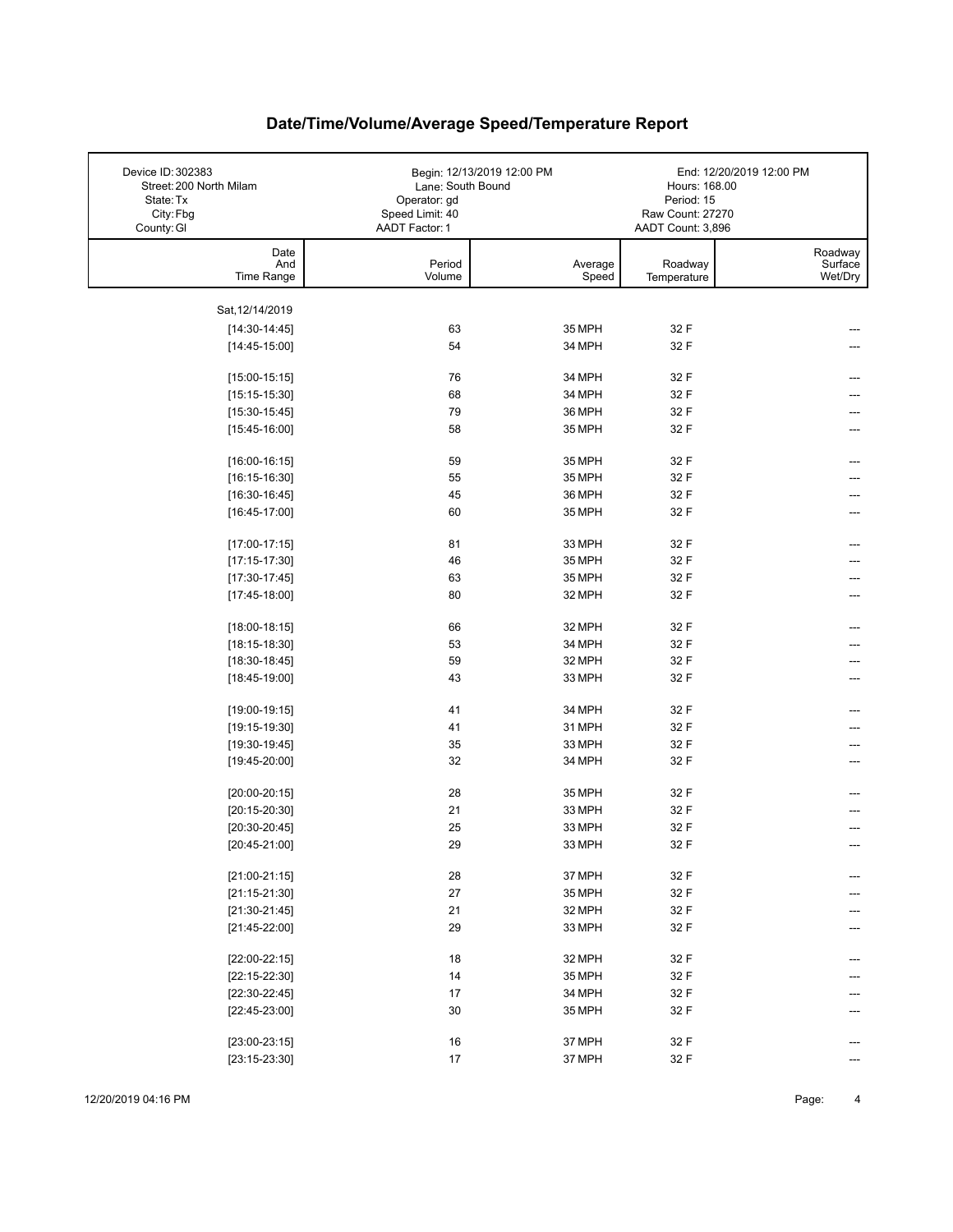| Device ID: 302383<br>Street: 200 North Milam<br>State: Tx<br>City: Fbg<br>County: GI | Lane: South Bound<br>Operator: gd<br>Speed Limit: 40<br>AADT Factor: 1 | Begin: 12/13/2019 12:00 PM | Hours: 168.00<br>Period: 15<br>Raw Count: 27270<br>AADT Count: 3,896 | End: 12/20/2019 12:00 PM      |
|--------------------------------------------------------------------------------------|------------------------------------------------------------------------|----------------------------|----------------------------------------------------------------------|-------------------------------|
| Date<br>And<br>Time Range                                                            | Period<br>Volume                                                       | Average<br>Speed           | Roadway<br>Temperature                                               | Roadway<br>Surface<br>Wet/Dry |
|                                                                                      |                                                                        |                            |                                                                      |                               |
| Sat, 12/14/2019                                                                      |                                                                        |                            |                                                                      |                               |
| $[14:30-14:45]$                                                                      | 63                                                                     | 35 MPH                     | 32 F                                                                 |                               |
| $[14:45-15:00]$                                                                      | 54                                                                     | 34 MPH                     | 32 F                                                                 |                               |
| $[15:00-15:15]$                                                                      | 76                                                                     | 34 MPH                     | 32 F                                                                 |                               |
| $[15:15-15:30]$                                                                      | 68                                                                     | 34 MPH                     | 32 F                                                                 |                               |
| $[15:30-15:45]$                                                                      | 79                                                                     | 36 MPH                     | 32 F                                                                 |                               |
| $[15:45-16:00]$                                                                      | 58                                                                     | 35 MPH                     | 32 F                                                                 |                               |
|                                                                                      |                                                                        |                            |                                                                      |                               |
| $[16:00-16:15]$                                                                      | 59                                                                     | 35 MPH                     | 32 F                                                                 |                               |
| $[16:15-16:30]$                                                                      | 55                                                                     | 35 MPH                     | 32 F                                                                 |                               |
| $[16:30-16:45]$                                                                      | 45                                                                     | 36 MPH                     | 32 F                                                                 |                               |
| $[16:45-17:00]$                                                                      | 60                                                                     | 35 MPH                     | 32 F                                                                 |                               |
| $[17:00-17:15]$                                                                      | 81                                                                     | 33 MPH                     | 32 F                                                                 |                               |
| $[17:15-17:30]$                                                                      | 46                                                                     | 35 MPH                     | 32 F                                                                 |                               |
| $[17:30-17:45]$                                                                      | 63                                                                     | 35 MPH                     | 32 F                                                                 |                               |
| $[17:45-18:00]$                                                                      | 80                                                                     | 32 MPH                     | 32 F                                                                 |                               |
|                                                                                      |                                                                        |                            |                                                                      |                               |
| $[18:00-18:15]$                                                                      | 66                                                                     | 32 MPH                     | 32 F                                                                 |                               |
| $[18:15-18:30]$                                                                      | 53                                                                     | 34 MPH                     | 32 F                                                                 |                               |
| $[18:30-18:45]$                                                                      | 59                                                                     | 32 MPH                     | 32 F                                                                 |                               |
| $[18:45-19:00]$                                                                      | 43                                                                     | 33 MPH                     | 32 F                                                                 |                               |
|                                                                                      |                                                                        |                            |                                                                      |                               |
| $[19:00-19:15]$                                                                      | 41                                                                     | 34 MPH                     | 32 F                                                                 |                               |
| $[19:15-19:30]$                                                                      | 41                                                                     | 31 MPH                     | 32 F                                                                 |                               |
| $[19:30-19:45]$<br>[19:45-20:00]                                                     | 35<br>32                                                               | 33 MPH                     | 32 F                                                                 |                               |
|                                                                                      |                                                                        | 34 MPH                     | 32 F                                                                 |                               |
| $[20:00-20:15]$                                                                      | 28                                                                     | 35 MPH                     | 32 F                                                                 |                               |
| $[20:15-20:30]$                                                                      | 21                                                                     | 33 MPH                     | 32 F                                                                 |                               |
| $[20:30-20:45]$                                                                      | 25                                                                     | 33 MPH                     | 32 F                                                                 |                               |
| $[20:45-21:00]$                                                                      | 29                                                                     | 33 MPH                     | 32 F                                                                 |                               |
|                                                                                      |                                                                        |                            |                                                                      |                               |
| $[21:00-21:15]$                                                                      | 28                                                                     | 37 MPH                     | 32 F                                                                 | ---                           |
| $[21:15-21:30]$                                                                      | 27                                                                     | 35 MPH                     | 32 F                                                                 |                               |
| $[21:30-21:45]$                                                                      | 21                                                                     | 32 MPH                     | 32 F                                                                 |                               |
| $[21:45-22:00]$                                                                      | 29                                                                     | 33 MPH                     | 32 F                                                                 |                               |
| $[22:00-22:15]$                                                                      | 18                                                                     | 32 MPH                     | 32 F                                                                 |                               |
| $[22:15-22:30]$                                                                      | 14                                                                     | 35 MPH                     | 32 F                                                                 |                               |
| $[22:30-22:45]$                                                                      | 17                                                                     | 34 MPH                     | 32 F                                                                 |                               |
| $[22:45-23:00]$                                                                      | 30                                                                     | 35 MPH                     | 32 F                                                                 |                               |
|                                                                                      |                                                                        |                            |                                                                      |                               |
| $[23:00-23:15]$                                                                      | 16                                                                     | 37 MPH                     | 32 F                                                                 |                               |
| $[23:15-23:30]$                                                                      | 17                                                                     | 37 MPH                     | 32 F                                                                 |                               |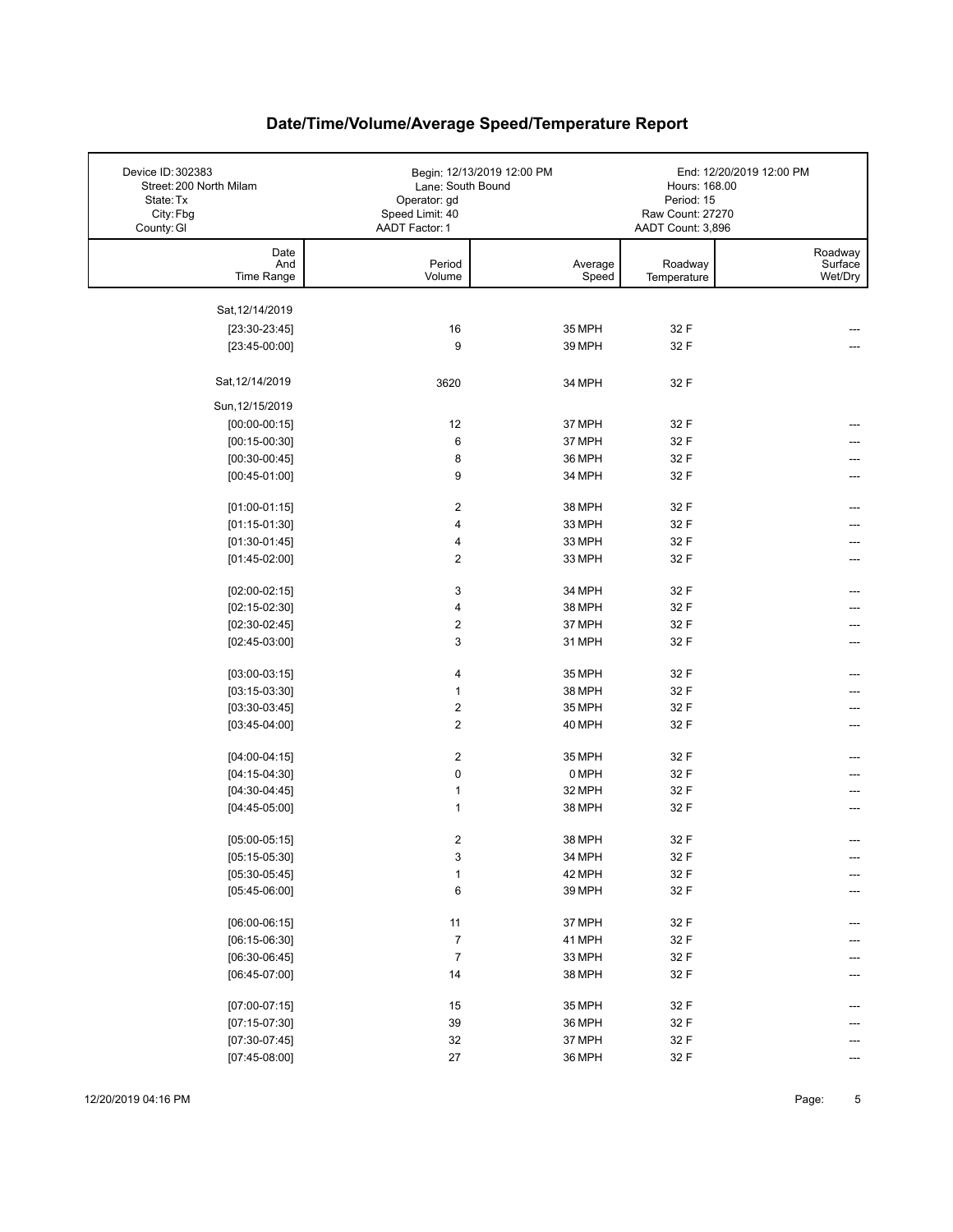| Device ID: 302383<br>Street: 200 North Milam<br>State: Tx<br>City: Fbg | Lane: South Bound<br>Operator: gd<br>Speed Limit: 40 | Begin: 12/13/2019 12:00 PM | Hours: 168.00<br>Period: 15<br>Raw Count: 27270 | End: 12/20/2019 12:00 PM      |
|------------------------------------------------------------------------|------------------------------------------------------|----------------------------|-------------------------------------------------|-------------------------------|
| County: GI                                                             | AADT Factor: 1                                       |                            | AADT Count: 3,896                               |                               |
| Date<br>And<br>Time Range                                              | Period<br>Volume                                     | Average<br>Speed           | Roadway<br>Temperature                          | Roadway<br>Surface<br>Wet/Dry |
|                                                                        |                                                      |                            |                                                 |                               |
| Sat, 12/14/2019                                                        |                                                      |                            |                                                 |                               |
| $[23:30-23:45]$<br>$[23:45-00:00]$                                     | 16<br>9                                              | 35 MPH<br>39 MPH           | 32 F<br>32 F                                    |                               |
|                                                                        |                                                      |                            |                                                 |                               |
| Sat, 12/14/2019                                                        | 3620                                                 | 34 MPH                     | 32 F                                            |                               |
| Sun, 12/15/2019                                                        |                                                      |                            |                                                 |                               |
| $[00:00-00:15]$                                                        | 12                                                   | 37 MPH                     | 32 F                                            |                               |
| $[00:15-00:30]$                                                        | 6                                                    | 37 MPH                     | 32 F                                            |                               |
| $[00:30-00:45]$                                                        | 8                                                    | 36 MPH                     | 32 F                                            |                               |
| $[00:45-01:00]$                                                        | 9                                                    | 34 MPH                     | 32 F                                            |                               |
| $[01:00-01:15]$                                                        | $\overline{2}$                                       | 38 MPH                     | 32 F                                            | ---                           |
| $[01:15-01:30]$                                                        | $\overline{\mathbf{4}}$                              | 33 MPH                     | 32 F                                            |                               |
| $[01:30-01:45]$                                                        | 4                                                    | 33 MPH                     | 32 F                                            | ---                           |
| $[01:45-02:00]$                                                        | $\overline{2}$                                       | 33 MPH                     | 32 F                                            | ---                           |
|                                                                        |                                                      |                            |                                                 |                               |
| $[02:00-02:15]$                                                        | 3                                                    | 34 MPH                     | 32 F                                            |                               |
| $[02:15-02:30]$<br>$[02:30-02:45]$                                     | $\overline{\mathbf{4}}$<br>$\boldsymbol{2}$          | 38 MPH<br>37 MPH           | 32 F<br>32 F                                    |                               |
| $[02:45-03:00]$                                                        | 3                                                    | 31 MPH                     | 32 F                                            |                               |
|                                                                        |                                                      |                            |                                                 |                               |
| $[03:00-03:15]$                                                        | 4                                                    | 35 MPH                     | 32 F                                            | ---                           |
| $[03:15-03:30]$                                                        | $\mathbf{1}$                                         | 38 MPH                     | 32 F                                            |                               |
| $[03:30-03:45]$                                                        | $\boldsymbol{2}$                                     | 35 MPH                     | 32 F                                            |                               |
| $[03:45-04:00]$                                                        | $\boldsymbol{2}$                                     | 40 MPH                     | 32 F                                            | ---                           |
| $[04:00-04:15]$                                                        | $\boldsymbol{2}$                                     | 35 MPH                     | 32 F                                            | ---                           |
| $[04:15-04:30]$                                                        | $\pmb{0}$                                            | 0 MPH                      | 32 F                                            |                               |
| $[04:30-04:45]$                                                        | $\mathbf{1}$                                         | 32 MPH                     | 32 F                                            |                               |
| $[04:45-05:00]$                                                        | $\mathbf{1}$                                         | 38 MPH                     | 32 F                                            |                               |
|                                                                        | $\overline{2}$                                       | 38 MPH                     | 32 F                                            | $---$                         |
| $[05:00-05:15]$<br>$[05:15-05:30]$                                     | 3                                                    | 34 MPH                     | 32 F                                            |                               |
| $[05:30-05:45]$                                                        | $\mathbf{1}$                                         | 42 MPH                     | 32 F                                            |                               |
| $[05:45-06:00]$                                                        | 6                                                    | 39 MPH                     | 32 F                                            |                               |
|                                                                        |                                                      |                            |                                                 |                               |
| $[06:00-06:15]$                                                        | 11                                                   | 37 MPH                     | 32 F                                            | ---                           |
| $[06:15-06:30]$                                                        | $\overline{7}$                                       | 41 MPH                     | 32 F                                            |                               |
| $[06:30-06:45]$                                                        | $\boldsymbol{7}$                                     | 33 MPH                     | 32 F                                            |                               |
| $[06:45-07:00]$                                                        | 14                                                   | 38 MPH                     | 32 F                                            |                               |
| $[07:00-07:15]$                                                        | 15                                                   | 35 MPH                     | 32 F                                            |                               |
| $[07:15-07:30]$                                                        | 39                                                   | 36 MPH                     | 32 F                                            |                               |
| $[07:30-07:45]$                                                        | 32                                                   | 37 MPH                     | 32 F                                            |                               |
| $[07:45-08:00]$                                                        | 27                                                   | 36 MPH                     | 32 F                                            | ---                           |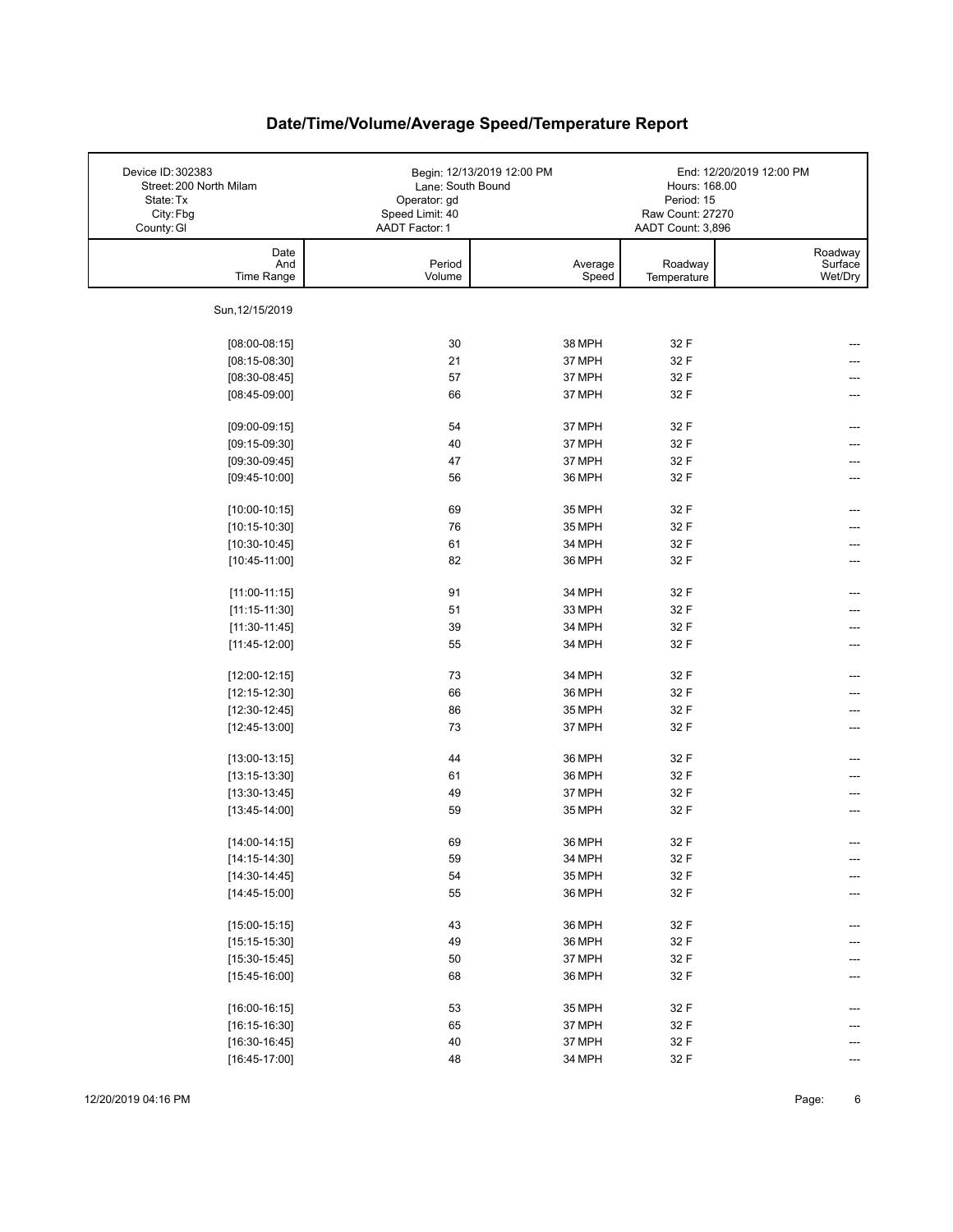| Device ID: 302383<br>Street: 200 North Milam<br>State: Tx<br>City: Fbg<br>County: GI | Lane: South Bound<br>Operator: gd<br>Speed Limit: 40<br>AADT Factor: 1 | Begin: 12/13/2019 12:00 PM | Hours: 168.00<br>Period: 15<br>Raw Count: 27270<br>AADT Count: 3,896 | End: 12/20/2019 12:00 PM      |
|--------------------------------------------------------------------------------------|------------------------------------------------------------------------|----------------------------|----------------------------------------------------------------------|-------------------------------|
| Date<br>And<br>Time Range                                                            | Period<br>Volume                                                       | Average<br>Speed           | Roadway<br>Temperature                                               | Roadway<br>Surface<br>Wet/Dry |
| Sun, 12/15/2019                                                                      |                                                                        |                            |                                                                      |                               |
| $[08:00-08:15]$                                                                      | 30                                                                     | 38 MPH                     | 32 F                                                                 |                               |
| $[08:15-08:30]$                                                                      | 21                                                                     | 37 MPH                     | 32 F                                                                 |                               |
| $[08:30-08:45]$                                                                      | 57                                                                     | 37 MPH                     | 32 F                                                                 |                               |
| $[08:45-09:00]$                                                                      | 66                                                                     | 37 MPH                     | 32 F                                                                 |                               |
|                                                                                      |                                                                        |                            |                                                                      |                               |
| $[09:00-09:15]$                                                                      | 54                                                                     | 37 MPH                     | 32 F                                                                 |                               |
| $[09:15-09:30]$                                                                      | 40                                                                     | 37 MPH                     | 32 F                                                                 |                               |
| $[09:30-09:45]$                                                                      | 47                                                                     | 37 MPH                     | 32 F                                                                 |                               |
| $[09:45-10:00]$                                                                      | 56                                                                     | 36 MPH                     | 32 F                                                                 |                               |
|                                                                                      |                                                                        |                            |                                                                      |                               |
| $[10:00-10:15]$                                                                      | 69                                                                     | 35 MPH                     | 32 F                                                                 |                               |
| $[10:15-10:30]$                                                                      | 76                                                                     | 35 MPH                     | 32 F                                                                 |                               |
| $[10:30-10:45]$                                                                      | 61                                                                     | 34 MPH                     | 32 F                                                                 |                               |
| $[10:45-11:00]$                                                                      | 82                                                                     | 36 MPH                     | 32 F                                                                 |                               |
| $[11:00-11:15]$                                                                      | 91                                                                     | 34 MPH                     | 32 F                                                                 |                               |
| $[11:15-11:30]$                                                                      | 51                                                                     | 33 MPH                     | 32 F                                                                 |                               |
| $[11:30-11:45]$                                                                      | 39                                                                     | 34 MPH                     | 32 F                                                                 |                               |
| $[11:45-12:00]$                                                                      | 55                                                                     | 34 MPH                     | 32 F                                                                 |                               |
| $[12:00-12:15]$                                                                      | 73                                                                     | 34 MPH                     | 32 F                                                                 | ---                           |
| $[12:15-12:30]$                                                                      | 66                                                                     | 36 MPH                     | 32 F                                                                 |                               |
| $[12:30-12:45]$                                                                      | 86                                                                     | 35 MPH                     | 32 F                                                                 | ---                           |
| $[12:45-13:00]$                                                                      | 73                                                                     | 37 MPH                     | 32 F                                                                 | ---                           |
| $[13:00-13:15]$                                                                      | 44                                                                     | 36 MPH                     | 32 F                                                                 |                               |
| $[13:15-13:30]$                                                                      | 61                                                                     | 36 MPH                     | 32 F                                                                 |                               |
| $[13:30-13:45]$                                                                      | 49                                                                     | 37 MPH                     | 32 F                                                                 |                               |
| $[13:45-14:00]$                                                                      | 59                                                                     | 35 MPH                     | 32 F                                                                 |                               |
| $[14:00-14:15]$                                                                      | 69                                                                     | 36 MPH                     | 32 F                                                                 |                               |
| $[14:15-14:30]$                                                                      | 59                                                                     | 34 MPH                     | 32 F                                                                 | ---                           |
| $[14:30-14:45]$                                                                      | 54                                                                     | 35 MPH                     | 32 F                                                                 | ---                           |
| $[14:45-15:00]$                                                                      | 55                                                                     | 36 MPH                     | 32 F                                                                 |                               |
|                                                                                      |                                                                        |                            |                                                                      |                               |
| $[15:00-15:15]$                                                                      | 43                                                                     | 36 MPH                     | 32 F                                                                 | ---                           |
| $[15:15-15:30]$                                                                      | 49                                                                     | 36 MPH                     | 32 F                                                                 |                               |
| $[15:30-15:45]$                                                                      | 50                                                                     | 37 MPH                     | 32 F                                                                 |                               |
| $[15:45-16:00]$                                                                      | 68                                                                     | 36 MPH                     | 32 F                                                                 |                               |
| $[16:00-16:15]$                                                                      | 53                                                                     | 35 MPH                     | 32 F                                                                 |                               |
| $[16:15-16:30]$                                                                      | 65                                                                     | 37 MPH                     | 32 F                                                                 |                               |
| $[16:30-16:45]$                                                                      | $40\,$                                                                 | 37 MPH                     | 32 F                                                                 |                               |
| $[16:45-17:00]$                                                                      | 48                                                                     | 34 MPH                     | 32 F                                                                 |                               |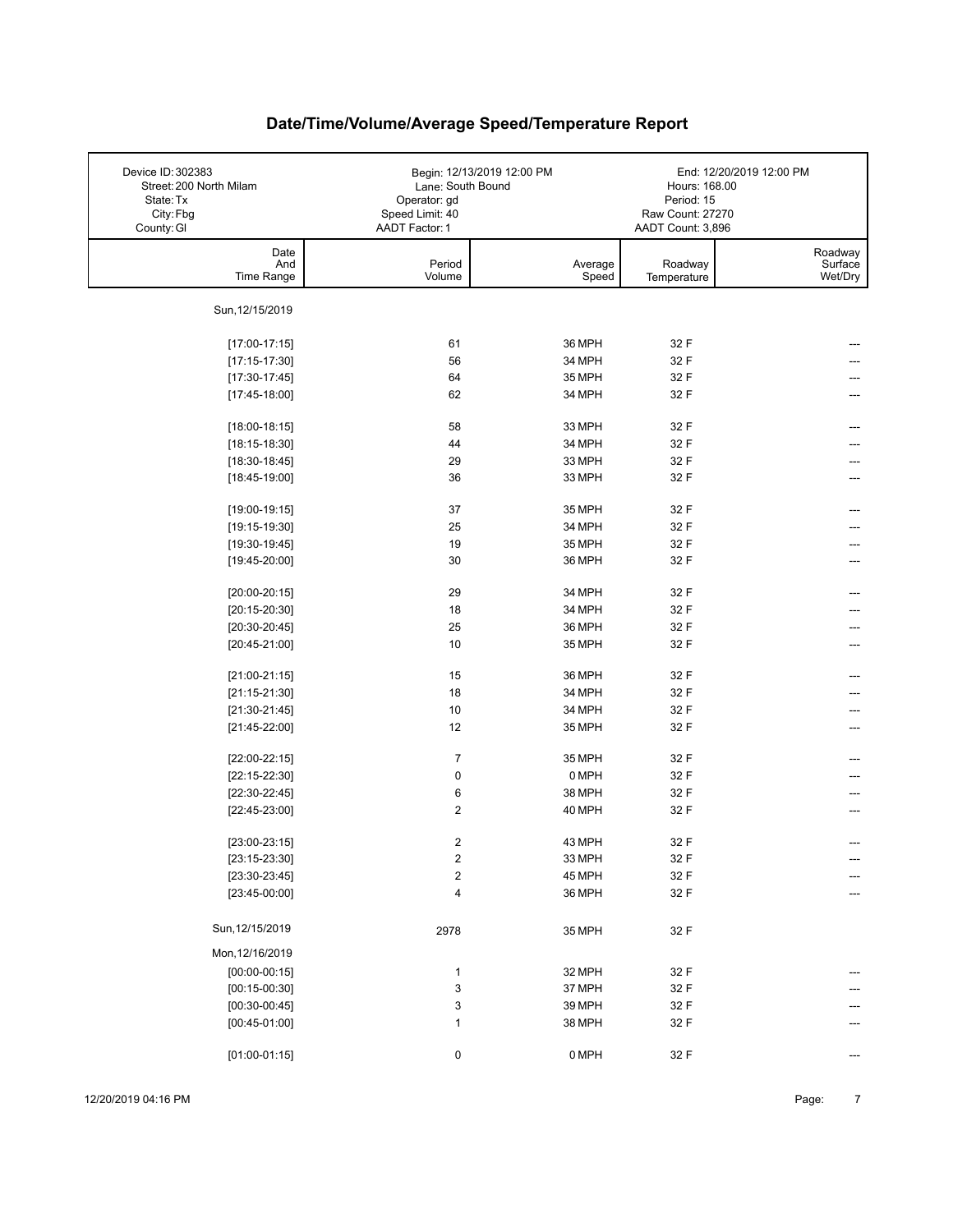| Device ID: 302383<br>Street: 200 North Milam<br>State: Tx<br>City: Fbg<br>County: GI | Lane: South Bound<br>Operator: gd<br>Speed Limit: 40<br>AADT Factor: 1 | Begin: 12/13/2019 12:00 PM | Hours: 168.00<br>Period: 15<br>Raw Count: 27270<br>AADT Count: 3,896 | End: 12/20/2019 12:00 PM      |
|--------------------------------------------------------------------------------------|------------------------------------------------------------------------|----------------------------|----------------------------------------------------------------------|-------------------------------|
| Date<br>And<br>Time Range                                                            | Period<br>Volume                                                       | Average<br>Speed           | Roadway<br>Temperature                                               | Roadway<br>Surface<br>Wet/Dry |
| Sun, 12/15/2019                                                                      |                                                                        |                            |                                                                      |                               |
| $[17:00-17:15]$                                                                      | 61                                                                     | 36 MPH                     | 32 F                                                                 |                               |
| $[17:15-17:30]$                                                                      | 56                                                                     | 34 MPH                     | 32 F                                                                 |                               |
| $[17:30-17:45]$                                                                      | 64                                                                     | 35 MPH                     | 32 F                                                                 |                               |
| $[17:45-18:00]$                                                                      | 62                                                                     | 34 MPH                     | 32 F                                                                 |                               |
| $[18:00-18:15]$                                                                      | 58                                                                     | 33 MPH                     | 32 F                                                                 |                               |
| $[18:15-18:30]$                                                                      | 44                                                                     | 34 MPH                     | 32 F                                                                 |                               |
| $[18:30-18:45]$                                                                      | 29                                                                     | 33 MPH                     | 32 F                                                                 |                               |
| $[18:45-19:00]$                                                                      | 36                                                                     | 33 MPH                     | 32 F                                                                 |                               |
| $[19:00-19:15]$                                                                      | 37                                                                     | 35 MPH                     | 32 F                                                                 |                               |
|                                                                                      | 25                                                                     | 34 MPH                     | 32 F                                                                 |                               |
| $[19:15-19:30]$<br>$[19:30-19:45]$                                                   | 19                                                                     | 35 MPH                     | 32 F                                                                 |                               |
|                                                                                      | 30                                                                     | 36 MPH                     | 32 F                                                                 |                               |
| $[19:45-20:00]$                                                                      |                                                                        |                            |                                                                      |                               |
| $[20:00-20:15]$                                                                      | 29                                                                     | 34 MPH                     | 32 F                                                                 |                               |
| $[20:15-20:30]$                                                                      | 18                                                                     | 34 MPH                     | 32 F                                                                 |                               |
| $[20:30-20:45]$                                                                      | 25                                                                     | 36 MPH                     | 32 F                                                                 |                               |
| $[20:45-21:00]$                                                                      | 10                                                                     | 35 MPH                     | 32 F                                                                 |                               |
| $[21:00-21:15]$                                                                      | 15                                                                     | 36 MPH                     | 32 F                                                                 |                               |
| $[21:15-21:30]$                                                                      | 18                                                                     | 34 MPH                     | 32 F                                                                 |                               |
| $[21:30-21:45]$                                                                      | 10                                                                     | 34 MPH                     | 32 F                                                                 |                               |
| $[21:45-22:00]$                                                                      | 12                                                                     | 35 MPH                     | 32 F                                                                 | ---                           |
| $[22:00-22:15]$                                                                      | $\overline{7}$                                                         | 35 MPH                     | 32 F                                                                 |                               |
| $[22:15-22:30]$                                                                      | 0                                                                      | 0 MPH                      | 32 F                                                                 |                               |
| $[22:30-22:45]$                                                                      | 6                                                                      | 38 MPH                     | 32 F                                                                 |                               |
| $[22:45-23:00]$                                                                      | $\overline{2}$                                                         | 40 MPH                     | 32 F                                                                 | ---                           |
|                                                                                      |                                                                        |                            |                                                                      |                               |
| $[23:00-23:15]$                                                                      | 2                                                                      | 43 MPH                     | 32 F                                                                 |                               |
| $[23:15-23:30]$                                                                      | $\overline{\mathbf{c}}$                                                | 33 MPH                     | 32 F                                                                 | ---                           |
| $[23:30-23:45]$                                                                      | $\overline{\mathbf{c}}$                                                | 45 MPH                     | 32 F                                                                 | ---                           |
| $[23:45-00:00]$                                                                      | 4                                                                      | 36 MPH                     | 32 F                                                                 | ---                           |
| Sun, 12/15/2019                                                                      | 2978                                                                   | 35 MPH                     | 32 F                                                                 |                               |
| Mon, 12/16/2019                                                                      |                                                                        |                            |                                                                      |                               |
| $[00:00-00:15]$                                                                      | $\mathbf{1}$                                                           | 32 MPH                     | 32 F                                                                 |                               |
| $[00:15-00:30]$                                                                      | 3                                                                      | 37 MPH                     | 32 F                                                                 |                               |
| $[00:30-00:45]$                                                                      | 3                                                                      | 39 MPH                     | 32 F                                                                 |                               |
| $[00:45-01:00]$                                                                      | $\mathbf{1}$                                                           | 38 MPH                     | 32 F                                                                 |                               |
| $[01:00-01:15]$                                                                      | 0                                                                      | 0 MPH                      | 32 F                                                                 | ---                           |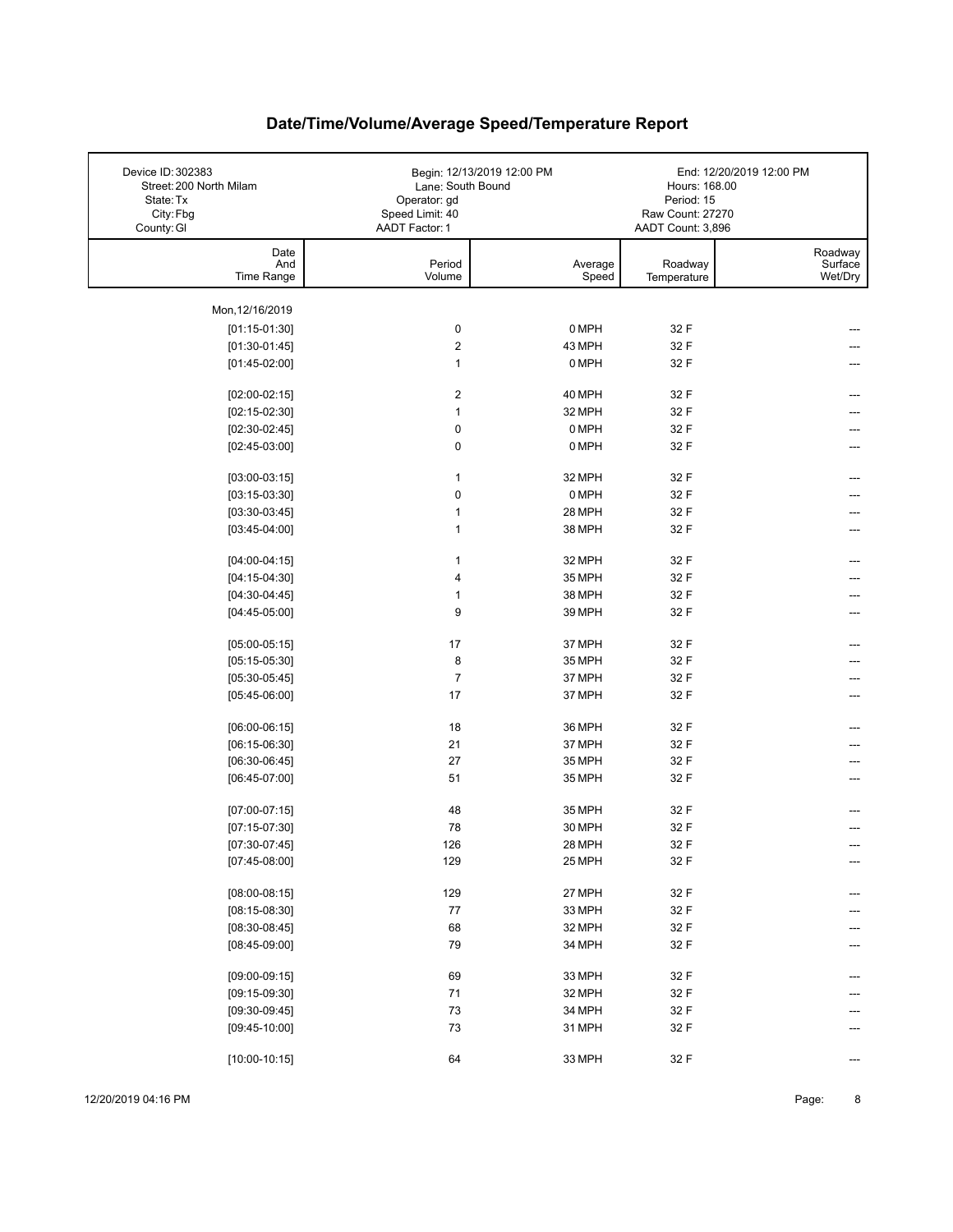| Device ID: 302383<br>Street: 200 North Milam<br>State: Tx<br>City: Fbg<br>County: GI | Lane: South Bound<br>Operator: gd<br>Speed Limit: 40<br>AADT Factor: 1 | Begin: 12/13/2019 12:00 PM | Hours: 168.00<br>Period: 15<br>Raw Count: 27270<br>AADT Count: 3,896 | End: 12/20/2019 12:00 PM      |
|--------------------------------------------------------------------------------------|------------------------------------------------------------------------|----------------------------|----------------------------------------------------------------------|-------------------------------|
| Date<br>And<br>Time Range                                                            | Period<br>Volume                                                       | Average<br>Speed           | Roadway<br>Temperature                                               | Roadway<br>Surface<br>Wet/Dry |
| Mon, 12/16/2019                                                                      |                                                                        |                            |                                                                      |                               |
| $[01:15-01:30]$                                                                      | $\pmb{0}$                                                              | 0 MPH                      | 32 F                                                                 |                               |
| $[01:30-01:45]$                                                                      | $\overline{2}$                                                         | 43 MPH                     | 32 F                                                                 |                               |
| $[01:45-02:00]$                                                                      | $\mathbf{1}$                                                           | 0 MPH                      | 32 F                                                                 |                               |
|                                                                                      |                                                                        |                            |                                                                      |                               |
| $[02:00-02:15]$                                                                      | $\overline{2}$                                                         | 40 MPH                     | 32 F                                                                 |                               |
| $[02:15-02:30]$                                                                      | $\mathbf{1}$                                                           | 32 MPH                     | 32 F                                                                 |                               |
| $[02:30-02:45]$                                                                      | $\pmb{0}$                                                              | 0 MPH                      | 32 F                                                                 |                               |
| $[02:45-03:00]$                                                                      | $\pmb{0}$                                                              | 0 MPH                      | 32 F                                                                 |                               |
| $[03:00-03:15]$                                                                      | 1                                                                      | 32 MPH                     | 32 F                                                                 |                               |
| $[03:15-03:30]$                                                                      | $\pmb{0}$                                                              | 0 MPH                      | 32 F                                                                 |                               |
| $[03:30-03:45]$                                                                      | 1                                                                      | 28 MPH                     | 32 F                                                                 |                               |
| $[03:45-04:00]$                                                                      | $\mathbf{1}$                                                           | 38 MPH                     | 32 F                                                                 |                               |
|                                                                                      |                                                                        |                            |                                                                      |                               |
| $[04:00-04:15]$                                                                      | 1                                                                      | 32 MPH                     | 32 F                                                                 |                               |
| $[04:15-04:30]$                                                                      | 4                                                                      | 35 MPH                     | 32 F                                                                 |                               |
| $[04:30-04:45]$                                                                      | $\mathbf{1}$                                                           | 38 MPH                     | 32 F                                                                 |                               |
| $[04:45-05:00]$                                                                      | 9                                                                      | 39 MPH                     | 32 F                                                                 |                               |
| $[05:00-05:15]$                                                                      | 17                                                                     | 37 MPH                     | 32 F                                                                 | ---                           |
| $[05:15-05:30]$                                                                      | 8                                                                      | 35 MPH                     | 32 F                                                                 |                               |
| $[05:30-05:45]$                                                                      | $\overline{7}$                                                         | 37 MPH                     | 32 F                                                                 |                               |
| $[05:45-06:00]$                                                                      | 17                                                                     | 37 MPH                     | 32 F                                                                 |                               |
|                                                                                      |                                                                        |                            |                                                                      |                               |
| $[06:00-06:15]$                                                                      | 18                                                                     | 36 MPH                     | 32 F                                                                 |                               |
| $[06:15-06:30]$                                                                      | 21                                                                     | 37 MPH                     | 32 F                                                                 |                               |
| $[06:30-06:45]$                                                                      | 27                                                                     | 35 MPH                     | 32 F                                                                 |                               |
| $[06:45-07:00]$                                                                      | 51                                                                     | 35 MPH                     | 32 F                                                                 |                               |
| $[07:00-07:15]$                                                                      | 48                                                                     | 35 MPH                     | 32 F                                                                 |                               |
| $[07:15-07:30]$                                                                      | 78                                                                     | 30 MPH                     | 32 F                                                                 |                               |
| $[07:30-07:45]$                                                                      | 126                                                                    | 28 MPH                     | 32 F                                                                 |                               |
| $[07:45-08:00]$                                                                      | 129                                                                    | 25 MPH                     | 32 F                                                                 | ---                           |
|                                                                                      |                                                                        |                            |                                                                      |                               |
| $[08:00-08:15]$                                                                      | 129                                                                    | 27 MPH                     | 32 F                                                                 |                               |
| $[08:15-08:30]$                                                                      | $77\,$                                                                 | 33 MPH                     | 32 F                                                                 |                               |
| $[08:30-08:45]$                                                                      | 68                                                                     | 32 MPH                     | 32 F                                                                 |                               |
| $[08:45-09:00]$                                                                      | 79                                                                     | 34 MPH                     | 32 F                                                                 |                               |
| $[09:00-09:15]$                                                                      | 69                                                                     | 33 MPH                     | 32 F                                                                 |                               |
| $[09:15-09:30]$                                                                      | 71                                                                     | 32 MPH                     | 32 F                                                                 |                               |
| $[09:30-09:45]$                                                                      | $73\,$                                                                 | 34 MPH                     | 32 F                                                                 |                               |
| $[09:45-10:00]$                                                                      | 73                                                                     | 31 MPH                     | 32 F                                                                 |                               |
|                                                                                      |                                                                        |                            |                                                                      |                               |
| $[10:00-10:15]$                                                                      | 64                                                                     | 33 MPH                     | 32 F                                                                 | ---                           |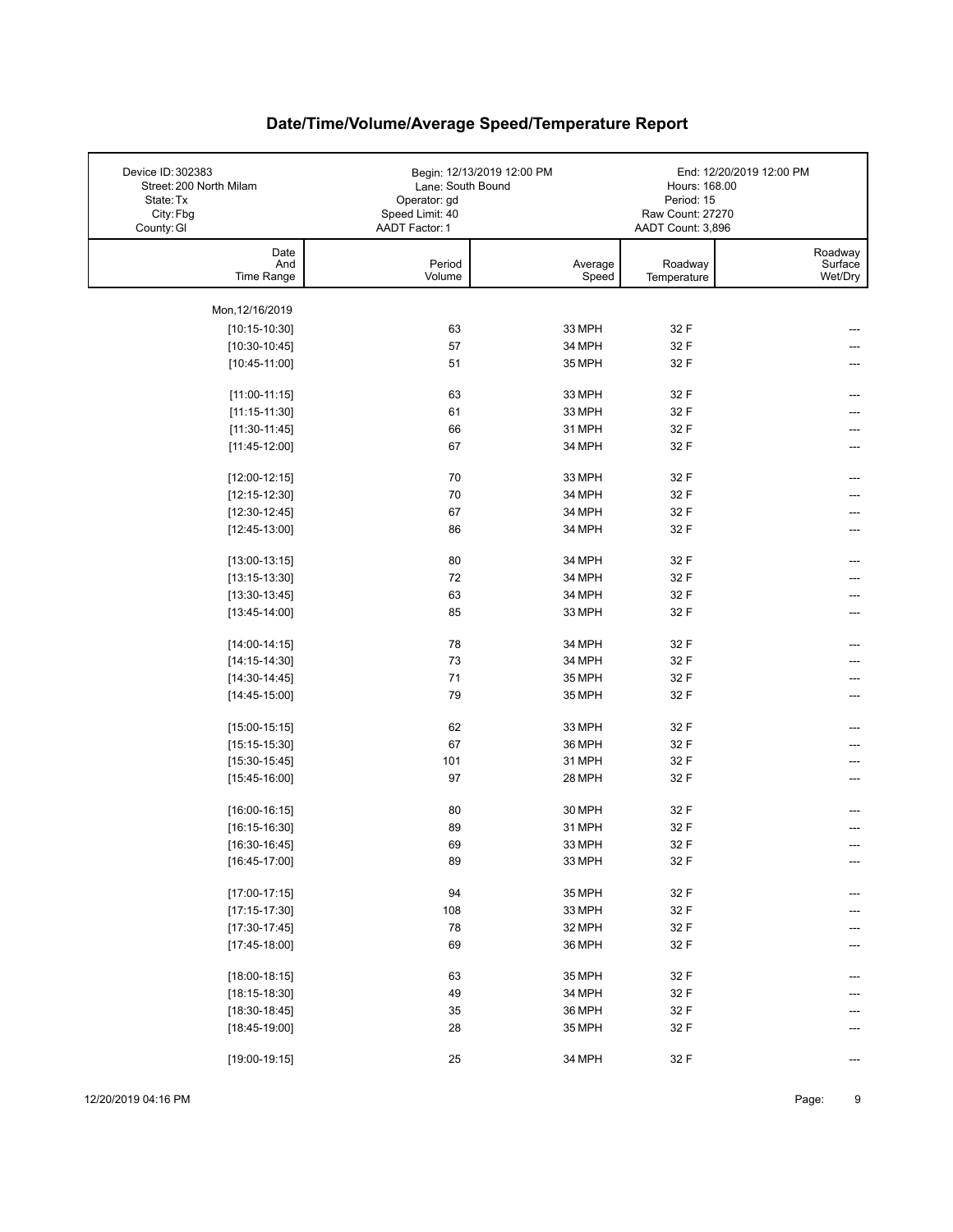| Device ID: 302383<br>Street: 200 North Milam<br>State: Tx<br>City: Fbg | Lane: South Bound<br>Operator: gd<br>Speed Limit: 40 | Begin: 12/13/2019 12:00 PM | Hours: 168.00<br>Period: 15<br>Raw Count: 27270 | End: 12/20/2019 12:00 PM      |
|------------------------------------------------------------------------|------------------------------------------------------|----------------------------|-------------------------------------------------|-------------------------------|
| County: GI                                                             | AADT Factor: 1                                       |                            | AADT Count: 3,896                               |                               |
| Date<br>And<br>Time Range                                              | Period<br>Volume                                     | Average<br>Speed           | Roadway<br>Temperature                          | Roadway<br>Surface<br>Wet/Dry |
|                                                                        |                                                      |                            |                                                 |                               |
| Mon, 12/16/2019                                                        |                                                      |                            |                                                 |                               |
| $[10:15-10:30]$                                                        | 63                                                   | 33 MPH                     | 32 F                                            |                               |
| $[10:30-10:45]$                                                        | 57                                                   | 34 MPH                     | 32 F                                            |                               |
| $[10:45-11:00]$                                                        | 51                                                   | 35 MPH                     | 32 F                                            |                               |
| $[11:00-11:15]$                                                        | 63                                                   | 33 MPH                     | 32 F                                            | ---                           |
| $[11:15-11:30]$                                                        | 61                                                   | 33 MPH                     | 32 F                                            |                               |
| $[11:30-11:45]$                                                        | 66                                                   | 31 MPH                     | 32 F                                            | ---                           |
| $[11:45-12:00]$                                                        | 67                                                   | 34 MPH                     | 32 F                                            |                               |
|                                                                        |                                                      |                            |                                                 |                               |
| $[12:00-12:15]$                                                        | 70                                                   | 33 MPH                     | 32 F                                            | ---                           |
| $[12:15-12:30]$                                                        | 70                                                   | 34 MPH                     | 32 F                                            |                               |
| $[12:30-12:45]$                                                        | 67                                                   | 34 MPH                     | 32 F                                            |                               |
| $[12:45-13:00]$                                                        | 86                                                   | 34 MPH                     | 32 F                                            |                               |
| $[13:00-13:15]$                                                        | 80                                                   | 34 MPH                     | 32 F                                            | ---                           |
| $[13:15-13:30]$                                                        | 72                                                   | 34 MPH                     | 32 F                                            |                               |
| $[13:30-13:45]$                                                        | 63                                                   | 34 MPH                     | 32 F                                            |                               |
| $[13:45-14:00]$                                                        | 85                                                   | 33 MPH                     | 32 F                                            | ---                           |
|                                                                        |                                                      |                            |                                                 |                               |
| $[14:00-14:15]$                                                        | 78                                                   | 34 MPH                     | 32 F                                            | ---                           |
| $[14:15-14:30]$                                                        | 73                                                   | 34 MPH                     | 32 F                                            |                               |
| $[14:30-14:45]$                                                        | 71                                                   | 35 MPH                     | 32 F                                            |                               |
| $[14:45-15:00]$                                                        | 79                                                   | 35 MPH                     | 32 F                                            |                               |
| $[15:00-15:15]$                                                        | 62                                                   | 33 MPH                     | 32 F                                            |                               |
| $[15:15-15:30]$                                                        | 67                                                   | 36 MPH                     | 32 F                                            |                               |
| $[15:30-15:45]$                                                        | 101                                                  | 31 MPH                     | 32 F                                            |                               |
| $[15:45-16:00]$                                                        | 97                                                   | 28 MPH                     | 32 F                                            |                               |
|                                                                        |                                                      |                            |                                                 |                               |
| $[16:00-16:15]$                                                        | 80                                                   | 30 MPH                     | 32 F                                            |                               |
| $[16:15-16:30]$                                                        | 89                                                   | 31 MPH                     | 32 F                                            |                               |
| $[16:30-16:45]$                                                        | 69                                                   | 33 MPH                     | 32 F                                            |                               |
| $[16:45-17:00]$                                                        | 89                                                   | 33 MPH                     | 32 F                                            | ---                           |
| $[17:00-17:15]$                                                        | 94                                                   | 35 MPH                     | 32 F                                            |                               |
| $[17:15-17:30]$                                                        | 108                                                  | 33 MPH                     | 32 F                                            |                               |
| $[17:30-17:45]$                                                        | 78                                                   | 32 MPH                     | 32 F                                            |                               |
| $[17:45-18:00]$                                                        | 69                                                   | 36 MPH                     | 32 F                                            |                               |
|                                                                        |                                                      |                            |                                                 |                               |
| $[18:00-18:15]$                                                        | 63                                                   | 35 MPH                     | 32 F                                            |                               |
| $[18:15-18:30]$                                                        | 49                                                   | 34 MPH                     | 32 F                                            |                               |
| $[18:30-18:45]$                                                        | 35                                                   | 36 MPH                     | 32 F                                            |                               |
| $[18:45-19:00]$                                                        | 28                                                   | 35 MPH                     | 32 F                                            |                               |
| $[19:00-19:15]$                                                        | 25                                                   | 34 MPH                     | 32 F                                            | ---                           |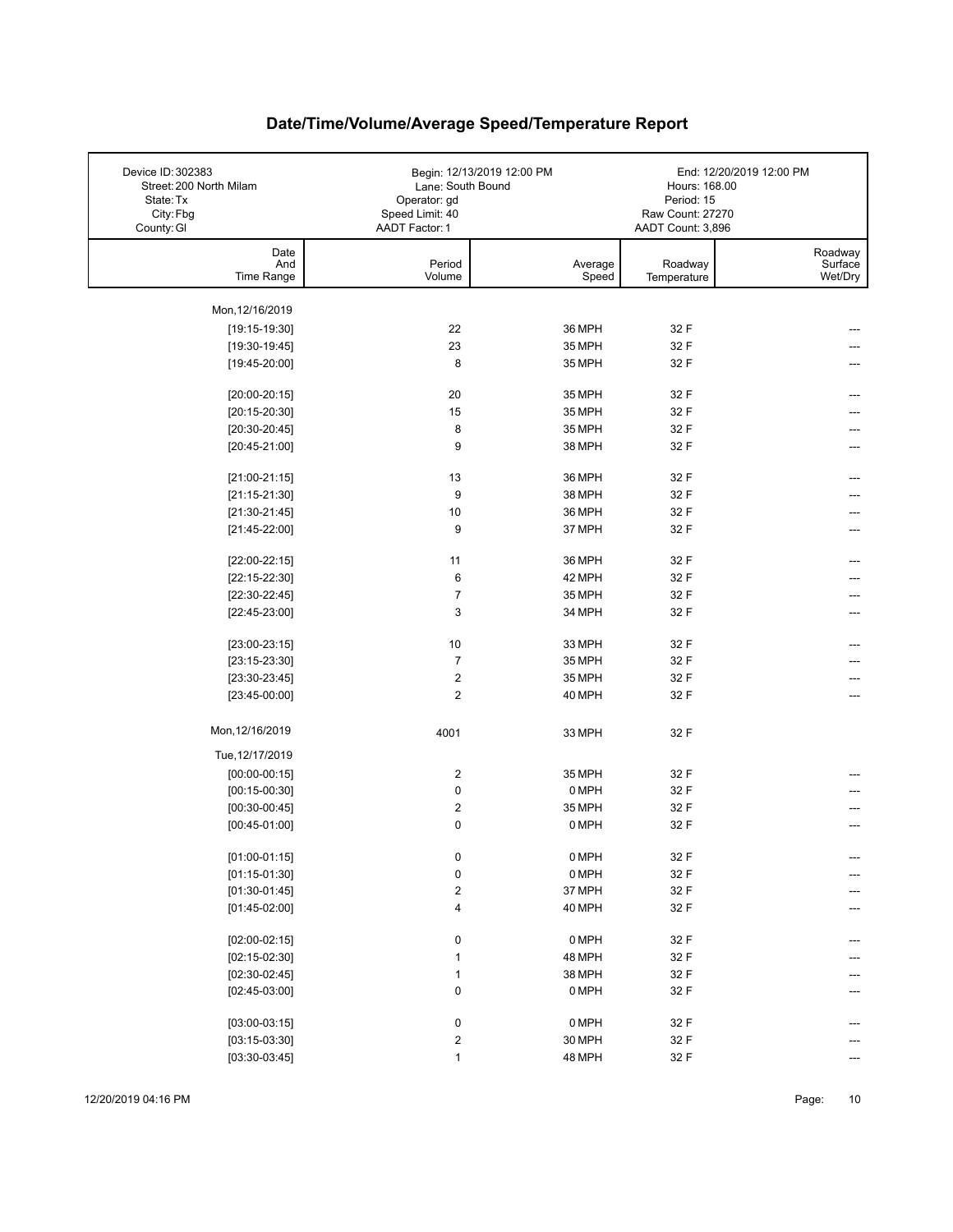| Device ID: 302383<br>Street: 200 North Milam<br>State: Tx<br>City: Fbg<br>County: GI | Lane: South Bound<br>Operator: gd<br>Speed Limit: 40<br>AADT Factor: 1 | Begin: 12/13/2019 12:00 PM | Hours: 168.00<br>Period: 15<br>Raw Count: 27270<br>AADT Count: 3,896 | End: 12/20/2019 12:00 PM      |
|--------------------------------------------------------------------------------------|------------------------------------------------------------------------|----------------------------|----------------------------------------------------------------------|-------------------------------|
| Date<br>And<br>Time Range                                                            | Period<br>Volume                                                       | Average<br>Speed           | Roadway<br>Temperature                                               | Roadway<br>Surface<br>Wet/Dry |
|                                                                                      |                                                                        |                            |                                                                      |                               |
| Mon, 12/16/2019                                                                      |                                                                        |                            |                                                                      |                               |
| $[19:15-19:30]$                                                                      | 22                                                                     | 36 MPH                     | 32 F                                                                 |                               |
| $[19:30-19:45]$                                                                      | 23                                                                     | 35 MPH                     | 32 F                                                                 |                               |
| $[19:45-20:00]$                                                                      | 8                                                                      | 35 MPH                     | 32 F                                                                 |                               |
| $[20:00-20:15]$                                                                      | 20                                                                     | 35 MPH                     | 32 F                                                                 | ---                           |
| $[20:15-20:30]$                                                                      | 15                                                                     | 35 MPH                     | 32 F                                                                 |                               |
| $[20:30-20:45]$                                                                      | 8                                                                      | 35 MPH                     | 32 F                                                                 |                               |
| $[20:45-21:00]$                                                                      | 9                                                                      | 38 MPH                     | 32 F                                                                 |                               |
|                                                                                      |                                                                        |                            |                                                                      |                               |
| $[21:00-21:15]$                                                                      | 13                                                                     | 36 MPH                     | 32 F                                                                 |                               |
| $[21:15-21:30]$                                                                      | 9                                                                      | 38 MPH                     | 32 F                                                                 |                               |
| $[21:30-21:45]$                                                                      | 10                                                                     | 36 MPH                     | 32 F                                                                 |                               |
| $[21:45-22:00]$                                                                      | 9                                                                      | 37 MPH                     | 32 F                                                                 |                               |
|                                                                                      |                                                                        |                            |                                                                      |                               |
| $[22:00-22:15]$                                                                      | 11                                                                     | 36 MPH                     | 32 F                                                                 |                               |
| $[22:15-22:30]$                                                                      | 6                                                                      | 42 MPH                     | 32 F                                                                 |                               |
| $[22:30-22:45]$                                                                      | $\overline{7}$                                                         | 35 MPH                     | 32 F                                                                 |                               |
| $[22:45-23:00]$                                                                      | 3                                                                      | 34 MPH                     | 32 F                                                                 | ---                           |
| $[23:00-23:15]$                                                                      | 10                                                                     | 33 MPH                     | 32 F                                                                 |                               |
| $[23:15-23:30]$                                                                      | $\overline{7}$                                                         | 35 MPH                     | 32 F                                                                 |                               |
| $[23:30-23:45]$                                                                      | 2                                                                      | 35 MPH                     | 32 F                                                                 |                               |
| $[23:45-00:00]$                                                                      | $\overline{\mathbf{c}}$                                                | 40 MPH                     | 32 F                                                                 | ---                           |
|                                                                                      |                                                                        |                            |                                                                      |                               |
| Mon, 12/16/2019                                                                      | 4001                                                                   | 33 MPH                     | 32 F                                                                 |                               |
| Tue, 12/17/2019                                                                      |                                                                        |                            |                                                                      |                               |
| $[00:00-00:15]$                                                                      | $\overline{\mathbf{c}}$                                                | 35 MPH                     | 32 F                                                                 |                               |
| $[00:15-00:30]$                                                                      | 0                                                                      | 0 MPH                      | 32 F                                                                 |                               |
| $[00:30-00:45]$                                                                      | 2                                                                      | 35 MPH                     | 32 F                                                                 |                               |
| $[00:45-01:00]$                                                                      | 0                                                                      | 0 MPH                      | 32 F                                                                 |                               |
| $[01:00-01:15]$                                                                      | 0                                                                      | 0 MPH                      | 32 F                                                                 | ---                           |
| $[01:15-01:30]$                                                                      | $\pmb{0}$                                                              | 0 MPH                      | 32 F                                                                 |                               |
| $[01:30-01:45]$                                                                      | $\overline{\mathbf{c}}$                                                | 37 MPH                     | 32 F                                                                 |                               |
| $[01:45-02:00]$                                                                      | 4                                                                      | 40 MPH                     | 32 F                                                                 | ---                           |
|                                                                                      |                                                                        |                            |                                                                      |                               |
| $[02:00-02:15]$                                                                      | 0                                                                      | 0 MPH                      | 32 F                                                                 |                               |
| $[02:15-02:30]$                                                                      | $\mathbf{1}$                                                           | 48 MPH                     | 32 F                                                                 |                               |
| $[02:30-02:45]$                                                                      | $\mathbf{1}$                                                           | 38 MPH                     | 32 F                                                                 |                               |
| $[02:45-03:00]$                                                                      | $\pmb{0}$                                                              | 0 MPH                      | 32 F                                                                 |                               |
|                                                                                      |                                                                        |                            |                                                                      |                               |
| $[03:00-03:15]$                                                                      | $\pmb{0}$                                                              | 0 MPH                      | 32 F                                                                 |                               |
| $[03:15-03:30]$                                                                      | $\overline{\mathbf{c}}$                                                | 30 MPH                     | 32 F                                                                 |                               |
| $[03:30-03:45]$                                                                      | $\mathbf{1}$                                                           | 48 MPH                     | 32 F                                                                 |                               |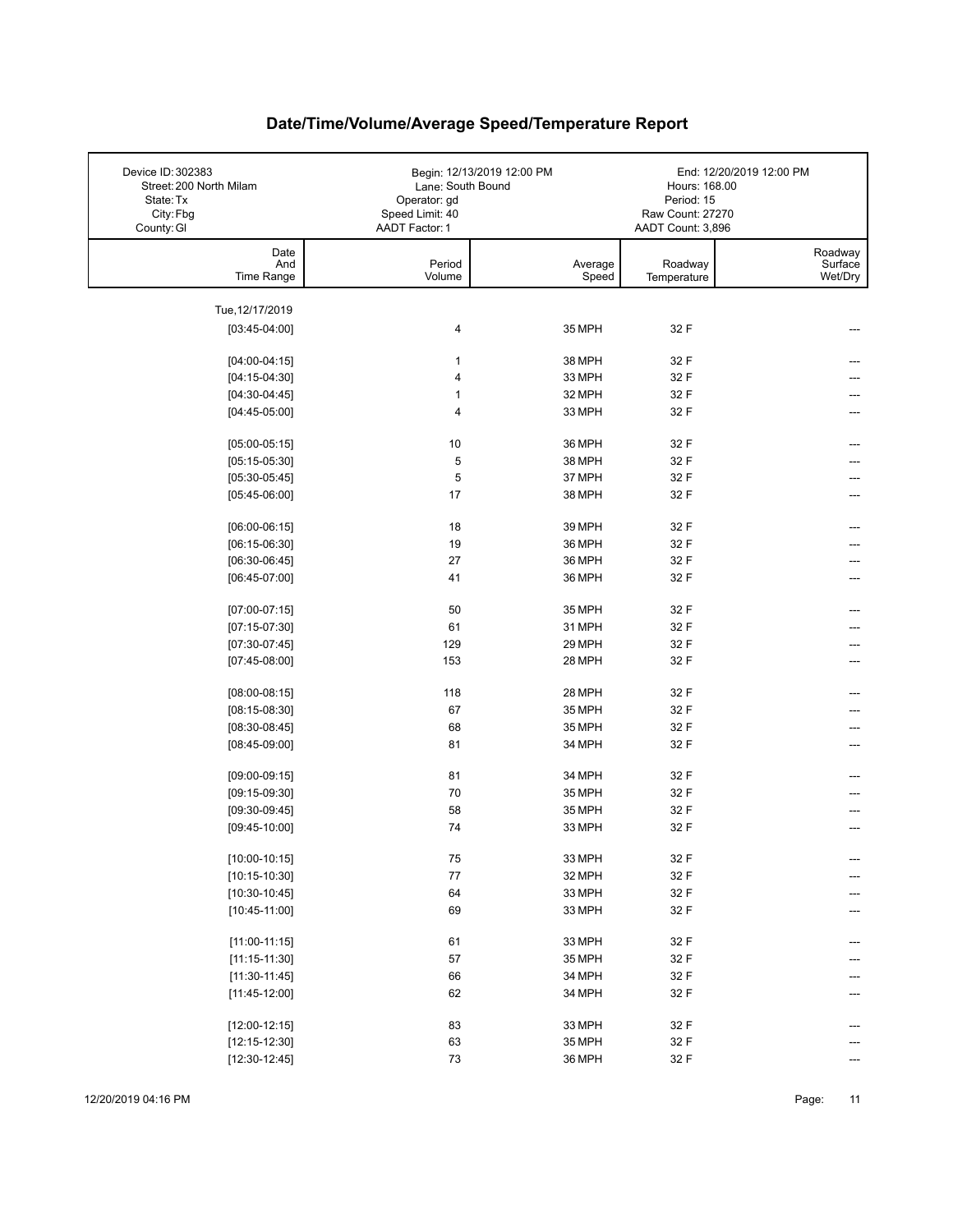| Device ID: 302383<br>Street: 200 North Milam<br>State: Tx<br>City: Fbg<br>County: GI | Lane: South Bound<br>Operator: gd<br>Speed Limit: 40<br>AADT Factor: 1 | Begin: 12/13/2019 12:00 PM | Hours: 168.00<br>Period: 15<br>Raw Count: 27270<br>AADT Count: 3,896 | End: 12/20/2019 12:00 PM      |
|--------------------------------------------------------------------------------------|------------------------------------------------------------------------|----------------------------|----------------------------------------------------------------------|-------------------------------|
| Date<br>And<br>Time Range                                                            | Period<br>Volume                                                       | Average<br>Speed           | Roadway<br>Temperature                                               | Roadway<br>Surface<br>Wet/Dry |
| Tue, 12/17/2019                                                                      |                                                                        |                            |                                                                      |                               |
| $[03:45-04:00]$                                                                      | 4                                                                      | 35 MPH                     | 32 F                                                                 |                               |
|                                                                                      |                                                                        |                            |                                                                      |                               |
| $[04:00-04:15]$                                                                      | $\mathbf{1}$                                                           | 38 MPH                     | 32 F                                                                 |                               |
| $[04:15-04:30]$                                                                      | 4                                                                      | 33 MPH                     | 32 F                                                                 |                               |
| $[04:30-04:45]$                                                                      | $\mathbf{1}$                                                           | 32 MPH                     | 32 F                                                                 |                               |
| $[04:45-05:00]$                                                                      | $\overline{4}$                                                         | 33 MPH                     | 32 F                                                                 |                               |
| $[05:00-05:15]$                                                                      | 10                                                                     | 36 MPH                     | 32 F                                                                 |                               |
| $[05:15-05:30]$                                                                      | 5                                                                      | 38 MPH                     | 32 F                                                                 |                               |
| $[05:30-05:45]$                                                                      | 5                                                                      | 37 MPH                     | 32 F                                                                 |                               |
| $[05:45-06:00]$                                                                      | 17                                                                     | 38 MPH                     | 32 F                                                                 |                               |
|                                                                                      |                                                                        |                            |                                                                      |                               |
| $[06:00-06:15]$                                                                      | 18                                                                     | 39 MPH                     | 32 F                                                                 |                               |
| $[06:15-06:30]$                                                                      | 19                                                                     | 36 MPH                     | 32 F                                                                 |                               |
| $[06:30-06:45]$                                                                      | 27                                                                     | 36 MPH                     | 32 F                                                                 |                               |
| $[06:45-07:00]$                                                                      | 41                                                                     | 36 MPH                     | 32 F                                                                 |                               |
| $[07:00-07:15]$                                                                      | 50                                                                     | 35 MPH                     | 32 F                                                                 |                               |
| $[07:15-07:30]$                                                                      | 61                                                                     | 31 MPH                     | 32 F                                                                 |                               |
| $[07:30-07:45]$                                                                      | 129                                                                    | 29 MPH                     | 32 F                                                                 |                               |
| $[07:45-08:00]$                                                                      | 153                                                                    | 28 MPH                     | 32 F                                                                 |                               |
| $[08:00-08:15]$                                                                      | 118                                                                    | 28 MPH                     | 32 F                                                                 |                               |
| $[08:15-08:30]$                                                                      | 67                                                                     | 35 MPH                     | 32 F                                                                 |                               |
| $[08:30-08:45]$                                                                      | 68                                                                     | 35 MPH                     | 32 F                                                                 |                               |
| $[08:45-09:00]$                                                                      | 81                                                                     | 34 MPH                     | 32 F                                                                 |                               |
|                                                                                      |                                                                        |                            |                                                                      |                               |
| $[09:00-09:15]$                                                                      | 81                                                                     | 34 MPH                     | 32 F                                                                 |                               |
| $[09:15-09:30]$                                                                      | 70                                                                     | 35 MPH                     | 32 F                                                                 |                               |
| $[09:30-09:45]$                                                                      | 58                                                                     | 35 MPH                     | 32 F                                                                 |                               |
| $[09:45-10:00]$                                                                      | 74                                                                     | 33 MPH                     | 32 F                                                                 |                               |
| $[10:00-10:15]$                                                                      | ${\bf 75}$                                                             | 33 MPH                     | 32 F                                                                 | ---                           |
| $[10:15-10:30]$                                                                      | ${\bf 77}$                                                             | 32 MPH                     | 32 F                                                                 | ---                           |
| $[10:30-10:45]$                                                                      | 64                                                                     | 33 MPH                     | 32 F                                                                 |                               |
| $[10:45-11:00]$                                                                      | 69                                                                     | 33 MPH                     | 32 F                                                                 |                               |
|                                                                                      |                                                                        |                            |                                                                      |                               |
| $[11:00-11:15]$                                                                      | 61                                                                     | 33 MPH                     | 32 F                                                                 |                               |
| $[11:15-11:30]$                                                                      | 57                                                                     | 35 MPH                     | 32 F                                                                 |                               |
| $[11:30-11:45]$                                                                      | 66                                                                     | 34 MPH                     | 32 F                                                                 |                               |
| $[11:45-12:00]$                                                                      | 62                                                                     | 34 MPH                     | 32 F                                                                 |                               |
| $[12:00-12:15]$                                                                      | 83                                                                     | 33 MPH                     | 32 F                                                                 |                               |
| $[12:15-12:30]$                                                                      | 63                                                                     | 35 MPH                     | 32 F                                                                 |                               |
| $[12:30-12:45]$                                                                      | $73\,$                                                                 | 36 MPH                     | 32 F                                                                 |                               |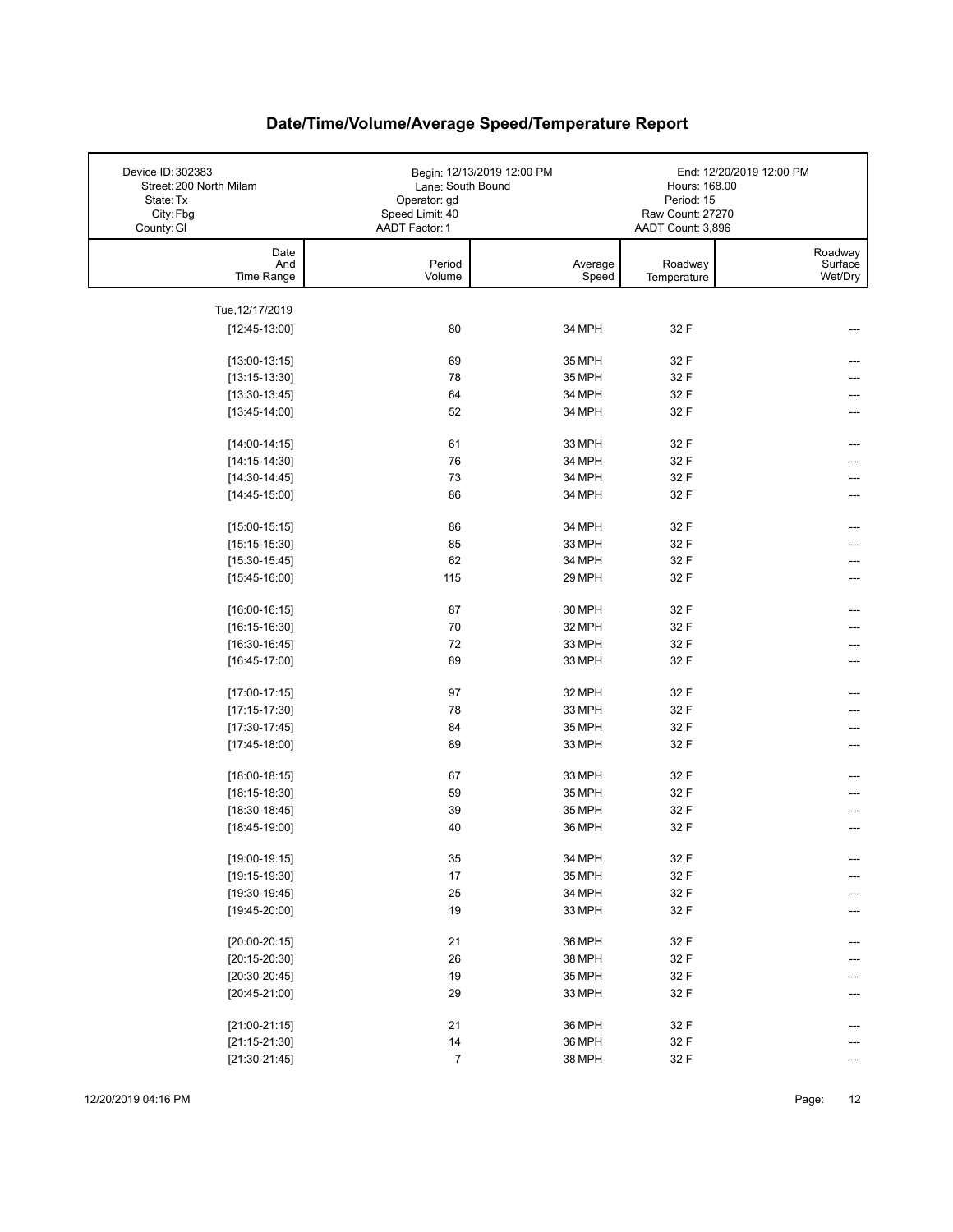| Device ID: 302383<br>Street: 200 North Milam<br>State: Tx<br>City: Fbg<br>County: GI | Lane: South Bound<br>Operator: gd<br>Speed Limit: 40<br>AADT Factor: 1 | Begin: 12/13/2019 12:00 PM | Hours: 168.00<br>Period: 15<br>Raw Count: 27270<br>AADT Count: 3,896 | End: 12/20/2019 12:00 PM      |
|--------------------------------------------------------------------------------------|------------------------------------------------------------------------|----------------------------|----------------------------------------------------------------------|-------------------------------|
| Date<br>And<br>Time Range                                                            | Period<br>Volume                                                       | Average<br>Speed           | Roadway<br>Temperature                                               | Roadway<br>Surface<br>Wet/Dry |
|                                                                                      |                                                                        |                            |                                                                      |                               |
| Tue, 12/17/2019                                                                      |                                                                        |                            |                                                                      |                               |
| $[12:45-13:00]$                                                                      | 80                                                                     | 34 MPH                     | 32 F                                                                 |                               |
| $[13:00-13:15]$                                                                      | 69                                                                     | 35 MPH                     | 32 F                                                                 |                               |
| $[13:15-13:30]$                                                                      | 78                                                                     | 35 MPH                     | 32 F                                                                 |                               |
| $[13:30-13:45]$                                                                      | 64                                                                     | 34 MPH                     | 32 F                                                                 |                               |
| $[13:45-14:00]$                                                                      | 52                                                                     | 34 MPH                     | 32 F                                                                 |                               |
| $[14:00-14:15]$                                                                      | 61                                                                     | 33 MPH                     | 32 F                                                                 |                               |
| $[14:15-14:30]$                                                                      | 76                                                                     | 34 MPH                     | 32 F                                                                 |                               |
| $[14:30-14:45]$                                                                      | 73                                                                     | 34 MPH                     | 32 F                                                                 |                               |
| $[14:45-15:00]$                                                                      | 86                                                                     | 34 MPH                     | 32 F                                                                 |                               |
|                                                                                      |                                                                        | 34 MPH                     |                                                                      |                               |
| $[15:00-15:15]$<br>$[15:15-15:30]$                                                   | 86<br>85                                                               | 33 MPH                     | 32 F<br>32 F                                                         | ---                           |
| $[15:30-15:45]$                                                                      | 62                                                                     | 34 MPH                     | 32 F                                                                 |                               |
| $[15:45-16:00]$                                                                      | 115                                                                    | 29 MPH                     | 32 F                                                                 | ---                           |
|                                                                                      |                                                                        |                            |                                                                      |                               |
| $[16:00-16:15]$                                                                      | 87                                                                     | 30 MPH                     | 32 F                                                                 |                               |
| $[16:15-16:30]$                                                                      | 70                                                                     | 32 MPH                     | 32 F                                                                 |                               |
| $[16:30-16:45]$                                                                      | 72                                                                     | 33 MPH                     | 32 F                                                                 |                               |
| $[16:45-17:00]$                                                                      | 89                                                                     | 33 MPH                     | 32 F                                                                 |                               |
| $[17:00-17:15]$                                                                      | 97                                                                     | 32 MPH                     | 32 F                                                                 | ---                           |
| $[17:15-17:30]$                                                                      | 78                                                                     | 33 MPH                     | 32 F                                                                 |                               |
| $[17:30-17:45]$                                                                      | 84                                                                     | 35 MPH                     | 32 F                                                                 | ---                           |
| $[17:45-18:00]$                                                                      | 89                                                                     | 33 MPH                     | 32 F                                                                 | ---                           |
| $[18:00-18:15]$                                                                      | 67                                                                     | 33 MPH                     | 32 F                                                                 |                               |
| $[18:15-18:30]$                                                                      | 59                                                                     | 35 MPH                     | 32 F                                                                 |                               |
| $[18:30-18:45]$                                                                      | 39                                                                     | 35 MPH                     | 32 F                                                                 |                               |
| $[18:45-19:00]$                                                                      | 40                                                                     | 36 MPH                     | 32 F                                                                 |                               |
|                                                                                      |                                                                        |                            |                                                                      |                               |
| $[19:00-19:15]$                                                                      | $35\,$                                                                 | 34 MPH                     | 32 F                                                                 | ---                           |
| $[19:15-19:30]$                                                                      | $17$                                                                   | 35 MPH                     | 32 F                                                                 | ---                           |
| $[19:30-19:45]$                                                                      | 25                                                                     | 34 MPH                     | 32 F                                                                 |                               |
| $[19:45-20:00]$                                                                      | 19                                                                     | 33 MPH                     | 32 F                                                                 |                               |
| $[20:00-20:15]$                                                                      | 21                                                                     | 36 MPH                     | 32 F                                                                 | ---                           |
| $[20:15-20:30]$                                                                      | 26                                                                     | 38 MPH                     | 32 F                                                                 |                               |
| $[20:30-20:45]$                                                                      | 19                                                                     | 35 MPH                     | 32 F                                                                 |                               |
| $[20:45-21:00]$                                                                      | 29                                                                     | 33 MPH                     | 32 F                                                                 |                               |
|                                                                                      | 21                                                                     | 36 MPH                     | 32 F                                                                 |                               |
| $[21:00-21:15]$<br>$[21:15-21:30]$                                                   | 14                                                                     | 36 MPH                     | 32 F                                                                 |                               |
| $[21:30-21:45]$                                                                      | $\sqrt{7}$                                                             | 38 MPH                     | 32 F                                                                 |                               |
|                                                                                      |                                                                        |                            |                                                                      |                               |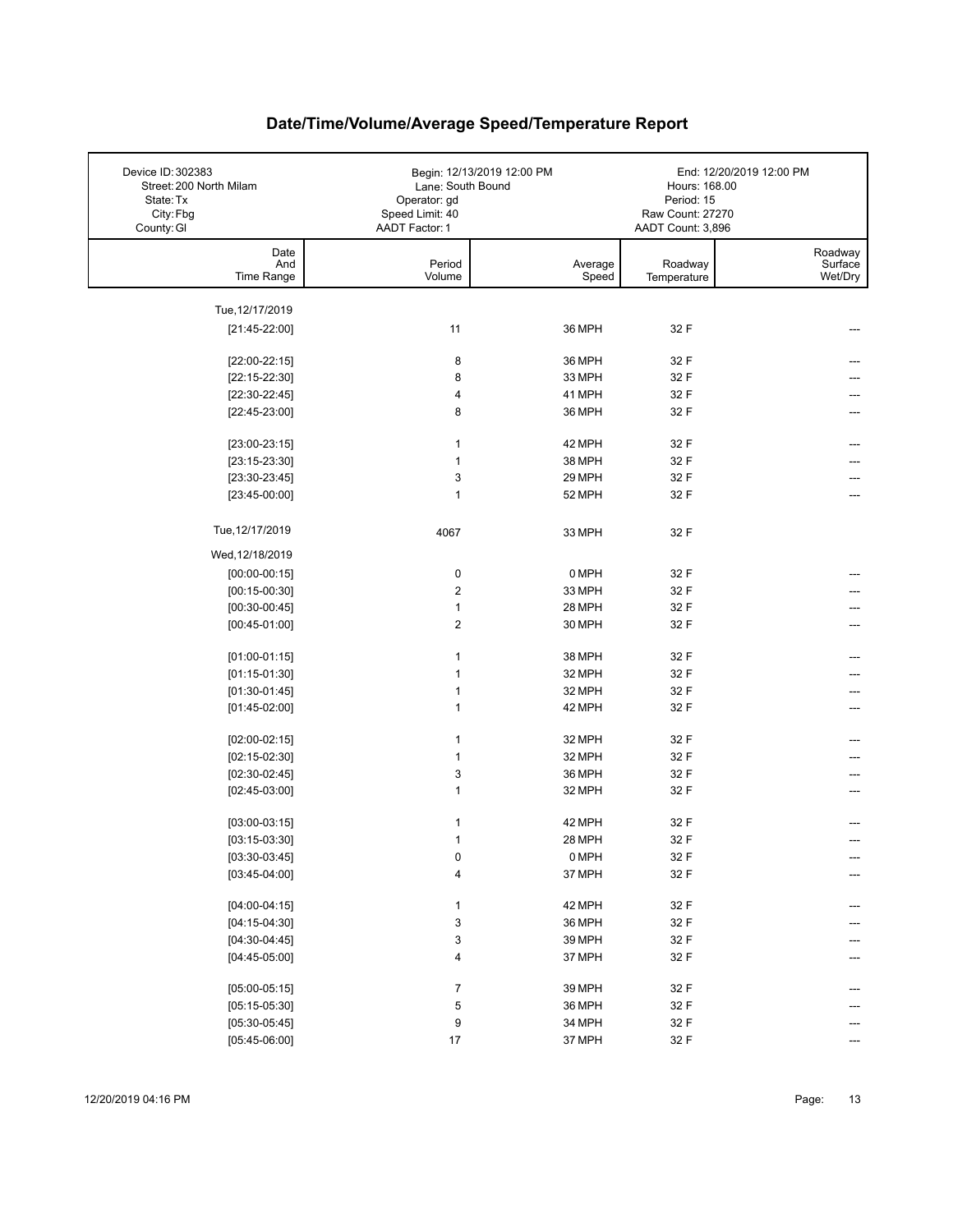| Date<br>Roadway<br>And<br>Period<br>Surface<br>Average<br>Roadway<br>Time Range<br>Volume<br>Speed<br>Wet/Dry<br>Temperature<br>Tue, 12/17/2019<br>11<br>36 MPH<br>32 F<br>$[21:45-22:00]$<br>36 MPH<br>8<br>32 F<br>$[22:00-22:15]$<br>8<br>33 MPH<br>32 F<br>$[22:15-22:30]$<br>41 MPH<br>32 F<br>$[22:30-22:45]$<br>4<br>8<br>36 MPH<br>32 F<br>$[22:45-23:00]$<br>42 MPH<br>32 F<br>$[23:00-23:15]$<br>1<br>38 MPH<br>$\mathbf{1}$<br>32 F<br>$[23:15-23:30]$<br>3<br>29 MPH<br>32 F<br>$[23:30-23:45]$<br>$\mathbf{1}$<br>52 MPH<br>32 F<br>$[23:45-00:00]$<br>Tue, 12/17/2019<br>4067<br>32 F<br>33 MPH<br>Wed, 12/18/2019<br>0 MPH<br>$[00:00-00:15]$<br>0<br>32 F<br>$\boldsymbol{2}$<br>33 MPH<br>$[00:15-00:30]$<br>32 F<br>$\mathbf{1}$<br>28 MPH<br>32 F<br>$[00:30-00:45]$<br>$\overline{2}$<br>$[00:45-01:00]$<br>30 MPH<br>32 F<br>38 MPH<br>1<br>32 F<br>$[01:00-01:15]$<br>$[01:15-01:30]$<br>$\mathbf{1}$<br>32 MPH<br>32 F<br>32 F<br>$[01:30-01:45]$<br>1<br>32 MPH<br>1<br>$[01:45-02:00]$<br>42 MPH<br>32 F<br>---<br>$\mathbf{1}$<br>32 MPH<br>32 F<br>$[02:00-02:15]$<br>$\mathbf{1}$<br>32 MPH<br>32 F<br>$[02:15-02:30]$<br>3<br>$[02:30-02:45]$<br>36 MPH<br>32 F<br>$\mathbf{1}$<br>32 F<br>$[02:45-03:00]$<br>32 MPH<br>42 MPH<br>32 F<br>$[03:00-03:15]$<br>1<br>28 MPH<br>32 F<br>$[03:15-03:30]$<br>$\mathbf{1}$<br>0<br>0 MPH<br>32 F<br>$[03:30-03:45]$<br>4<br>37 MPH<br>32 F<br>$[03:45-04:00]$<br>42 MPH<br>32 F<br>$[04:00-04:15]$<br>1<br>$\ensuremath{\mathsf{3}}$<br>36 MPH<br>32 F<br>$[04:15-04:30]$<br>3<br>39 MPH<br>32 F<br>$[04:30-04:45]$<br>37 MPH<br>32 F<br>$[04:45-05:00]$<br>4<br>$\boldsymbol{7}$<br>32 F<br>$[05:00-05:15]$<br>39 MPH<br>---<br>$\,$ 5 $\,$<br>36 MPH<br>$[05:15-05:30]$<br>32 F<br>9<br>34 MPH<br>32 F<br>$[05:30-05:45]$<br>$[05:45-06:00]$<br>$17\,$<br>37 MPH<br>32 F | Device ID: 302383<br>Street: 200 North Milam<br>State: Tx<br>City: Fbg<br>County: GI | Begin: 12/13/2019 12:00 PM<br>Lane: South Bound<br>Operator: gd<br>Speed Limit: 40<br><b>AADT Factor: 1</b> | Hours: 168.00<br>Period: 15<br>Raw Count: 27270<br>AADT Count: 3,896 | End: 12/20/2019 12:00 PM |
|--------------------------------------------------------------------------------------------------------------------------------------------------------------------------------------------------------------------------------------------------------------------------------------------------------------------------------------------------------------------------------------------------------------------------------------------------------------------------------------------------------------------------------------------------------------------------------------------------------------------------------------------------------------------------------------------------------------------------------------------------------------------------------------------------------------------------------------------------------------------------------------------------------------------------------------------------------------------------------------------------------------------------------------------------------------------------------------------------------------------------------------------------------------------------------------------------------------------------------------------------------------------------------------------------------------------------------------------------------------------------------------------------------------------------------------------------------------------------------------------------------------------------------------------------------------------------------------------------------------------------------------------------------------------------------------------------------------------------------------------------------------------------------------------------------------------------------------------------|--------------------------------------------------------------------------------------|-------------------------------------------------------------------------------------------------------------|----------------------------------------------------------------------|--------------------------|
|                                                                                                                                                                                                                                                                                                                                                                                                                                                                                                                                                                                                                                                                                                                                                                                                                                                                                                                                                                                                                                                                                                                                                                                                                                                                                                                                                                                                                                                                                                                                                                                                                                                                                                                                                                                                                                                  |                                                                                      |                                                                                                             |                                                                      |                          |
|                                                                                                                                                                                                                                                                                                                                                                                                                                                                                                                                                                                                                                                                                                                                                                                                                                                                                                                                                                                                                                                                                                                                                                                                                                                                                                                                                                                                                                                                                                                                                                                                                                                                                                                                                                                                                                                  |                                                                                      |                                                                                                             |                                                                      |                          |
|                                                                                                                                                                                                                                                                                                                                                                                                                                                                                                                                                                                                                                                                                                                                                                                                                                                                                                                                                                                                                                                                                                                                                                                                                                                                                                                                                                                                                                                                                                                                                                                                                                                                                                                                                                                                                                                  |                                                                                      |                                                                                                             |                                                                      |                          |
|                                                                                                                                                                                                                                                                                                                                                                                                                                                                                                                                                                                                                                                                                                                                                                                                                                                                                                                                                                                                                                                                                                                                                                                                                                                                                                                                                                                                                                                                                                                                                                                                                                                                                                                                                                                                                                                  |                                                                                      |                                                                                                             |                                                                      |                          |
|                                                                                                                                                                                                                                                                                                                                                                                                                                                                                                                                                                                                                                                                                                                                                                                                                                                                                                                                                                                                                                                                                                                                                                                                                                                                                                                                                                                                                                                                                                                                                                                                                                                                                                                                                                                                                                                  |                                                                                      |                                                                                                             |                                                                      |                          |
|                                                                                                                                                                                                                                                                                                                                                                                                                                                                                                                                                                                                                                                                                                                                                                                                                                                                                                                                                                                                                                                                                                                                                                                                                                                                                                                                                                                                                                                                                                                                                                                                                                                                                                                                                                                                                                                  |                                                                                      |                                                                                                             |                                                                      |                          |
|                                                                                                                                                                                                                                                                                                                                                                                                                                                                                                                                                                                                                                                                                                                                                                                                                                                                                                                                                                                                                                                                                                                                                                                                                                                                                                                                                                                                                                                                                                                                                                                                                                                                                                                                                                                                                                                  |                                                                                      |                                                                                                             |                                                                      |                          |
|                                                                                                                                                                                                                                                                                                                                                                                                                                                                                                                                                                                                                                                                                                                                                                                                                                                                                                                                                                                                                                                                                                                                                                                                                                                                                                                                                                                                                                                                                                                                                                                                                                                                                                                                                                                                                                                  |                                                                                      |                                                                                                             |                                                                      |                          |
|                                                                                                                                                                                                                                                                                                                                                                                                                                                                                                                                                                                                                                                                                                                                                                                                                                                                                                                                                                                                                                                                                                                                                                                                                                                                                                                                                                                                                                                                                                                                                                                                                                                                                                                                                                                                                                                  |                                                                                      |                                                                                                             |                                                                      |                          |
|                                                                                                                                                                                                                                                                                                                                                                                                                                                                                                                                                                                                                                                                                                                                                                                                                                                                                                                                                                                                                                                                                                                                                                                                                                                                                                                                                                                                                                                                                                                                                                                                                                                                                                                                                                                                                                                  |                                                                                      |                                                                                                             |                                                                      |                          |
|                                                                                                                                                                                                                                                                                                                                                                                                                                                                                                                                                                                                                                                                                                                                                                                                                                                                                                                                                                                                                                                                                                                                                                                                                                                                                                                                                                                                                                                                                                                                                                                                                                                                                                                                                                                                                                                  |                                                                                      |                                                                                                             |                                                                      |                          |
|                                                                                                                                                                                                                                                                                                                                                                                                                                                                                                                                                                                                                                                                                                                                                                                                                                                                                                                                                                                                                                                                                                                                                                                                                                                                                                                                                                                                                                                                                                                                                                                                                                                                                                                                                                                                                                                  |                                                                                      |                                                                                                             |                                                                      |                          |
|                                                                                                                                                                                                                                                                                                                                                                                                                                                                                                                                                                                                                                                                                                                                                                                                                                                                                                                                                                                                                                                                                                                                                                                                                                                                                                                                                                                                                                                                                                                                                                                                                                                                                                                                                                                                                                                  |                                                                                      |                                                                                                             |                                                                      |                          |
|                                                                                                                                                                                                                                                                                                                                                                                                                                                                                                                                                                                                                                                                                                                                                                                                                                                                                                                                                                                                                                                                                                                                                                                                                                                                                                                                                                                                                                                                                                                                                                                                                                                                                                                                                                                                                                                  |                                                                                      |                                                                                                             |                                                                      |                          |
|                                                                                                                                                                                                                                                                                                                                                                                                                                                                                                                                                                                                                                                                                                                                                                                                                                                                                                                                                                                                                                                                                                                                                                                                                                                                                                                                                                                                                                                                                                                                                                                                                                                                                                                                                                                                                                                  |                                                                                      |                                                                                                             |                                                                      |                          |
|                                                                                                                                                                                                                                                                                                                                                                                                                                                                                                                                                                                                                                                                                                                                                                                                                                                                                                                                                                                                                                                                                                                                                                                                                                                                                                                                                                                                                                                                                                                                                                                                                                                                                                                                                                                                                                                  |                                                                                      |                                                                                                             |                                                                      |                          |
|                                                                                                                                                                                                                                                                                                                                                                                                                                                                                                                                                                                                                                                                                                                                                                                                                                                                                                                                                                                                                                                                                                                                                                                                                                                                                                                                                                                                                                                                                                                                                                                                                                                                                                                                                                                                                                                  |                                                                                      |                                                                                                             |                                                                      |                          |
|                                                                                                                                                                                                                                                                                                                                                                                                                                                                                                                                                                                                                                                                                                                                                                                                                                                                                                                                                                                                                                                                                                                                                                                                                                                                                                                                                                                                                                                                                                                                                                                                                                                                                                                                                                                                                                                  |                                                                                      |                                                                                                             |                                                                      |                          |
|                                                                                                                                                                                                                                                                                                                                                                                                                                                                                                                                                                                                                                                                                                                                                                                                                                                                                                                                                                                                                                                                                                                                                                                                                                                                                                                                                                                                                                                                                                                                                                                                                                                                                                                                                                                                                                                  |                                                                                      |                                                                                                             |                                                                      |                          |
|                                                                                                                                                                                                                                                                                                                                                                                                                                                                                                                                                                                                                                                                                                                                                                                                                                                                                                                                                                                                                                                                                                                                                                                                                                                                                                                                                                                                                                                                                                                                                                                                                                                                                                                                                                                                                                                  |                                                                                      |                                                                                                             |                                                                      |                          |
|                                                                                                                                                                                                                                                                                                                                                                                                                                                                                                                                                                                                                                                                                                                                                                                                                                                                                                                                                                                                                                                                                                                                                                                                                                                                                                                                                                                                                                                                                                                                                                                                                                                                                                                                                                                                                                                  |                                                                                      |                                                                                                             |                                                                      |                          |
|                                                                                                                                                                                                                                                                                                                                                                                                                                                                                                                                                                                                                                                                                                                                                                                                                                                                                                                                                                                                                                                                                                                                                                                                                                                                                                                                                                                                                                                                                                                                                                                                                                                                                                                                                                                                                                                  |                                                                                      |                                                                                                             |                                                                      |                          |
|                                                                                                                                                                                                                                                                                                                                                                                                                                                                                                                                                                                                                                                                                                                                                                                                                                                                                                                                                                                                                                                                                                                                                                                                                                                                                                                                                                                                                                                                                                                                                                                                                                                                                                                                                                                                                                                  |                                                                                      |                                                                                                             |                                                                      |                          |
|                                                                                                                                                                                                                                                                                                                                                                                                                                                                                                                                                                                                                                                                                                                                                                                                                                                                                                                                                                                                                                                                                                                                                                                                                                                                                                                                                                                                                                                                                                                                                                                                                                                                                                                                                                                                                                                  |                                                                                      |                                                                                                             |                                                                      |                          |
|                                                                                                                                                                                                                                                                                                                                                                                                                                                                                                                                                                                                                                                                                                                                                                                                                                                                                                                                                                                                                                                                                                                                                                                                                                                                                                                                                                                                                                                                                                                                                                                                                                                                                                                                                                                                                                                  |                                                                                      |                                                                                                             |                                                                      |                          |
|                                                                                                                                                                                                                                                                                                                                                                                                                                                                                                                                                                                                                                                                                                                                                                                                                                                                                                                                                                                                                                                                                                                                                                                                                                                                                                                                                                                                                                                                                                                                                                                                                                                                                                                                                                                                                                                  |                                                                                      |                                                                                                             |                                                                      |                          |
|                                                                                                                                                                                                                                                                                                                                                                                                                                                                                                                                                                                                                                                                                                                                                                                                                                                                                                                                                                                                                                                                                                                                                                                                                                                                                                                                                                                                                                                                                                                                                                                                                                                                                                                                                                                                                                                  |                                                                                      |                                                                                                             |                                                                      |                          |
|                                                                                                                                                                                                                                                                                                                                                                                                                                                                                                                                                                                                                                                                                                                                                                                                                                                                                                                                                                                                                                                                                                                                                                                                                                                                                                                                                                                                                                                                                                                                                                                                                                                                                                                                                                                                                                                  |                                                                                      |                                                                                                             |                                                                      |                          |
|                                                                                                                                                                                                                                                                                                                                                                                                                                                                                                                                                                                                                                                                                                                                                                                                                                                                                                                                                                                                                                                                                                                                                                                                                                                                                                                                                                                                                                                                                                                                                                                                                                                                                                                                                                                                                                                  |                                                                                      |                                                                                                             |                                                                      |                          |
|                                                                                                                                                                                                                                                                                                                                                                                                                                                                                                                                                                                                                                                                                                                                                                                                                                                                                                                                                                                                                                                                                                                                                                                                                                                                                                                                                                                                                                                                                                                                                                                                                                                                                                                                                                                                                                                  |                                                                                      |                                                                                                             |                                                                      |                          |
|                                                                                                                                                                                                                                                                                                                                                                                                                                                                                                                                                                                                                                                                                                                                                                                                                                                                                                                                                                                                                                                                                                                                                                                                                                                                                                                                                                                                                                                                                                                                                                                                                                                                                                                                                                                                                                                  |                                                                                      |                                                                                                             |                                                                      |                          |
|                                                                                                                                                                                                                                                                                                                                                                                                                                                                                                                                                                                                                                                                                                                                                                                                                                                                                                                                                                                                                                                                                                                                                                                                                                                                                                                                                                                                                                                                                                                                                                                                                                                                                                                                                                                                                                                  |                                                                                      |                                                                                                             |                                                                      |                          |
|                                                                                                                                                                                                                                                                                                                                                                                                                                                                                                                                                                                                                                                                                                                                                                                                                                                                                                                                                                                                                                                                                                                                                                                                                                                                                                                                                                                                                                                                                                                                                                                                                                                                                                                                                                                                                                                  |                                                                                      |                                                                                                             |                                                                      |                          |
|                                                                                                                                                                                                                                                                                                                                                                                                                                                                                                                                                                                                                                                                                                                                                                                                                                                                                                                                                                                                                                                                                                                                                                                                                                                                                                                                                                                                                                                                                                                                                                                                                                                                                                                                                                                                                                                  |                                                                                      |                                                                                                             |                                                                      |                          |
|                                                                                                                                                                                                                                                                                                                                                                                                                                                                                                                                                                                                                                                                                                                                                                                                                                                                                                                                                                                                                                                                                                                                                                                                                                                                                                                                                                                                                                                                                                                                                                                                                                                                                                                                                                                                                                                  |                                                                                      |                                                                                                             |                                                                      |                          |
|                                                                                                                                                                                                                                                                                                                                                                                                                                                                                                                                                                                                                                                                                                                                                                                                                                                                                                                                                                                                                                                                                                                                                                                                                                                                                                                                                                                                                                                                                                                                                                                                                                                                                                                                                                                                                                                  |                                                                                      |                                                                                                             |                                                                      |                          |
|                                                                                                                                                                                                                                                                                                                                                                                                                                                                                                                                                                                                                                                                                                                                                                                                                                                                                                                                                                                                                                                                                                                                                                                                                                                                                                                                                                                                                                                                                                                                                                                                                                                                                                                                                                                                                                                  |                                                                                      |                                                                                                             |                                                                      |                          |
|                                                                                                                                                                                                                                                                                                                                                                                                                                                                                                                                                                                                                                                                                                                                                                                                                                                                                                                                                                                                                                                                                                                                                                                                                                                                                                                                                                                                                                                                                                                                                                                                                                                                                                                                                                                                                                                  |                                                                                      |                                                                                                             |                                                                      |                          |
|                                                                                                                                                                                                                                                                                                                                                                                                                                                                                                                                                                                                                                                                                                                                                                                                                                                                                                                                                                                                                                                                                                                                                                                                                                                                                                                                                                                                                                                                                                                                                                                                                                                                                                                                                                                                                                                  |                                                                                      |                                                                                                             |                                                                      |                          |
|                                                                                                                                                                                                                                                                                                                                                                                                                                                                                                                                                                                                                                                                                                                                                                                                                                                                                                                                                                                                                                                                                                                                                                                                                                                                                                                                                                                                                                                                                                                                                                                                                                                                                                                                                                                                                                                  |                                                                                      |                                                                                                             |                                                                      |                          |
|                                                                                                                                                                                                                                                                                                                                                                                                                                                                                                                                                                                                                                                                                                                                                                                                                                                                                                                                                                                                                                                                                                                                                                                                                                                                                                                                                                                                                                                                                                                                                                                                                                                                                                                                                                                                                                                  |                                                                                      |                                                                                                             |                                                                      |                          |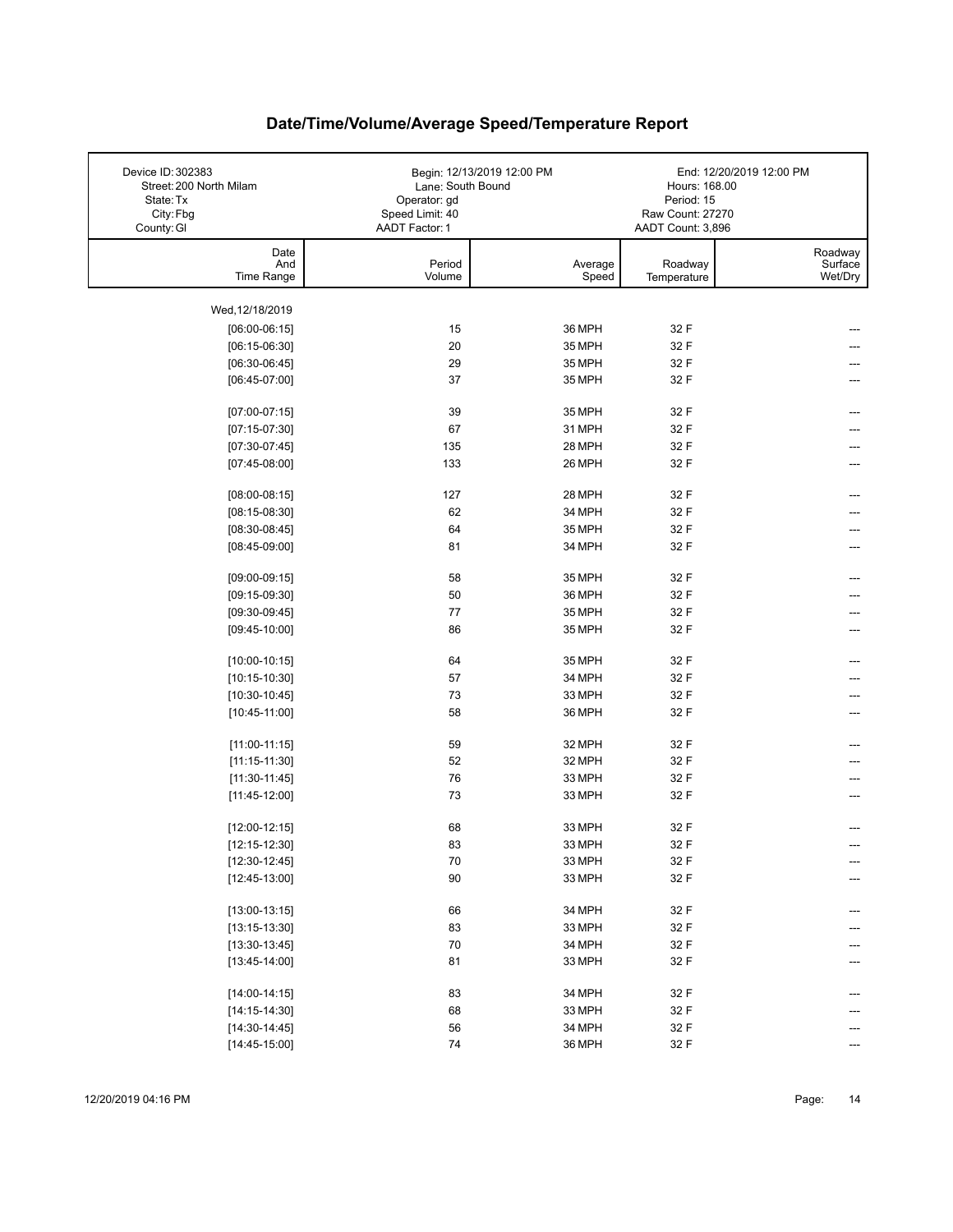| Device ID: 302383<br>Street: 200 North Milam<br>State: Tx<br>City: Fbg<br>County: GI | Lane: South Bound<br>Operator: gd<br>Speed Limit: 40<br>AADT Factor: 1 | Begin: 12/13/2019 12:00 PM | Hours: 168.00<br>Period: 15<br>Raw Count: 27270<br>AADT Count: 3,896 | End: 12/20/2019 12:00 PM      |
|--------------------------------------------------------------------------------------|------------------------------------------------------------------------|----------------------------|----------------------------------------------------------------------|-------------------------------|
| Date<br>And<br>Time Range                                                            | Period<br>Volume                                                       | Average<br>Speed           | Roadway<br>Temperature                                               | Roadway<br>Surface<br>Wet/Dry |
| Wed, 12/18/2019                                                                      |                                                                        |                            |                                                                      |                               |
| $[06:00-06:15]$                                                                      | 15                                                                     | 36 MPH                     | 32 F                                                                 |                               |
| $[06:15-06:30]$                                                                      | 20                                                                     | 35 MPH                     | 32 F                                                                 |                               |
| $[06:30-06:45]$                                                                      | 29                                                                     | 35 MPH                     | 32 F                                                                 |                               |
| $[06:45-07:00]$                                                                      | 37                                                                     | 35 MPH                     | 32 F                                                                 |                               |
| $[07:00-07:15]$                                                                      | 39                                                                     | 35 MPH                     | 32 F                                                                 | ---                           |
| $[07:15-07:30]$                                                                      | 67                                                                     | 31 MPH                     | 32 F                                                                 |                               |
| $[07:30-07:45]$                                                                      | 135                                                                    | 28 MPH                     | 32 F                                                                 | ---                           |
| $[07:45-08:00]$                                                                      | 133                                                                    | 26 MPH                     | 32 F                                                                 | ---                           |
|                                                                                      | 127                                                                    |                            |                                                                      |                               |
| $[08:00-08:15]$<br>$[08:15-08:30]$                                                   | 62                                                                     | 28 MPH<br>34 MPH           | 32 F<br>32 F                                                         | ---                           |
| $[08:30-08:45]$                                                                      | 64                                                                     | 35 MPH                     | 32 F                                                                 |                               |
| $[08:45-09:00]$                                                                      | 81                                                                     | 34 MPH                     | 32 F                                                                 |                               |
|                                                                                      |                                                                        |                            |                                                                      |                               |
| $[09:00-09:15]$                                                                      | 58                                                                     | 35 MPH                     | 32 F                                                                 | ---                           |
| $[09:15-09:30]$                                                                      | 50                                                                     | 36 MPH                     | 32 F                                                                 |                               |
| $[09:30-09:45]$                                                                      | 77                                                                     | 35 MPH                     | 32 F                                                                 |                               |
| $[09:45-10:00]$                                                                      | 86                                                                     | 35 MPH                     | 32 F                                                                 | ---                           |
| $[10:00-10:15]$                                                                      | 64                                                                     | 35 MPH                     | 32 F                                                                 | ---                           |
| $[10:15-10:30]$                                                                      | 57                                                                     | 34 MPH                     | 32 F                                                                 |                               |
| $[10:30-10:45]$                                                                      | 73                                                                     | 33 MPH                     | 32 F                                                                 |                               |
| $[10:45-11:00]$                                                                      | 58                                                                     | 36 MPH                     | 32 F                                                                 |                               |
| $[11:00-11:15]$                                                                      | 59                                                                     | 32 MPH                     | 32 F                                                                 |                               |
| $[11:15-11:30]$                                                                      | 52                                                                     | 32 MPH                     | 32 F                                                                 |                               |
| $[11:30-11:45]$                                                                      | 76                                                                     | 33 MPH                     | 32 F                                                                 |                               |
| $[11:45-12:00]$                                                                      | 73                                                                     | 33 MPH                     | 32 F                                                                 |                               |
| $[12:00-12:15]$                                                                      | 68                                                                     | 33 MPH                     | 32 F                                                                 |                               |
| $[12:15-12:30]$                                                                      | 83                                                                     | 33 MPH                     | 32 F                                                                 |                               |
| $[12:30-12:45]$                                                                      | 70                                                                     | 33 MPH                     | 32 F                                                                 | ---                           |
| $[12:45-13:00]$                                                                      | 90                                                                     | 33 MPH                     | 32 F                                                                 |                               |
|                                                                                      |                                                                        |                            |                                                                      |                               |
| $[13:00-13:15]$                                                                      | 66                                                                     | 34 MPH                     | 32 F                                                                 | ---                           |
| $[13:15-13:30]$                                                                      | 83                                                                     | 33 MPH                     | 32 F                                                                 |                               |
| $[13:30-13:45]$                                                                      | 70                                                                     | 34 MPH                     | 32 F                                                                 |                               |
| $[13:45-14:00]$                                                                      | 81                                                                     | 33 MPH                     | 32 F                                                                 |                               |
| $[14:00-14:15]$                                                                      | 83                                                                     | 34 MPH                     | 32 F                                                                 |                               |
| $[14:15-14:30]$                                                                      | 68                                                                     | 33 MPH                     | 32 F                                                                 |                               |
| $[14:30-14:45]$                                                                      | 56                                                                     | 34 MPH                     | 32 F                                                                 |                               |
| $[14:45-15:00]$                                                                      | 74                                                                     | 36 MPH                     | 32 F                                                                 | ---                           |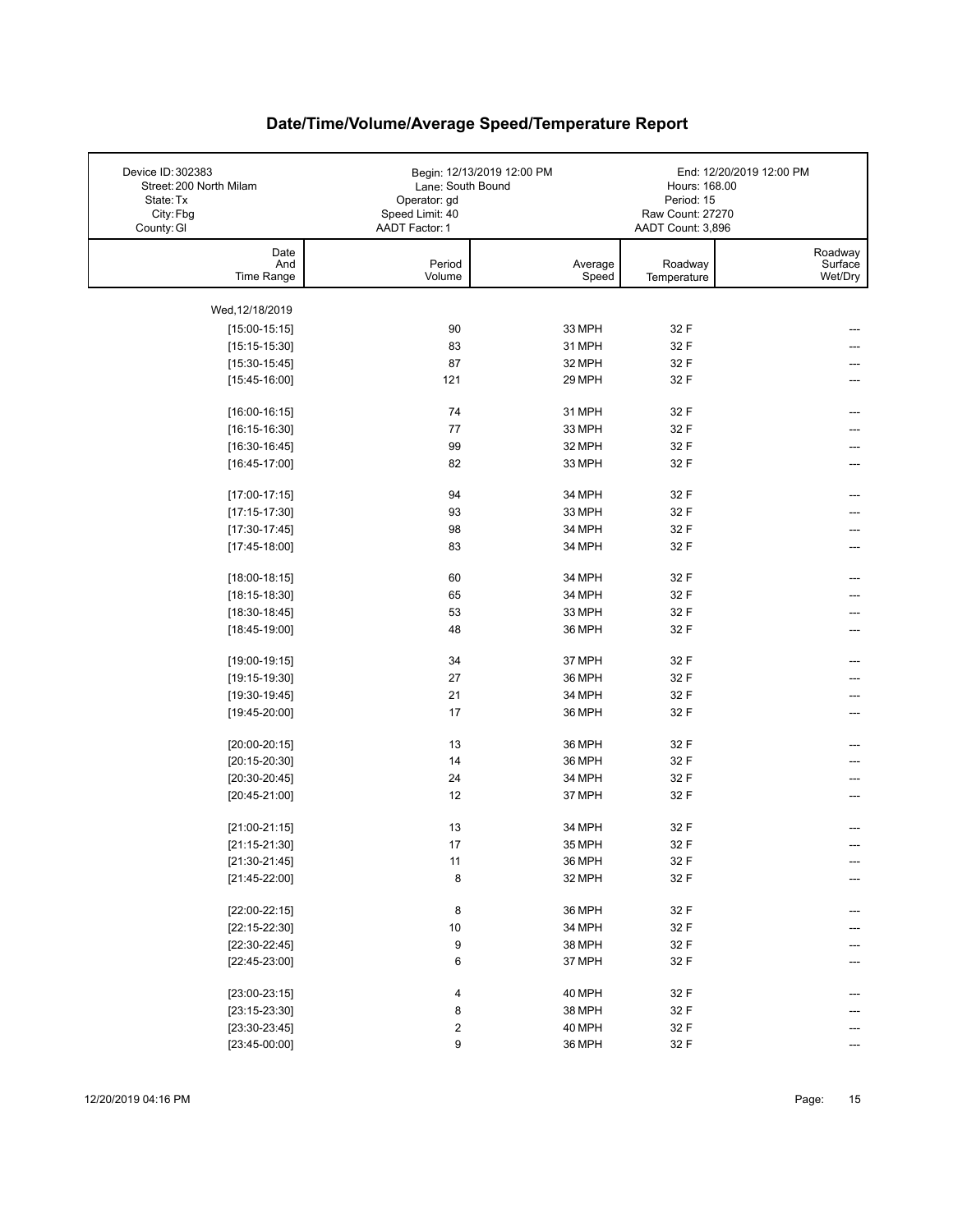| Device ID: 302383<br>Street: 200 North Milam | Lane: South Bound | Begin: 12/13/2019 12:00 PM | Hours: 168.00     | End: 12/20/2019 12:00 PM |
|----------------------------------------------|-------------------|----------------------------|-------------------|--------------------------|
| State: Tx                                    | Operator: gd      |                            | Period: 15        |                          |
| City: Fbg                                    | Speed Limit: 40   |                            | Raw Count: 27270  |                          |
| County: GI                                   | AADT Factor: 1    |                            | AADT Count: 3,896 |                          |
| Date                                         |                   |                            |                   | Roadway                  |
| And                                          | Period            | Average                    | Roadway           | Surface                  |
| Time Range                                   | Volume            | Speed                      | Temperature       | Wet/Dry                  |
|                                              |                   |                            |                   |                          |
| Wed, 12/18/2019                              |                   |                            |                   |                          |
| $[15:00-15:15]$                              | 90                | 33 MPH                     | 32 F              |                          |
| $[15:15-15:30]$                              | 83                | 31 MPH                     | 32 F              |                          |
| $[15:30-15:45]$                              | 87                | 32 MPH                     | 32 F              |                          |
| $[15:45-16:00]$                              | 121               | 29 MPH                     | 32 F              |                          |
|                                              | 74                | 31 MPH                     | 32 F              | ---                      |
| $[16:00-16:15]$                              |                   |                            |                   |                          |
| $[16:15-16:30]$                              | 77                | 33 MPH                     | 32 F              |                          |
| $[16:30-16:45]$                              | 99                | 32 MPH                     | 32 F              | ---                      |
| $[16:45-17:00]$                              | 82                | 33 MPH                     | 32 F              | ---                      |
| $[17:00-17:15]$                              | 94                | 34 MPH                     | 32 F              |                          |
| $[17:15-17:30]$                              | 93                | 33 MPH                     | 32 F              |                          |
| $[17:30-17:45]$                              | 98                | 34 MPH                     | 32 F              |                          |
| $[17:45-18:00]$                              | 83                | 34 MPH                     | 32 F              |                          |
|                                              |                   |                            |                   |                          |
| $[18:00-18:15]$                              | 60                | 34 MPH                     | 32 F              | ---                      |
| $[18:15-18:30]$                              | 65                | 34 MPH                     | 32 F              |                          |
| $[18:30-18:45]$                              | 53                | 33 MPH                     | 32 F              |                          |
| $[18:45-19:00]$                              | 48                | 36 MPH                     | 32 F              |                          |
|                                              |                   |                            |                   |                          |
| $[19:00-19:15]$                              | 34                | 37 MPH                     | 32 F              | ---                      |
| $[19:15-19:30]$                              | 27                | 36 MPH                     | 32 F              |                          |
| $[19:30-19:45]$                              | 21                | 34 MPH                     | 32 F              |                          |
| $[19:45-20:00]$                              | 17                | 36 MPH                     | 32 F              |                          |
| $[20:00-20:15]$                              | 13                | 36 MPH                     | 32 F              |                          |
| $[20:15-20:30]$                              | 14                | 36 MPH                     | 32 F              |                          |
| $[20:30-20:45]$                              | 24                | 34 MPH                     | 32 F              |                          |
| $[20:45-21:00]$                              | 12                | 37 MPH                     | 32 F              |                          |
|                                              |                   |                            |                   | ---                      |
| $[21:00-21:15]$                              | 13                | 34 MPH                     | 32 F              |                          |
| $[21:15-21:30]$                              | 17                | 35 MPH                     | 32 F              |                          |
| $[21:30-21:45]$                              | 11                | 36 MPH                     | 32 F              | ---                      |
| $[21:45-22:00]$                              | 8                 | 32 MPH                     | 32 F              |                          |
|                                              |                   |                            |                   |                          |
| $[22:00-22:15]$                              | 8                 | 36 MPH                     | 32 F              |                          |
| $[22:15-22:30]$                              | 10                | 34 MPH                     | 32 F              |                          |
| $[22:30-22:45]$                              | 9                 | 38 MPH                     | 32 F              |                          |
| $[22:45-23:00]$                              | 6                 | 37 MPH                     | 32 F              |                          |
|                                              |                   |                            |                   |                          |
| $[23:00-23:15]$                              | 4                 | 40 MPH                     | 32 F              |                          |
| $[23:15-23:30]$                              | 8                 | 38 MPH                     | 32 F              |                          |
| $[23:30-23:45]$                              | 2                 | 40 MPH                     | 32 F              |                          |
| $[23:45-00:00]$                              | 9                 | 36 MPH                     | 32 F              |                          |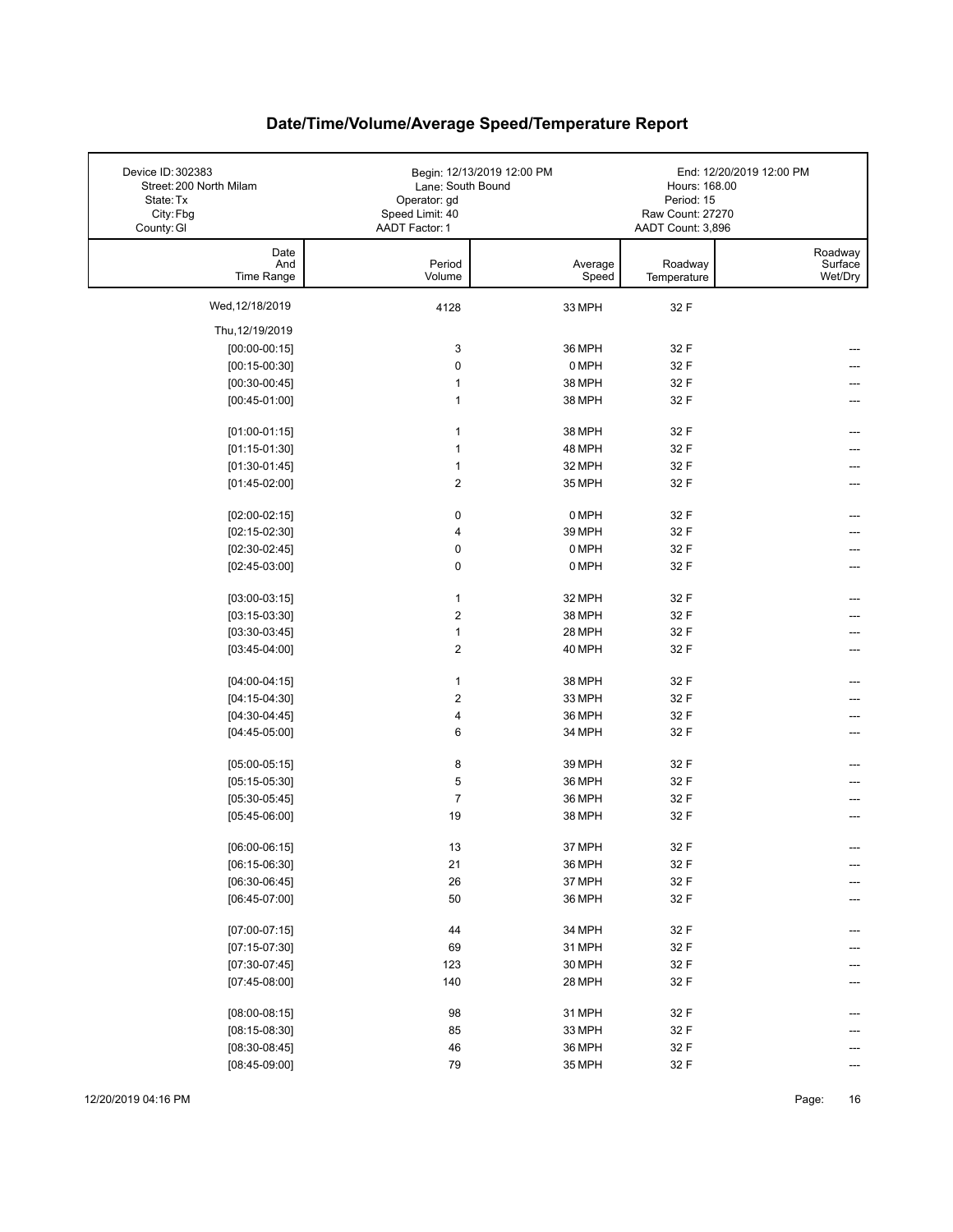| Device ID: 302383<br>Street: 200 North Milam<br>State: Tx<br>City: Fbg<br>County: GI | Lane: South Bound<br>Operator: gd<br>Speed Limit: 40<br>AADT Factor: 1 | Begin: 12/13/2019 12:00 PM | Hours: 168.00<br>Period: 15<br>Raw Count: 27270<br>AADT Count: 3,896 | End: 12/20/2019 12:00 PM      |
|--------------------------------------------------------------------------------------|------------------------------------------------------------------------|----------------------------|----------------------------------------------------------------------|-------------------------------|
| Date<br>And<br>Time Range                                                            | Period<br>Volume                                                       | Average<br>Speed           | Roadway<br>Temperature                                               | Roadway<br>Surface<br>Wet/Dry |
| Wed, 12/18/2019                                                                      | 4128                                                                   | 33 MPH                     | 32 F                                                                 |                               |
| Thu, 12/19/2019                                                                      |                                                                        |                            |                                                                      |                               |
| $[00:00-00:15]$                                                                      | 3                                                                      | 36 MPH                     | 32 F                                                                 |                               |
| $[00:15-00:30]$                                                                      | $\pmb{0}$                                                              | 0 MPH                      | 32 F                                                                 |                               |
| $[00:30-00:45]$                                                                      | $\mathbf{1}$                                                           | 38 MPH                     | 32 F                                                                 |                               |
| $[00:45-01:00]$                                                                      | $\mathbf{1}$                                                           | 38 MPH                     | 32 F                                                                 |                               |
| $[01:00-01:15]$                                                                      | $\mathbf{1}$                                                           | 38 MPH                     | 32 F                                                                 |                               |
| $[01:15-01:30]$                                                                      | $\mathbf{1}$                                                           | 48 MPH                     | 32 F                                                                 |                               |
| $[01:30-01:45]$                                                                      | 1                                                                      | 32 MPH                     | 32 F                                                                 |                               |
| $[01:45-02:00]$                                                                      | $\boldsymbol{2}$                                                       | 35 MPH                     | 32 F                                                                 |                               |
| $[02:00-02:15]$                                                                      | $\pmb{0}$                                                              | 0 MPH                      | 32 F                                                                 |                               |
| $[02:15-02:30]$                                                                      | 4                                                                      | 39 MPH                     | 32 F                                                                 |                               |
| $[02:30-02:45]$                                                                      | 0                                                                      | 0 MPH                      | 32 F                                                                 |                               |
| $[02:45-03:00]$                                                                      | 0                                                                      | 0 MPH                      | 32 F                                                                 |                               |
| $[03:00-03:15]$                                                                      | $\mathbf{1}$                                                           | 32 MPH                     | 32 F                                                                 |                               |
| $[03:15-03:30]$                                                                      | $\boldsymbol{2}$                                                       | 38 MPH                     | 32 F                                                                 |                               |
| $[03:30-03:45]$                                                                      | $\mathbf{1}$                                                           | 28 MPH                     | 32 F                                                                 |                               |
| $[03:45-04:00]$                                                                      | $\boldsymbol{2}$                                                       | 40 MPH                     | 32 F                                                                 | ---                           |
| $[04:00-04:15]$                                                                      | $\mathbf{1}$                                                           | 38 MPH                     | 32 F                                                                 |                               |
| $[04:15-04:30]$                                                                      | $\boldsymbol{2}$                                                       | 33 MPH                     | 32 F                                                                 |                               |
| $[04:30-04:45]$                                                                      | $\overline{\mathbf{4}}$                                                | 36 MPH                     | 32 F                                                                 |                               |
| $[04:45-05:00]$                                                                      | 6                                                                      | 34 MPH                     | 32 F                                                                 |                               |
| $[05:00-05:15]$                                                                      | 8                                                                      | 39 MPH                     | 32 F                                                                 |                               |
| $[05:15-05:30]$                                                                      | 5                                                                      | 36 MPH                     | 32 F                                                                 |                               |
| $[05:30-05:45]$                                                                      | $\overline{7}$                                                         | 36 MPH                     | 32 F                                                                 |                               |
| $[05:45-06:00]$                                                                      | 19                                                                     | 38 MPH                     | 32 F                                                                 |                               |
| $[06:00-06:15]$                                                                      | 13                                                                     | 37 MPH                     | 32 F                                                                 |                               |
| $[06:15-06:30]$                                                                      | 21                                                                     | 36 MPH                     | 32 F                                                                 | ---                           |
| $[06:30-06:45]$                                                                      | 26                                                                     | 37 MPH                     | 32 F                                                                 |                               |
| $[06:45-07:00]$                                                                      | 50                                                                     | 36 MPH                     | 32 F                                                                 |                               |
| $[07:00-07:15]$                                                                      | 44                                                                     | 34 MPH                     | 32 F                                                                 | ---                           |
| $[07:15-07:30]$                                                                      | 69                                                                     | 31 MPH                     | 32 F                                                                 |                               |
| $[07:30-07:45]$                                                                      | 123                                                                    | 30 MPH                     | 32 F                                                                 |                               |
| $[07:45-08:00]$                                                                      | 140                                                                    | 28 MPH                     | 32 F                                                                 | ---                           |
| $[08:00-08:15]$                                                                      | 98                                                                     | 31 MPH                     | 32 F                                                                 |                               |
| $[08:15-08:30]$                                                                      | 85                                                                     | 33 MPH                     | 32 F                                                                 |                               |
| $[08:30-08:45]$                                                                      | 46                                                                     | 36 MPH                     | 32 F                                                                 |                               |
| $[08:45-09:00]$                                                                      | 79                                                                     | 35 MPH                     | 32 F                                                                 | ---                           |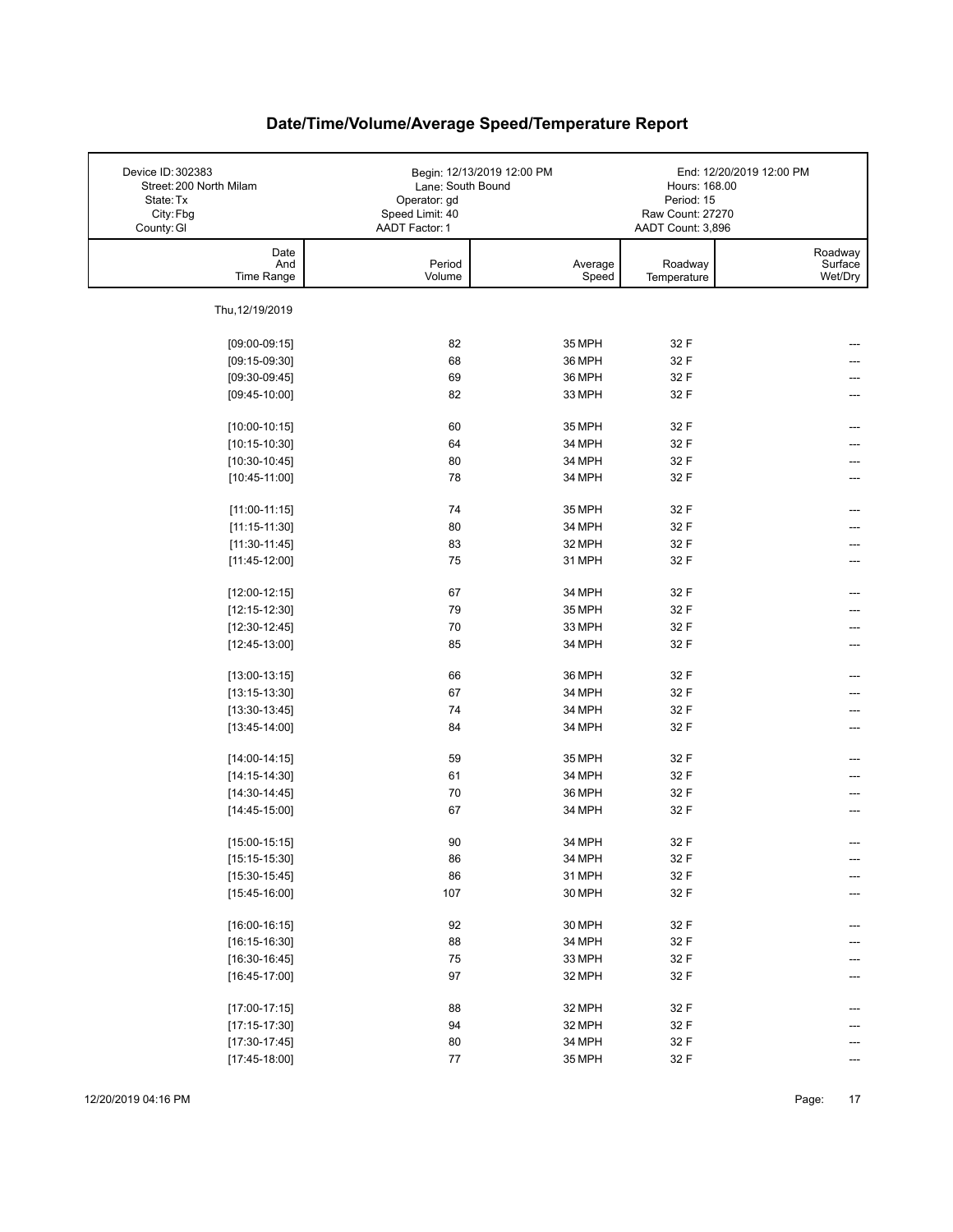| Device ID: 302383<br>Street: 200 North Milam<br>State: Tx<br>City: Fbg<br>County: GI | Lane: South Bound<br>Operator: gd<br>Speed Limit: 40<br>AADT Factor: 1 | Begin: 12/13/2019 12:00 PM | Hours: 168.00<br>Period: 15<br>Raw Count: 27270<br>AADT Count: 3,896 | End: 12/20/2019 12:00 PM      |
|--------------------------------------------------------------------------------------|------------------------------------------------------------------------|----------------------------|----------------------------------------------------------------------|-------------------------------|
| Date<br>And<br>Time Range                                                            | Period<br>Volume                                                       | Average<br>Speed           | Roadway<br>Temperature                                               | Roadway<br>Surface<br>Wet/Dry |
| Thu, 12/19/2019                                                                      |                                                                        |                            |                                                                      |                               |
| $[09:00-09:15]$                                                                      | 82                                                                     | 35 MPH                     | 32 F                                                                 |                               |
| $[09:15-09:30]$                                                                      | 68                                                                     | 36 MPH                     | 32 F                                                                 |                               |
| $[09:30-09:45]$                                                                      | 69                                                                     | 36 MPH                     | 32 F                                                                 |                               |
| $[09:45-10:00]$                                                                      | 82                                                                     | 33 MPH                     | 32 F                                                                 |                               |
|                                                                                      |                                                                        |                            |                                                                      |                               |
| $[10:00-10:15]$                                                                      | 60                                                                     | 35 MPH                     | 32 F                                                                 |                               |
| $[10:15-10:30]$                                                                      | 64                                                                     | 34 MPH                     | 32 F                                                                 |                               |
| $[10:30-10:45]$                                                                      | 80                                                                     | 34 MPH                     | 32 F                                                                 |                               |
| $[10:45-11:00]$                                                                      | 78                                                                     | 34 MPH                     | 32 F                                                                 |                               |
|                                                                                      |                                                                        |                            |                                                                      |                               |
| $[11:00-11:15]$                                                                      | 74                                                                     | 35 MPH                     | 32 F                                                                 |                               |
| $[11:15-11:30]$                                                                      | 80                                                                     | 34 MPH                     | 32 F                                                                 |                               |
| $[11:30-11:45]$                                                                      | 83                                                                     | 32 MPH                     | 32 F                                                                 |                               |
| $[11:45-12:00]$                                                                      | 75                                                                     | 31 MPH                     | 32 F                                                                 |                               |
| $[12:00-12:15]$                                                                      | 67                                                                     | 34 MPH                     | 32 F                                                                 |                               |
| $[12:15-12:30]$                                                                      | 79                                                                     | 35 MPH                     | 32 F                                                                 |                               |
| $[12:30-12:45]$                                                                      | 70                                                                     | 33 MPH                     | 32 F                                                                 |                               |
| $[12:45-13:00]$                                                                      | 85                                                                     | 34 MPH                     | 32 F                                                                 |                               |
| $[13:00-13:15]$                                                                      | 66                                                                     | 36 MPH                     | 32 F                                                                 | ---                           |
| $[13:15-13:30]$                                                                      | 67                                                                     | 34 MPH                     | 32 F                                                                 |                               |
| $[13:30-13:45]$                                                                      | 74                                                                     | 34 MPH                     | 32 F                                                                 | ---                           |
| $[13:45-14:00]$                                                                      | 84                                                                     | 34 MPH                     | 32 F                                                                 | ---                           |
|                                                                                      |                                                                        |                            |                                                                      |                               |
| $[14:00-14:15]$                                                                      | 59                                                                     | 35 MPH                     | 32 F                                                                 |                               |
| $[14:15-14:30]$                                                                      | 61                                                                     | 34 MPH                     | 32 F                                                                 |                               |
| $[14:30-14:45]$                                                                      | 70                                                                     | 36 MPH                     | 32 F                                                                 |                               |
| $[14:45-15:00]$                                                                      | 67                                                                     | 34 MPH                     | 32 F                                                                 |                               |
| $[15:00-15:15]$                                                                      | 90                                                                     | 34 MPH                     | 32 F                                                                 |                               |
| $[15:15-15:30]$                                                                      | 86                                                                     | 34 MPH                     | 32 F                                                                 | ---                           |
| $[15:30-15:45]$                                                                      | 86                                                                     | 31 MPH                     | 32 F                                                                 | ---                           |
| $[15:45-16:00]$                                                                      | 107                                                                    | 30 MPH                     | 32 F                                                                 |                               |
|                                                                                      |                                                                        |                            |                                                                      |                               |
| $[16:00-16:15]$                                                                      | 92                                                                     | 30 MPH                     | 32 F                                                                 | ---                           |
| $[16:15-16:30]$                                                                      | 88                                                                     | 34 MPH                     | 32 F                                                                 |                               |
| $[16:30-16:45]$                                                                      | ${\bf 75}$                                                             | 33 MPH                     | 32 F                                                                 |                               |
| $[16:45-17:00]$                                                                      | 97                                                                     | 32 MPH                     | 32 F                                                                 |                               |
| $[17:00-17:15]$                                                                      | 88                                                                     | 32 MPH                     | 32 F                                                                 |                               |
| $[17:15-17:30]$                                                                      | 94                                                                     | 32 MPH                     | 32 F                                                                 |                               |
| $[17:30-17:45]$                                                                      | 80                                                                     | 34 MPH                     | 32 F                                                                 |                               |
| $[17:45-18:00]$                                                                      | 77                                                                     | 35 MPH                     | 32 F                                                                 |                               |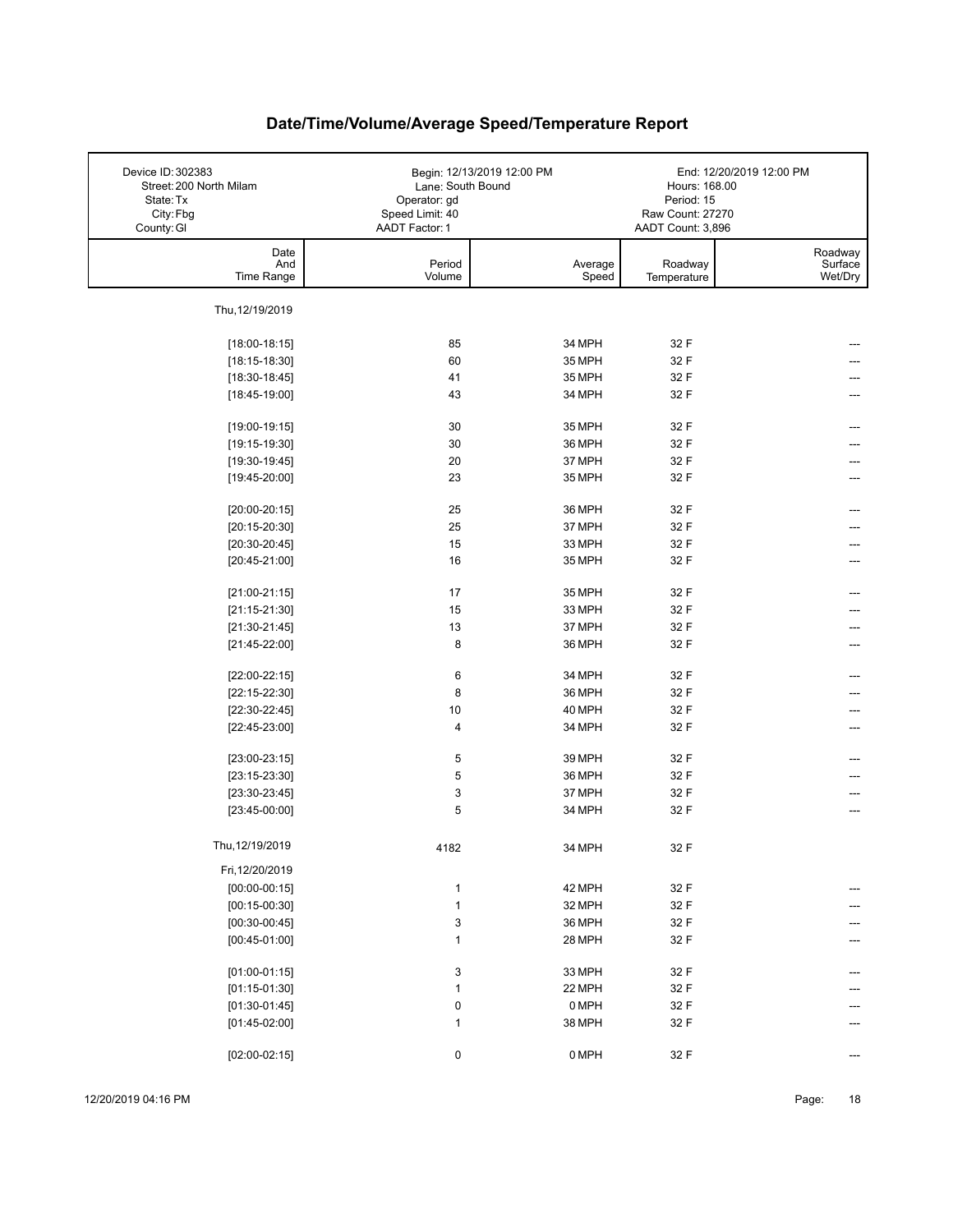| Device ID: 302383<br>Street: 200 North Milam<br>State: Tx<br>City: Fbg | Lane: South Bound<br>Operator: gd<br>Speed Limit: 40 | Begin: 12/13/2019 12:00 PM | Hours: 168.00<br>Period: 15<br>Raw Count: 27270 | End: 12/20/2019 12:00 PM      |
|------------------------------------------------------------------------|------------------------------------------------------|----------------------------|-------------------------------------------------|-------------------------------|
| County: GI                                                             | AADT Factor: 1                                       |                            | AADT Count: 3,896                               |                               |
| Date<br>And<br>Time Range                                              | Period<br>Volume                                     | Average<br>Speed           | Roadway<br>Temperature                          | Roadway<br>Surface<br>Wet/Dry |
|                                                                        |                                                      |                            |                                                 |                               |
| Thu, 12/19/2019                                                        |                                                      |                            |                                                 |                               |
| $[18:00-18:15]$                                                        | 85                                                   | 34 MPH                     | 32 F                                            |                               |
| $[18:15-18:30]$                                                        | 60                                                   | 35 MPH                     | 32 F                                            |                               |
| $[18:30-18:45]$                                                        | 41                                                   | 35 MPH                     | 32 F                                            |                               |
| $[18:45-19:00]$                                                        | 43                                                   | 34 MPH                     | 32 F                                            |                               |
| $[19:00-19:15]$                                                        | 30                                                   | 35 MPH                     | 32 F                                            |                               |
| $[19:15-19:30]$                                                        | 30                                                   | 36 MPH                     | 32 F                                            |                               |
| $[19:30-19:45]$                                                        | 20                                                   | 37 MPH                     | 32 F                                            |                               |
| $[19:45-20:00]$                                                        | 23                                                   | 35 MPH                     | 32 F                                            |                               |
| $[20:00-20:15]$                                                        | 25                                                   | 36 MPH                     | 32 F                                            |                               |
| $[20:15-20:30]$                                                        | 25                                                   | 37 MPH                     | 32 F                                            |                               |
| $[20:30-20:45]$                                                        | 15                                                   | 33 MPH                     | 32 F                                            |                               |
| $[20:45-21:00]$                                                        | 16                                                   | 35 MPH                     | 32 F                                            |                               |
|                                                                        |                                                      |                            |                                                 |                               |
| $[21:00-21:15]$                                                        | 17                                                   | 35 MPH                     | 32 F                                            |                               |
| $[21:15-21:30]$                                                        | 15                                                   | 33 MPH                     | 32 F                                            |                               |
| $[21:30-21:45]$                                                        | 13                                                   | 37 MPH                     | 32 F                                            |                               |
| $[21:45-22:00]$                                                        | 8                                                    | 36 MPH                     | 32 F                                            | ---                           |
| $[22:00-22:15]$                                                        | 6                                                    | 34 MPH                     | 32 F                                            | ---                           |
| $[22:15-22:30]$                                                        | 8                                                    | 36 MPH                     | 32 F                                            |                               |
| $[22:30-22:45]$                                                        | 10                                                   | 40 MPH                     | 32 F                                            |                               |
| $[22:45-23:00]$                                                        | $\overline{\mathbf{4}}$                              | 34 MPH                     | 32 F                                            | ---                           |
| $[23:00-23:15]$                                                        | 5                                                    | 39 MPH                     | 32 F                                            |                               |
| $[23:15-23:30]$                                                        | 5                                                    | 36 MPH                     | 32 F                                            |                               |
| $[23:30-23:45]$                                                        | 3                                                    | 37 MPH                     | 32 F                                            | ---                           |
| $[23:45-00:00]$                                                        | 5                                                    | 34 MPH                     | 32 F                                            | ---                           |
|                                                                        |                                                      |                            |                                                 |                               |
| Thu, 12/19/2019                                                        | 4182                                                 | 34 MPH                     | 32 F                                            |                               |
| Fri, 12/20/2019                                                        |                                                      |                            |                                                 |                               |
| $[00:00-00:15]$                                                        | $\mathbf{1}$                                         | 42 MPH                     | 32 F                                            | ---                           |
| $[00:15-00:30]$                                                        | $\mathbf{1}$                                         | 32 MPH                     | 32 F                                            |                               |
| $[00:30-00:45]$                                                        | 3                                                    | 36 MPH                     | 32 F                                            | ---                           |
| $[00:45-01:00]$                                                        | $\mathbf{1}$                                         | 28 MPH                     | 32 F                                            | ---                           |
| $[01:00-01:15]$                                                        | 3                                                    | 33 MPH                     | 32 F                                            | ---                           |
| $[01:15-01:30]$                                                        | $\mathbf{1}$                                         | 22 MPH                     | 32 F                                            |                               |
| $[01:30-01:45]$                                                        | 0                                                    | 0 MPH                      | 32 F                                            |                               |
| $[01:45-02:00]$                                                        | $\mathbf{1}$                                         | 38 MPH                     | 32 F                                            |                               |
|                                                                        |                                                      |                            |                                                 |                               |
| $[02:00-02:15]$                                                        | 0                                                    | 0 MPH                      | 32 F                                            |                               |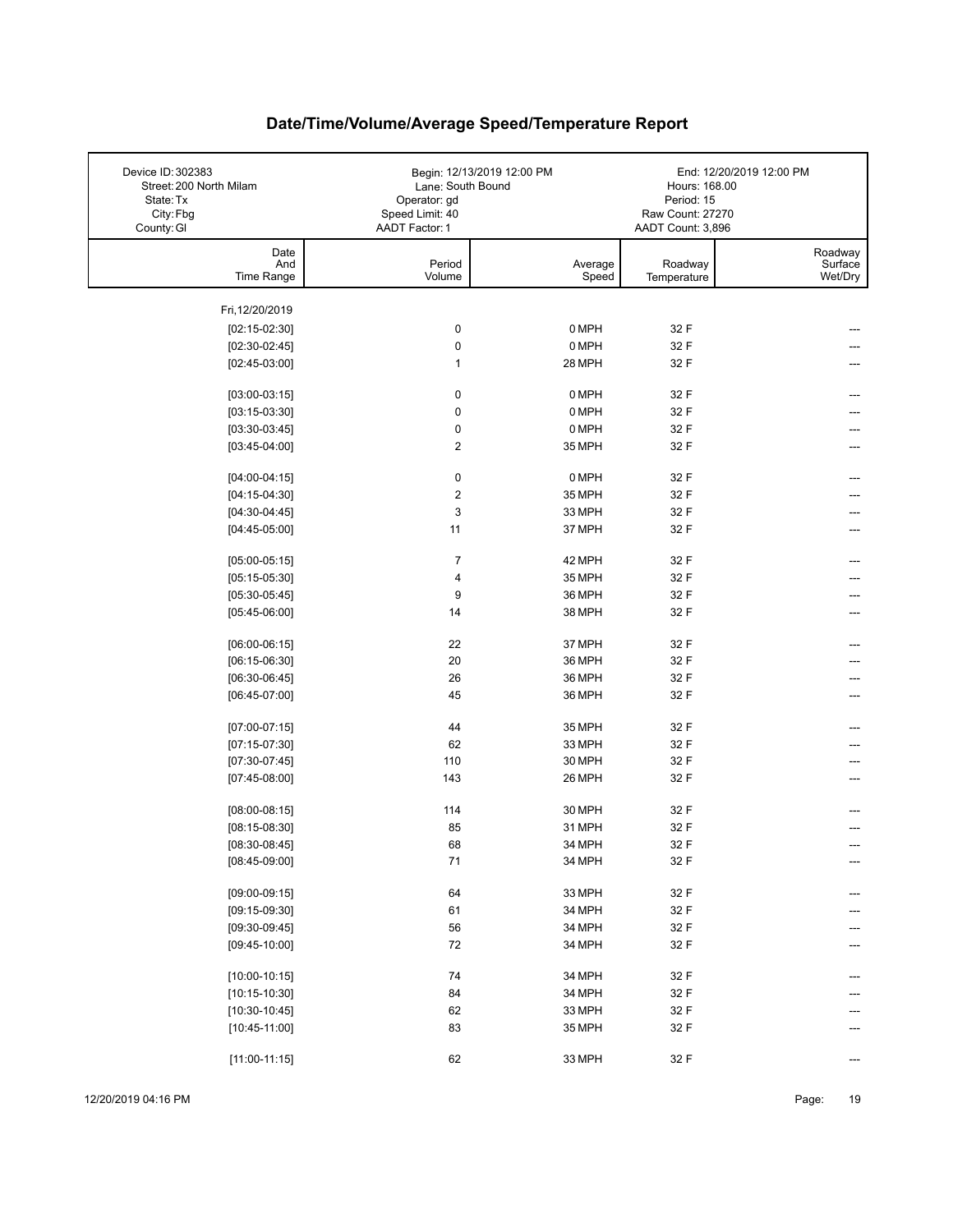| Device ID: 302383<br>Street: 200 North Milam<br>State: Tx<br>City: Fbg<br>County: GI | Lane: South Bound<br>Operator: gd<br>Speed Limit: 40<br>AADT Factor: 1 | Begin: 12/13/2019 12:00 PM | Hours: 168.00<br>Period: 15<br>Raw Count: 27270<br>AADT Count: 3,896 | End: 12/20/2019 12:00 PM      |
|--------------------------------------------------------------------------------------|------------------------------------------------------------------------|----------------------------|----------------------------------------------------------------------|-------------------------------|
| Date<br>And<br>Time Range                                                            | Period<br>Volume                                                       | Average<br>Speed           | Roadway<br>Temperature                                               | Roadway<br>Surface<br>Wet/Dry |
|                                                                                      |                                                                        |                            |                                                                      |                               |
| Fri, 12/20/2019                                                                      |                                                                        | 0 MPH                      |                                                                      |                               |
| $[02:15-02:30]$<br>$[02:30-02:45]$                                                   | $\pmb{0}$<br>$\pmb{0}$                                                 | 0 MPH                      | 32 F<br>32 F                                                         |                               |
| $[02:45-03:00]$                                                                      | $\mathbf{1}$                                                           | 28 MPH                     | 32 F                                                                 |                               |
|                                                                                      |                                                                        |                            |                                                                      |                               |
| $[03:00-03:15]$                                                                      | 0                                                                      | 0 MPH                      | 32 F                                                                 |                               |
| $[03:15-03:30]$                                                                      | $\pmb{0}$                                                              | 0 MPH                      | 32 F                                                                 |                               |
| $[03:30-03:45]$                                                                      | $\pmb{0}$                                                              | 0 MPH                      | 32 F                                                                 | ---                           |
| $[03:45-04:00]$                                                                      | $\boldsymbol{2}$                                                       | 35 MPH                     | 32 F                                                                 |                               |
| $[04:00-04:15]$                                                                      | $\pmb{0}$                                                              | 0 MPH                      | 32 F                                                                 | ---                           |
| $[04:15-04:30]$                                                                      | $\boldsymbol{2}$                                                       | 35 MPH                     | 32 F                                                                 |                               |
| $[04:30-04:45]$                                                                      | 3                                                                      | 33 MPH                     | 32 F                                                                 |                               |
| $[04:45-05:00]$                                                                      | 11                                                                     | 37 MPH                     | 32 F                                                                 |                               |
|                                                                                      |                                                                        |                            |                                                                      |                               |
| $[05:00-05:15]$                                                                      | $\overline{7}$                                                         | 42 MPH                     | 32 F                                                                 |                               |
| $[05:15-05:30]$                                                                      | 4<br>9                                                                 | 35 MPH                     | 32 F                                                                 |                               |
| $[05:30-05:45]$<br>$[05:45-06:00]$                                                   | 14                                                                     | 36 MPH<br>38 MPH           | 32 F<br>32 F                                                         |                               |
|                                                                                      |                                                                        |                            |                                                                      |                               |
| $[06:00-06:15]$                                                                      | 22                                                                     | 37 MPH                     | 32 F                                                                 |                               |
| $[06:15-06:30]$                                                                      | 20                                                                     | 36 MPH                     | 32 F                                                                 |                               |
| $[06:30-06:45]$                                                                      | 26                                                                     | 36 MPH                     | 32 F                                                                 |                               |
| $[06:45-07:00]$                                                                      | 45                                                                     | 36 MPH                     | 32 F                                                                 |                               |
| $[07:00-07:15]$                                                                      | 44                                                                     | 35 MPH                     | 32 F                                                                 |                               |
| $[07:15-07:30]$                                                                      | 62                                                                     | 33 MPH                     | 32 F                                                                 |                               |
| $[07:30-07:45]$                                                                      | 110                                                                    | 30 MPH                     | 32 F                                                                 |                               |
| $[07:45-08:00]$                                                                      | 143                                                                    | 26 MPH                     | 32 F                                                                 |                               |
|                                                                                      |                                                                        |                            |                                                                      |                               |
| $[08:00-08:15]$<br>$[08:15-08:30]$                                                   | 114<br>85                                                              | 30 MPH<br>31 MPH           | 32 F<br>32 F                                                         |                               |
| $[08:30-08:45]$                                                                      | 68                                                                     | 34 MPH                     | 32 F                                                                 |                               |
| $[08:45-09:00]$                                                                      | $71$                                                                   | 34 MPH                     | 32 F                                                                 | ---                           |
|                                                                                      |                                                                        |                            |                                                                      |                               |
| $[09:00-09:15]$                                                                      | 64                                                                     | 33 MPH                     | 32 F                                                                 |                               |
| $[09:15-09:30]$                                                                      | 61                                                                     | 34 MPH                     | 32 F                                                                 |                               |
| $[09:30-09:45]$                                                                      | 56                                                                     | 34 MPH                     | 32 F                                                                 |                               |
| $[09:45-10:00]$                                                                      | 72                                                                     | 34 MPH                     | 32 F                                                                 |                               |
| $[10:00-10:15]$                                                                      | 74                                                                     | 34 MPH                     | 32 F                                                                 |                               |
| $[10:15-10:30]$                                                                      | 84                                                                     | 34 MPH                     | 32 F                                                                 |                               |
| $[10:30-10:45]$                                                                      | 62                                                                     | 33 MPH                     | 32 F                                                                 |                               |
| $[10:45-11:00]$                                                                      | 83                                                                     | 35 MPH                     | 32 F                                                                 |                               |
| $[11:00-11:15]$                                                                      | 62                                                                     | 33 MPH                     | 32 F                                                                 |                               |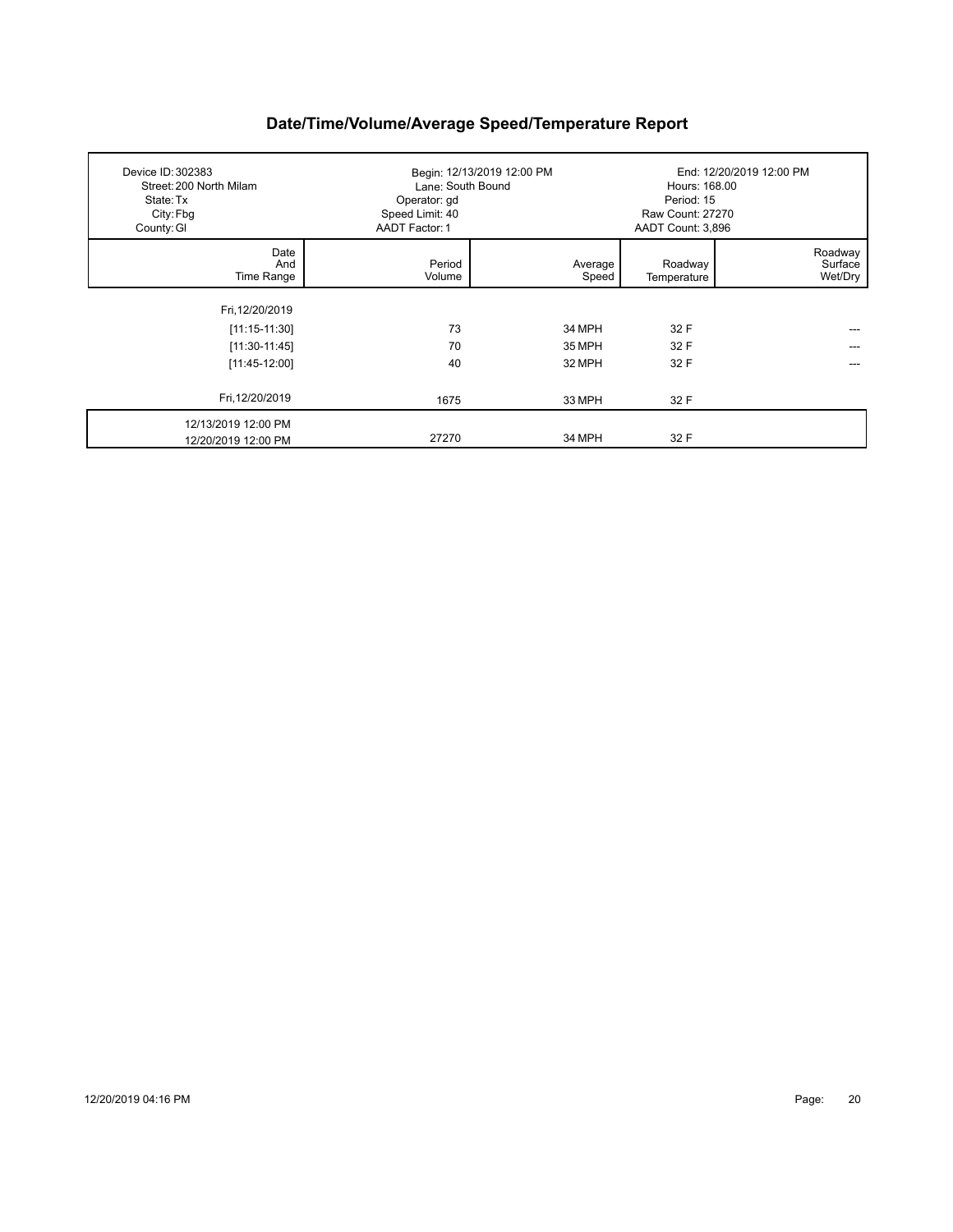| Device ID: 302383<br>Street: 200 North Milam<br>State: Tx<br>City: Fbg<br>County: GI | Lane: South Bound<br>Operator: gd<br>Speed Limit: 40<br>AADT Factor: 1 | Begin: 12/13/2019 12:00 PM | Hours: 168.00<br>Period: 15<br><b>Raw Count: 27270</b><br>AADT Count: 3,896 | End: 12/20/2019 12:00 PM      |
|--------------------------------------------------------------------------------------|------------------------------------------------------------------------|----------------------------|-----------------------------------------------------------------------------|-------------------------------|
| Date<br>And<br>Time Range                                                            | Period<br>Volume                                                       | Average<br>Speed           | Roadway<br>Temperature                                                      | Roadway<br>Surface<br>Wet/Dry |
| Fri, 12/20/2019                                                                      |                                                                        |                            |                                                                             |                               |
| $[11:15-11:30]$                                                                      | 73                                                                     | 34 MPH                     | 32 F                                                                        |                               |
| $[11:30-11:45]$                                                                      | 70                                                                     | 35 MPH                     | 32 F                                                                        |                               |
| $[11:45-12:00]$                                                                      | 40                                                                     | 32 MPH                     | 32 F                                                                        |                               |
| Fri, 12/20/2019                                                                      | 1675                                                                   | 33 MPH                     | 32 F                                                                        |                               |
| 12/13/2019 12:00 PM<br>12/20/2019 12:00 PM                                           | 27270                                                                  | 34 MPH                     | 32 F                                                                        |                               |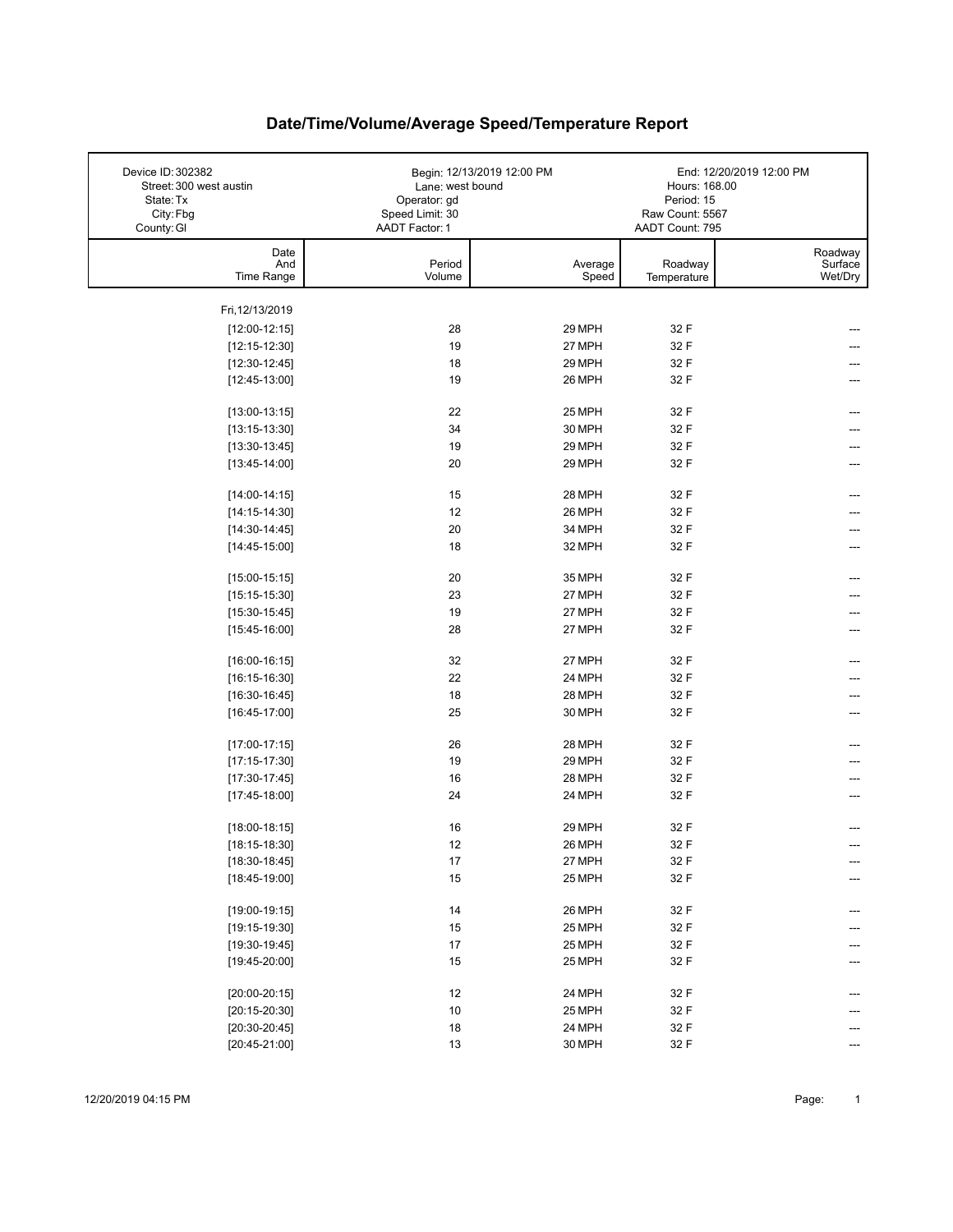| Device ID: 302382<br>Street: 300 west austin<br>State: Tx<br>City: Fbg<br>County: GI | Lane: west bound<br>Operator: gd<br>Speed Limit: 30<br>AADT Factor: 1 | Begin: 12/13/2019 12:00 PM | Hours: 168.00<br>Period: 15<br>Raw Count: 5567<br>AADT Count: 795 | End: 12/20/2019 12:00 PM      |
|--------------------------------------------------------------------------------------|-----------------------------------------------------------------------|----------------------------|-------------------------------------------------------------------|-------------------------------|
| Date<br>And<br>Time Range                                                            | Period<br>Volume                                                      | Average<br>Speed           | Roadway<br>Temperature                                            | Roadway<br>Surface<br>Wet/Dry |
| Fri, 12/13/2019                                                                      |                                                                       |                            |                                                                   |                               |
| $[12:00-12:15]$                                                                      | 28                                                                    | 29 MPH                     | 32 F                                                              |                               |
| $[12:15-12:30]$                                                                      | 19                                                                    | 27 MPH                     | 32 F                                                              |                               |
| $[12:30-12:45]$                                                                      | 18                                                                    | 29 MPH                     | 32 F                                                              |                               |
| $[12:45-13:00]$                                                                      | 19                                                                    | 26 MPH                     | 32 F                                                              |                               |
|                                                                                      |                                                                       |                            |                                                                   |                               |
| $[13:00-13:15]$                                                                      | 22                                                                    | 25 MPH                     | 32 F                                                              |                               |
| $[13:15-13:30]$                                                                      | 34                                                                    | 30 MPH                     | 32 F                                                              |                               |
| $[13:30-13:45]$                                                                      | 19                                                                    | 29 MPH                     | 32 F                                                              |                               |
| $[13:45-14:00]$                                                                      | 20                                                                    | 29 MPH                     | 32 F                                                              | ---                           |
| $[14:00-14:15]$                                                                      | 15                                                                    | 28 MPH                     | 32 F                                                              |                               |
| $[14:15-14:30]$                                                                      | 12                                                                    | 26 MPH                     | 32 F                                                              |                               |
| $[14:30-14:45]$                                                                      | 20                                                                    | 34 MPH                     | 32 F                                                              |                               |
| $[14:45-15:00]$                                                                      | 18                                                                    | 32 MPH                     | 32 F                                                              |                               |
|                                                                                      |                                                                       |                            |                                                                   |                               |
| $[15:00-15:15]$                                                                      | 20                                                                    | 35 MPH                     | 32 F                                                              | ---                           |
| $[15:15-15:30]$                                                                      | 23                                                                    | 27 MPH                     | 32 F                                                              |                               |
| $[15:30-15:45]$                                                                      | 19                                                                    | 27 MPH                     | 32 F                                                              |                               |
| $[15:45-16:00]$                                                                      | 28                                                                    | 27 MPH                     | 32 F                                                              | ---                           |
| $[16:00-16:15]$                                                                      | 32                                                                    | 27 MPH                     | 32 F                                                              |                               |
| $[16:15-16:30]$                                                                      | 22                                                                    | 24 MPH                     | 32 F                                                              |                               |
| $[16:30-16:45]$                                                                      | 18                                                                    | 28 MPH                     | 32 F                                                              |                               |
| $[16:45-17:00]$                                                                      | 25                                                                    | 30 MPH                     | 32 F                                                              |                               |
|                                                                                      |                                                                       |                            |                                                                   |                               |
| $[17:00-17:15]$                                                                      | 26                                                                    | 28 MPH                     | 32 F                                                              |                               |
| $[17:15-17:30]$                                                                      | 19                                                                    | 29 MPH                     | 32 F                                                              |                               |
| $[17:30-17:45]$                                                                      | 16                                                                    | 28 MPH                     | 32 F                                                              |                               |
| $[17:45-18:00]$                                                                      | 24                                                                    | 24 MPH                     | 32 F                                                              |                               |
| $[18:00-18:15]$                                                                      | 16                                                                    | 29 MPH                     | 32 F                                                              |                               |
| $[18:15-18:30]$                                                                      | $12\,$                                                                | 26 MPH                     | 32 F                                                              |                               |
| $[18:30-18:45]$                                                                      | $17\,$                                                                | 27 MPH                     | 32 F                                                              | ---                           |
| $[18:45-19:00]$                                                                      | 15                                                                    | 25 MPH                     | 32 F                                                              |                               |
|                                                                                      |                                                                       |                            |                                                                   |                               |
| $[19:00-19:15]$                                                                      | 14                                                                    | 26 MPH                     | 32 F                                                              | ---                           |
| $[19:15-19:30]$                                                                      | 15                                                                    | 25 MPH                     | 32 F                                                              |                               |
| $[19:30-19:45]$                                                                      | $17\,$                                                                | 25 MPH                     | 32 F                                                              |                               |
| $[19:45-20:00]$                                                                      | 15                                                                    | 25 MPH                     | 32 F                                                              |                               |
| $[20:00-20:15]$                                                                      | 12                                                                    | 24 MPH                     | 32 F                                                              |                               |
| $[20:15-20:30]$                                                                      | 10                                                                    | 25 MPH                     | 32 F                                                              |                               |
| $[20:30-20:45]$                                                                      | $18\,$                                                                | 24 MPH                     | 32 F                                                              |                               |
| $[20:45-21:00]$                                                                      | 13                                                                    | 30 MPH                     | 32 F                                                              | ---                           |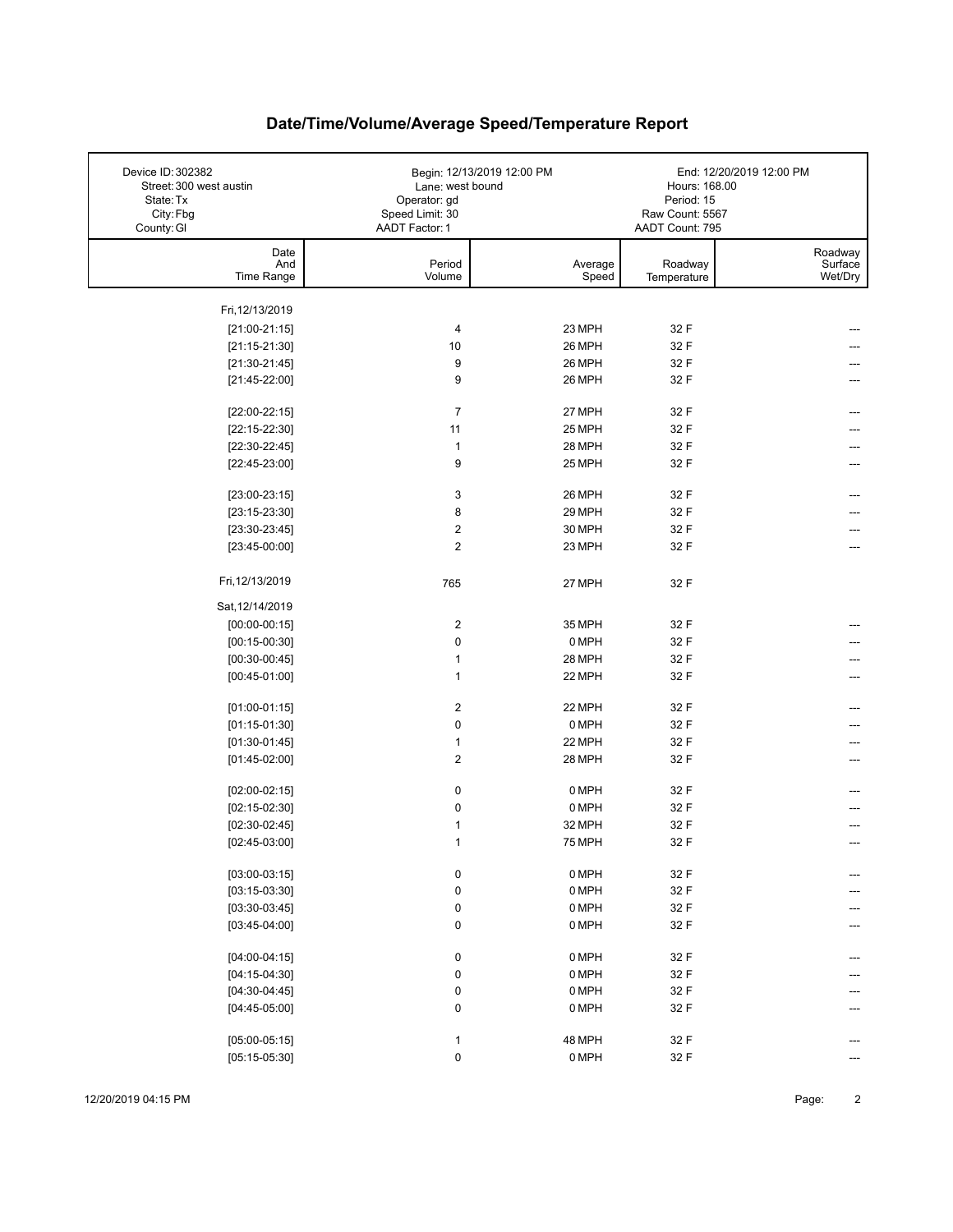| Device ID: 302382<br>Street: 300 west austin<br>State: Tx<br>City: Fbg | Lane: west bound<br>Operator: gd<br>Speed Limit: 30 | Begin: 12/13/2019 12:00 PM | Hours: 168.00<br>Period: 15<br>Raw Count: 5567 | End: 12/20/2019 12:00 PM |
|------------------------------------------------------------------------|-----------------------------------------------------|----------------------------|------------------------------------------------|--------------------------|
| County: GI                                                             | AADT Factor: 1                                      |                            | AADT Count: 795                                |                          |
| Date                                                                   |                                                     |                            |                                                | Roadway                  |
| And<br>Time Range                                                      | Period<br>Volume                                    | Average<br>Speed           | Roadway                                        | Surface<br>Wet/Dry       |
|                                                                        |                                                     |                            | Temperature                                    |                          |
| Fri, 12/13/2019                                                        |                                                     |                            |                                                |                          |
| $[21:00-21:15]$                                                        | 4                                                   | 23 MPH                     | 32 F                                           |                          |
| $[21:15-21:30]$                                                        | 10                                                  | 26 MPH                     | 32 F                                           |                          |
| $[21:30-21:45]$                                                        | 9                                                   | 26 MPH                     | 32 F                                           |                          |
| $[21:45-22:00]$                                                        | 9                                                   | 26 MPH                     | 32 F                                           |                          |
|                                                                        |                                                     |                            |                                                |                          |
| $[22:00-22:15]$                                                        | $\overline{7}$                                      | 27 MPH                     | 32 F                                           |                          |
| $[22:15-22:30]$                                                        | 11                                                  | 25 MPH                     | 32 F                                           |                          |
| $[22:30-22:45]$                                                        | $\mathbf{1}$                                        | 28 MPH                     | 32 F                                           |                          |
| $[22:45-23:00]$                                                        | 9                                                   | 25 MPH                     | 32 F                                           | ---                      |
|                                                                        |                                                     |                            |                                                |                          |
| $[23:00-23:15]$                                                        | 3                                                   | 26 MPH                     | 32 F                                           |                          |
| $[23:15-23:30]$                                                        | 8                                                   | 29 MPH                     | 32 F                                           |                          |
| $[23:30-23:45]$                                                        | $\boldsymbol{2}$                                    | 30 MPH                     | 32 F                                           |                          |
| $[23:45-00:00]$                                                        | $\overline{2}$                                      | 23 MPH                     | 32 F                                           |                          |
| Fri, 12/13/2019                                                        | 765                                                 | 27 MPH                     | 32 F                                           |                          |
| Sat, 12/14/2019                                                        |                                                     |                            |                                                |                          |
| $[00:00-00:15]$                                                        | $\boldsymbol{2}$                                    | 35 MPH                     | 32 F                                           |                          |
| $[00:15-00:30]$                                                        | $\pmb{0}$                                           | 0 MPH                      | 32 F                                           |                          |
| $[00:30-00:45]$                                                        | $\mathbf{1}$                                        | 28 MPH                     | 32 F                                           |                          |
| $[00:45-01:00]$                                                        | $\mathbf{1}$                                        | 22 MPH                     | 32 F                                           |                          |
|                                                                        |                                                     |                            |                                                |                          |
| $[01:00-01:15]$                                                        | $\boldsymbol{2}$                                    | 22 MPH                     | 32 F                                           |                          |
| $[01:15-01:30]$                                                        | $\pmb{0}$                                           | 0 MPH                      | 32 F                                           |                          |
| $[01:30-01:45]$                                                        | $\mathbf{1}$                                        | 22 MPH                     | 32 F                                           |                          |
| $[01:45-02:00]$                                                        | $\overline{2}$                                      | 28 MPH                     | 32 F                                           | ---                      |
|                                                                        |                                                     |                            |                                                |                          |
| $[02:00-02:15]$                                                        | 0                                                   | 0 MPH                      | 32 F                                           |                          |
| $[02:15-02:30]$                                                        | $\pmb{0}$                                           | 0 MPH                      | 32 F                                           |                          |
| $[02:30-02:45]$                                                        | 1                                                   | 32 MPH                     | 32 F                                           |                          |
| $[02:45-03:00]$                                                        | 1                                                   | <b>75 MPH</b>              | 32 F                                           |                          |
| $[03:00-03:15]$                                                        | $\pmb{0}$                                           | 0 MPH                      | 32 F                                           |                          |
| $[03:15-03:30]$                                                        | 0                                                   | 0 MPH                      | 32 F                                           |                          |
| $[03:30-03:45]$                                                        | 0                                                   | 0 MPH                      | 32 F                                           |                          |
| $[03:45-04:00]$                                                        | $\pmb{0}$                                           | 0 MPH                      | 32 F                                           |                          |
|                                                                        |                                                     |                            |                                                |                          |
| $[04:00-04:15]$                                                        | $\pmb{0}$                                           | 0 MPH                      | 32 F                                           |                          |
| $[04:15-04:30]$                                                        | $\pmb{0}$                                           | 0 MPH                      | 32 F                                           |                          |
| $[04:30-04:45]$                                                        | $\pmb{0}$                                           | 0 MPH                      | 32 F                                           |                          |
| $[04:45-05:00]$                                                        | $\pmb{0}$                                           | 0 MPH                      | 32 F                                           |                          |
|                                                                        |                                                     |                            |                                                |                          |
| $[05:00-05:15]$                                                        | $\mathbf{1}$                                        | 48 MPH                     | 32 F                                           |                          |
| $[05:15-05:30]$                                                        | $\pmb{0}$                                           | 0 MPH                      | 32 F                                           | ---                      |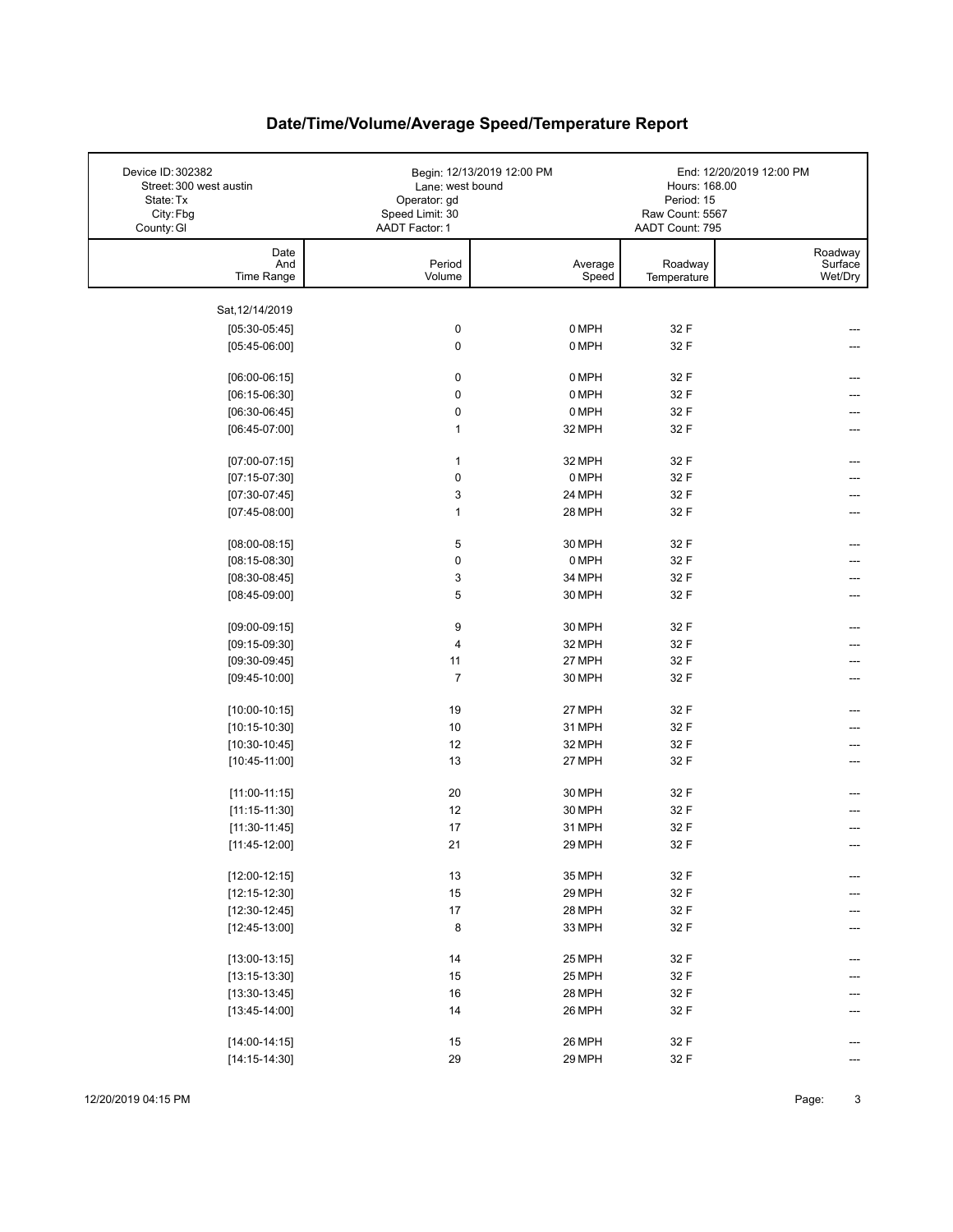| Device ID: 302382<br>Street: 300 west austin<br>State: Tx<br>City: Fbg<br>County: GI | Lane: west bound<br>Operator: gd<br>Speed Limit: 30<br>AADT Factor: 1 | Begin: 12/13/2019 12:00 PM | Hours: 168.00<br>Period: 15<br>Raw Count: 5567<br>AADT Count: 795 | End: 12/20/2019 12:00 PM      |
|--------------------------------------------------------------------------------------|-----------------------------------------------------------------------|----------------------------|-------------------------------------------------------------------|-------------------------------|
| Date<br>And<br>Time Range                                                            | Period<br>Volume                                                      | Average<br>Speed           | Roadway<br>Temperature                                            | Roadway<br>Surface<br>Wet/Dry |
|                                                                                      |                                                                       |                            |                                                                   |                               |
| Sat, 12/14/2019                                                                      | $\pmb{0}$                                                             | 0 MPH                      | 32 F                                                              |                               |
| $[05:30-05:45]$<br>$[05:45-06:00]$                                                   | 0                                                                     | 0 MPH                      | 32 F                                                              |                               |
|                                                                                      |                                                                       |                            |                                                                   |                               |
| $[06:00-06:15]$                                                                      | $\pmb{0}$                                                             | 0 MPH                      | 32 F                                                              |                               |
| $[06:15-06:30]$                                                                      | $\pmb{0}$                                                             | 0 MPH                      | 32 F                                                              |                               |
| $[06:30-06:45]$                                                                      | $\pmb{0}$                                                             | 0 MPH                      | 32 F                                                              |                               |
| $[06:45-07:00]$                                                                      | 1                                                                     | 32 MPH                     | 32 F                                                              |                               |
|                                                                                      |                                                                       |                            | 32 F                                                              |                               |
| $[07:00-07:15]$                                                                      | 1<br>$\pmb{0}$                                                        | 32 MPH<br>0 MPH            | 32 F                                                              |                               |
| $[07:15-07:30]$<br>$[07:30-07:45]$                                                   | 3                                                                     | 24 MPH                     | 32 F                                                              |                               |
| $[07:45-08:00]$                                                                      | $\mathbf{1}$                                                          | 28 MPH                     | 32 F                                                              |                               |
|                                                                                      |                                                                       |                            |                                                                   |                               |
| $[08:00-08:15]$                                                                      | 5                                                                     | 30 MPH                     | 32 F                                                              |                               |
| $[08:15-08:30]$                                                                      | $\pmb{0}$                                                             | 0 MPH                      | 32 F                                                              |                               |
| $[08:30-08:45]$                                                                      | 3                                                                     | 34 MPH                     | 32 F                                                              |                               |
| $[08:45-09:00]$                                                                      | 5                                                                     | 30 MPH                     | 32 F                                                              |                               |
| $[09:00-09:15]$                                                                      | 9                                                                     | 30 MPH                     | 32 F                                                              |                               |
| $[09:15-09:30]$                                                                      | 4                                                                     | 32 MPH                     | 32 F                                                              |                               |
| $[09:30-09:45]$                                                                      | 11                                                                    | 27 MPH                     | 32 F                                                              |                               |
| $[09:45-10:00]$                                                                      | $\overline{7}$                                                        | 30 MPH                     | 32 F                                                              |                               |
|                                                                                      |                                                                       |                            |                                                                   |                               |
| $[10:00-10:15]$                                                                      | 19                                                                    | 27 MPH                     | 32 F                                                              | ---                           |
| $[10:15-10:30]$                                                                      | 10                                                                    | 31 MPH                     | 32 F                                                              |                               |
| $[10:30-10:45]$                                                                      | 12                                                                    | 32 MPH                     | 32 F                                                              |                               |
| $[10:45-11:00]$                                                                      | 13                                                                    | 27 MPH                     | 32 F                                                              |                               |
| $[11:00-11:15]$                                                                      | 20                                                                    | 30 MPH                     | 32 F                                                              |                               |
| $[11:15-11:30]$                                                                      | 12                                                                    | 30 MPH                     | 32 F                                                              |                               |
| $[11:30-11:45]$                                                                      | 17                                                                    | 31 MPH                     | 32 F                                                              |                               |
| $[11:45-12:00]$                                                                      | 21                                                                    | 29 MPH                     | 32 F                                                              |                               |
|                                                                                      |                                                                       |                            |                                                                   |                               |
| $[12:00-12:15]$                                                                      | 13                                                                    | 35 MPH                     | 32 F                                                              | ---                           |
| $[12:15-12:30]$                                                                      | 15                                                                    | 29 MPH                     | 32 F                                                              |                               |
| $[12:30-12:45]$                                                                      | $17\,$                                                                | 28 MPH                     | 32 F                                                              |                               |
| $[12:45-13:00]$                                                                      | 8                                                                     | 33 MPH                     | 32 F                                                              |                               |
| $[13:00-13:15]$                                                                      | 14                                                                    | 25 MPH                     | 32 F                                                              |                               |
| $[13:15-13:30]$                                                                      | 15                                                                    | 25 MPH                     | 32 F                                                              |                               |
| $[13:30-13:45]$                                                                      | $16\,$                                                                | 28 MPH                     | 32 F                                                              |                               |
| $[13:45-14:00]$                                                                      | 14                                                                    | 26 MPH                     | 32 F                                                              |                               |
|                                                                                      |                                                                       |                            |                                                                   |                               |
| $[14:00-14:15]$                                                                      | 15                                                                    | 26 MPH                     | 32 F                                                              |                               |
| $[14:15-14:30]$                                                                      | 29                                                                    | 29 MPH                     | 32 F                                                              |                               |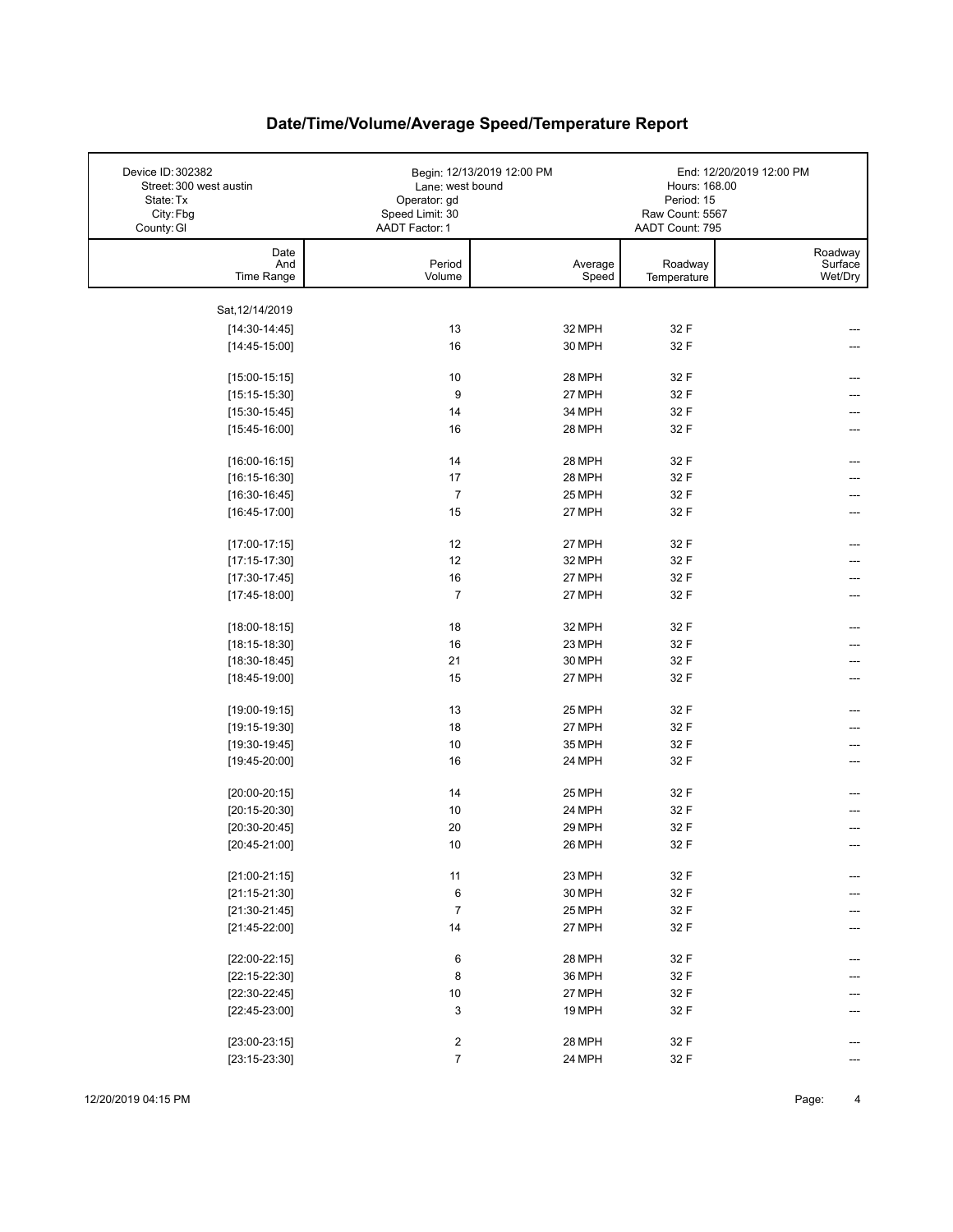| Device ID: 302382<br>Street: 300 west austin<br>State: Tx<br>City: Fbg<br>County: GI | Lane: west bound<br>Operator: gd<br>Speed Limit: 30<br>AADT Factor: 1 | Begin: 12/13/2019 12:00 PM | Hours: 168.00<br>Period: 15<br>Raw Count: 5567<br>AADT Count: 795 | End: 12/20/2019 12:00 PM      |
|--------------------------------------------------------------------------------------|-----------------------------------------------------------------------|----------------------------|-------------------------------------------------------------------|-------------------------------|
| Date<br>And<br>Time Range                                                            | Period<br>Volume                                                      | Average<br>Speed           | Roadway<br>Temperature                                            | Roadway<br>Surface<br>Wet/Dry |
| Sat, 12/14/2019                                                                      |                                                                       |                            |                                                                   |                               |
| $[14:30-14:45]$                                                                      | 13                                                                    | 32 MPH                     | 32 F                                                              |                               |
| $[14:45-15:00]$                                                                      | 16                                                                    | 30 MPH                     | 32 F                                                              |                               |
|                                                                                      |                                                                       |                            |                                                                   |                               |
| $[15:00-15:15]$                                                                      | 10                                                                    | 28 MPH                     | 32 F                                                              |                               |
| $[15:15-15:30]$                                                                      | 9                                                                     | 27 MPH                     | 32 F                                                              |                               |
| $[15:30-15:45]$                                                                      | 14                                                                    | 34 MPH                     | 32 F                                                              |                               |
| $[15:45-16:00]$                                                                      | 16                                                                    | 28 MPH                     | 32 F                                                              |                               |
| $[16:00-16:15]$                                                                      | 14                                                                    | 28 MPH                     | 32 F                                                              |                               |
| $[16:15-16:30]$                                                                      | 17                                                                    | 28 MPH                     | 32 F                                                              |                               |
| $[16:30-16:45]$                                                                      | $\overline{7}$                                                        | 25 MPH                     | 32 F                                                              |                               |
| $[16:45-17:00]$                                                                      | 15                                                                    | 27 MPH                     | 32 F                                                              |                               |
|                                                                                      |                                                                       |                            |                                                                   |                               |
| $[17:00-17:15]$                                                                      | 12                                                                    | 27 MPH                     | 32 F                                                              |                               |
| $[17:15-17:30]$                                                                      | 12                                                                    | 32 MPH                     | 32 F                                                              |                               |
| $[17:30-17:45]$                                                                      | 16                                                                    | 27 MPH                     | 32 F                                                              |                               |
| $[17:45-18:00]$                                                                      | $\overline{7}$                                                        | 27 MPH                     | 32 F                                                              |                               |
| $[18:00-18:15]$                                                                      | 18                                                                    | 32 MPH                     | 32 F                                                              |                               |
| $[18:15-18:30]$                                                                      | 16                                                                    | 23 MPH                     | 32 F                                                              |                               |
| $[18:30-18:45]$                                                                      | 21                                                                    | 30 MPH                     | 32 F                                                              |                               |
| $[18:45-19:00]$                                                                      | 15                                                                    | 27 MPH                     | 32 F                                                              |                               |
|                                                                                      |                                                                       |                            |                                                                   |                               |
| $[19:00-19:15]$                                                                      | 13                                                                    | 25 MPH                     | 32 F                                                              |                               |
| $[19:15-19:30]$                                                                      | 18                                                                    | 27 MPH                     | 32 F                                                              |                               |
| $[19:30-19:45]$                                                                      | 10                                                                    | 35 MPH                     | 32 F                                                              |                               |
| [19:45-20:00]                                                                        | 16                                                                    | 24 MPH                     | 32 F                                                              |                               |
| $[20:00-20:15]$                                                                      | 14                                                                    | 25 MPH                     | 32 F                                                              |                               |
| $[20:15-20:30]$                                                                      | 10                                                                    | 24 MPH                     | 32 F                                                              |                               |
| $[20:30-20:45]$                                                                      | 20                                                                    | 29 MPH                     | 32 F                                                              |                               |
| $[20:45-21:00]$                                                                      | 10                                                                    | 26 MPH                     | 32 F                                                              |                               |
|                                                                                      |                                                                       |                            |                                                                   |                               |
| $[21:00-21:15]$                                                                      | 11                                                                    | 23 MPH                     | 32 F                                                              | ---                           |
| $[21:15-21:30]$                                                                      | 6                                                                     | 30 MPH                     | 32 F                                                              |                               |
| $[21:30-21:45]$                                                                      | $\overline{7}$                                                        | 25 MPH                     | 32 F                                                              |                               |
| $[21:45-22:00]$                                                                      | 14                                                                    | 27 MPH                     | 32 F                                                              |                               |
| $[22:00-22:15]$                                                                      | 6                                                                     | 28 MPH                     | 32 F                                                              |                               |
| $[22:15-22:30]$                                                                      | 8                                                                     | 36 MPH                     | 32 F                                                              |                               |
| $[22:30-22:45]$                                                                      | 10                                                                    | 27 MPH                     | 32 F                                                              |                               |
| $[22:45-23:00]$                                                                      | 3                                                                     | 19 MPH                     | 32 F                                                              |                               |
|                                                                                      |                                                                       |                            |                                                                   |                               |
| $[23:00-23:15]$                                                                      | $\overline{\mathbf{c}}$                                               | 28 MPH                     | 32 F                                                              |                               |
| $[23:15-23:30]$                                                                      | $\overline{7}$                                                        | 24 MPH                     | 32 F                                                              |                               |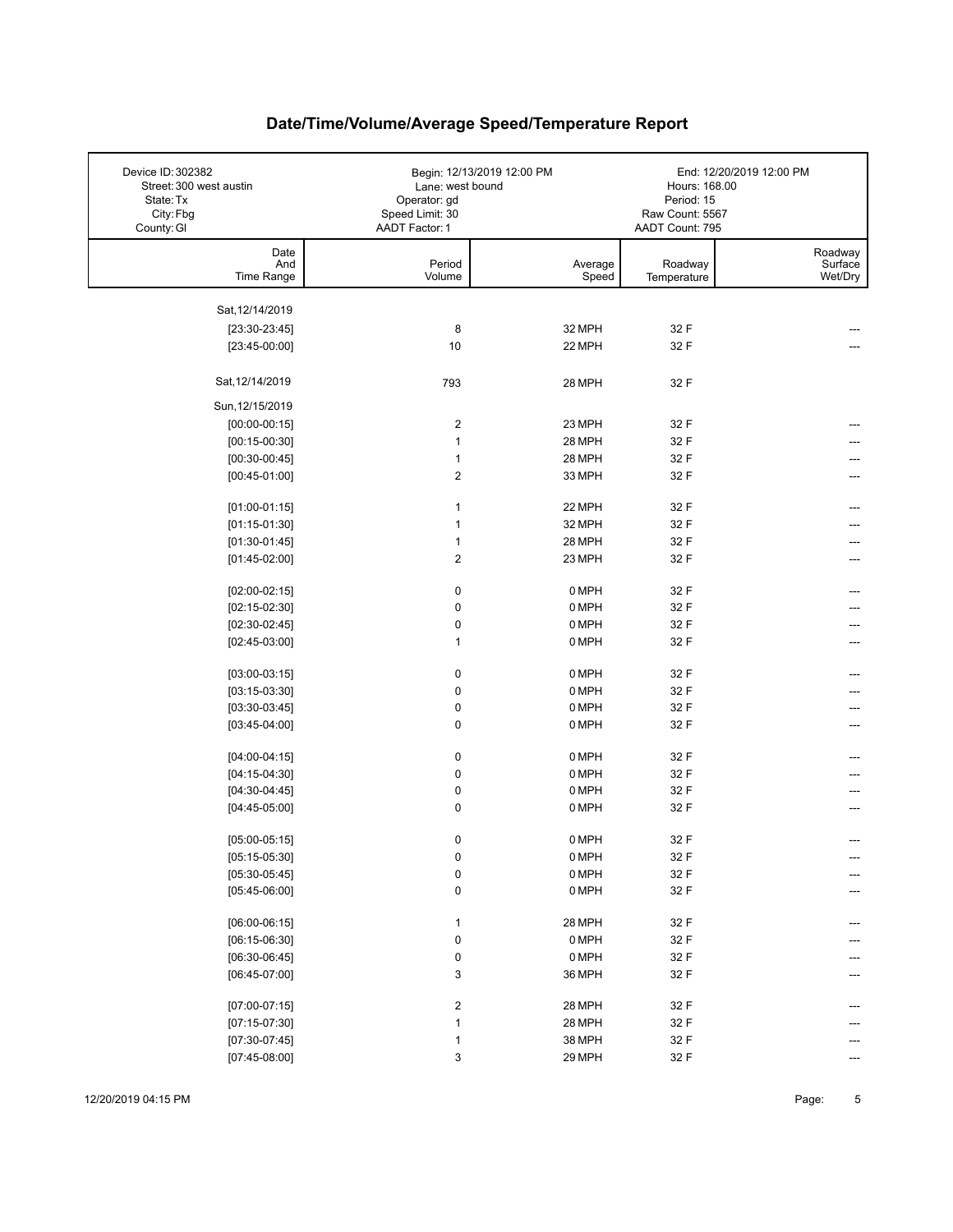| Device ID: 302382<br>Street: 300 west austin | Lane: west bound                                  | Begin: 12/13/2019 12:00 PM | Hours: 168.00                                    | End: 12/20/2019 12:00 PM      |
|----------------------------------------------|---------------------------------------------------|----------------------------|--------------------------------------------------|-------------------------------|
| State: Tx<br>City: Fbg<br>County: GI         | Operator: gd<br>Speed Limit: 30<br>AADT Factor: 1 |                            | Period: 15<br>Raw Count: 5567<br>AADT Count: 795 |                               |
| Date                                         |                                                   |                            |                                                  |                               |
| And<br>Time Range                            | Period<br>Volume                                  | Average<br>Speed           | Roadway<br>Temperature                           | Roadway<br>Surface<br>Wet/Dry |
|                                              |                                                   |                            |                                                  |                               |
| Sat, 12/14/2019                              |                                                   | 32 MPH                     | 32 F                                             |                               |
| $[23:30-23:45]$<br>$[23:45-00:00]$           | 8<br>10                                           | 22 MPH                     | 32 F                                             |                               |
|                                              |                                                   |                            |                                                  |                               |
| Sat, 12/14/2019                              | 793                                               | 28 MPH                     | 32 F                                             |                               |
| Sun, 12/15/2019                              |                                                   |                            |                                                  |                               |
| $[00:00-00:15]$                              | 2                                                 | 23 MPH                     | 32 F                                             |                               |
| $[00:15-00:30]$                              | $\mathbf{1}$                                      | 28 MPH                     | 32 F                                             |                               |
| $[00:30-00:45]$                              | $\mathbf{1}$                                      | 28 MPH                     | 32 F                                             |                               |
| $[00:45-01:00]$                              | $\overline{2}$                                    | 33 MPH                     | 32 F                                             |                               |
| $[01:00-01:15]$                              | $\mathbf{1}$                                      | 22 MPH                     | 32 F                                             |                               |
| $[01:15-01:30]$                              | $\mathbf{1}$                                      | 32 MPH                     | 32 F                                             |                               |
| $[01:30-01:45]$                              | $\mathbf{1}$                                      | 28 MPH                     | 32 F                                             |                               |
| $[01:45-02:00]$                              | $\boldsymbol{2}$                                  | 23 MPH                     | 32 F                                             | ---                           |
| $[02:00-02:15]$                              | 0                                                 | 0 MPH                      | 32 F                                             |                               |
| $[02:15-02:30]$                              | $\pmb{0}$                                         | 0 MPH                      | 32 F                                             |                               |
| $[02:30-02:45]$                              | $\pmb{0}$                                         | 0 MPH                      | 32 F                                             |                               |
| $[02:45-03:00]$                              | $\mathbf{1}$                                      | 0 MPH                      | 32 F                                             |                               |
| $[03:00-03:15]$                              | 0                                                 | 0 MPH                      | 32 F                                             |                               |
| $[03:15-03:30]$                              | 0                                                 | 0 MPH                      | 32 F                                             |                               |
| $[03:30-03:45]$                              | $\pmb{0}$                                         | 0 MPH                      | 32 F                                             | ---                           |
| $[03:45-04:00]$                              | $\mathbf 0$                                       | 0 MPH                      | 32 F                                             | ---                           |
| $[04:00-04:15]$                              | $\pmb{0}$                                         | 0 MPH                      | 32 F                                             |                               |
| $[04:15-04:30]$                              | $\pmb{0}$                                         | 0 MPH                      | 32 F                                             |                               |
| $[04:30-04:45]$                              | 0                                                 | 0 MPH                      | 32 F                                             |                               |
| $[04:45-05:00]$                              | $\mathbf 0$                                       | 0 MPH                      | 32 F                                             |                               |
| $[05:00-05:15]$                              | 0                                                 | 0 MPH                      | 32 F                                             |                               |
| $[05:15-05:30]$                              | $\pmb{0}$                                         | 0 MPH                      | 32 F                                             | ---                           |
| $[05:30-05:45]$                              | $\pmb{0}$                                         | 0 MPH                      | 32 F                                             |                               |
| $[05:45-06:00]$                              | $\pmb{0}$                                         | 0 MPH                      | 32 F                                             |                               |
|                                              |                                                   |                            |                                                  |                               |
| $[06:00-06:15]$                              | $\mathbf{1}$                                      | 28 MPH                     | 32 F                                             |                               |
| $[06:15-06:30]$                              | $\pmb{0}$                                         | 0 MPH                      | 32 F                                             |                               |
| $[06:30-06:45]$<br>$[06:45-07:00]$           | 0<br>3                                            | 0 MPH<br>36 MPH            | 32 F<br>32 F                                     |                               |
|                                              |                                                   |                            |                                                  |                               |
| $[07:00-07:15]$                              | 2                                                 | 28 MPH                     | 32 F                                             |                               |
| $[07:15-07:30]$                              | $\mathbf{1}$                                      | 28 MPH                     | 32 F                                             |                               |
| $[07:30-07:45]$                              | $\mathbf{1}$                                      | 38 MPH                     | 32 F                                             |                               |
| $[07:45-08:00]$                              | 3                                                 | 29 MPH                     | 32 F                                             |                               |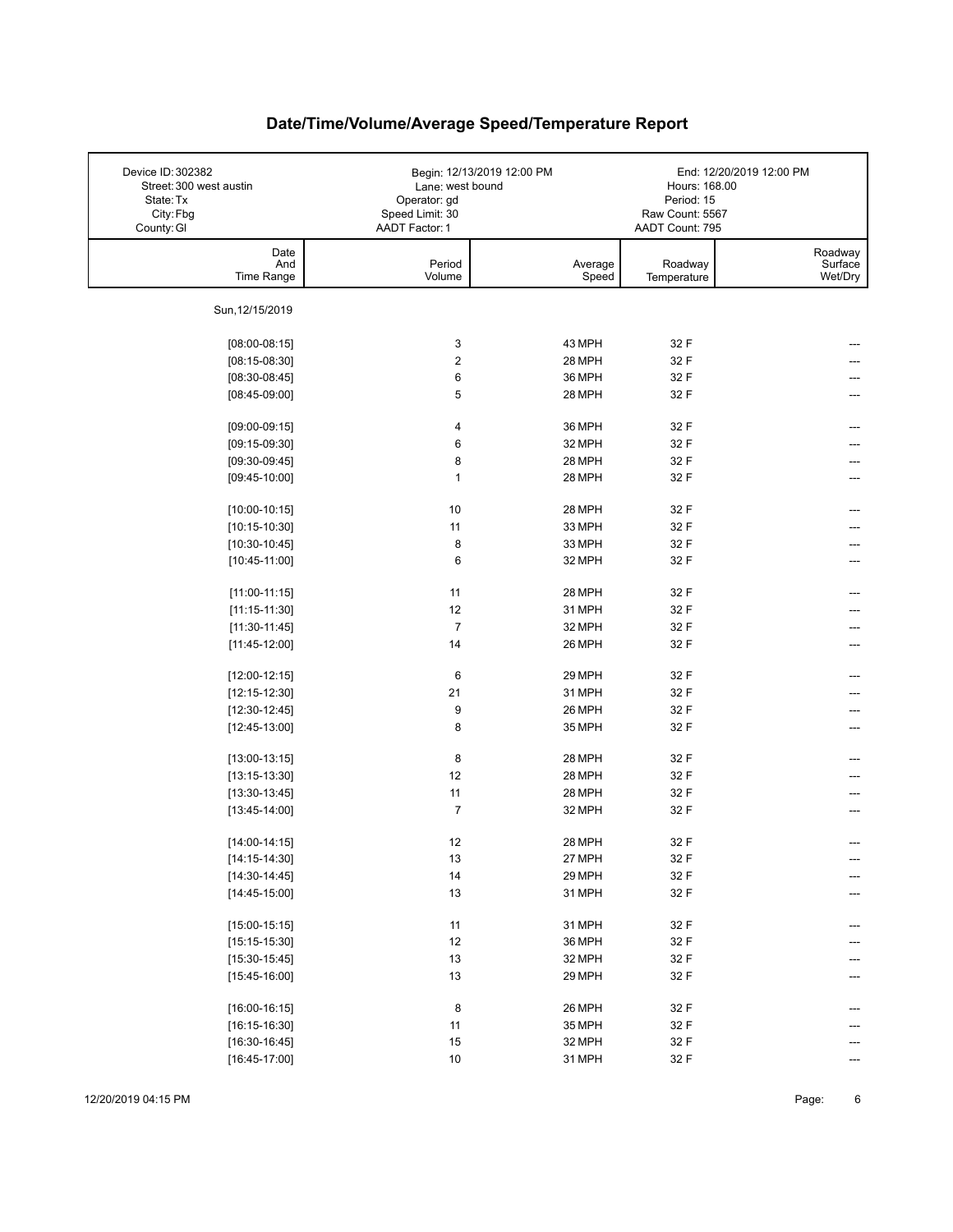| Device ID: 302382<br>Street: 300 west austin<br>State: Tx<br>City: Fbg<br>County: GI | Lane: west bound<br>Operator: gd<br>Speed Limit: 30<br>AADT Factor: 1 | Begin: 12/13/2019 12:00 PM | Hours: 168.00<br>Period: 15<br>Raw Count: 5567<br>AADT Count: 795 | End: 12/20/2019 12:00 PM      |
|--------------------------------------------------------------------------------------|-----------------------------------------------------------------------|----------------------------|-------------------------------------------------------------------|-------------------------------|
| Date<br>And<br>Time Range                                                            | Period<br>Volume                                                      | Average<br>Speed           | Roadway<br>Temperature                                            | Roadway<br>Surface<br>Wet/Dry |
| Sun, 12/15/2019                                                                      |                                                                       |                            |                                                                   |                               |
| $[08:00-08:15]$                                                                      | 3                                                                     | 43 MPH                     | 32 F                                                              |                               |
| $[08:15-08:30]$                                                                      | 2                                                                     | 28 MPH                     | 32 F                                                              |                               |
| $[08:30-08:45]$                                                                      | 6                                                                     | 36 MPH                     | 32 F                                                              |                               |
| $[08:45-09:00]$                                                                      | 5                                                                     | 28 MPH                     | 32 F                                                              |                               |
|                                                                                      |                                                                       |                            |                                                                   |                               |
| $[09:00-09:15]$                                                                      | 4                                                                     | 36 MPH                     | 32 F                                                              |                               |
| $[09:15-09:30]$                                                                      | 6                                                                     | 32 MPH                     | 32 F                                                              |                               |
| $[09:30-09:45]$                                                                      | 8                                                                     | 28 MPH                     | 32 F                                                              |                               |
| $[09:45-10:00]$                                                                      | $\mathbf{1}$                                                          | 28 MPH                     | 32 F                                                              |                               |
| $[10:00-10:15]$                                                                      | 10                                                                    | 28 MPH                     | 32 F                                                              |                               |
| $[10:15-10:30]$                                                                      | 11                                                                    | 33 MPH                     | 32 F                                                              |                               |
| $[10:30-10:45]$                                                                      | 8                                                                     | 33 MPH                     | 32 F                                                              |                               |
| $[10:45-11:00]$                                                                      | 6                                                                     | 32 MPH                     | 32 F                                                              |                               |
|                                                                                      |                                                                       |                            |                                                                   |                               |
| $[11:00-11:15]$                                                                      | 11<br>12                                                              | 28 MPH                     | 32 F<br>32 F                                                      |                               |
| $[11:15-11:30]$                                                                      | $\overline{7}$                                                        | 31 MPH<br>32 MPH           | 32 F                                                              |                               |
| $[11:30-11:45]$<br>$[11:45-12:00]$                                                   | 14                                                                    | 26 MPH                     | 32 F                                                              |                               |
|                                                                                      |                                                                       |                            |                                                                   |                               |
| $[12:00-12:15]$                                                                      | 6                                                                     | 29 MPH                     | 32 F                                                              |                               |
| $[12:15-12:30]$                                                                      | 21                                                                    | 31 MPH                     | 32 F                                                              |                               |
| $[12:30-12:45]$                                                                      | 9                                                                     | 26 MPH                     | 32 F                                                              | ---                           |
| $[12:45-13:00]$                                                                      | 8                                                                     | 35 MPH                     | 32 F                                                              | ---                           |
| $[13:00-13:15]$                                                                      | 8                                                                     | 28 MPH                     | 32 F                                                              |                               |
| $[13:15-13:30]$                                                                      | 12                                                                    | 28 MPH                     | 32 F                                                              |                               |
| $[13:30-13:45]$                                                                      | 11                                                                    | 28 MPH                     | 32 F                                                              |                               |
| $[13:45-14:00]$                                                                      | $\overline{7}$                                                        | 32 MPH                     | 32 F                                                              |                               |
| $[14:00-14:15]$                                                                      | 12                                                                    | 28 MPH                     | 32 F                                                              |                               |
| $[14:15-14:30]$                                                                      | 13                                                                    | 27 MPH                     | 32 F                                                              | ---                           |
| $[14:30-14:45]$                                                                      | 14                                                                    | 29 MPH                     | 32 F                                                              | ---                           |
| $[14:45-15:00]$                                                                      | 13                                                                    | 31 MPH                     | 32 F                                                              |                               |
|                                                                                      |                                                                       |                            |                                                                   |                               |
| $[15:00-15:15]$                                                                      | 11                                                                    | 31 MPH                     | 32 F                                                              | ---                           |
| $[15:15-15:30]$                                                                      | 12                                                                    | 36 MPH                     | 32 F                                                              |                               |
| $[15:30-15:45]$                                                                      | 13                                                                    | 32 MPH                     | 32 F                                                              |                               |
| $[15:45-16:00]$                                                                      | 13                                                                    | 29 MPH                     | 32 F                                                              |                               |
| $[16:00-16:15]$                                                                      | 8                                                                     | 26 MPH                     | 32 F                                                              |                               |
| $[16:15-16:30]$                                                                      | 11                                                                    | 35 MPH                     | 32 F                                                              |                               |
| $[16:30-16:45]$                                                                      | 15                                                                    | 32 MPH                     | 32 F                                                              |                               |
| $[16:45-17:00]$                                                                      | $10\,$                                                                | 31 MPH                     | 32 F                                                              |                               |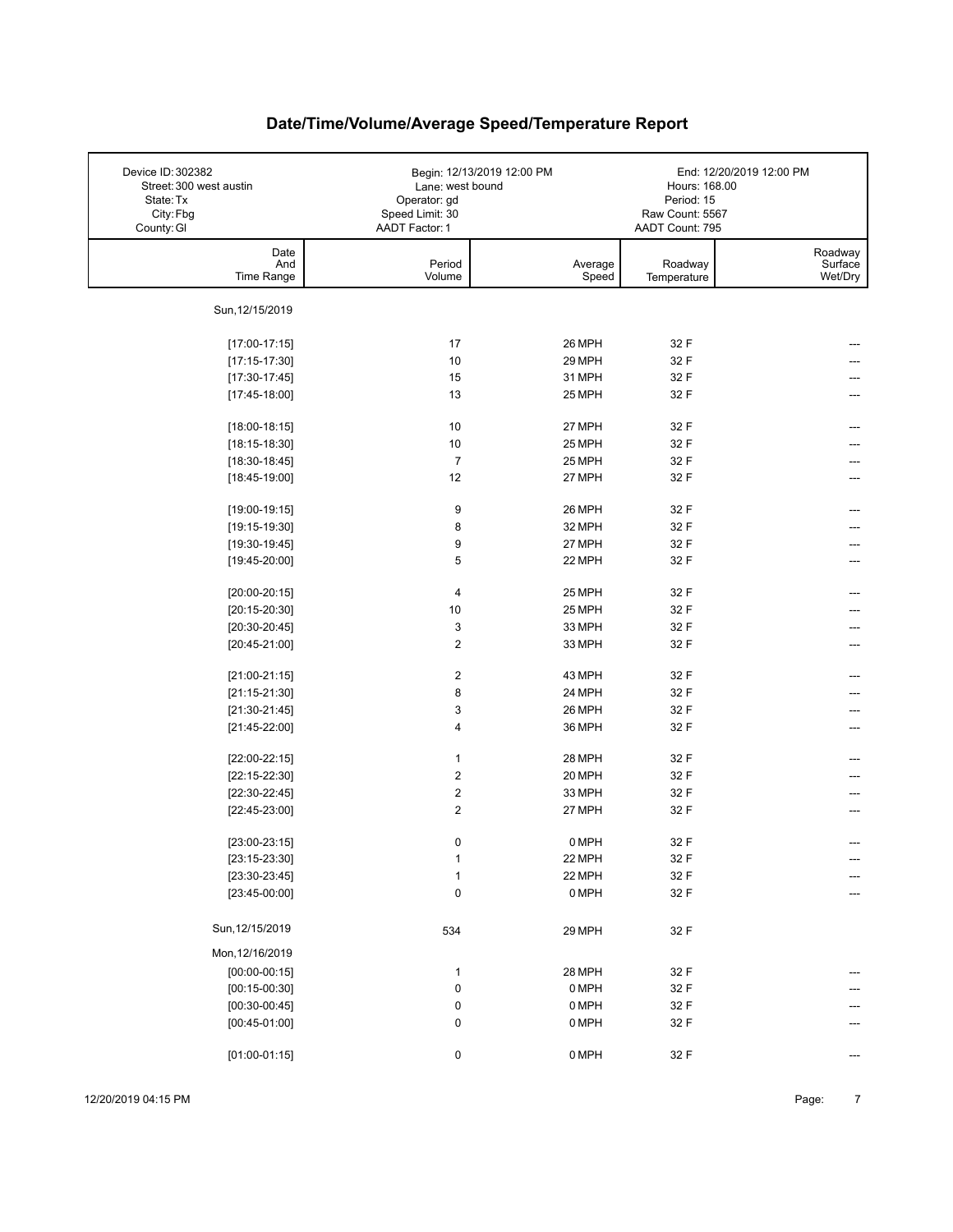| Device ID: 302382<br>Street: 300 west austin<br>State: Tx<br>City: Fbg<br>County: GI | Lane: west bound<br>Operator: gd<br>Speed Limit: 30<br>AADT Factor: 1 | Begin: 12/13/2019 12:00 PM | Hours: 168.00<br>Period: 15<br>Raw Count: 5567<br>AADT Count: 795 | End: 12/20/2019 12:00 PM      |
|--------------------------------------------------------------------------------------|-----------------------------------------------------------------------|----------------------------|-------------------------------------------------------------------|-------------------------------|
| Date<br>And<br>Time Range                                                            | Period<br>Volume                                                      | Average<br>Speed           | Roadway<br>Temperature                                            | Roadway<br>Surface<br>Wet/Dry |
| Sun, 12/15/2019                                                                      |                                                                       |                            |                                                                   |                               |
| $[17:00-17:15]$                                                                      | 17                                                                    | 26 MPH                     | 32 F                                                              |                               |
| $[17:15-17:30]$                                                                      | 10                                                                    | 29 MPH                     | 32 F                                                              |                               |
| $[17:30-17:45]$                                                                      | 15                                                                    | 31 MPH                     | 32 F                                                              |                               |
| $[17:45-18:00]$                                                                      | 13                                                                    | 25 MPH                     | 32 F                                                              |                               |
| $[18:00-18:15]$                                                                      | 10                                                                    | 27 MPH                     | 32 F                                                              |                               |
| $[18:15-18:30]$                                                                      | 10                                                                    | 25 MPH                     | 32 F                                                              |                               |
| $[18:30-18:45]$                                                                      | $\overline{7}$                                                        | 25 MPH                     | 32 F                                                              |                               |
| $[18:45-19:00]$                                                                      | 12                                                                    | 27 MPH                     | 32 F                                                              |                               |
| $[19:00-19:15]$                                                                      | 9                                                                     | 26 MPH                     | 32 F                                                              |                               |
| $[19:15-19:30]$                                                                      | 8                                                                     | 32 MPH                     | 32 F                                                              |                               |
| $[19:30-19:45]$                                                                      | 9                                                                     | 27 MPH                     | 32 F                                                              |                               |
| $[19:45-20:00]$                                                                      | 5                                                                     | 22 MPH                     | 32 F                                                              |                               |
|                                                                                      |                                                                       |                            |                                                                   |                               |
| $[20:00-20:15]$                                                                      | 4                                                                     | 25 MPH                     | 32 F                                                              |                               |
| $[20:15-20:30]$                                                                      | 10                                                                    | 25 MPH                     | 32 F                                                              |                               |
| $[20:30-20:45]$                                                                      | 3                                                                     | 33 MPH                     | 32 F                                                              |                               |
| $[20:45-21:00]$                                                                      | 2                                                                     | 33 MPH                     | 32 F                                                              |                               |
| $[21:00-21:15]$                                                                      | 2                                                                     | 43 MPH                     | 32 F                                                              |                               |
| $[21:15-21:30]$                                                                      | 8                                                                     | 24 MPH                     | 32 F                                                              |                               |
| $[21:30-21:45]$                                                                      | 3                                                                     | 26 MPH                     | 32 F                                                              |                               |
| $[21:45-22:00]$                                                                      | 4                                                                     | 36 MPH                     | 32 F                                                              | ---                           |
| $[22:00-22:15]$                                                                      | $\mathbf{1}$                                                          | 28 MPH                     | 32 F                                                              |                               |
| $[22:15-22:30]$                                                                      | 2                                                                     | 20 MPH                     | 32 F                                                              |                               |
| $[22:30-22:45]$                                                                      | 2                                                                     | 33 MPH                     | 32 F                                                              |                               |
| $[22:45-23:00]$                                                                      | $\overline{2}$                                                        | 27 MPH                     | 32 F                                                              | ---                           |
| $[23:00-23:15]$                                                                      | 0                                                                     | 0 MPH                      | 32 F                                                              |                               |
| $[23:15-23:30]$                                                                      | $\mathbf{1}$                                                          | 22 MPH                     | 32 F                                                              | ---                           |
| $[23:30-23:45]$                                                                      | $\mathbf{1}$                                                          | 22 MPH                     | 32 F                                                              | ---                           |
| $[23:45-00:00]$                                                                      | 0                                                                     | 0 MPH                      | 32 F                                                              | $---$                         |
| Sun, 12/15/2019                                                                      | 534                                                                   | 29 MPH                     | 32 F                                                              |                               |
| Mon, 12/16/2019                                                                      |                                                                       |                            |                                                                   |                               |
| $[00:00-00:15]$                                                                      | $\mathbf{1}$                                                          | 28 MPH                     | 32 F                                                              |                               |
| $[00:15-00:30]$                                                                      | 0                                                                     | 0 MPH                      | 32 F                                                              |                               |
| $[00:30-00:45]$                                                                      | 0                                                                     | 0 MPH                      | 32 F                                                              |                               |
| $[00:45-01:00]$                                                                      | 0                                                                     | 0 MPH                      | 32 F                                                              |                               |
| $[01:00-01:15]$                                                                      | 0                                                                     | 0 MPH                      | 32 F                                                              | ---                           |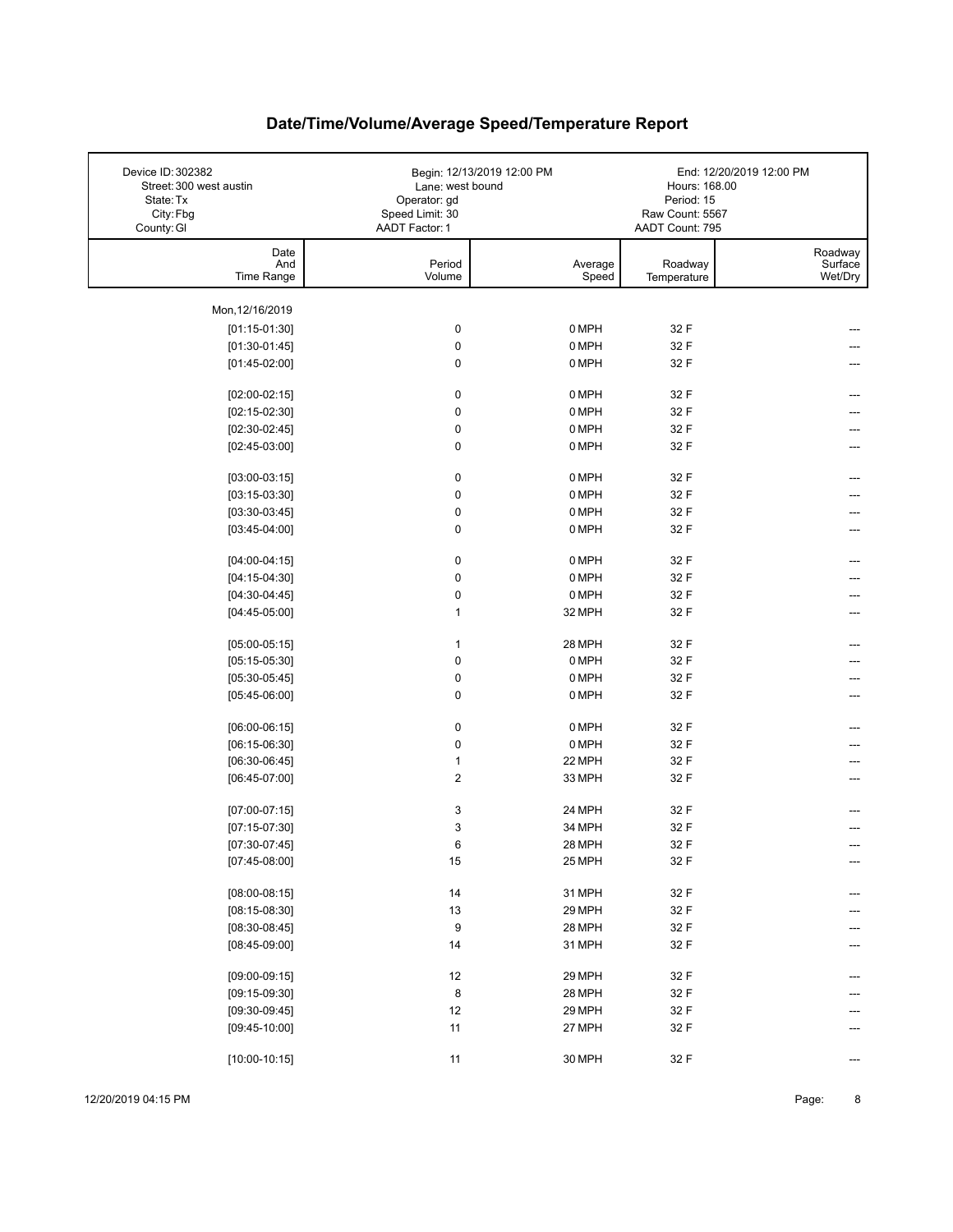| Device ID: 302382<br>Street: 300 west austin<br>State: Tx<br>City: Fbg<br>County: GI | Lane: west bound<br>Operator: gd<br>Speed Limit: 30<br>AADT Factor: 1 | Begin: 12/13/2019 12:00 PM | Hours: 168.00<br>Period: 15<br>Raw Count: 5567<br>AADT Count: 795 | End: 12/20/2019 12:00 PM      |
|--------------------------------------------------------------------------------------|-----------------------------------------------------------------------|----------------------------|-------------------------------------------------------------------|-------------------------------|
| Date<br>And<br>Time Range                                                            | Period<br>Volume                                                      | Average<br>Speed           | Roadway<br>Temperature                                            | Roadway<br>Surface<br>Wet/Dry |
| Mon, 12/16/2019                                                                      |                                                                       |                            |                                                                   |                               |
| $[01:15-01:30]$                                                                      | $\pmb{0}$                                                             | 0 MPH                      | 32 F                                                              |                               |
| $[01:30-01:45]$                                                                      | $\pmb{0}$                                                             | 0 MPH                      | 32 F                                                              |                               |
| $[01:45-02:00]$                                                                      | 0                                                                     | 0 MPH                      | 32 F                                                              |                               |
|                                                                                      |                                                                       |                            |                                                                   |                               |
| $[02:00-02:15]$                                                                      | $\pmb{0}$                                                             | 0 MPH                      | 32 F                                                              |                               |
| $[02:15-02:30]$                                                                      | $\pmb{0}$                                                             | 0 MPH                      | 32 F                                                              |                               |
| $[02:30-02:45]$                                                                      | 0                                                                     | 0 MPH                      | 32 F                                                              |                               |
| $[02:45-03:00]$                                                                      | 0                                                                     | 0 MPH                      | 32 F                                                              |                               |
| $[03:00-03:15]$                                                                      | $\pmb{0}$                                                             | 0 MPH                      | 32 F                                                              |                               |
| $[03:15-03:30]$                                                                      | $\pmb{0}$                                                             | 0 MPH                      | 32 F                                                              |                               |
| $[03:30-03:45]$                                                                      | 0                                                                     | 0 MPH                      | 32 F                                                              |                               |
| $[03:45-04:00]$                                                                      | 0                                                                     | 0 MPH                      | 32 F                                                              |                               |
|                                                                                      |                                                                       |                            |                                                                   |                               |
| $[04:00-04:15]$                                                                      | $\pmb{0}$                                                             | 0 MPH                      | 32 F                                                              |                               |
| $[04:15-04:30]$                                                                      | 0                                                                     | 0 MPH                      | 32 F                                                              |                               |
| $[04:30-04:45]$                                                                      | $\pmb{0}$                                                             | 0 MPH                      | 32 F                                                              |                               |
| $[04:45-05:00]$                                                                      | 1                                                                     | 32 MPH                     | 32 F                                                              |                               |
|                                                                                      |                                                                       |                            | 32 F                                                              |                               |
| $[05:00-05:15]$                                                                      | 1<br>$\pmb{0}$                                                        | 28 MPH<br>0 MPH            | 32 F                                                              |                               |
| $[05:15-05:30]$                                                                      |                                                                       | 0 MPH                      | 32 F                                                              |                               |
| $[05:30-05:45]$                                                                      | $\pmb{0}$<br>0                                                        | 0 MPH                      | 32 F                                                              |                               |
| $[05:45-06:00]$                                                                      |                                                                       |                            |                                                                   |                               |
| $[06:00-06:15]$                                                                      | 0                                                                     | 0 MPH                      | 32 F                                                              |                               |
| $[06:15-06:30]$                                                                      | $\pmb{0}$                                                             | 0 MPH                      | 32 F                                                              |                               |
| $[06:30-06:45]$                                                                      | 1                                                                     | 22 MPH                     | 32 F                                                              |                               |
| $[06:45-07:00]$                                                                      | $\overline{\mathbf{c}}$                                               | 33 MPH                     | 32 F                                                              |                               |
|                                                                                      |                                                                       |                            |                                                                   |                               |
| $[07:00-07:15]$                                                                      | 3                                                                     | 24 MPH                     | 32 F                                                              |                               |
| $[07:15-07:30]$                                                                      | 3                                                                     | 34 MPH                     | 32 F                                                              |                               |
| $[07:30-07:45]$                                                                      | 6                                                                     | 28 MPH                     | 32 F                                                              |                               |
| $[07:45-08:00]$                                                                      | 15                                                                    | 25 MPH                     | 32 F                                                              | ---                           |
| $[08:00-08:15]$                                                                      | 14                                                                    | 31 MPH                     | 32 F                                                              |                               |
| $[08:15-08:30]$                                                                      | 13                                                                    | 29 MPH                     | 32 F                                                              |                               |
| $[08:30-08:45]$                                                                      | 9                                                                     | 28 MPH                     | 32 F                                                              |                               |
| $[08:45-09:00]$                                                                      | 14                                                                    | 31 MPH                     | 32 F                                                              |                               |
|                                                                                      |                                                                       |                            |                                                                   |                               |
| $[09:00-09:15]$                                                                      | 12                                                                    | 29 MPH                     | 32 F                                                              |                               |
| $[09:15-09:30]$                                                                      | 8                                                                     | 28 MPH                     | 32 F                                                              |                               |
| $[09:30-09:45]$                                                                      | 12                                                                    | 29 MPH                     | 32 F                                                              |                               |
| $[09:45-10:00]$                                                                      | 11                                                                    | 27 MPH                     | 32 F                                                              |                               |
| $[10:00-10:15]$                                                                      | 11                                                                    | 30 MPH                     | 32 F                                                              |                               |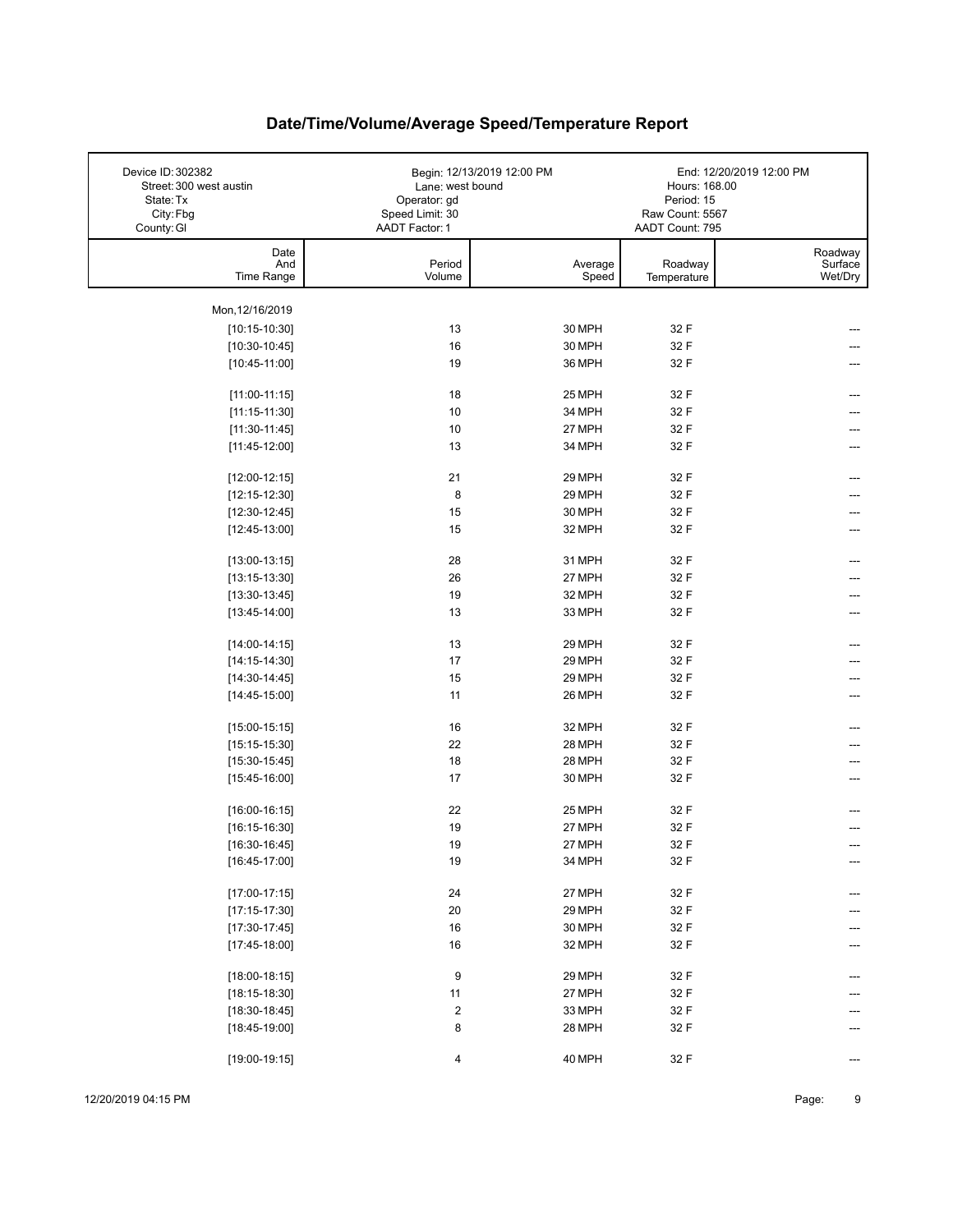| Device ID: 302382<br>Street: 300 west austin<br>State: Tx<br>City: Fbg<br>County: GI | Lane: west bound<br>Operator: gd<br>Speed Limit: 30<br>AADT Factor: 1 | Begin: 12/13/2019 12:00 PM | Hours: 168.00<br>Period: 15<br>Raw Count: 5567<br>AADT Count: 795 | End: 12/20/2019 12:00 PM      |
|--------------------------------------------------------------------------------------|-----------------------------------------------------------------------|----------------------------|-------------------------------------------------------------------|-------------------------------|
| Date<br>And<br>Time Range                                                            | Period<br>Volume                                                      | Average<br>Speed           | Roadway<br>Temperature                                            | Roadway<br>Surface<br>Wet/Dry |
| Mon, 12/16/2019                                                                      |                                                                       |                            |                                                                   |                               |
| $[10:15-10:30]$                                                                      | 13                                                                    | 30 MPH                     | 32 F                                                              |                               |
| $[10:30-10:45]$                                                                      | 16                                                                    | 30 MPH                     | 32 F                                                              |                               |
| $[10:45-11:00]$                                                                      | 19                                                                    | 36 MPH                     | 32 F                                                              |                               |
|                                                                                      |                                                                       |                            |                                                                   |                               |
| $[11:00-11:15]$                                                                      | 18                                                                    | 25 MPH                     | 32 F                                                              |                               |
| $[11:15-11:30]$                                                                      | 10                                                                    | 34 MPH                     | 32 F                                                              |                               |
| $[11:30-11:45]$                                                                      | 10                                                                    | 27 MPH                     | 32 F                                                              | ---                           |
| $[11:45-12:00]$                                                                      | 13                                                                    | 34 MPH                     | 32 F                                                              |                               |
| $[12:00-12:15]$                                                                      | 21                                                                    | 29 MPH                     | 32 F                                                              |                               |
| $[12:15-12:30]$                                                                      | 8                                                                     | 29 MPH                     | 32 F                                                              |                               |
| $[12:30-12:45]$                                                                      | 15                                                                    | 30 MPH                     | 32 F                                                              |                               |
| $[12:45-13:00]$                                                                      | 15                                                                    | 32 MPH                     | 32 F                                                              |                               |
|                                                                                      |                                                                       |                            |                                                                   |                               |
| $[13:00-13:15]$                                                                      | 28                                                                    | 31 MPH                     | 32 F                                                              | ---                           |
| $[13:15-13:30]$                                                                      | 26                                                                    | 27 MPH                     | 32 F                                                              |                               |
| $[13:30-13:45]$                                                                      | 19                                                                    | 32 MPH                     | 32 F                                                              |                               |
| $[13:45-14:00]$                                                                      | 13                                                                    | 33 MPH                     | 32 F                                                              | ---                           |
| $[14:00-14:15]$                                                                      | 13                                                                    | 29 MPH                     | 32 F                                                              |                               |
| $[14:15-14:30]$                                                                      | $17\,$                                                                | 29 MPH                     | 32 F                                                              |                               |
| $[14:30-14:45]$                                                                      | 15                                                                    | 29 MPH                     | 32 F                                                              |                               |
| $[14:45-15:00]$                                                                      | 11                                                                    | 26 MPH                     | 32 F                                                              |                               |
|                                                                                      |                                                                       |                            |                                                                   |                               |
| $[15:00-15:15]$                                                                      | 16                                                                    | 32 MPH                     | 32 F                                                              |                               |
| $[15:15-15:30]$                                                                      | 22                                                                    | 28 MPH                     | 32 F                                                              |                               |
| $[15:30-15:45]$                                                                      | 18                                                                    | 28 MPH                     | 32 F                                                              |                               |
| $[15:45-16:00]$                                                                      | 17                                                                    | 30 MPH                     | 32 F                                                              |                               |
| $[16:00-16:15]$                                                                      | 22                                                                    | 25 MPH                     | 32 F                                                              |                               |
| $[16:15-16:30]$                                                                      | 19                                                                    | 27 MPH                     | 32 F                                                              |                               |
| $[16:30-16:45]$                                                                      | 19                                                                    | 27 MPH                     | 32 F                                                              |                               |
| $[16:45-17:00]$                                                                      | 19                                                                    | 34 MPH                     | 32 F                                                              | ---                           |
|                                                                                      |                                                                       |                            |                                                                   |                               |
| $[17:00-17:15]$                                                                      | 24                                                                    | 27 MPH                     | 32 F                                                              |                               |
| $[17:15-17:30]$                                                                      | $20\,$                                                                | 29 MPH                     | 32 F                                                              |                               |
| $[17:30-17:45]$                                                                      | 16                                                                    | 30 MPH                     | 32 F                                                              |                               |
| $[17:45-18:00]$                                                                      | 16                                                                    | 32 MPH                     | 32 F                                                              |                               |
|                                                                                      |                                                                       |                            |                                                                   |                               |
| $[18:00-18:15]$                                                                      | 9                                                                     | 29 MPH                     | 32 F                                                              |                               |
| $[18:15-18:30]$                                                                      | 11<br>$\boldsymbol{2}$                                                | 27 MPH                     | 32 F                                                              |                               |
| $[18:30-18:45]$                                                                      |                                                                       | 33 MPH                     | 32 F                                                              |                               |
| $[18:45-19:00]$                                                                      | 8                                                                     | 28 MPH                     | 32 F                                                              |                               |
| $[19:00-19:15]$                                                                      | 4                                                                     | 40 MPH                     | 32 F                                                              | ---                           |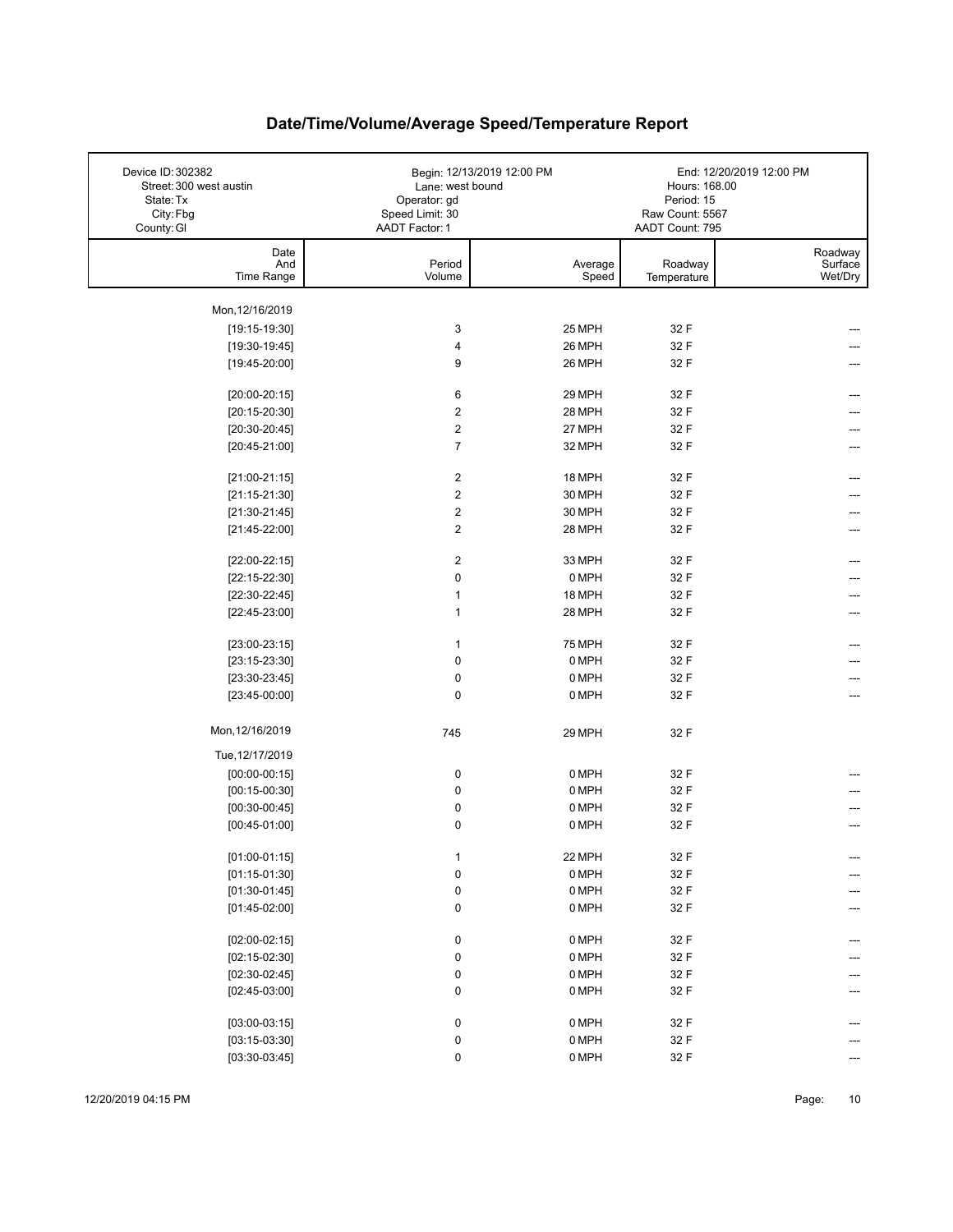| Device ID: 302382<br>Street: 300 west austin<br>State: Tx<br>City: Fbg<br>County: GI | Lane: west bound<br>Operator: gd<br>Speed Limit: 30<br>AADT Factor: 1 | Begin: 12/13/2019 12:00 PM | Hours: 168.00<br>Period: 15<br>Raw Count: 5567<br>AADT Count: 795 | End: 12/20/2019 12:00 PM      |
|--------------------------------------------------------------------------------------|-----------------------------------------------------------------------|----------------------------|-------------------------------------------------------------------|-------------------------------|
| Date<br>And<br>Time Range                                                            | Period<br>Volume                                                      | Average<br>Speed           | Roadway<br>Temperature                                            | Roadway<br>Surface<br>Wet/Dry |
| Mon, 12/16/2019                                                                      |                                                                       |                            |                                                                   |                               |
| $[19:15-19:30]$                                                                      | 3                                                                     | 25 MPH                     | 32 F                                                              |                               |
| $[19:30-19:45]$                                                                      | 4                                                                     | 26 MPH                     | 32 F                                                              |                               |
| $[19:45-20:00]$                                                                      | 9                                                                     | 26 MPH                     | 32 F                                                              |                               |
|                                                                                      |                                                                       |                            |                                                                   |                               |
| $[20:00-20:15]$                                                                      | 6                                                                     | 29 MPH                     | 32 F                                                              |                               |
| $[20:15-20:30]$                                                                      | $\overline{2}$                                                        | 28 MPH                     | 32 F                                                              |                               |
| $[20:30-20:45]$                                                                      | $\overline{c}$                                                        | 27 MPH                     | 32 F                                                              | ---                           |
| $[20:45-21:00]$                                                                      | $\overline{7}$                                                        | 32 MPH                     | 32 F                                                              |                               |
|                                                                                      |                                                                       |                            |                                                                   |                               |
| $[21:00-21:15]$                                                                      | 2                                                                     | 18 MPH                     | 32 F                                                              | ---                           |
| $[21:15-21:30]$                                                                      | $\overline{c}$                                                        | 30 MPH                     | 32 F                                                              |                               |
| $[21:30-21:45]$                                                                      | $\overline{2}$                                                        | 30 MPH                     | 32 F                                                              |                               |
| $[21:45-22:00]$                                                                      | $\overline{2}$                                                        | 28 MPH                     | 32 F                                                              |                               |
|                                                                                      | $\overline{2}$                                                        | 33 MPH                     | 32 F                                                              |                               |
| $[22:00-22:15]$                                                                      | 0                                                                     | 0 MPH                      | 32 F                                                              |                               |
| $[22:15-22:30]$<br>$[22:30-22:45]$                                                   | $\mathbf{1}$                                                          | 18 MPH                     | 32 F                                                              |                               |
| $[22:45-23:00]$                                                                      | $\mathbf{1}$                                                          | 28 MPH                     | 32 F                                                              |                               |
|                                                                                      |                                                                       |                            |                                                                   |                               |
| $[23:00-23:15]$                                                                      | $\mathbf{1}$                                                          | <b>75 MPH</b>              | 32 F                                                              | ---                           |
| $[23:15-23:30]$                                                                      | 0                                                                     | 0 MPH                      | 32 F                                                              |                               |
| $[23:30-23:45]$                                                                      | 0                                                                     | 0 MPH                      | 32 F                                                              |                               |
| $[23:45-00:00]$                                                                      | 0                                                                     | 0 MPH                      | 32 F                                                              | ---                           |
|                                                                                      |                                                                       |                            |                                                                   |                               |
| Mon, 12/16/2019                                                                      | 745                                                                   | 29 MPH                     | 32 F                                                              |                               |
| Tue, 12/17/2019                                                                      |                                                                       |                            |                                                                   |                               |
| $[00:00-00:15]$                                                                      | 0                                                                     | 0 MPH                      | 32 F                                                              |                               |
| $[00:15-00:30]$                                                                      | 0                                                                     | 0 MPH                      | 32 F                                                              |                               |
| $[00:30-00:45]$                                                                      | 0                                                                     | 0 MPH                      | 32 F                                                              |                               |
| $[00:45-01:00]$                                                                      | 0                                                                     | 0 MPH                      | 32 F                                                              |                               |
| $[01:00-01:15]$                                                                      | $\mathbf{1}$                                                          | 22 MPH                     | 32 F                                                              |                               |
| $[01:15-01:30]$                                                                      | 0                                                                     | 0 MPH                      | 32 F                                                              |                               |
| $[01:30-01:45]$                                                                      | 0                                                                     | 0 MPH                      | 32 F                                                              |                               |
| $[01:45-02:00]$                                                                      | 0                                                                     | 0 MPH                      | 32 F                                                              |                               |
|                                                                                      |                                                                       |                            |                                                                   |                               |
| $[02:00-02:15]$                                                                      | 0                                                                     | 0 MPH                      | 32 F                                                              |                               |
| $[02:15-02:30]$                                                                      | 0                                                                     | 0 MPH                      | 32 F                                                              |                               |
| $[02:30-02:45]$                                                                      | 0                                                                     | 0 MPH                      | 32 F                                                              |                               |
| $[02:45-03:00]$                                                                      | 0                                                                     | 0 MPH                      | 32 F                                                              |                               |
|                                                                                      |                                                                       |                            |                                                                   |                               |
| $[03:00-03:15]$                                                                      | 0                                                                     | 0 MPH                      | 32 F                                                              |                               |
| $[03:15-03:30]$                                                                      | 0                                                                     | 0 MPH                      | 32 F                                                              |                               |
| $[03:30-03:45]$                                                                      | 0                                                                     | 0 MPH                      | 32 F                                                              | ---                           |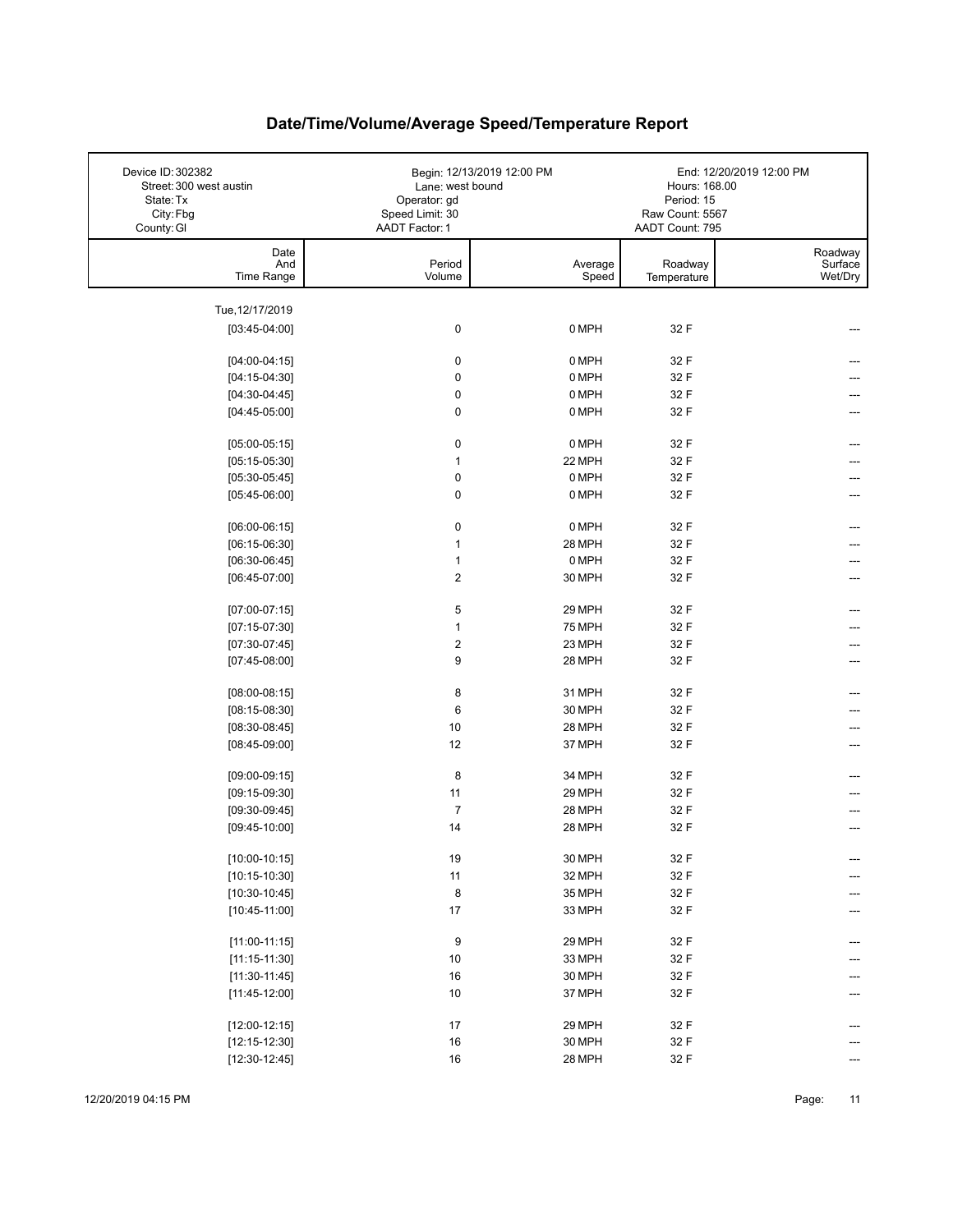| Device ID: 302382<br>Street: 300 west austin<br>State: Tx<br>City: Fbg<br>County: GI | Lane: west bound<br>Operator: gd<br>Speed Limit: 30<br>AADT Factor: 1 | Begin: 12/13/2019 12:00 PM | Hours: 168.00<br>Period: 15<br>Raw Count: 5567<br>AADT Count: 795 | End: 12/20/2019 12:00 PM      |
|--------------------------------------------------------------------------------------|-----------------------------------------------------------------------|----------------------------|-------------------------------------------------------------------|-------------------------------|
| Date<br>And<br>Time Range                                                            | Period<br>Volume                                                      | Average<br>Speed           | Roadway<br>Temperature                                            | Roadway<br>Surface<br>Wet/Dry |
|                                                                                      |                                                                       |                            |                                                                   |                               |
| Tue, 12/17/2019<br>$[03:45-04:00]$                                                   | 0                                                                     | 0 MPH                      | 32 F                                                              |                               |
|                                                                                      |                                                                       |                            |                                                                   |                               |
| $[04:00-04:15]$                                                                      | $\pmb{0}$                                                             | 0 MPH                      | 32 F                                                              |                               |
| $[04:15-04:30]$                                                                      | $\pmb{0}$                                                             | 0 MPH                      | 32 F                                                              |                               |
| $[04:30-04:45]$                                                                      | $\pmb{0}$                                                             | 0 MPH                      | 32 F                                                              |                               |
| $[04:45-05:00]$                                                                      | $\pmb{0}$                                                             | 0 MPH                      | 32 F                                                              |                               |
| $[05:00-05:15]$                                                                      | 0                                                                     | 0 MPH                      | 32 F                                                              |                               |
| $[05:15-05:30]$                                                                      | $\mathbf{1}$                                                          | 22 MPH                     | 32 F                                                              |                               |
| $[05:30-05:45]$                                                                      | $\pmb{0}$                                                             | 0 MPH                      | 32 F                                                              |                               |
| $[05:45-06:00]$                                                                      | $\pmb{0}$                                                             | 0 MPH                      | 32 F                                                              |                               |
| $[06:00-06:15]$                                                                      | $\pmb{0}$                                                             | 0 MPH                      | 32 F                                                              |                               |
| $[06:15-06:30]$                                                                      | $\mathbf{1}$                                                          | 28 MPH                     | 32 F                                                              |                               |
| $[06:30-06:45]$                                                                      | $\mathbf{1}$                                                          | 0 MPH                      | 32 F                                                              |                               |
| $[06:45-07:00]$                                                                      | $\boldsymbol{2}$                                                      | 30 MPH                     | 32 F                                                              |                               |
|                                                                                      |                                                                       |                            |                                                                   |                               |
| $[07:00-07:15]$                                                                      | 5                                                                     | 29 MPH                     | 32 F                                                              |                               |
| $[07:15-07:30]$                                                                      | $\mathbf{1}$                                                          | <b>75 MPH</b>              | 32 F                                                              |                               |
| $[07:30-07:45]$                                                                      | $\boldsymbol{2}$                                                      | 23 MPH                     | 32 F                                                              |                               |
| $[07:45-08:00]$                                                                      | 9                                                                     | 28 MPH                     | 32 F                                                              |                               |
| $[08:00-08:15]$                                                                      | 8                                                                     | 31 MPH                     | 32 F                                                              |                               |
| $[08:15-08:30]$                                                                      | 6                                                                     | 30 MPH                     | 32 F                                                              |                               |
| $[08:30-08:45]$                                                                      | 10                                                                    | 28 MPH                     | 32 F                                                              | ---                           |
| $[08:45-09:00]$                                                                      | 12                                                                    | 37 MPH                     | 32 F                                                              |                               |
| $[09:00-09:15]$                                                                      | 8                                                                     | 34 MPH                     | 32 F                                                              |                               |
| $[09:15-09:30]$                                                                      | 11                                                                    | 29 MPH                     | 32 F                                                              |                               |
| $[09:30-09:45]$                                                                      | $\overline{7}$                                                        | 28 MPH                     | 32 F                                                              |                               |
| $[09:45-10:00]$                                                                      | 14                                                                    | 28 MPH                     | 32 F                                                              |                               |
|                                                                                      |                                                                       |                            |                                                                   |                               |
| $[10:00-10:15]$                                                                      | 19                                                                    | 30 MPH                     | 32 F                                                              | ---                           |
| $[10:15-10:30]$                                                                      | $11$                                                                  | 32 MPH                     | 32 F                                                              | ---                           |
| $[10:30-10:45]$                                                                      | 8                                                                     | 35 MPH                     | 32 F                                                              |                               |
| $[10:45-11:00]$                                                                      | $17\,$                                                                | 33 MPH                     | 32 F                                                              |                               |
| $[11:00-11:15]$                                                                      | 9                                                                     | 29 MPH                     | 32 F                                                              | ---                           |
| $[11:15-11:30]$                                                                      | $10$                                                                  | 33 MPH                     | 32 F                                                              |                               |
| $[11:30-11:45]$                                                                      | $16\,$                                                                | 30 MPH                     | 32 F                                                              |                               |
| $[11:45-12:00]$                                                                      | $10$                                                                  | 37 MPH                     | 32 F                                                              |                               |
|                                                                                      |                                                                       |                            |                                                                   |                               |
| $[12:00-12:15]$                                                                      | $17\,$<br>16                                                          | 29 MPH                     | 32 F                                                              | ---                           |
| $[12:15-12:30]$                                                                      |                                                                       | 30 MPH                     | 32 F                                                              |                               |
| $[12:30-12:45]$                                                                      | $16\,$                                                                | 28 MPH                     | 32 F                                                              |                               |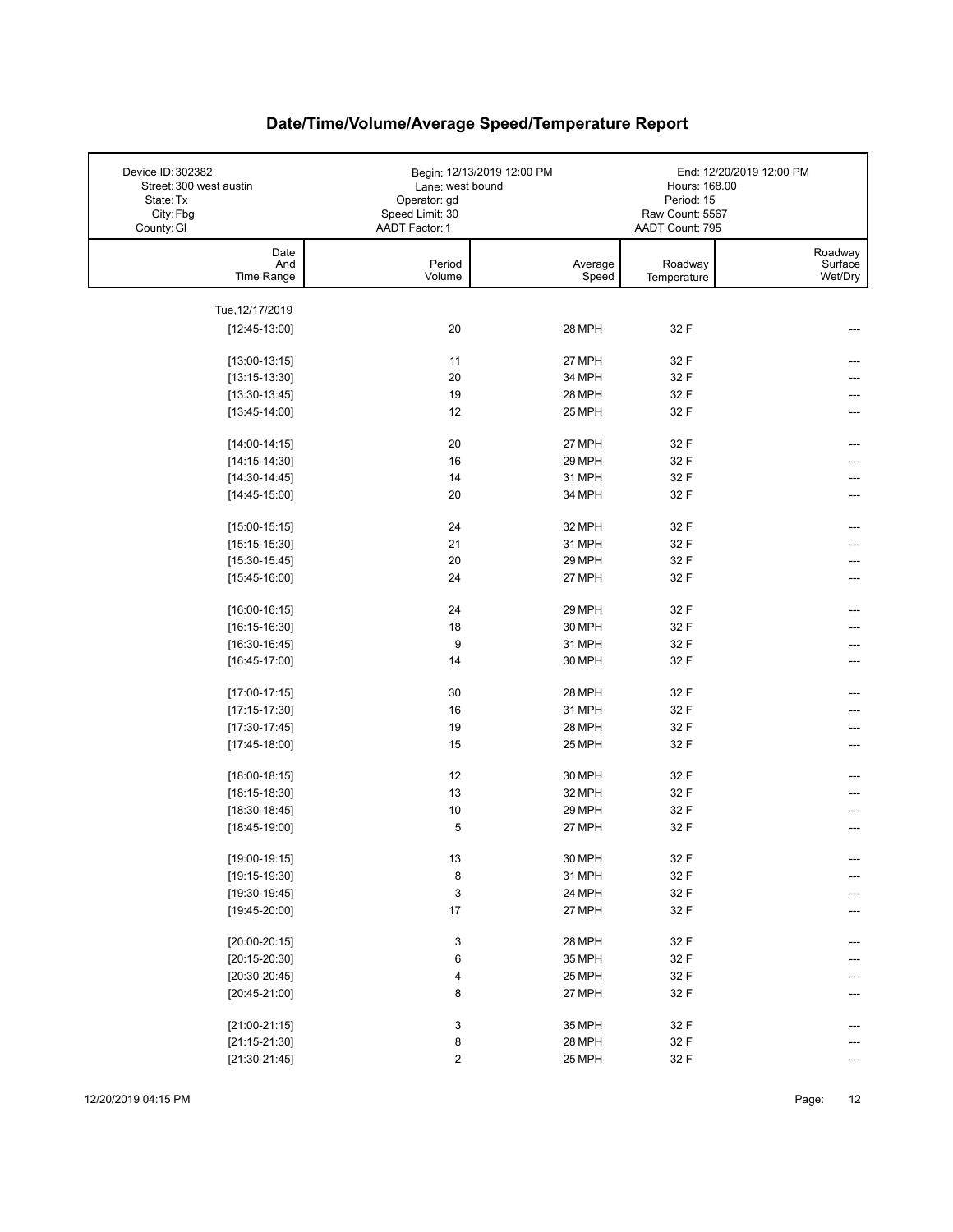| Device ID: 302382<br>Street: 300 west austin<br>State: Tx<br>City: Fbg<br>County: GI | Lane: west bound<br>Operator: gd<br>Speed Limit: 30<br>AADT Factor: 1 | Begin: 12/13/2019 12:00 PM | Hours: 168.00<br>Period: 15<br>Raw Count: 5567<br>AADT Count: 795 | End: 12/20/2019 12:00 PM      |
|--------------------------------------------------------------------------------------|-----------------------------------------------------------------------|----------------------------|-------------------------------------------------------------------|-------------------------------|
| Date<br>And<br>Time Range                                                            | Period<br>Volume                                                      | Average<br>Speed           | Roadway<br>Temperature                                            | Roadway<br>Surface<br>Wet/Dry |
|                                                                                      |                                                                       |                            |                                                                   |                               |
| Tue, 12/17/2019<br>$[12:45-13:00]$                                                   | 20                                                                    | 28 MPH                     | 32 F                                                              |                               |
|                                                                                      |                                                                       |                            |                                                                   |                               |
| $[13:00-13:15]$                                                                      | 11                                                                    | 27 MPH                     | 32 F                                                              |                               |
| $[13:15-13:30]$                                                                      | 20                                                                    | 34 MPH                     | 32 F                                                              |                               |
| $[13:30-13:45]$                                                                      | 19                                                                    | 28 MPH                     | 32 F                                                              |                               |
| $[13:45-14:00]$                                                                      | 12                                                                    | 25 MPH                     | 32 F                                                              |                               |
| $[14:00-14:15]$                                                                      | 20                                                                    | 27 MPH                     | 32 F                                                              |                               |
| $[14:15-14:30]$                                                                      | 16                                                                    | 29 MPH                     | 32 F                                                              |                               |
| $[14:30-14:45]$                                                                      | 14                                                                    | 31 MPH                     | 32 F                                                              |                               |
| $[14:45-15:00]$                                                                      | 20                                                                    | 34 MPH                     | 32 F                                                              |                               |
| $[15:00-15:15]$                                                                      | 24                                                                    | 32 MPH                     | 32 F                                                              | ---                           |
| $[15:15-15:30]$                                                                      | 21                                                                    | 31 MPH                     | 32 F                                                              |                               |
| $[15:30-15:45]$                                                                      | 20                                                                    | 29 MPH                     | 32 F                                                              |                               |
| $[15:45-16:00]$                                                                      | 24                                                                    | 27 MPH                     | 32 F                                                              | ---                           |
|                                                                                      | 24                                                                    | 29 MPH                     | 32 F                                                              |                               |
| $[16:00-16:15]$<br>$[16:15-16:30]$                                                   | 18                                                                    | 30 MPH                     | 32 F                                                              |                               |
| $[16:30-16:45]$                                                                      | 9                                                                     | 31 MPH                     | 32 F                                                              |                               |
| $[16:45-17:00]$                                                                      | 14                                                                    | 30 MPH                     | 32 F                                                              |                               |
|                                                                                      |                                                                       |                            |                                                                   |                               |
| $[17:00-17:15]$                                                                      | 30                                                                    | 28 MPH                     | 32 F                                                              |                               |
| $[17:15-17:30]$                                                                      | 16                                                                    | 31 MPH                     | 32 F                                                              |                               |
| $[17:30-17:45]$                                                                      | 19                                                                    | 28 MPH                     | 32 F                                                              |                               |
| $[17:45-18:00]$                                                                      | 15                                                                    | 25 MPH                     | 32 F                                                              |                               |
| $[18:00-18:15]$                                                                      | 12                                                                    | 30 MPH                     | 32 F                                                              |                               |
| $[18:15-18:30]$                                                                      | 13                                                                    | 32 MPH                     | 32 F                                                              |                               |
| $[18:30-18:45]$                                                                      | 10                                                                    | 29 MPH                     | 32 F                                                              |                               |
| $[18:45-19:00]$                                                                      | 5                                                                     | 27 MPH                     | 32 F                                                              |                               |
| $[19:00-19:15]$                                                                      | $13\,$                                                                | 30 MPH                     | 32 F                                                              | ---                           |
| $[19:15-19:30]$                                                                      | 8                                                                     | 31 MPH                     | 32 F                                                              | ---                           |
| $[19:30-19:45]$                                                                      | $\ensuremath{\mathsf{3}}$                                             | 24 MPH                     | 32 F                                                              |                               |
| $[19:45-20:00]$                                                                      | $17\,$                                                                | 27 MPH                     | 32 F                                                              |                               |
|                                                                                      |                                                                       | 28 MPH                     |                                                                   |                               |
| $[20:00-20:15]$                                                                      | 3<br>6                                                                | 35 MPH                     | 32 F<br>32 F                                                      | ---                           |
| $[20:15-20:30]$<br>$[20:30-20:45]$                                                   | 4                                                                     | 25 MPH                     | $32\ \mathsf{F}$                                                  |                               |
| $[20:45-21:00]$                                                                      | 8                                                                     | 27 MPH                     | 32 F                                                              |                               |
|                                                                                      |                                                                       |                            |                                                                   |                               |
| $[21:00-21:15]$                                                                      | 3                                                                     | 35 MPH                     | 32 F                                                              |                               |
| $[21:15-21:30]$                                                                      | 8                                                                     | 28 MPH                     | 32 F                                                              |                               |
| $[21:30-21:45]$                                                                      | $\overline{\mathbf{c}}$                                               | 25 MPH                     | 32 F                                                              | ---                           |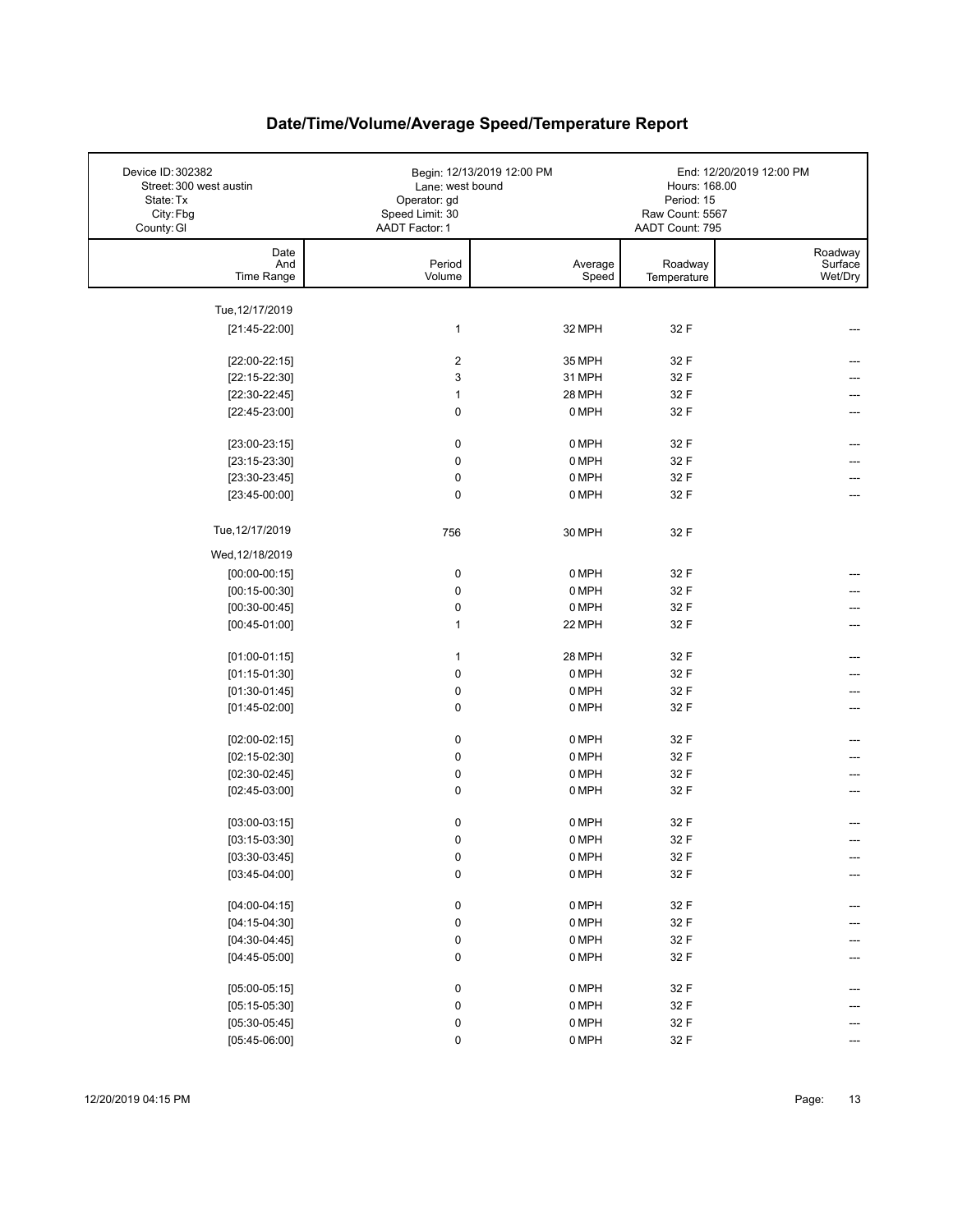| Device ID: 302382<br>Street: 300 west austin<br>State: Tx<br>City: Fbg<br>County: GI | Lane: west bound<br>Operator: gd<br>Speed Limit: 30<br><b>AADT Factor: 1</b> | Begin: 12/13/2019 12:00 PM | Hours: 168.00<br>Period: 15<br>Raw Count: 5567<br>AADT Count: 795 | End: 12/20/2019 12:00 PM      |
|--------------------------------------------------------------------------------------|------------------------------------------------------------------------------|----------------------------|-------------------------------------------------------------------|-------------------------------|
| Date<br>And<br>Time Range                                                            | Period<br>Volume                                                             | Average<br>Speed           | Roadway<br>Temperature                                            | Roadway<br>Surface<br>Wet/Dry |
| Tue, 12/17/2019                                                                      |                                                                              |                            |                                                                   |                               |
| $[21:45-22:00]$                                                                      | 1                                                                            | 32 MPH                     | 32 F                                                              |                               |
|                                                                                      |                                                                              |                            |                                                                   |                               |
| $[22:00-22:15]$                                                                      | $\overline{\mathbf{c}}$                                                      | 35 MPH                     | 32 F                                                              |                               |
| $[22:15-22:30]$                                                                      | 3                                                                            | 31 MPH                     | 32 F                                                              |                               |
| $[22:30-22:45]$                                                                      | 1                                                                            | 28 MPH                     | 32 F                                                              |                               |
| $[22:45-23:00]$                                                                      | $\pmb{0}$                                                                    | 0 MPH                      | 32 F                                                              |                               |
| $[23:00-23:15]$                                                                      | $\pmb{0}$                                                                    | 0 MPH                      | 32 F                                                              |                               |
| $[23:15-23:30]$                                                                      | $\pmb{0}$                                                                    | 0 MPH                      | 32 F                                                              |                               |
| $[23:30-23:45]$                                                                      | 0                                                                            | 0 MPH                      | 32 F                                                              |                               |
| $[23:45-00:00]$                                                                      | $\pmb{0}$                                                                    | 0 MPH                      | 32 F                                                              |                               |
|                                                                                      |                                                                              |                            |                                                                   |                               |
| Tue, 12/17/2019                                                                      | 756                                                                          | 30 MPH                     | 32 F                                                              |                               |
| Wed, 12/18/2019                                                                      |                                                                              |                            |                                                                   |                               |
| $[00:00-00:15]$                                                                      | 0                                                                            | 0 MPH                      | 32 F                                                              |                               |
| $[00:15-00:30]$                                                                      | $\pmb{0}$                                                                    | 0 MPH                      | 32 F                                                              |                               |
| $[00:30-00:45]$                                                                      | $\pmb{0}$                                                                    | 0 MPH                      | 32 F                                                              |                               |
| $[00:45-01:00]$                                                                      | 1                                                                            | 22 MPH                     | 32 F                                                              |                               |
| $[01:00-01:15]$                                                                      | 1                                                                            | 28 MPH                     | 32 F                                                              |                               |
| $[01:15-01:30]$                                                                      | $\pmb{0}$                                                                    | 0 MPH                      | 32 F                                                              |                               |
| $[01:30-01:45]$                                                                      | $\pmb{0}$                                                                    | 0 MPH                      | 32 F                                                              |                               |
| $[01:45-02:00]$                                                                      | $\pmb{0}$                                                                    | 0 MPH                      | 32 F                                                              | ---                           |
|                                                                                      |                                                                              |                            |                                                                   |                               |
| $[02:00-02:15]$                                                                      | 0                                                                            | 0 MPH                      | 32 F                                                              |                               |
| $[02:15-02:30]$                                                                      | $\pmb{0}$                                                                    | 0 MPH                      | 32 F                                                              |                               |
| $[02:30-02:45]$                                                                      | $\pmb{0}$<br>0                                                               | 0 MPH<br>0 MPH             | 32 F<br>32 F                                                      |                               |
| $[02:45-03:00]$                                                                      |                                                                              |                            |                                                                   |                               |
| $[03:00-03:15]$                                                                      | $\pmb{0}$                                                                    | 0 MPH                      | 32 F                                                              |                               |
| $[03:15-03:30]$                                                                      | $\mathbf 0$                                                                  | 0 MPH                      | 32 F                                                              |                               |
| $[03:30-03:45]$                                                                      | $\pmb{0}$                                                                    | 0 MPH                      | 32 F                                                              |                               |
| $[03:45-04:00]$                                                                      | $\pmb{0}$                                                                    | 0 MPH                      | 32 F                                                              |                               |
|                                                                                      |                                                                              |                            |                                                                   |                               |
| $[04:00-04:15]$                                                                      | 0                                                                            | 0 MPH                      | 32 F                                                              |                               |
| $[04:15-04:30]$<br>$[04:30-04:45]$                                                   | $\pmb{0}$<br>0                                                               | 0 MPH<br>0 MPH             | 32 F<br>32 F                                                      |                               |
| $[04:45-05:00]$                                                                      | $\pmb{0}$                                                                    | 0 MPH                      | 32 F                                                              |                               |
|                                                                                      |                                                                              |                            |                                                                   |                               |
| $[05:00-05:15]$                                                                      | 0                                                                            | 0 MPH                      | 32 F                                                              |                               |
| $[05:15-05:30]$                                                                      | 0                                                                            | 0 MPH                      | 32 F                                                              |                               |
| $[05:30-05:45]$                                                                      | 0                                                                            | 0 MPH                      | 32 F                                                              |                               |
| $[05:45-06:00]$                                                                      | 0                                                                            | 0 MPH                      | 32 F                                                              |                               |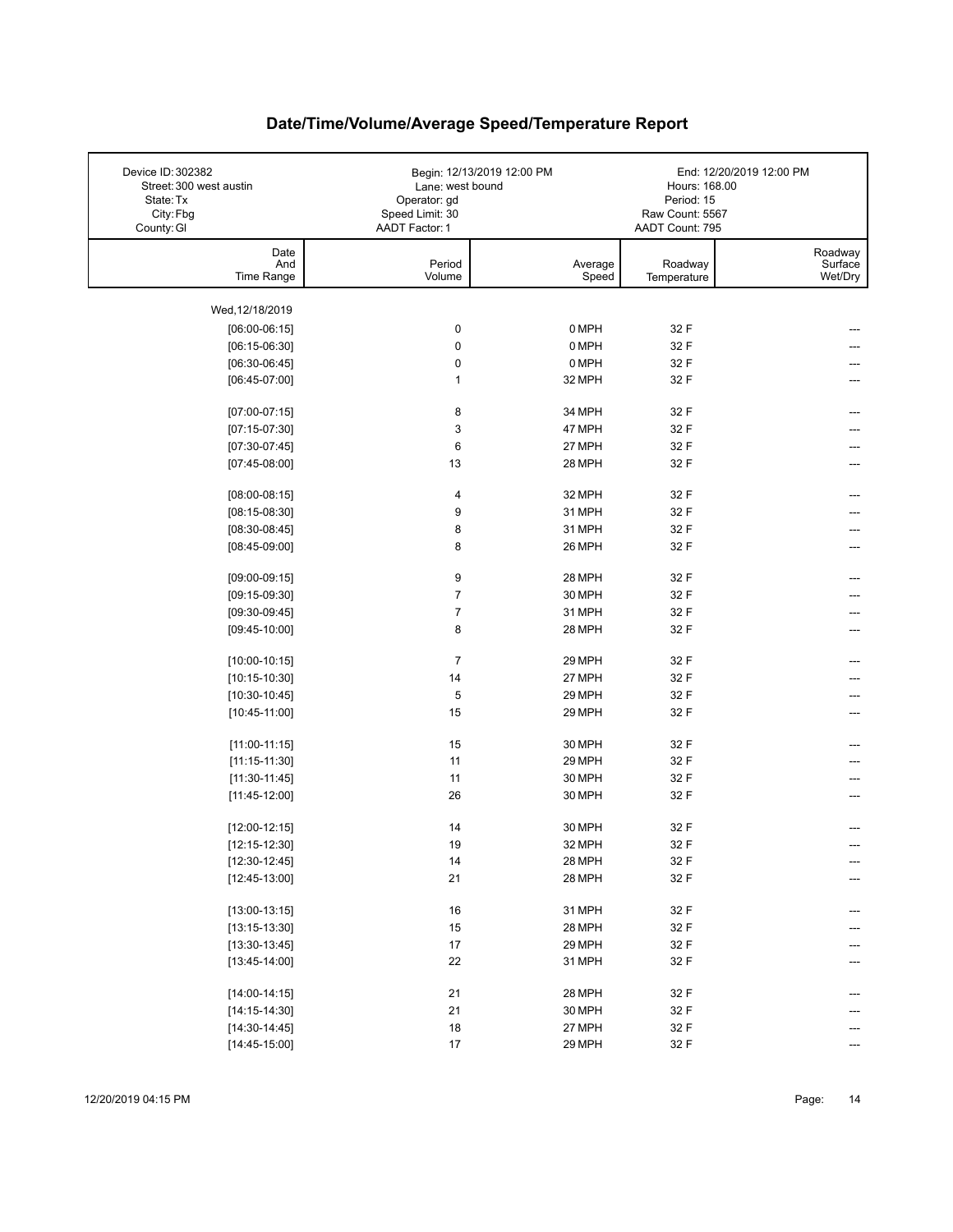| Device ID: 302382<br>Street: 300 west austin<br>State: Tx<br>City: Fbg<br>County: GI | Lane: west bound<br>Operator: gd<br>Speed Limit: 30<br>AADT Factor: 1 | Begin: 12/13/2019 12:00 PM | Hours: 168.00<br>Period: 15<br>Raw Count: 5567<br>AADT Count: 795 | End: 12/20/2019 12:00 PM      |
|--------------------------------------------------------------------------------------|-----------------------------------------------------------------------|----------------------------|-------------------------------------------------------------------|-------------------------------|
| Date<br>And<br>Time Range                                                            | Period<br>Volume                                                      | Average<br>Speed           | Roadway<br>Temperature                                            | Roadway<br>Surface<br>Wet/Dry |
| Wed, 12/18/2019                                                                      |                                                                       |                            |                                                                   |                               |
| $[06:00-06:15]$                                                                      | 0                                                                     | 0 MPH                      | 32 F                                                              |                               |
| $[06:15-06:30]$                                                                      | 0                                                                     | 0 MPH                      | 32 F                                                              |                               |
| $[06:30-06:45]$                                                                      | 0                                                                     | 0 MPH                      | 32 F                                                              |                               |
| $[06:45-07:00]$                                                                      | $\mathbf{1}$                                                          | 32 MPH                     | 32 F                                                              |                               |
|                                                                                      |                                                                       |                            |                                                                   |                               |
| $[07:00-07:15]$                                                                      | 8                                                                     | 34 MPH                     | 32 F                                                              | ---                           |
| $[07:15-07:30]$                                                                      | 3                                                                     | 47 MPH                     | 32 F                                                              |                               |
| $[07:30-07:45]$                                                                      | 6                                                                     | 27 MPH                     | 32 F                                                              |                               |
| $[07:45-08:00]$                                                                      | 13                                                                    | 28 MPH                     | 32 F                                                              |                               |
| $[08:00-08:15]$                                                                      | 4                                                                     | 32 MPH                     | 32 F                                                              |                               |
| $[08:15-08:30]$                                                                      | 9                                                                     | 31 MPH                     | 32 F                                                              |                               |
| $[08:30-08:45]$                                                                      | 8                                                                     | 31 MPH                     | 32 F                                                              |                               |
| $[08:45-09:00]$                                                                      | 8                                                                     | 26 MPH                     | 32 F                                                              |                               |
|                                                                                      |                                                                       |                            |                                                                   |                               |
| $[09:00-09:15]$                                                                      | 9                                                                     | 28 MPH                     | 32 F                                                              | ---                           |
| $[09:15-09:30]$                                                                      | $\overline{7}$                                                        | 30 MPH                     | 32 F                                                              |                               |
| $[09:30-09:45]$                                                                      | $\overline{7}$                                                        | 31 MPH                     | 32 F                                                              |                               |
| $[09:45-10:00]$                                                                      | 8                                                                     | 28 MPH                     | 32 F                                                              |                               |
| $[10:00-10:15]$                                                                      | $\overline{7}$                                                        | 29 MPH                     | 32 F                                                              |                               |
| $[10:15-10:30]$                                                                      | 14                                                                    | 27 MPH                     | 32 F                                                              |                               |
| $[10:30-10:45]$                                                                      | 5                                                                     | 29 MPH                     | 32 F                                                              |                               |
| $[10:45-11:00]$                                                                      | 15                                                                    | 29 MPH                     | 32 F                                                              |                               |
|                                                                                      |                                                                       |                            |                                                                   |                               |
| $[11:00-11:15]$                                                                      | 15                                                                    | 30 MPH                     | 32 F                                                              |                               |
| $[11:15-11:30]$                                                                      | 11                                                                    | 29 MPH                     | 32 F                                                              |                               |
| $[11:30-11:45]$                                                                      | 11                                                                    | 30 MPH                     | 32 F                                                              |                               |
| $[11:45-12:00]$                                                                      | 26                                                                    | 30 MPH                     | 32 F                                                              |                               |
| $[12:00-12:15]$                                                                      | 14                                                                    | 30 MPH                     | 32 F                                                              |                               |
| $[12:15-12:30]$                                                                      | 19                                                                    | 32 MPH                     | 32 F                                                              |                               |
| $[12:30-12:45]$                                                                      | 14                                                                    | 28 MPH                     | 32 F                                                              | ---                           |
| $[12:45-13:00]$                                                                      | 21                                                                    | 28 MPH                     | 32 F                                                              | ---                           |
|                                                                                      |                                                                       |                            |                                                                   |                               |
| $[13:00-13:15]$                                                                      | 16                                                                    | 31 MPH                     | 32 F                                                              | ---                           |
| $[13:15-13:30]$                                                                      | 15                                                                    | 28 MPH                     | 32 F                                                              |                               |
| $[13:30-13:45]$                                                                      | 17                                                                    | 29 MPH                     | 32 F                                                              |                               |
| $[13:45-14:00]$                                                                      | 22                                                                    | 31 MPH                     | 32 F                                                              |                               |
| $[14:00-14:15]$                                                                      | 21                                                                    | 28 MPH                     | 32 F                                                              |                               |
| $[14:15-14:30]$                                                                      | 21                                                                    | 30 MPH                     | 32 F                                                              |                               |
| $[14:30-14:45]$                                                                      | 18                                                                    | 27 MPH                     | 32 F                                                              |                               |
| $[14:45-15:00]$                                                                      | 17                                                                    | 29 MPH                     | 32 F                                                              | ---                           |
|                                                                                      |                                                                       |                            |                                                                   |                               |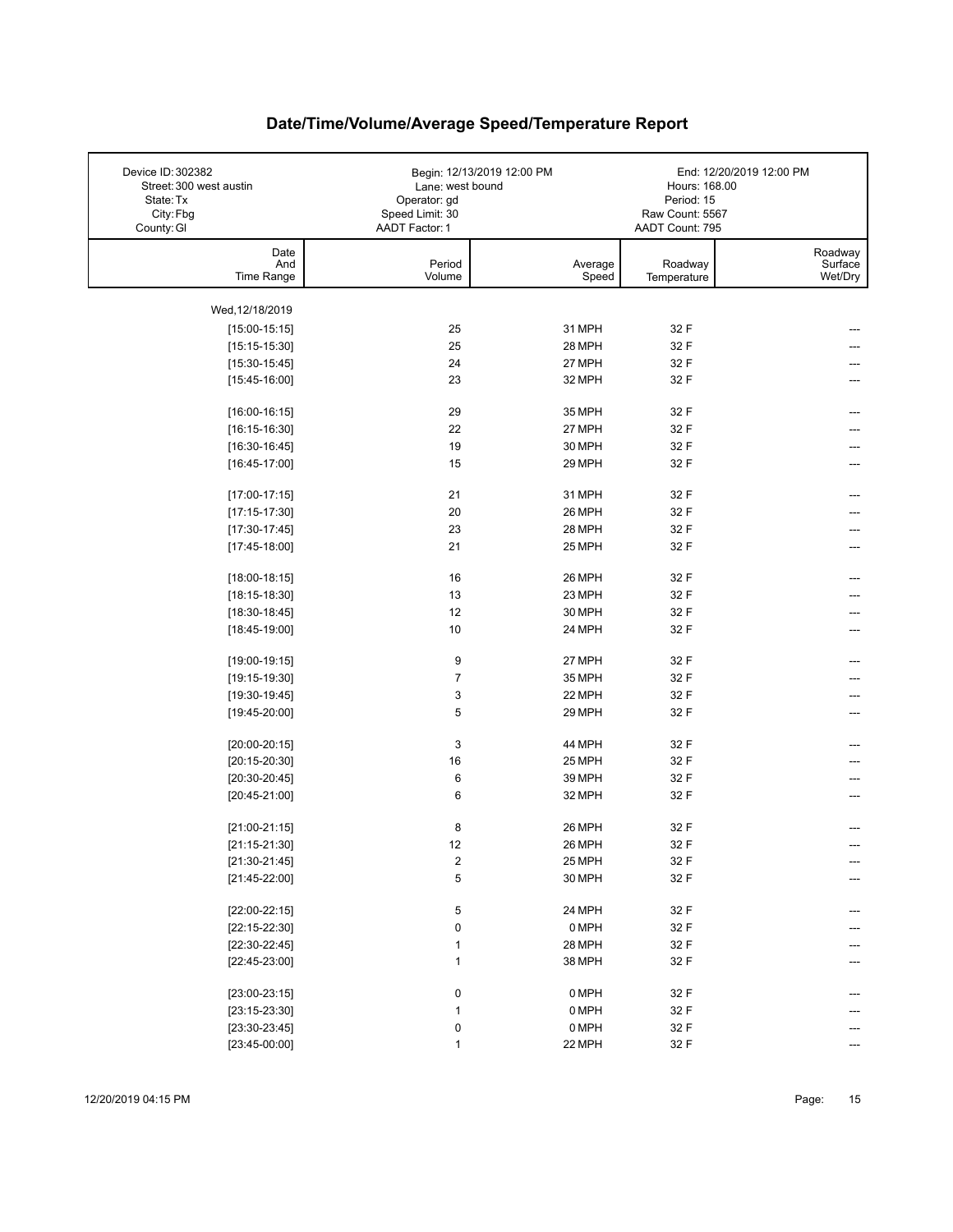| Device ID: 302382<br>Street: 300 west austin<br>State: Tx<br>City: Fbg<br>County: GI | Lane: west bound<br>Operator: gd<br>Speed Limit: 30<br>AADT Factor: 1 | Begin: 12/13/2019 12:00 PM | Hours: 168.00<br>Period: 15<br>Raw Count: 5567<br>AADT Count: 795 | End: 12/20/2019 12:00 PM      |
|--------------------------------------------------------------------------------------|-----------------------------------------------------------------------|----------------------------|-------------------------------------------------------------------|-------------------------------|
| Date<br>And<br>Time Range                                                            | Period<br>Volume                                                      | Average<br>Speed           | Roadway<br>Temperature                                            | Roadway<br>Surface<br>Wet/Dry |
| Wed, 12/18/2019                                                                      |                                                                       |                            |                                                                   |                               |
| $[15:00-15:15]$                                                                      | 25                                                                    | 31 MPH                     | 32 F                                                              |                               |
| $[15:15-15:30]$                                                                      | 25                                                                    | 28 MPH                     | 32 F                                                              |                               |
| $[15:30-15:45]$                                                                      | 24                                                                    | 27 MPH                     | 32 F                                                              |                               |
| $[15:45-16:00]$                                                                      | 23                                                                    | 32 MPH                     | 32 F                                                              |                               |
| $[16:00-16:15]$                                                                      | 29                                                                    | 35 MPH                     | 32 F                                                              | ---                           |
| $[16:15-16:30]$                                                                      | 22                                                                    | 27 MPH                     | 32 F                                                              | ---                           |
| $[16:30-16:45]$                                                                      | 19                                                                    | 30 MPH                     | 32 F                                                              | ---                           |
| $[16:45-17:00]$                                                                      | 15                                                                    | 29 MPH                     | 32 F                                                              | ---                           |
| $[17:00-17:15]$                                                                      | 21                                                                    | 31 MPH                     | 32 F                                                              | ---                           |
| $[17:15-17:30]$                                                                      | 20                                                                    | 26 MPH                     | 32 F                                                              |                               |
| $[17:30-17:45]$                                                                      | 23                                                                    | 28 MPH                     | 32 F                                                              |                               |
| $[17:45-18:00]$                                                                      | 21                                                                    | 25 MPH                     | 32 F                                                              |                               |
| $[18:00-18:15]$                                                                      | 16                                                                    | 26 MPH                     | 32 F                                                              | ---                           |
| $[18:15-18:30]$                                                                      | 13                                                                    | 23 MPH                     | 32 F                                                              |                               |
| $[18:30-18:45]$                                                                      | 12                                                                    | 30 MPH                     | 32 F                                                              |                               |
| $[18:45-19:00]$                                                                      | 10                                                                    | 24 MPH                     | 32 F                                                              |                               |
| $[19:00-19:15]$                                                                      | 9                                                                     | 27 MPH                     | 32 F                                                              | ---                           |
| $[19:15-19:30]$                                                                      | $\overline{7}$                                                        | 35 MPH                     | 32 F                                                              |                               |
| $[19:30-19:45]$                                                                      | 3                                                                     | 22 MPH                     | 32 F                                                              |                               |
| $[19:45-20:00]$                                                                      | 5                                                                     | 29 MPH                     | 32 F                                                              |                               |
| $[20:00-20:15]$                                                                      | 3                                                                     | 44 MPH                     | 32 F                                                              |                               |
| $[20:15-20:30]$                                                                      | 16                                                                    | 25 MPH                     | 32 F                                                              |                               |
| $[20:30-20:45]$                                                                      | 6                                                                     | 39 MPH                     | 32 F                                                              |                               |
| $[20:45-21:00]$                                                                      | 6                                                                     | 32 MPH                     | 32 F                                                              |                               |
| $[21:00-21:15]$                                                                      | 8                                                                     | 26 MPH                     | 32 F                                                              |                               |
| $[21:15-21:30]$                                                                      | 12                                                                    | 26 MPH                     | 32 F                                                              |                               |
| $[21:30-21:45]$                                                                      | $\overline{\mathbf{c}}$                                               | 25 MPH                     | 32 F                                                              | ---                           |
| $[21:45-22:00]$                                                                      | 5                                                                     | 30 MPH                     | 32 F                                                              |                               |
| $[22:00-22:15]$                                                                      | 5                                                                     | 24 MPH                     | 32 F                                                              | ---                           |
| $[22:15-22:30]$                                                                      | 0                                                                     | 0 MPH                      | 32 F                                                              |                               |
| $[22:30-22:45]$                                                                      | 1                                                                     | 28 MPH                     | 32 F                                                              |                               |
| $[22:45-23:00]$                                                                      | 1                                                                     | 38 MPH                     | 32 F                                                              |                               |
| $[23:00-23:15]$                                                                      | 0                                                                     | 0 MPH                      | 32 F                                                              |                               |
| $[23:15-23:30]$                                                                      | $\mathbf{1}$                                                          | 0 MPH                      | 32 F                                                              |                               |
| $[23:30-23:45]$                                                                      | 0                                                                     | 0 MPH                      | 32 F                                                              |                               |
| $[23:45-00:00]$                                                                      | $\mathbf{1}$                                                          | 22 MPH                     | 32 F                                                              | ---                           |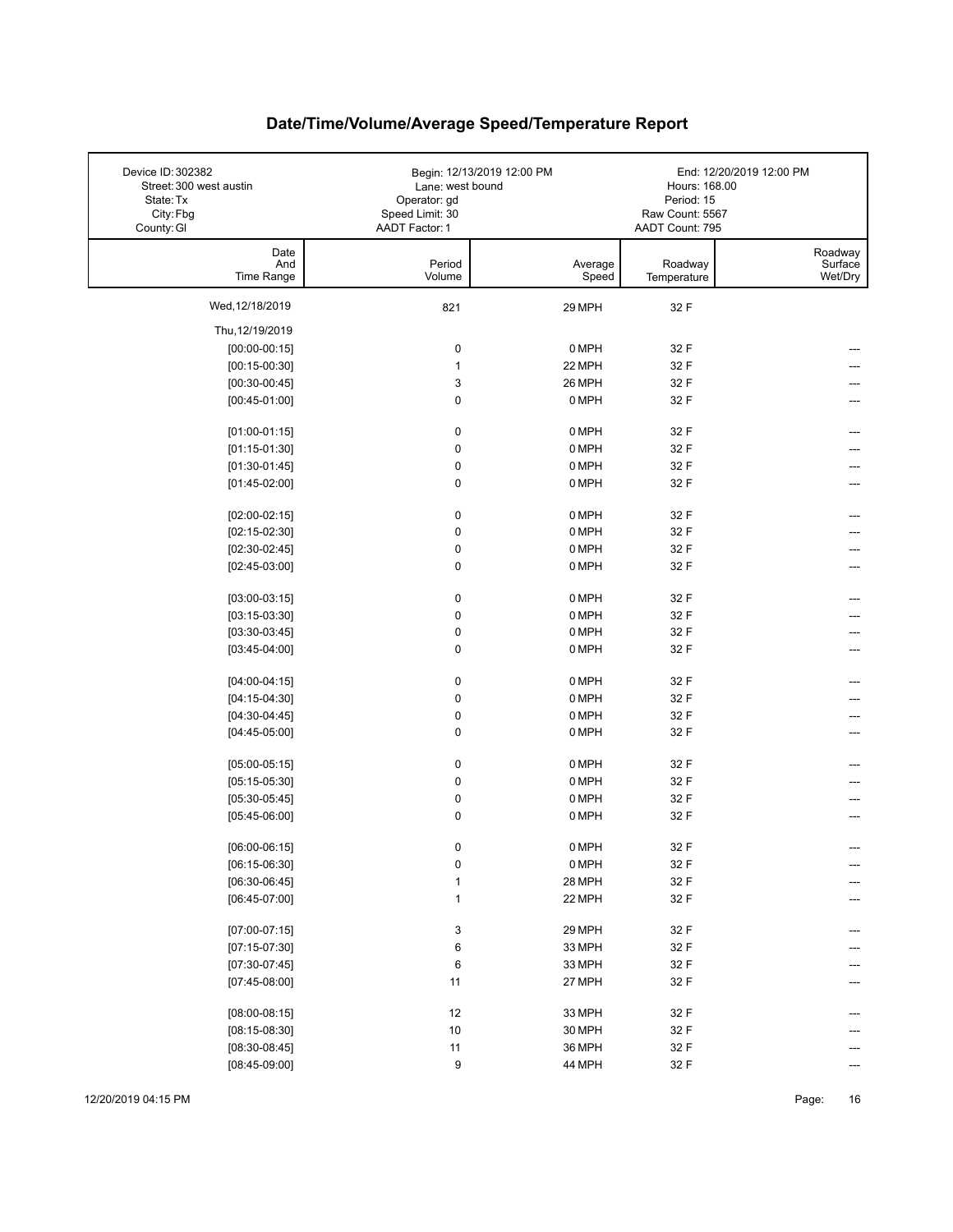| Device ID: 302382<br>Street: 300 west austin<br>State: Tx<br>City: Fbg<br>County: GI | Lane: west bound<br>Operator: gd<br>Speed Limit: 30<br>AADT Factor: 1 | Begin: 12/13/2019 12:00 PM | Hours: 168.00<br>Period: 15<br>Raw Count: 5567<br>AADT Count: 795 | End: 12/20/2019 12:00 PM      |
|--------------------------------------------------------------------------------------|-----------------------------------------------------------------------|----------------------------|-------------------------------------------------------------------|-------------------------------|
| Date<br>And<br>Time Range                                                            | Period<br>Volume                                                      | Average<br>Speed           | Roadway<br>Temperature                                            | Roadway<br>Surface<br>Wet/Dry |
| Wed, 12/18/2019                                                                      | 821                                                                   | 29 MPH                     | 32 F                                                              |                               |
| Thu, 12/19/2019                                                                      |                                                                       |                            |                                                                   |                               |
| $[00:00-00:15]$                                                                      | 0                                                                     | 0 MPH                      | 32 F                                                              |                               |
| $[00:15-00:30]$                                                                      | $\mathbf{1}$                                                          | 22 MPH                     | 32 F                                                              |                               |
| $[00:30-00:45]$                                                                      | $\ensuremath{\mathsf{3}}$                                             | 26 MPH                     | 32 F                                                              |                               |
| $[00:45-01:00]$                                                                      | 0                                                                     | 0 MPH                      | 32 F                                                              |                               |
| $[01:00-01:15]$                                                                      | 0                                                                     | 0 MPH                      | 32 F                                                              |                               |
| $[01:15-01:30]$                                                                      | 0                                                                     | 0 MPH                      | 32 F                                                              |                               |
| $[01:30-01:45]$                                                                      | $\pmb{0}$                                                             | 0 MPH                      | 32 F                                                              |                               |
| $[01:45-02:00]$                                                                      | 0                                                                     | 0 MPH                      | 32 F                                                              |                               |
| $[02:00-02:15]$                                                                      | $\pmb{0}$                                                             | 0 MPH                      | 32 F                                                              |                               |
| $[02:15-02:30]$                                                                      | $\pmb{0}$                                                             | 0 MPH                      | 32 F                                                              |                               |
| $[02:30-02:45]$                                                                      | 0                                                                     | 0 MPH                      | 32 F                                                              |                               |
| $[02:45-03:00]$                                                                      | 0                                                                     | 0 MPH                      | 32 F                                                              |                               |
| $[03:00-03:15]$                                                                      | 0                                                                     | 0 MPH                      | 32 F                                                              |                               |
| $[03:15-03:30]$                                                                      | 0                                                                     | 0 MPH                      | 32 F                                                              |                               |
| $[03:30-03:45]$                                                                      | $\pmb{0}$                                                             | 0 MPH                      | 32 F                                                              |                               |
| $[03:45-04:00]$                                                                      | 0                                                                     | 0 MPH                      | 32 F                                                              | ---                           |
| $[04:00-04:15]$                                                                      | $\pmb{0}$                                                             | 0 MPH                      | 32 F                                                              |                               |
| $[04:15-04:30]$                                                                      | 0                                                                     | 0 MPH                      | 32 F                                                              |                               |
| $[04:30-04:45]$                                                                      | 0                                                                     | 0 MPH                      | 32 F                                                              |                               |
| $[04:45-05:00]$                                                                      | $\mathbf 0$                                                           | 0 MPH                      | 32 F                                                              |                               |
| $[05:00-05:15]$                                                                      | 0                                                                     | 0 MPH                      | 32 F                                                              |                               |
| $[05:15-05:30]$                                                                      | $\pmb{0}$                                                             | 0 MPH                      | 32 F                                                              |                               |
| $[05:30-05:45]$                                                                      | 0                                                                     | 0 MPH                      | 32 F                                                              |                               |
| $[05:45-06:00]$                                                                      | 0                                                                     | 0 MPH                      | 32 F                                                              |                               |
| $[06:00-06:15]$                                                                      | 0                                                                     | $0$ MPH                    | 32 F                                                              |                               |
| $[06:15-06:30]$                                                                      | 0                                                                     | 0 MPH                      | 32 F                                                              | ---                           |
| $[06:30-06:45]$                                                                      | 1                                                                     | 28 MPH                     | 32 F                                                              |                               |
| $[06:45-07:00]$                                                                      | $\mathbf{1}$                                                          | 22 MPH                     | 32 F                                                              |                               |
| $[07:00-07:15]$                                                                      | 3                                                                     | 29 MPH                     | 32 F                                                              | ---                           |
| $[07:15-07:30]$                                                                      | 6                                                                     | 33 MPH                     | 32 F                                                              |                               |
| $[07:30-07:45]$                                                                      | 6                                                                     | 33 MPH                     | 32 F                                                              |                               |
| $[07:45-08:00]$                                                                      | 11                                                                    | 27 MPH                     | 32 F                                                              |                               |
| $[08:00-08:15]$                                                                      | 12                                                                    | 33 MPH                     | 32 F                                                              |                               |
| $[08:15-08:30]$                                                                      | $10$                                                                  | 30 MPH                     | 32 F                                                              |                               |
| $[08:30-08:45]$                                                                      | 11                                                                    | 36 MPH                     | 32 F                                                              |                               |
| $[08:45-09:00]$                                                                      | 9                                                                     | 44 MPH                     | 32 F                                                              | ---                           |

12/20/2019 04:15 PM Page: 16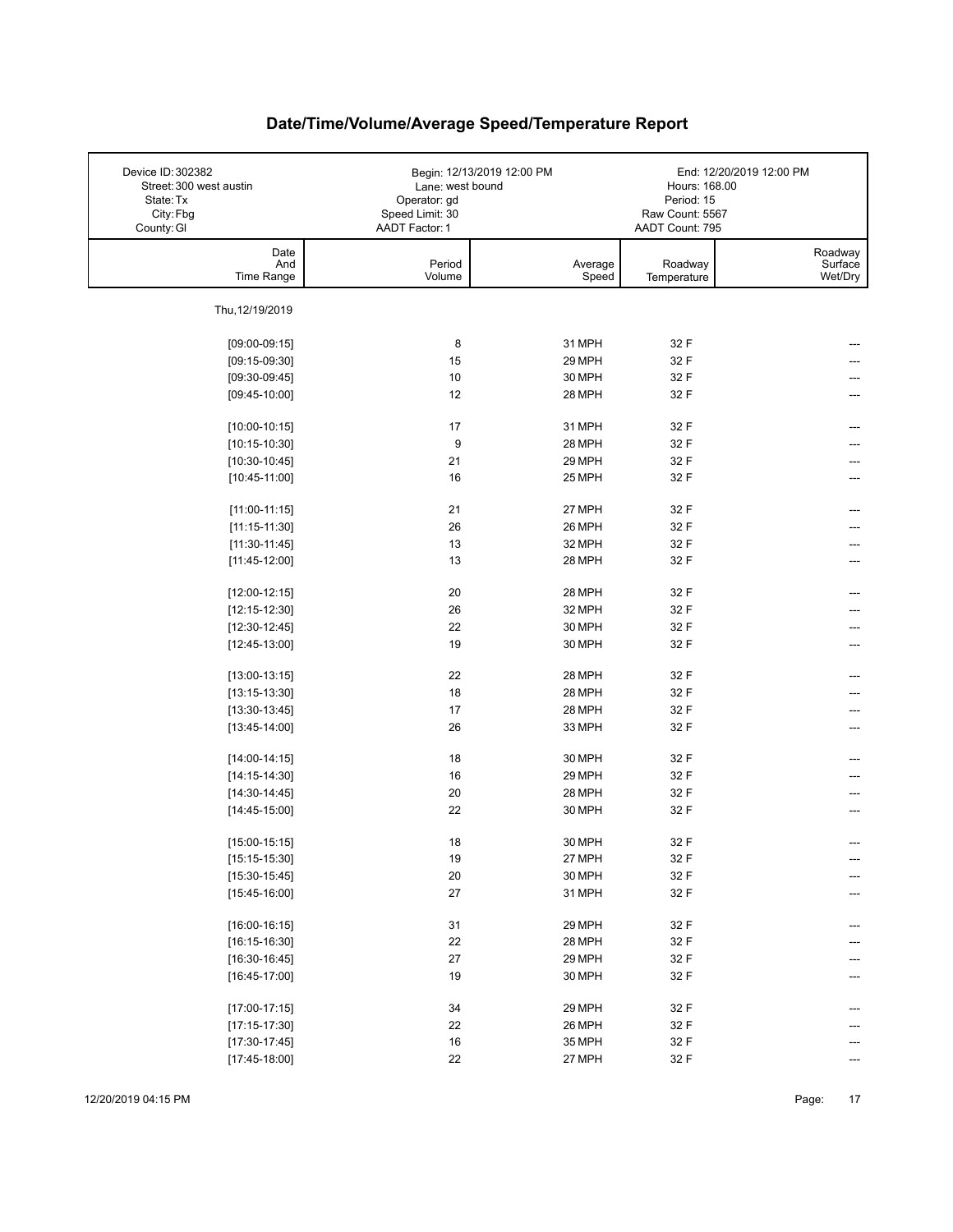| Device ID: 302382<br>Street: 300 west austin<br>State: Tx<br>City: Fbg<br>County: GI | Lane: west bound<br>Operator: gd<br>Speed Limit: 30<br>AADT Factor: 1 | Begin: 12/13/2019 12:00 PM | Hours: 168.00<br>Period: 15<br>Raw Count: 5567<br>AADT Count: 795 | End: 12/20/2019 12:00 PM      |
|--------------------------------------------------------------------------------------|-----------------------------------------------------------------------|----------------------------|-------------------------------------------------------------------|-------------------------------|
| Date<br>And<br>Time Range                                                            | Period<br>Volume                                                      | Average<br>Speed           | Roadway<br>Temperature                                            | Roadway<br>Surface<br>Wet/Dry |
| Thu, 12/19/2019                                                                      |                                                                       |                            |                                                                   |                               |
| $[09:00-09:15]$                                                                      | 8                                                                     | 31 MPH                     | 32 F                                                              |                               |
| $[09:15-09:30]$                                                                      | 15                                                                    | 29 MPH                     | 32 F                                                              |                               |
| $[09:30-09:45]$                                                                      | 10                                                                    | 30 MPH                     | 32 F                                                              |                               |
| $[09:45-10:00]$                                                                      | 12                                                                    | 28 MPH                     | 32 F                                                              |                               |
|                                                                                      |                                                                       |                            |                                                                   |                               |
| $[10:00-10:15]$                                                                      | 17                                                                    | 31 MPH                     | 32 F                                                              |                               |
| $[10:15-10:30]$                                                                      | 9                                                                     | 28 MPH                     | 32 F                                                              |                               |
| $[10:30-10:45]$                                                                      | 21                                                                    | 29 MPH                     | 32 F                                                              |                               |
| $[10:45-11:00]$                                                                      | 16                                                                    | 25 MPH                     | 32 F                                                              |                               |
| $[11:00-11:15]$                                                                      | 21                                                                    | 27 MPH                     | 32 F                                                              |                               |
| $[11:15-11:30]$                                                                      | 26                                                                    | 26 MPH                     | 32 F                                                              |                               |
| $[11:30-11:45]$                                                                      | 13                                                                    | 32 MPH                     | 32 F                                                              |                               |
| $[11:45-12:00]$                                                                      | 13                                                                    | 28 MPH                     | 32 F                                                              |                               |
|                                                                                      |                                                                       |                            |                                                                   |                               |
| $[12:00-12:15]$                                                                      | 20                                                                    | 28 MPH                     | 32 F                                                              |                               |
| $[12:15-12:30]$                                                                      | 26                                                                    | 32 MPH                     | 32 F                                                              |                               |
| $[12:30-12:45]$                                                                      | 22<br>19                                                              | 30 MPH<br>30 MPH           | 32 F<br>32 F                                                      |                               |
| $[12:45-13:00]$                                                                      |                                                                       |                            |                                                                   |                               |
| $[13:00-13:15]$                                                                      | 22                                                                    | 28 MPH                     | 32 F                                                              |                               |
| $[13:15-13:30]$                                                                      | 18                                                                    | 28 MPH                     | 32 F                                                              |                               |
| $[13:30-13:45]$                                                                      | 17                                                                    | 28 MPH                     | 32 F                                                              | ---                           |
| $[13:45-14:00]$                                                                      | 26                                                                    | 33 MPH                     | 32 F                                                              | ---                           |
| $[14:00-14:15]$                                                                      | 18                                                                    | 30 MPH                     | 32 F                                                              |                               |
| $[14:15-14:30]$                                                                      | 16                                                                    | 29 MPH                     | 32 F                                                              |                               |
| $[14:30-14:45]$                                                                      | 20                                                                    | 28 MPH                     | 32 F                                                              |                               |
| $[14:45-15:00]$                                                                      | 22                                                                    | 30 MPH                     | 32 F                                                              |                               |
|                                                                                      |                                                                       |                            |                                                                   |                               |
| $[15:00-15:15]$                                                                      | 18                                                                    | 30 MPH                     | 32 F                                                              |                               |
| $[15:15-15:30]$                                                                      | 19                                                                    | 27 MPH                     | 32 F                                                              | ---                           |
| $[15:30-15:45]$                                                                      | $20\,$                                                                | 30 MPH                     | 32 F                                                              | ---                           |
| $[15:45-16:00]$                                                                      | 27                                                                    | 31 MPH                     | 32 F                                                              |                               |
| $[16:00-16:15]$                                                                      | 31                                                                    | 29 MPH                     | 32 F                                                              | ---                           |
| $[16:15-16:30]$                                                                      | 22                                                                    | 28 MPH                     | 32 F                                                              |                               |
| $[16:30-16:45]$                                                                      | 27                                                                    | 29 MPH                     | 32 F                                                              |                               |
| $[16:45-17:00]$                                                                      | 19                                                                    | 30 MPH                     | 32 F                                                              |                               |
|                                                                                      |                                                                       |                            |                                                                   |                               |
| $[17:00-17:15]$                                                                      | 34                                                                    | 29 MPH                     | 32 F                                                              |                               |
| $[17:15-17:30]$                                                                      | 22                                                                    | 26 MPH                     | 32 F                                                              |                               |
| $[17:30-17:45]$                                                                      | $16\,$                                                                | 35 MPH                     | 32 F                                                              |                               |
| $[17:45-18:00]$                                                                      | 22                                                                    | 27 MPH                     | 32 F                                                              |                               |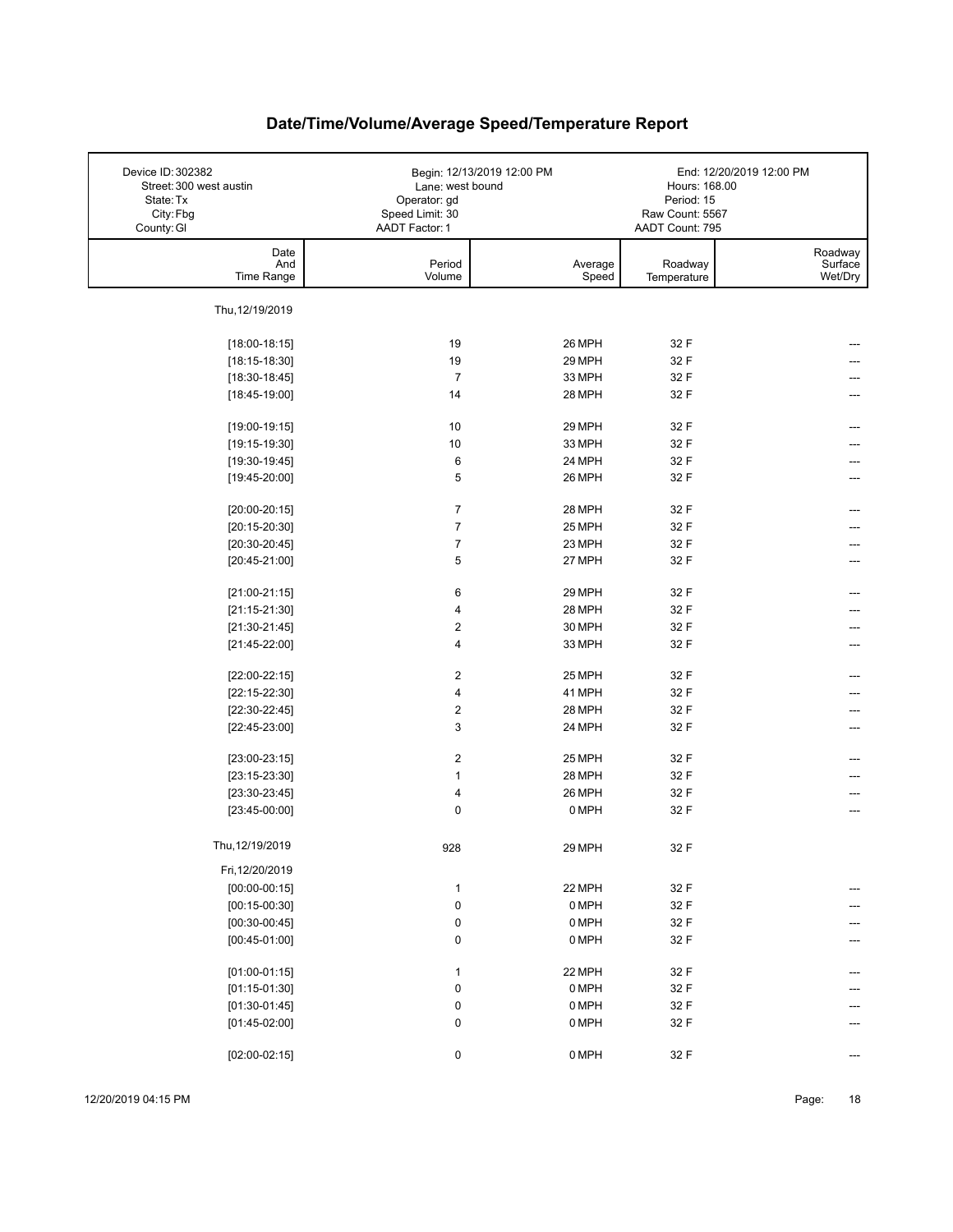| Device ID: 302382<br>Street: 300 west austin<br>State: Tx<br>City: Fbg<br>County: GI | Lane: west bound<br>Operator: gd<br>Speed Limit: 30<br>AADT Factor: 1 | Begin: 12/13/2019 12:00 PM | Hours: 168.00<br>Period: 15<br>Raw Count: 5567<br>AADT Count: 795 | End: 12/20/2019 12:00 PM      |
|--------------------------------------------------------------------------------------|-----------------------------------------------------------------------|----------------------------|-------------------------------------------------------------------|-------------------------------|
| Date<br>And<br>Time Range                                                            | Period<br>Volume                                                      | Average<br>Speed           | Roadway<br>Temperature                                            | Roadway<br>Surface<br>Wet/Dry |
| Thu, 12/19/2019                                                                      |                                                                       |                            |                                                                   |                               |
| $[18:00-18:15]$                                                                      | 19                                                                    | 26 MPH                     | 32 F                                                              |                               |
| $[18:15-18:30]$                                                                      | 19                                                                    | 29 MPH                     | 32 F                                                              |                               |
| $[18:30-18:45]$                                                                      | $\overline{7}$                                                        | 33 MPH                     | 32 F                                                              |                               |
| $[18:45-19:00]$                                                                      | 14                                                                    | 28 MPH                     | 32 F                                                              |                               |
|                                                                                      |                                                                       |                            |                                                                   |                               |
| $[19:00-19:15]$                                                                      | 10                                                                    | 29 MPH                     | 32 F                                                              |                               |
| $[19:15-19:30]$                                                                      | 10                                                                    | 33 MPH                     | 32 F                                                              |                               |
| $[19:30-19:45]$                                                                      | 6                                                                     | 24 MPH                     | 32 F                                                              |                               |
| $[19:45-20:00]$                                                                      | 5                                                                     | 26 MPH                     | 32 F                                                              |                               |
|                                                                                      |                                                                       |                            |                                                                   |                               |
| $[20:00-20:15]$                                                                      | $\overline{7}$                                                        | 28 MPH                     | 32 F                                                              |                               |
| $[20:15-20:30]$                                                                      | $\overline{7}$                                                        | 25 MPH                     | 32 F                                                              |                               |
| $[20:30-20:45]$                                                                      | $\overline{7}$                                                        | 23 MPH                     | 32 F                                                              |                               |
| $[20:45-21:00]$                                                                      | 5                                                                     | 27 MPH                     | 32 F                                                              |                               |
|                                                                                      |                                                                       |                            |                                                                   |                               |
| $[21:00-21:15]$                                                                      | 6<br>4                                                                | 29 MPH                     | 32 F                                                              |                               |
| $[21:15-21:30]$                                                                      | $\boldsymbol{2}$                                                      | 28 MPH<br>30 MPH           | 32 F<br>32 F                                                      |                               |
| $[21:30-21:45]$                                                                      | 4                                                                     | 33 MPH                     | 32 F                                                              | ---                           |
| $[21:45-22:00]$                                                                      |                                                                       |                            |                                                                   |                               |
| $[22:00-22:15]$                                                                      | $\boldsymbol{2}$                                                      | 25 MPH                     | 32 F                                                              | ---                           |
| $[22:15-22:30]$                                                                      | 4                                                                     | 41 MPH                     | 32 F                                                              |                               |
| $[22:30-22:45]$                                                                      | $\boldsymbol{2}$                                                      | 28 MPH                     | 32 F                                                              |                               |
| $[22:45-23:00]$                                                                      | 3                                                                     | 24 MPH                     | 32 F                                                              | ---                           |
|                                                                                      |                                                                       |                            |                                                                   |                               |
| $[23:00-23:15]$                                                                      | $\overline{2}$                                                        | 25 MPH                     | 32 F                                                              |                               |
| $[23:15-23:30]$                                                                      | $\mathbf{1}$                                                          | 28 MPH                     | 32 F                                                              |                               |
| $[23:30-23:45]$                                                                      | 4                                                                     | 26 MPH                     | 32 F                                                              | ---                           |
| $[23:45-00:00]$                                                                      | $\mathbf 0$                                                           | 0 MPH                      | 32 F                                                              | ---                           |
| Thu, 12/19/2019                                                                      | 928                                                                   | 29 MPH                     | 32 F                                                              |                               |
| Fri, 12/20/2019                                                                      |                                                                       |                            |                                                                   |                               |
| $[00:00-00:15]$                                                                      | $\mathbf{1}$                                                          | 22 MPH                     | 32 F                                                              | ---                           |
| $[00:15-00:30]$                                                                      | $\pmb{0}$                                                             | 0 MPH                      | 32 F                                                              |                               |
| $[00:30-00:45]$                                                                      | 0                                                                     | 0 MPH                      | 32 F                                                              | ---                           |
| $[00:45-01:00]$                                                                      | $\pmb{0}$                                                             | 0 MPH                      | 32 F                                                              | ---                           |
|                                                                                      |                                                                       |                            |                                                                   |                               |
| $[01:00-01:15]$                                                                      | $\mathbf{1}$                                                          | 22 MPH                     | 32 F                                                              | ---                           |
| $[01:15-01:30]$                                                                      | 0                                                                     | 0 MPH                      | 32 F                                                              |                               |
| $[01:30-01:45]$                                                                      | 0                                                                     | 0 MPH                      | 32 F                                                              |                               |
| $[01:45-02:00]$                                                                      | $\pmb{0}$                                                             | 0 MPH                      | 32 F                                                              |                               |
|                                                                                      |                                                                       |                            |                                                                   |                               |
| $[02:00-02:15]$                                                                      | 0                                                                     | 0 MPH                      | 32 F                                                              | ---                           |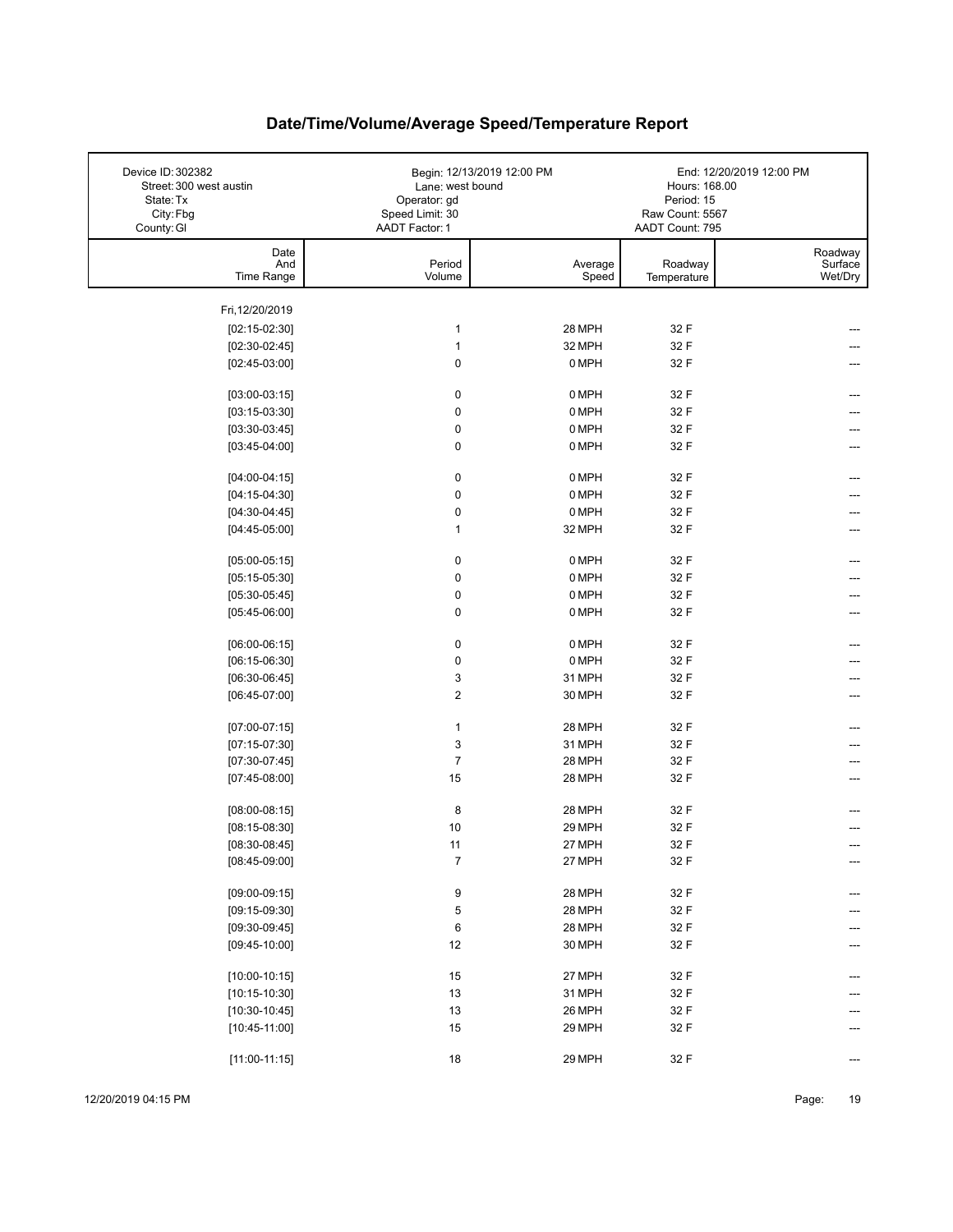| Device ID: 302382<br>Street: 300 west austin<br>State: Tx<br>City: Fbg<br>County: GI | Lane: west bound<br>Operator: gd<br>Speed Limit: 30<br>AADT Factor: 1 | Begin: 12/13/2019 12:00 PM | Hours: 168.00<br>Period: 15<br>Raw Count: 5567<br>AADT Count: 795 | End: 12/20/2019 12:00 PM      |
|--------------------------------------------------------------------------------------|-----------------------------------------------------------------------|----------------------------|-------------------------------------------------------------------|-------------------------------|
| Date<br>And<br>Time Range                                                            | Period<br>Volume                                                      | Average<br>Speed           | Roadway<br>Temperature                                            | Roadway<br>Surface<br>Wet/Dry |
| Fri, 12/20/2019                                                                      |                                                                       |                            |                                                                   |                               |
| $[02:15-02:30]$                                                                      | 1                                                                     | 28 MPH                     | 32 F                                                              |                               |
| $[02:30-02:45]$                                                                      | $\mathbf{1}$                                                          | 32 MPH                     | 32 F                                                              |                               |
| $[02:45-03:00]$                                                                      | 0                                                                     | 0 MPH                      | 32 F                                                              |                               |
|                                                                                      |                                                                       |                            |                                                                   |                               |
| $[03:00-03:15]$                                                                      | 0                                                                     | 0 MPH                      | 32 F                                                              | ---                           |
| $[03:15-03:30]$                                                                      | 0                                                                     | 0 MPH                      | 32 F                                                              |                               |
| $[03:30-03:45]$                                                                      | 0                                                                     | 0 MPH                      | 32 F                                                              | ---                           |
| $[03:45-04:00]$                                                                      | 0                                                                     | 0 MPH                      | 32 F                                                              | ---                           |
| $[04:00-04:15]$                                                                      | 0                                                                     | 0 MPH                      | 32 F                                                              | ---                           |
| $[04:15-04:30]$                                                                      | 0                                                                     | 0 MPH                      | 32 F                                                              |                               |
| $[04:30-04:45]$                                                                      | 0                                                                     | 0 MPH                      | 32 F                                                              |                               |
| $[04:45-05:00]$                                                                      | 1                                                                     | 32 MPH                     | 32 F                                                              |                               |
|                                                                                      |                                                                       |                            |                                                                   |                               |
| $[05:00-05:15]$                                                                      | 0                                                                     | 0 MPH                      | 32 F                                                              |                               |
| $[05:15-05:30]$                                                                      | 0                                                                     | 0 MPH                      | 32 F                                                              |                               |
| $[05:30-05:45]$                                                                      | 0                                                                     | 0 MPH                      | 32 F                                                              |                               |
| $[05:45-06:00]$                                                                      | 0                                                                     | 0 MPH                      | 32 F                                                              | ---                           |
| $[06:00-06:15]$                                                                      | 0                                                                     | 0 MPH                      | 32 F                                                              |                               |
| $[06:15-06:30]$                                                                      | 0                                                                     | 0 MPH                      | 32 F                                                              |                               |
| $[06:30-06:45]$                                                                      | 3                                                                     | 31 MPH                     | 32 F                                                              |                               |
| $[06:45-07:00]$                                                                      | 2                                                                     | 30 MPH                     | 32 F                                                              |                               |
| $[07:00-07:15]$                                                                      | 1                                                                     | 28 MPH                     | 32 F                                                              |                               |
| $[07:15-07:30]$                                                                      | 3                                                                     | 31 MPH                     | 32 F                                                              |                               |
| $[07:30-07:45]$                                                                      | $\overline{7}$                                                        | 28 MPH                     | 32 F                                                              |                               |
| $[07:45-08:00]$                                                                      | 15                                                                    | 28 MPH                     | 32 F                                                              |                               |
|                                                                                      |                                                                       |                            |                                                                   |                               |
| $[08:00-08:15]$                                                                      | 8                                                                     | 28 MPH                     | 32 F                                                              |                               |
| $[08:15-08:30]$                                                                      | 10                                                                    | 29 MPH                     | 32 F                                                              |                               |
| $[08:30-08:45]$                                                                      | 11                                                                    | 27 MPH                     | 32 F                                                              |                               |
| $[08:45-09:00]$                                                                      | 7                                                                     | 27 MPH                     | 32 F                                                              | ---                           |
| $[09:00-09:15]$                                                                      | 9                                                                     | 28 MPH                     | 32 F                                                              |                               |
| $[09:15-09:30]$                                                                      | 5                                                                     | 28 MPH                     | 32 F                                                              |                               |
| $[09:30-09:45]$                                                                      | 6                                                                     | 28 MPH                     | 32 F                                                              |                               |
| $[09:45-10:00]$                                                                      | 12                                                                    | 30 MPH                     | 32 F                                                              | ---                           |
|                                                                                      |                                                                       |                            |                                                                   |                               |
| $[10:00-10:15]$                                                                      | 15<br>13                                                              | 27 MPH<br>31 MPH           | 32 F<br>32 F                                                      |                               |
| $[10:15-10:30]$<br>$[10:30-10:45]$                                                   | 13                                                                    | 26 MPH                     | 32 F                                                              |                               |
| $[10:45-11:00]$                                                                      | 15                                                                    | 29 MPH                     | 32 F                                                              |                               |
|                                                                                      |                                                                       |                            |                                                                   |                               |
| $[11:00-11:15]$                                                                      | $18$                                                                  | 29 MPH                     | 32 F                                                              | $---$                         |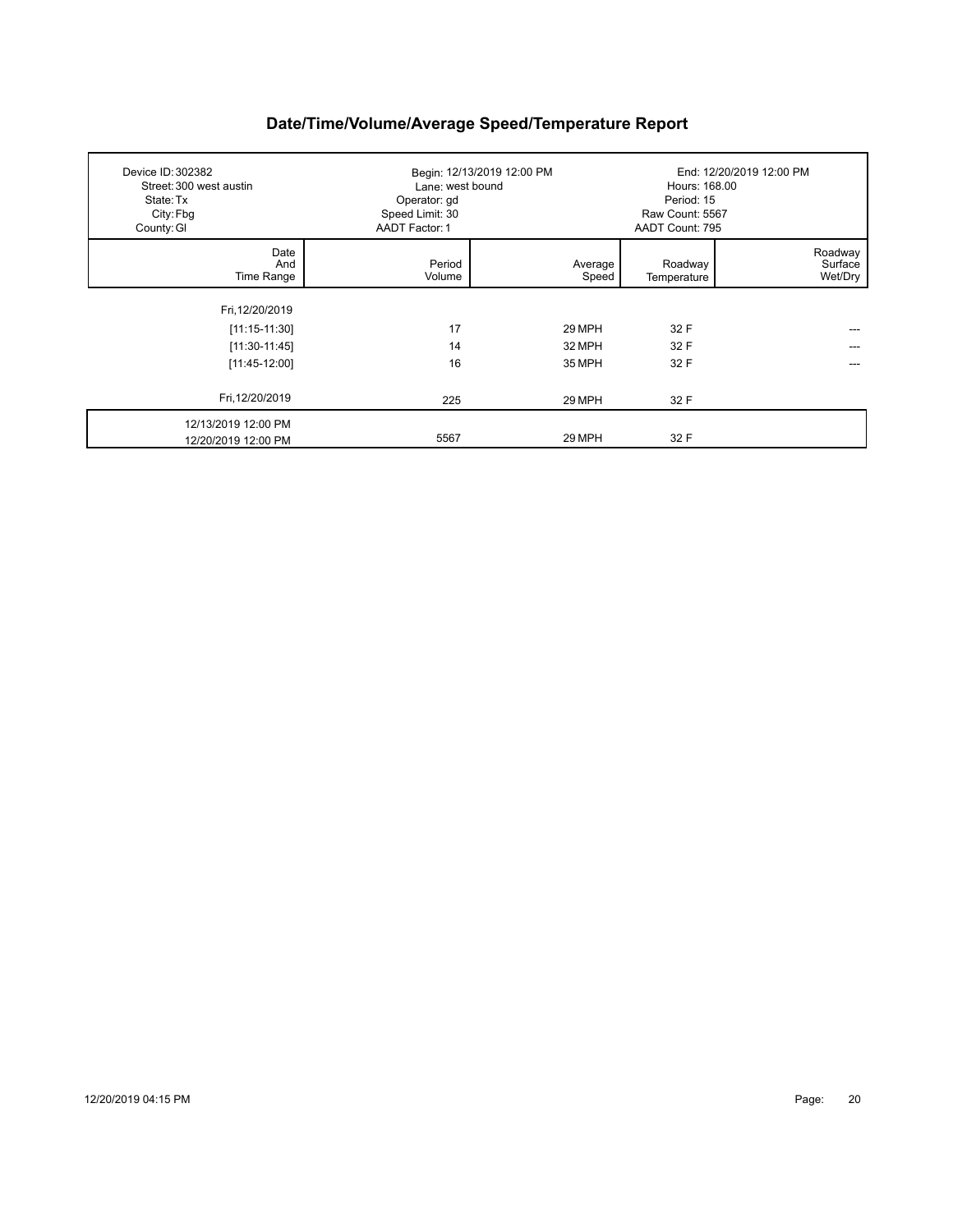| Device ID: 302382<br>Street: 300 west austin<br>State: Tx<br>City: Fbg<br>County: GI | Lane: west bound<br>Operator: gd<br>Speed Limit: 30<br>AADT Factor: 1 | Begin: 12/13/2019 12:00 PM | Hours: 168.00<br>Period: 15<br>Raw Count: 5567<br>AADT Count: 795 | End: 12/20/2019 12:00 PM      |
|--------------------------------------------------------------------------------------|-----------------------------------------------------------------------|----------------------------|-------------------------------------------------------------------|-------------------------------|
| Date<br>And<br>Time Range                                                            | Period<br>Volume                                                      | Average<br>Speed           | Roadway<br>Temperature                                            | Roadway<br>Surface<br>Wet/Dry |
| Fri, 12/20/2019                                                                      |                                                                       |                            |                                                                   |                               |
| $[11:15-11:30]$                                                                      | 17                                                                    | 29 MPH                     | 32 F                                                              |                               |
| $[11:30-11:45]$                                                                      | 14                                                                    | 32 MPH                     | 32 F                                                              |                               |
| $[11:45-12:00]$                                                                      | 16                                                                    | 35 MPH                     | 32 F                                                              |                               |
| Fri, 12/20/2019                                                                      | 225                                                                   | 29 MPH                     | 32 F                                                              |                               |
| 12/13/2019 12:00 PM<br>12/20/2019 12:00 PM                                           | 5567                                                                  | 29 MPH                     | 32 F                                                              |                               |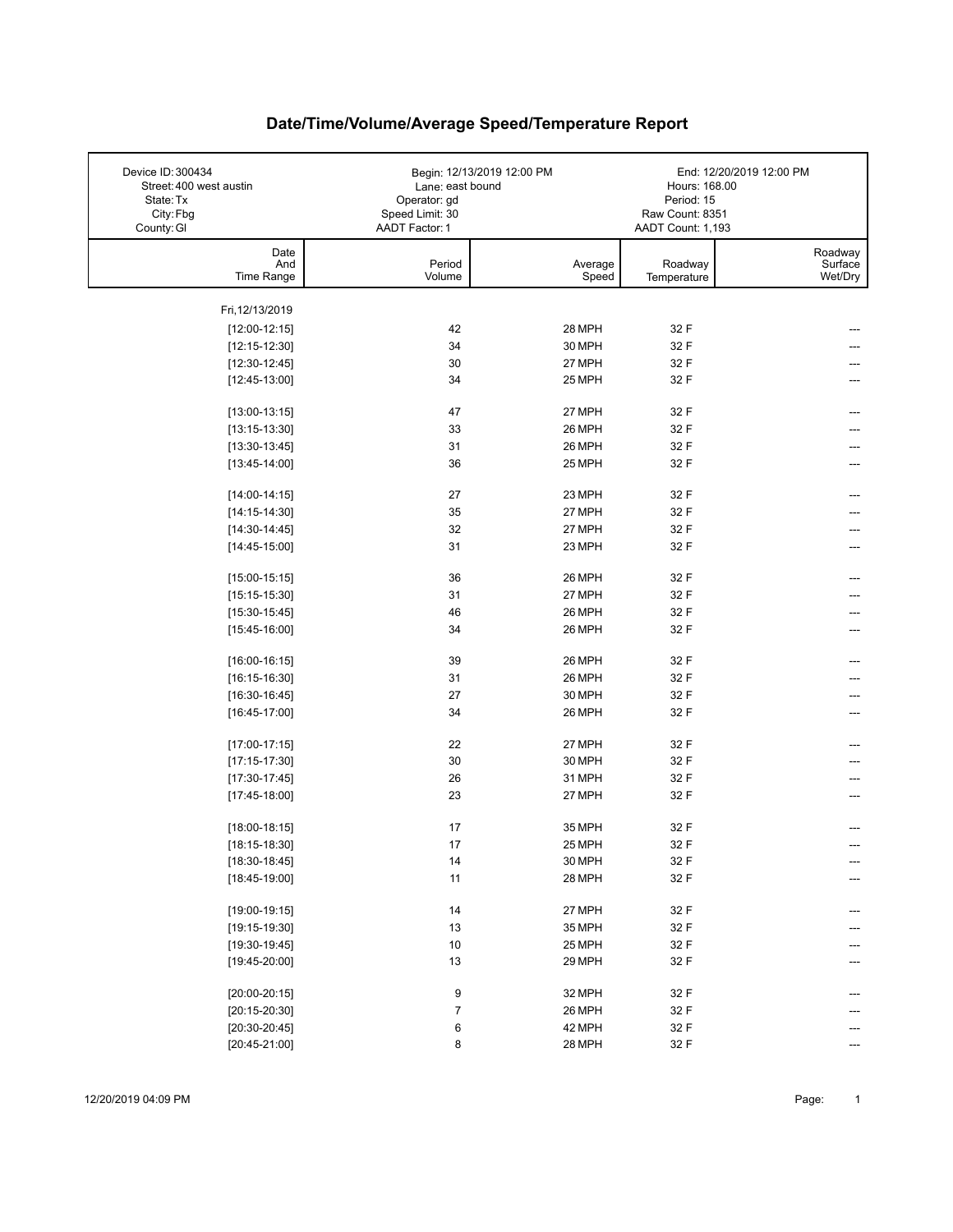| Device ID: 300434<br>Street: 400 west austin<br>State: Tx | Lane: east bound<br>Operator: gd  | Begin: 12/13/2019 12:00 PM | Hours: 168.00<br>Period: 15          | End: 12/20/2019 12:00 PM      |
|-----------------------------------------------------------|-----------------------------------|----------------------------|--------------------------------------|-------------------------------|
| City: Fbg<br>County: GI                                   | Speed Limit: 30<br>AADT Factor: 1 |                            | Raw Count: 8351<br>AADT Count: 1,193 |                               |
| Date<br>And<br>Time Range                                 | Period<br>Volume                  | Average<br>Speed           | Roadway<br>Temperature               | Roadway<br>Surface<br>Wet/Dry |
| Fri, 12/13/2019                                           |                                   |                            |                                      |                               |
| $[12:00-12:15]$                                           | 42                                | 28 MPH                     | 32 F                                 |                               |
| $[12:15-12:30]$                                           | 34                                | 30 MPH                     | 32 F                                 |                               |
| $[12:30-12:45]$                                           | 30                                | 27 MPH                     | 32 F                                 |                               |
| $[12:45-13:00]$                                           | 34                                | 25 MPH                     | 32 F                                 |                               |
| $[13:00-13:15]$                                           | 47                                | 27 MPH                     | 32 F                                 |                               |
| $[13:15-13:30]$                                           | 33                                | 26 MPH                     | 32 F                                 |                               |
| $[13:30-13:45]$                                           | 31                                | 26 MPH                     | 32 F                                 | ---                           |
| $[13:45-14:00]$                                           | 36                                | 25 MPH                     | 32 F                                 |                               |
| $[14:00-14:15]$                                           | 27                                | 23 MPH                     | 32 F                                 |                               |
| $[14:15-14:30]$                                           | 35                                | 27 MPH                     | 32 F                                 |                               |
| $[14:30-14:45]$                                           | 32                                | 27 MPH                     | 32 F                                 |                               |
| $[14:45-15:00]$                                           | 31                                | 23 MPH                     | 32 F                                 |                               |
| $[15:00-15:15]$                                           | 36                                | 26 MPH                     | 32 F                                 |                               |
| $[15:15-15:30]$                                           | 31                                | 27 MPH                     | 32 F                                 |                               |
| $[15:30-15:45]$                                           | 46                                | 26 MPH                     | 32 F                                 |                               |
| $[15:45-16:00]$                                           | 34                                | 26 MPH                     | 32 F                                 | ---                           |
| $[16:00-16:15]$                                           | 39                                | 26 MPH                     | 32 F                                 |                               |
| $[16:15-16:30]$                                           | 31                                | 26 MPH                     | 32 F                                 |                               |
| $[16:30-16:45]$                                           | 27                                | 30 MPH                     | 32 F                                 |                               |
| $[16:45-17:00]$                                           | 34                                | 26 MPH                     | 32 F                                 |                               |
| $[17:00-17:15]$                                           | 22                                | 27 MPH                     | 32 F                                 |                               |
| $[17:15-17:30]$                                           | 30                                | 30 MPH                     | 32 F                                 |                               |
| $[17:30-17:45]$                                           | 26                                | 31 MPH                     | 32 F                                 |                               |
| $[17:45-18:00]$                                           | 23                                | 27 MPH                     | 32 F                                 |                               |
| $[18:00-18:15]$                                           | 17                                | 35 MPH                     | 32 F                                 |                               |
| $[18:15-18:30]$                                           | $17\,$                            | 25 MPH                     | 32 F                                 |                               |
| $[18:30-18:45]$                                           | 14                                | 30 MPH                     | 32 F                                 | ---                           |
| $[18:45-19:00]$                                           | 11                                | 28 MPH                     | 32 F                                 |                               |
| $[19:00-19:15]$                                           | 14                                | 27 MPH                     | 32 F                                 |                               |
| $[19:15-19:30]$                                           | 13                                | 35 MPH                     | 32 F                                 |                               |
| $[19:30-19:45]$                                           | 10                                | 25 MPH                     | 32 F                                 |                               |
| $[19:45-20:00]$                                           | 13                                | 29 MPH                     | 32 F                                 |                               |
| $[20:00-20:15]$                                           | 9                                 | 32 MPH                     | 32 F                                 |                               |
| $[20:15-20:30]$                                           | 7                                 | 26 MPH                     | 32 F                                 |                               |
| $[20:30-20:45]$                                           | 6                                 | 42 MPH                     | 32 F                                 |                               |
| $[20:45-21:00]$                                           | 8                                 | 28 MPH                     | 32 F                                 |                               |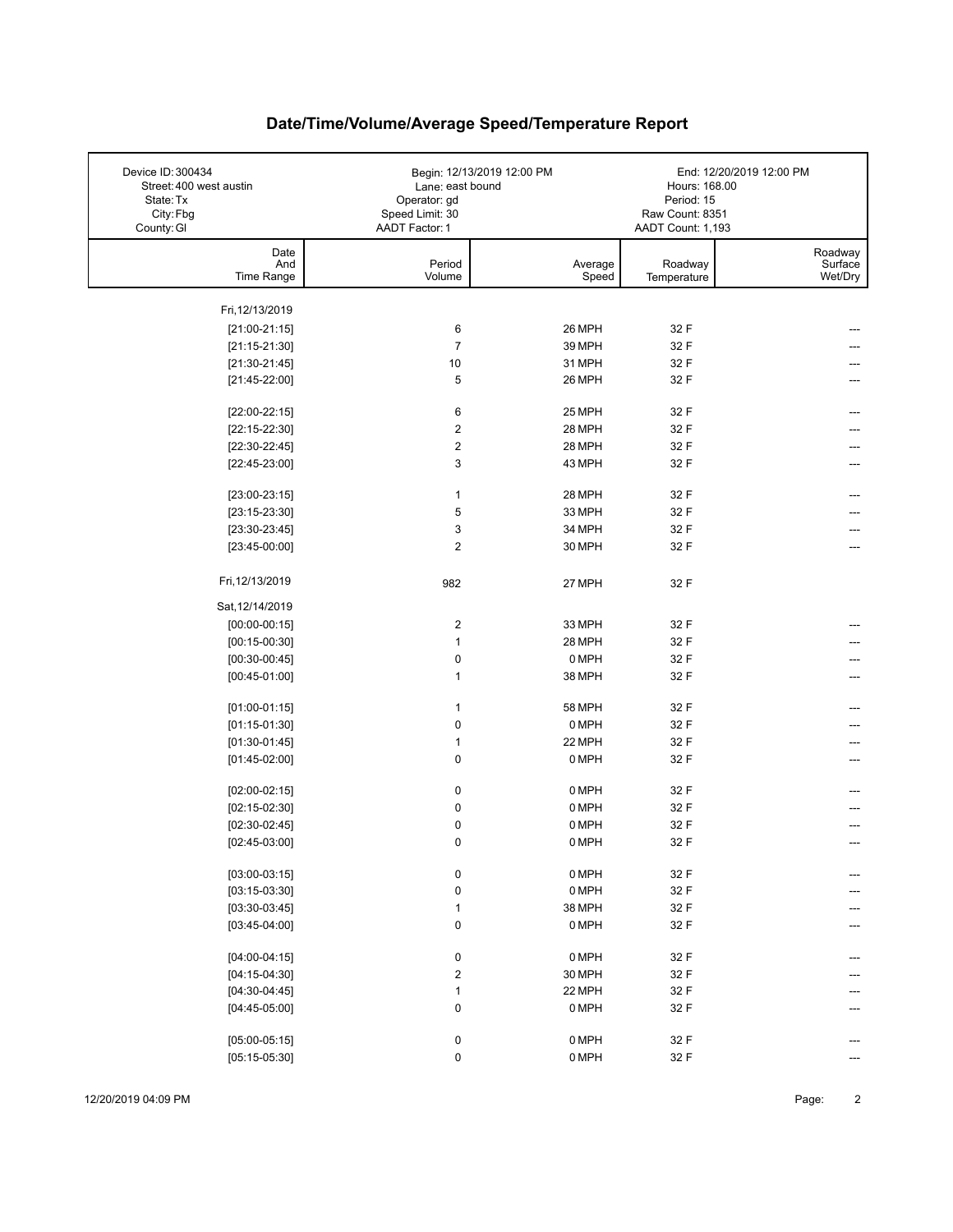| Device ID: 300434<br>Street: 400 west austin<br>State: Tx<br>City: Fbg<br>County: GI | Lane: east bound<br>Operator: gd<br>Speed Limit: 30<br>AADT Factor: 1 | Begin: 12/13/2019 12:00 PM | Hours: 168.00<br>Period: 15<br>Raw Count: 8351<br>AADT Count: 1,193 | End: 12/20/2019 12:00 PM      |
|--------------------------------------------------------------------------------------|-----------------------------------------------------------------------|----------------------------|---------------------------------------------------------------------|-------------------------------|
| Date<br>And<br>Time Range                                                            | Period<br>Volume                                                      | Average<br>Speed           | Roadway<br>Temperature                                              | Roadway<br>Surface<br>Wet/Dry |
| Fri, 12/13/2019                                                                      |                                                                       |                            |                                                                     |                               |
|                                                                                      |                                                                       | 26 MPH                     |                                                                     |                               |
| $[21:00-21:15]$<br>$[21:15-21:30]$                                                   | 6<br>$\overline{7}$                                                   | 39 MPH                     | 32 F<br>32 F                                                        |                               |
| $[21:30-21:45]$                                                                      | 10                                                                    | 31 MPH                     | 32 F                                                                |                               |
| $[21:45-22:00]$                                                                      | 5                                                                     | 26 MPH                     | 32 F                                                                |                               |
|                                                                                      |                                                                       |                            |                                                                     |                               |
| $[22:00-22:15]$                                                                      | 6                                                                     | 25 MPH                     | 32 F                                                                | ---                           |
| $[22:15-22:30]$                                                                      | $\boldsymbol{2}$                                                      | 28 MPH                     | 32 F                                                                |                               |
| $[22:30-22:45]$                                                                      | $\boldsymbol{2}$                                                      | 28 MPH                     | 32 F                                                                | ---                           |
| $[22:45-23:00]$                                                                      | $\mathbf{3}$                                                          | 43 MPH                     | 32 F                                                                | ---                           |
| $[23:00-23:15]$                                                                      | $\mathbf{1}$                                                          | 28 MPH                     | 32 F                                                                |                               |
|                                                                                      |                                                                       | 33 MPH                     | 32 F                                                                |                               |
| $[23:15-23:30]$                                                                      | $\,$ 5 $\,$<br>3                                                      | 34 MPH                     |                                                                     |                               |
| $[23:30-23:45]$                                                                      | $\overline{2}$                                                        | 30 MPH                     | 32 F<br>32 F                                                        |                               |
| $[23:45-00:00]$                                                                      |                                                                       |                            |                                                                     |                               |
| Fri, 12/13/2019                                                                      | 982                                                                   | 27 MPH                     | 32 F                                                                |                               |
| Sat, 12/14/2019                                                                      |                                                                       |                            |                                                                     |                               |
| $[00:00-00:15]$                                                                      | $\boldsymbol{2}$                                                      | 33 MPH                     | 32 F                                                                |                               |
| $[00:15-00:30]$                                                                      | $\mathbf{1}$                                                          | 28 MPH                     | 32 F                                                                |                               |
| $[00:30-00:45]$                                                                      | $\pmb{0}$                                                             | 0 MPH                      | 32 F                                                                |                               |
| $[00:45-01:00]$                                                                      | $\mathbf{1}$                                                          | 38 MPH                     | 32 F                                                                |                               |
| $[01:00-01:15]$                                                                      | $\mathbf{1}$                                                          | <b>58 MPH</b>              | 32 F                                                                |                               |
| $[01:15-01:30]$                                                                      | 0                                                                     | 0 MPH                      | 32 F                                                                |                               |
| $[01:30-01:45]$                                                                      | 1                                                                     | 22 MPH                     | 32 F                                                                |                               |
| $[01:45-02:00]$                                                                      | 0                                                                     | 0 MPH                      | 32 F                                                                | ---                           |
|                                                                                      |                                                                       |                            |                                                                     |                               |
| $[02:00-02:15]$                                                                      | 0                                                                     | 0 MPH                      | 32 F                                                                |                               |
| $[02:15-02:30]$                                                                      | $\pmb{0}$                                                             | 0 MPH                      | 32 F                                                                |                               |
| $[02:30-02:45]$                                                                      | $\mathbf 0$                                                           | 0 MPH                      | 32 F                                                                |                               |
| $[02:45-03:00]$                                                                      | $\mathbf 0$                                                           | 0 MPH                      | 32 F                                                                |                               |
| $[03:00-03:15]$                                                                      | 0                                                                     | 0 MPH                      | 32 F                                                                |                               |
| $[03:15-03:30]$                                                                      | $\pmb{0}$                                                             | 0 MPH                      | 32 F                                                                |                               |
| $[03:30-03:45]$                                                                      | $\mathbf{1}$                                                          | 38 MPH                     | 32 F                                                                |                               |
| $[03:45-04:00]$                                                                      | $\pmb{0}$                                                             | 0 MPH                      | 32 F                                                                |                               |
|                                                                                      |                                                                       |                            |                                                                     |                               |
| $[04:00-04:15]$                                                                      | 0                                                                     | 0 MPH                      | 32 F                                                                |                               |
| $[04:15-04:30]$                                                                      | $\overline{\mathbf{c}}$                                               | 30 MPH                     | 32 F                                                                |                               |
| $[04:30-04:45]$                                                                      | $\mathbf{1}$                                                          | 22 MPH                     | 32 F                                                                |                               |
| $[04:45-05:00]$                                                                      | $\pmb{0}$                                                             | 0 MPH                      | 32 F                                                                |                               |
| $[05:00-05:15]$                                                                      | 0                                                                     | 0 MPH                      | 32 F                                                                |                               |
|                                                                                      | $\pmb{0}$                                                             | 0 MPH                      | 32 F                                                                |                               |
| $[05:15-05:30]$                                                                      |                                                                       |                            |                                                                     |                               |

12/20/2019 04:09 PM Page: 2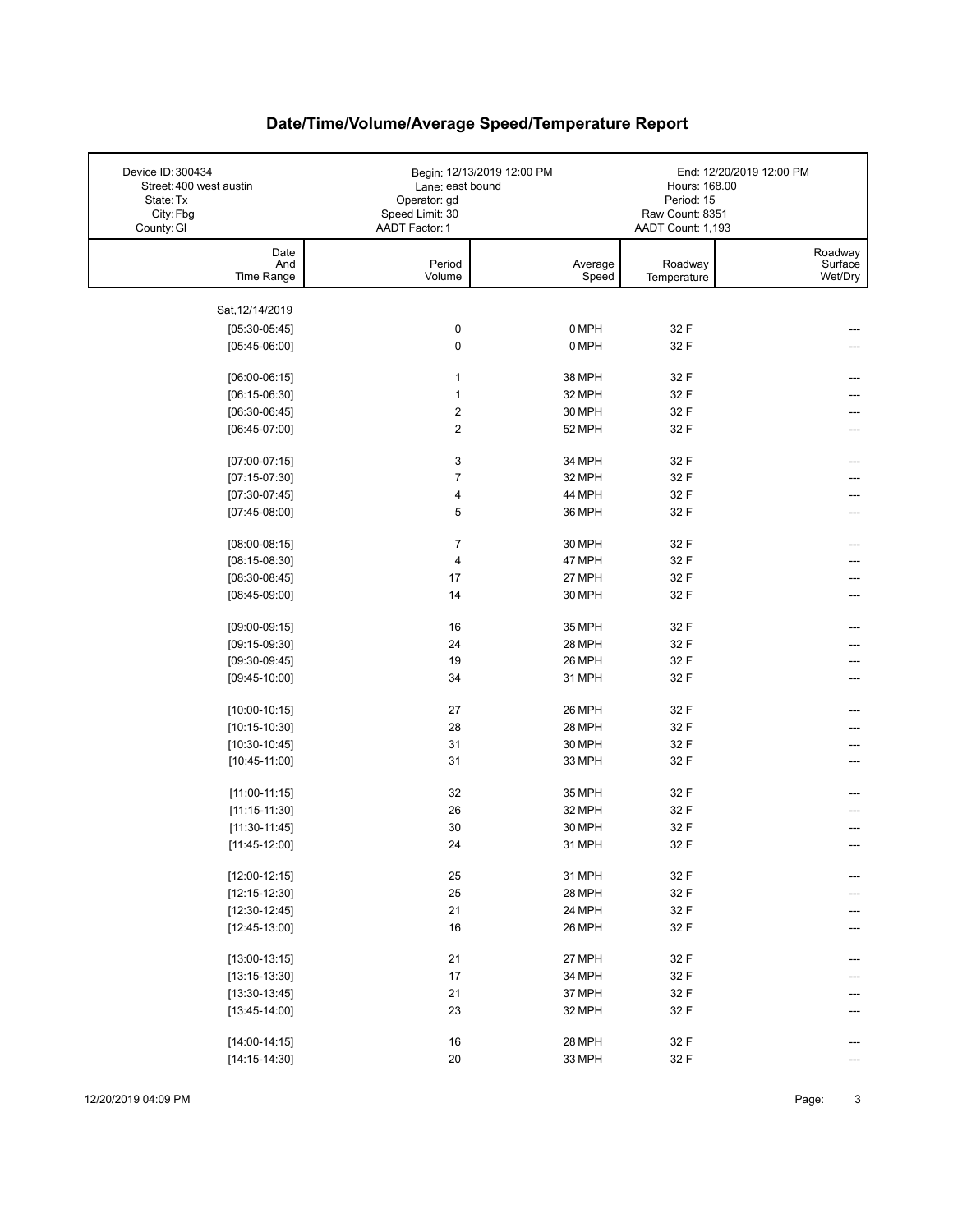| Device ID: 300434<br>Street: 400 west austin<br>State: Tx<br>City: Fbg<br>County: GI | Lane: east bound<br>Operator: gd<br>Speed Limit: 30<br>AADT Factor: 1 | Begin: 12/13/2019 12:00 PM | Hours: 168.00<br>Period: 15<br>Raw Count: 8351<br>AADT Count: 1,193 | End: 12/20/2019 12:00 PM      |
|--------------------------------------------------------------------------------------|-----------------------------------------------------------------------|----------------------------|---------------------------------------------------------------------|-------------------------------|
| Date<br>And<br>Time Range                                                            | Period<br>Volume                                                      | Average<br>Speed           | Roadway<br>Temperature                                              | Roadway<br>Surface<br>Wet/Dry |
| Sat, 12/14/2019                                                                      |                                                                       |                            |                                                                     |                               |
| $[05:30-05:45]$                                                                      | $\pmb{0}$                                                             | 0 MPH                      | 32 F                                                                |                               |
| $[05:45-06:00]$                                                                      | 0                                                                     | 0 MPH                      | 32 F                                                                |                               |
|                                                                                      |                                                                       |                            |                                                                     |                               |
| $[06:00-06:15]$                                                                      | $\mathbf{1}$                                                          | 38 MPH                     | 32 F                                                                |                               |
| $[06:15-06:30]$                                                                      | 1                                                                     | 32 MPH                     | 32 F                                                                |                               |
| $[06:30-06:45]$                                                                      | $\boldsymbol{2}$                                                      | 30 MPH                     | 32 F                                                                |                               |
| $[06:45-07:00]$                                                                      | $\overline{\mathbf{c}}$                                               | 52 MPH                     | 32 F                                                                |                               |
| $[07:00-07:15]$                                                                      | 3                                                                     | 34 MPH                     | 32 F                                                                |                               |
| $[07:15-07:30]$                                                                      | $\overline{7}$                                                        | 32 MPH                     | 32 F                                                                |                               |
| $[07:30-07:45]$                                                                      | 4                                                                     | 44 MPH                     | 32 F                                                                |                               |
| $[07:45-08:00]$                                                                      | 5                                                                     | 36 MPH                     | 32 F                                                                |                               |
|                                                                                      |                                                                       |                            |                                                                     |                               |
| $[08:00-08:15]$                                                                      | 7                                                                     | 30 MPH                     | 32 F                                                                |                               |
| $[08:15-08:30]$                                                                      | 4                                                                     | 47 MPH                     | 32 F                                                                |                               |
| $[08:30-08:45]$                                                                      | 17                                                                    | 27 MPH                     | 32 F                                                                |                               |
| $[08:45-09:00]$                                                                      | 14                                                                    | 30 MPH                     | 32 F                                                                |                               |
| $[09:00-09:15]$                                                                      | 16                                                                    | 35 MPH                     | 32 F                                                                |                               |
| $[09:15-09:30]$                                                                      | 24                                                                    | 28 MPH                     | 32 F                                                                |                               |
| $[09:30-09:45]$                                                                      | 19                                                                    | 26 MPH                     | 32 F                                                                |                               |
| $[09:45-10:00]$                                                                      | 34                                                                    | 31 MPH                     | 32 F                                                                |                               |
|                                                                                      |                                                                       |                            |                                                                     |                               |
| $[10:00-10:15]$                                                                      | 27                                                                    | 26 MPH                     | 32 F                                                                |                               |
| $[10:15-10:30]$                                                                      | 28                                                                    | 28 MPH                     | 32 F                                                                |                               |
| $[10:30-10:45]$                                                                      | 31                                                                    | 30 MPH                     | 32 F                                                                |                               |
| $[10:45-11:00]$                                                                      | 31                                                                    | 33 MPH                     | 32 F                                                                |                               |
| $[11:00-11:15]$                                                                      | 32                                                                    | 35 MPH                     | 32 F                                                                |                               |
| $[11:15-11:30]$                                                                      | 26                                                                    | 32 MPH                     | 32 F                                                                |                               |
| $[11:30-11:45]$                                                                      | 30                                                                    | 30 MPH                     | 32 F                                                                |                               |
| $[11:45-12:00]$                                                                      | 24                                                                    | 31 MPH                     | 32 F                                                                |                               |
|                                                                                      |                                                                       |                            |                                                                     |                               |
| $[12:00-12:15]$                                                                      | 25                                                                    | 31 MPH                     | 32 F                                                                |                               |
| $[12:15-12:30]$                                                                      | 25                                                                    | 28 MPH                     | 32 F                                                                |                               |
| $[12:30-12:45]$                                                                      | 21                                                                    | 24 MPH                     | 32 F                                                                |                               |
| $[12:45-13:00]$                                                                      | 16                                                                    | 26 MPH                     | 32 F                                                                |                               |
| $[13:00-13:15]$                                                                      | 21                                                                    | 27 MPH                     | 32 F                                                                |                               |
| $[13:15-13:30]$                                                                      | $17\,$                                                                | 34 MPH                     | 32 F                                                                |                               |
| $[13:30-13:45]$                                                                      | 21                                                                    | 37 MPH                     | 32 F                                                                |                               |
| $[13:45-14:00]$                                                                      | 23                                                                    | 32 MPH                     | 32 F                                                                |                               |
|                                                                                      |                                                                       |                            |                                                                     |                               |
| $[14:00-14:15]$                                                                      | 16                                                                    | 28 MPH                     | 32 F                                                                |                               |
| $[14:15-14:30]$                                                                      | $20\,$                                                                | 33 MPH                     | 32 F                                                                |                               |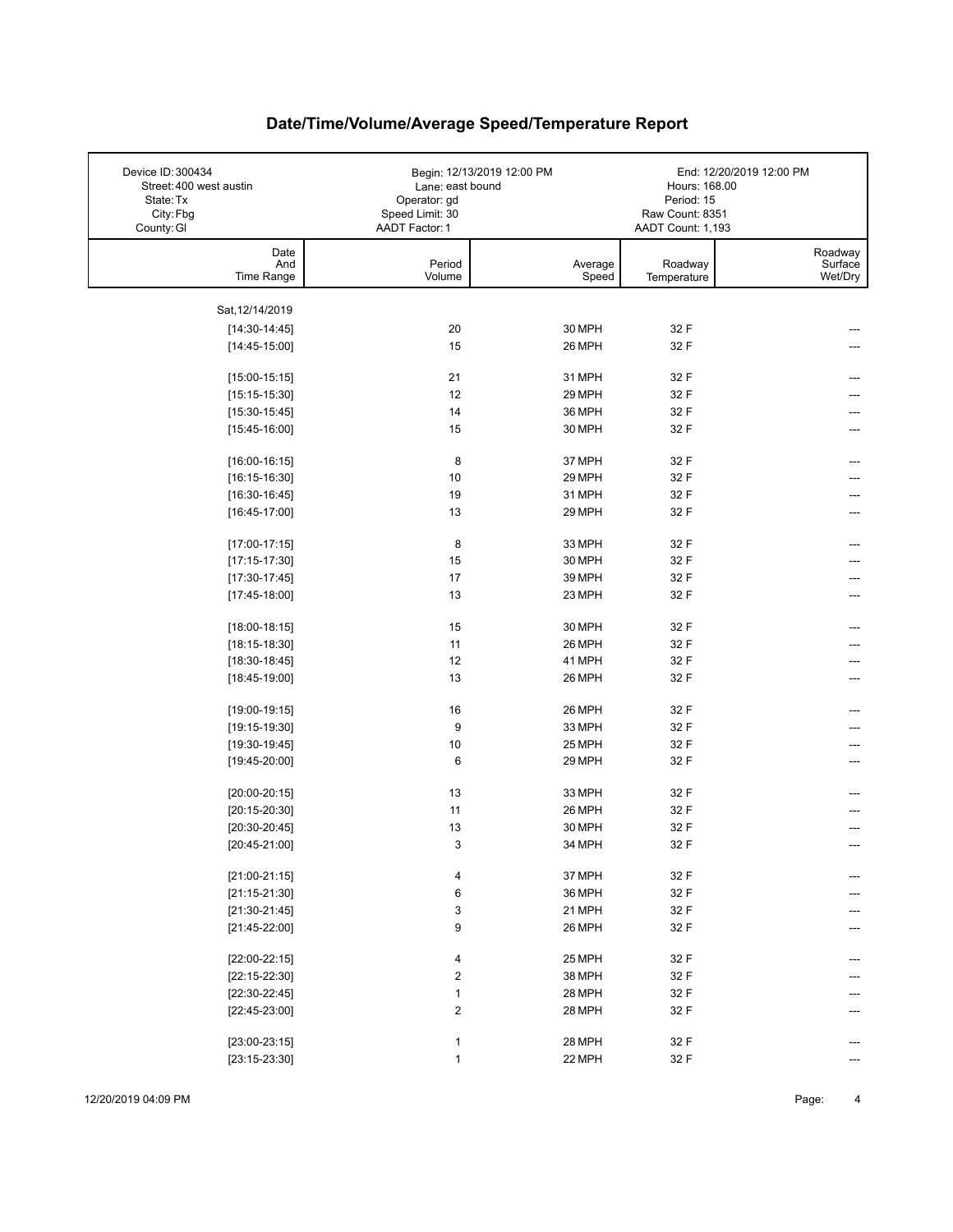| Device ID: 300434<br>Street: 400 west austin<br>State: Tx<br>City: Fbg<br>County: GI | Lane: east bound<br>Operator: gd<br>Speed Limit: 30<br>AADT Factor: 1 | Begin: 12/13/2019 12:00 PM | Hours: 168.00<br>Period: 15<br>Raw Count: 8351<br>AADT Count: 1,193 | End: 12/20/2019 12:00 PM      |
|--------------------------------------------------------------------------------------|-----------------------------------------------------------------------|----------------------------|---------------------------------------------------------------------|-------------------------------|
| Date<br>And<br>Time Range                                                            | Period<br>Volume                                                      | Average<br>Speed           | Roadway<br>Temperature                                              | Roadway<br>Surface<br>Wet/Dry |
| Sat, 12/14/2019                                                                      |                                                                       |                            |                                                                     |                               |
| $[14:30-14:45]$                                                                      | 20                                                                    | 30 MPH                     | 32 F                                                                |                               |
| $[14:45-15:00]$                                                                      | 15                                                                    | 26 MPH                     | 32 F                                                                |                               |
|                                                                                      |                                                                       |                            |                                                                     |                               |
| $[15:00-15:15]$                                                                      | 21                                                                    | 31 MPH                     | 32 F                                                                |                               |
| $[15:15-15:30]$                                                                      | 12                                                                    | 29 MPH                     | 32 F                                                                |                               |
| $[15:30-15:45]$                                                                      | 14                                                                    | 36 MPH                     | 32 F                                                                |                               |
| $[15:45-16:00]$                                                                      | 15                                                                    | 30 MPH                     | 32 F                                                                |                               |
| $[16:00-16:15]$                                                                      | 8                                                                     | 37 MPH                     | 32 F                                                                |                               |
| $[16:15-16:30]$                                                                      | 10                                                                    | 29 MPH                     | 32 F                                                                |                               |
| $[16:30-16:45]$                                                                      | 19                                                                    | 31 MPH                     | 32 F                                                                |                               |
| $[16:45-17:00]$                                                                      | 13                                                                    | 29 MPH                     | 32 F                                                                |                               |
|                                                                                      |                                                                       |                            |                                                                     |                               |
| $[17:00-17:15]$                                                                      | 8                                                                     | 33 MPH                     | 32 F                                                                |                               |
| $[17:15-17:30]$                                                                      | 15                                                                    | 30 MPH                     | 32 F                                                                |                               |
| $[17:30-17:45]$                                                                      | 17                                                                    | 39 MPH                     | 32 F                                                                |                               |
| $[17:45-18:00]$                                                                      | 13                                                                    | 23 MPH                     | 32 F                                                                |                               |
| $[18:00-18:15]$                                                                      | 15                                                                    | 30 MPH                     | 32 F                                                                |                               |
| $[18:15-18:30]$                                                                      | 11                                                                    | 26 MPH                     | 32 F                                                                |                               |
| $[18:30-18:45]$                                                                      | 12                                                                    | 41 MPH                     | 32 F                                                                |                               |
| $[18:45-19:00]$                                                                      | 13                                                                    | 26 MPH                     | 32 F                                                                |                               |
|                                                                                      |                                                                       |                            |                                                                     |                               |
| $[19:00-19:15]$                                                                      | 16                                                                    | 26 MPH                     | 32 F                                                                |                               |
| $[19:15-19:30]$                                                                      | 9                                                                     | 33 MPH                     | 32 F                                                                |                               |
| $[19:30-19:45]$                                                                      | 10                                                                    | 25 MPH                     | 32 F                                                                |                               |
| $[19:45-20:00]$                                                                      | 6                                                                     | 29 MPH                     | 32 F                                                                |                               |
| $[20:00-20:15]$                                                                      | 13                                                                    | 33 MPH                     | 32 F                                                                |                               |
| $[20:15-20:30]$                                                                      | 11                                                                    | 26 MPH                     | 32 F                                                                |                               |
| $[20:30-20:45]$                                                                      | 13                                                                    | 30 MPH                     | 32 F                                                                |                               |
| $[20:45-21:00]$                                                                      | 3                                                                     | 34 MPH                     | 32 F                                                                |                               |
|                                                                                      |                                                                       |                            |                                                                     |                               |
| $[21:00-21:15]$                                                                      | 4                                                                     | 37 MPH                     | 32 F                                                                |                               |
| $[21:15-21:30]$                                                                      | 6                                                                     | 36 MPH                     | 32 F                                                                |                               |
| $[21:30-21:45]$                                                                      | 3                                                                     | 21 MPH                     | 32 F                                                                |                               |
| $[21:45-22:00]$                                                                      | 9                                                                     | 26 MPH                     | 32 F                                                                |                               |
| $[22:00-22:15]$                                                                      | 4                                                                     | 25 MPH                     | 32 F                                                                |                               |
| $[22:15-22:30]$                                                                      | 2                                                                     | 38 MPH                     | 32 F                                                                |                               |
| $[22:30-22:45]$                                                                      | 1                                                                     | 28 MPH                     | 32 F                                                                |                               |
| $[22:45-23:00]$                                                                      | 2                                                                     | 28 MPH                     | 32 F                                                                |                               |
|                                                                                      |                                                                       |                            |                                                                     |                               |
| $[23:00-23:15]$                                                                      | 1                                                                     | 28 MPH                     | 32 F                                                                |                               |
| $[23:15-23:30]$                                                                      | $\mathbf{1}$                                                          | 22 MPH                     | 32 F                                                                |                               |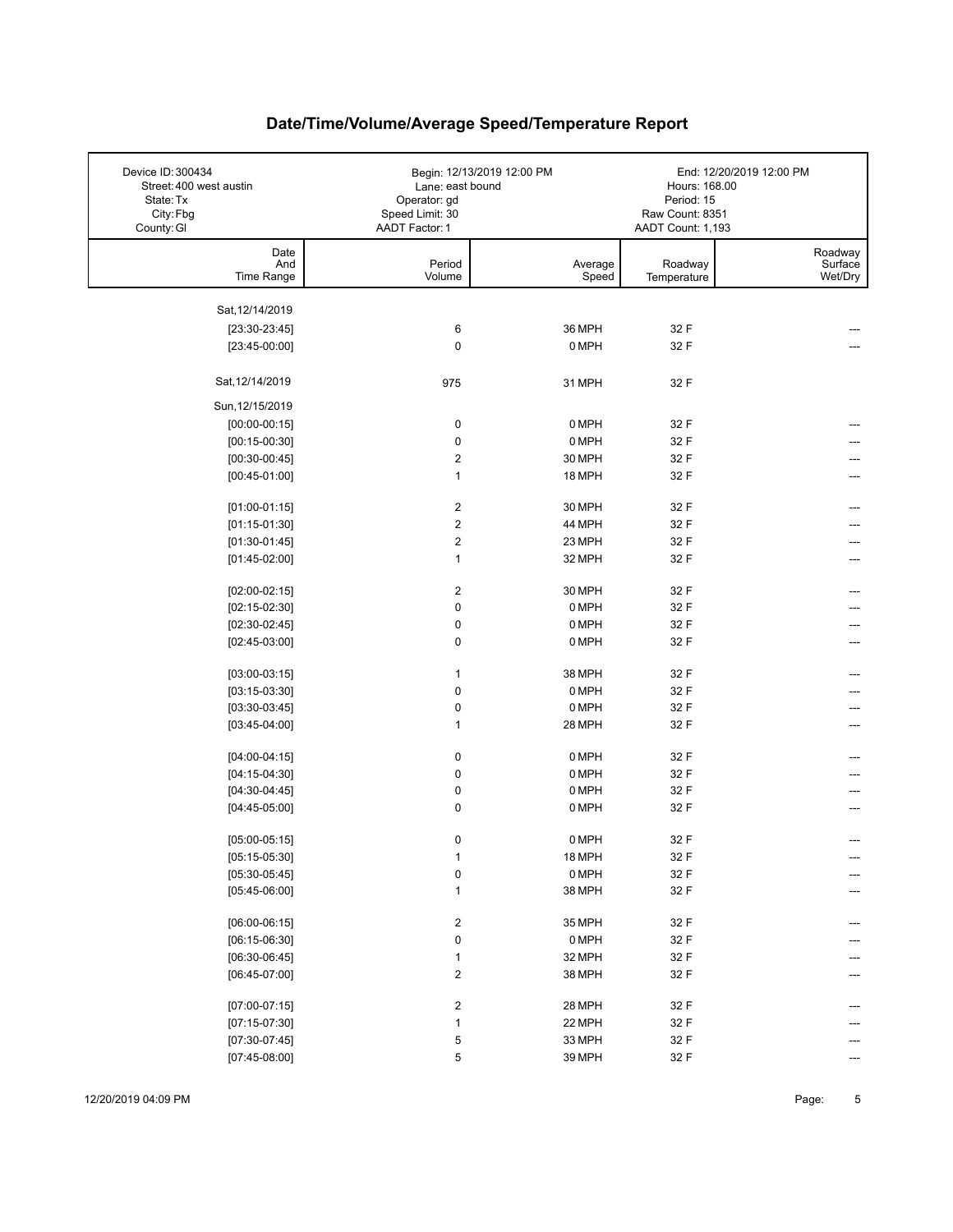| Device ID: 300434<br>Street: 400 west austin | Lane: east bound                | Begin: 12/13/2019 12:00 PM | Hours: 168.00                 | End: 12/20/2019 12:00 PM |
|----------------------------------------------|---------------------------------|----------------------------|-------------------------------|--------------------------|
| State: Tx<br>City: Fbg                       | Operator: gd<br>Speed Limit: 30 |                            | Period: 15<br>Raw Count: 8351 |                          |
| County: GI                                   | AADT Factor: 1                  |                            | AADT Count: 1,193             |                          |
| Date                                         |                                 |                            |                               | Roadway                  |
| And<br>Time Range                            | Period<br>Volume                | Average<br>Speed           | Roadway<br>Temperature        | Surface<br>Wet/Dry       |
|                                              |                                 |                            |                               |                          |
| Sat, 12/14/2019                              |                                 |                            |                               |                          |
| $[23:30-23:45]$                              | 6                               | 36 MPH                     | 32 F                          |                          |
| $[23:45-00:00]$                              | $\mathbf 0$                     | 0 MPH                      | 32 F                          |                          |
| Sat, 12/14/2019                              | 975                             | 31 MPH                     | 32 F                          |                          |
| Sun, 12/15/2019                              |                                 |                            |                               |                          |
| $[00:00-00:15]$                              | 0                               | 0 MPH                      | 32 F                          |                          |
| $[00:15-00:30]$                              | $\mathbf 0$                     | 0 MPH                      | 32 F                          |                          |
| $[00:30-00:45]$                              | $\boldsymbol{2}$                | 30 MPH                     | 32 F                          |                          |
| $[00:45-01:00]$                              | $\mathbf{1}$                    | 18 MPH                     | 32 F                          |                          |
| $[01:00-01:15]$                              | $\boldsymbol{2}$                | 30 MPH                     | 32 F                          |                          |
| $[01:15-01:30]$                              | $\boldsymbol{2}$                | 44 MPH                     | 32 F                          |                          |
| $[01:30-01:45]$                              | $\boldsymbol{2}$                | 23 MPH                     | 32 F                          |                          |
| $[01:45-02:00]$                              | $\mathbf{1}$                    | 32 MPH                     | 32 F                          | ---                      |
|                                              | $\overline{c}$                  | 30 MPH                     | 32 F                          |                          |
| $[02:00-02:15]$<br>$[02:15-02:30]$           | $\pmb{0}$                       | 0 MPH                      | 32 F                          |                          |
| $[02:30-02:45]$                              | $\pmb{0}$                       | 0 MPH                      | 32 F                          |                          |
| $[02:45-03:00]$                              | 0                               | 0 MPH                      | 32 F                          |                          |
|                                              | $\mathbf{1}$                    |                            |                               |                          |
| $[03:00-03:15]$<br>$[03:15-03:30]$           | $\pmb{0}$                       | 38 MPH<br>0 MPH            | 32 F<br>32 F                  |                          |
| $[03:30-03:45]$                              | $\pmb{0}$                       | 0 MPH                      | 32 F                          | ---                      |
| $[03:45-04:00]$                              | $\mathbf{1}$                    | 28 MPH                     | 32 F                          | ---                      |
|                                              |                                 |                            |                               |                          |
| $[04:00-04:15]$                              | 0                               | 0 MPH                      | 32 F                          |                          |
| $[04:15-04:30]$                              | $\pmb{0}$                       | 0 MPH                      | 32 F                          |                          |
| $[04:30-04:45]$                              | 0                               | 0 MPH                      | 32 F                          |                          |
| $[04:45-05:00]$                              | $\mathbf 0$                     | 0 MPH                      | 32 F                          |                          |
| $[05:00-05:15]$                              | 0                               | 0 MPH                      | 32 F                          |                          |
| $[05:15-05:30]$                              | $\mathbf{1}$                    | 18 MPH                     | 32 F                          | ---                      |
| $[05:30-05:45]$                              | $\pmb{0}$                       | 0 MPH                      | 32 F                          |                          |
| $[05:45-06:00]$                              | $\mathbf{1}$                    | 38 MPH                     | 32 F                          |                          |
| $[06:00-06:15]$                              | $\overline{\mathbf{c}}$         | 35 MPH                     | 32 F                          |                          |
| $[06:15-06:30]$                              | $\pmb{0}$                       | 0 MPH                      | 32 F                          |                          |
| $[06:30-06:45]$                              | $\mathbf{1}$                    | 32 MPH                     | 32 F                          |                          |
| $[06:45-07:00]$                              | $\overline{\mathbf{c}}$         | 38 MPH                     | 32 F                          |                          |
|                                              |                                 |                            |                               |                          |
| $[07:00-07:15]$                              | 2                               | 28 MPH                     | 32 F                          |                          |
| $[07:15-07:30]$                              | $\mathbf{1}$                    | 22 MPH                     | 32 F                          |                          |
| $[07:30-07:45]$                              | 5                               | 33 MPH                     | 32 F                          |                          |
| $[07:45-08:00]$                              | 5                               | 39 MPH                     | 32 F                          |                          |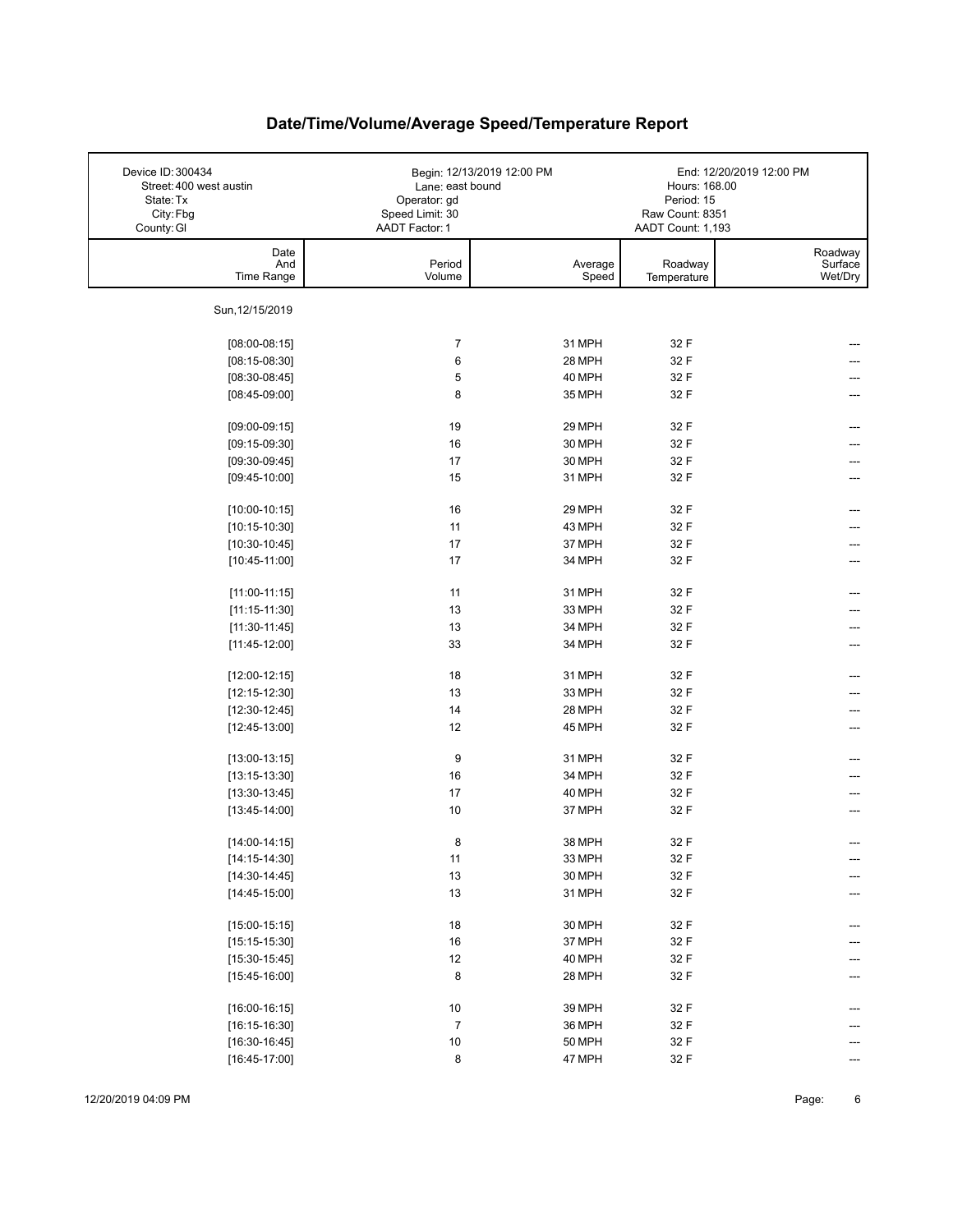| Device ID: 300434<br>Street: 400 west austin<br>State: Tx<br>City: Fbg<br>County: GI | Lane: east bound<br>Operator: gd<br>Speed Limit: 30<br>AADT Factor: 1 | Begin: 12/13/2019 12:00 PM | Hours: 168.00<br>Period: 15<br>Raw Count: 8351<br>AADT Count: 1,193 | End: 12/20/2019 12:00 PM      |
|--------------------------------------------------------------------------------------|-----------------------------------------------------------------------|----------------------------|---------------------------------------------------------------------|-------------------------------|
| Date<br>And<br>Time Range                                                            | Period<br>Volume                                                      | Average<br>Speed           | Roadway<br>Temperature                                              | Roadway<br>Surface<br>Wet/Dry |
| Sun, 12/15/2019                                                                      |                                                                       |                            |                                                                     |                               |
| $[08:00-08:15]$                                                                      | $\overline{7}$                                                        | 31 MPH                     | 32 F                                                                |                               |
| $[08:15-08:30]$                                                                      | 6                                                                     | 28 MPH                     | 32 F                                                                |                               |
| $[08:30-08:45]$                                                                      | 5                                                                     | 40 MPH                     | 32 F                                                                |                               |
| $[08:45-09:00]$                                                                      | 8                                                                     | 35 MPH                     | 32 F                                                                |                               |
| $[09:00-09:15]$                                                                      | 19                                                                    | 29 MPH                     | 32 F                                                                |                               |
| $[09:15-09:30]$                                                                      | 16                                                                    | 30 MPH                     | 32 F                                                                |                               |
| $[09:30-09:45]$                                                                      | 17                                                                    | 30 MPH                     | 32 F                                                                |                               |
| $[09:45-10:00]$                                                                      | 15                                                                    | 31 MPH                     | 32 F                                                                |                               |
|                                                                                      |                                                                       |                            |                                                                     |                               |
| $[10:00-10:15]$                                                                      | 16                                                                    | 29 MPH                     | 32 F                                                                |                               |
| $[10:15-10:30]$                                                                      | 11                                                                    | 43 MPH                     | 32 F                                                                |                               |
| $[10:30-10:45]$                                                                      | 17                                                                    | 37 MPH                     | 32 F                                                                |                               |
| $[10:45-11:00]$                                                                      | 17                                                                    | 34 MPH                     | 32 F                                                                |                               |
| $[11:00-11:15]$                                                                      | 11                                                                    | 31 MPH                     | 32 F                                                                |                               |
| $[11:15-11:30]$                                                                      | 13                                                                    | 33 MPH                     | 32 F                                                                |                               |
| $[11:30-11:45]$                                                                      | 13                                                                    | 34 MPH                     | 32 F                                                                |                               |
| $[11:45-12:00]$                                                                      | 33                                                                    | 34 MPH                     | 32 F                                                                |                               |
| $[12:00-12:15]$                                                                      | 18                                                                    | 31 MPH                     | 32 F                                                                |                               |
| $[12:15-12:30]$                                                                      | 13                                                                    | 33 MPH                     | 32 F                                                                |                               |
| $[12:30-12:45]$                                                                      | 14                                                                    | 28 MPH                     | 32 F                                                                |                               |
| $[12:45-13:00]$                                                                      | 12                                                                    | 45 MPH                     | 32 F                                                                | ---                           |
|                                                                                      |                                                                       |                            |                                                                     |                               |
| $[13:00-13:15]$                                                                      | 9                                                                     | 31 MPH                     | 32 F                                                                |                               |
| $[13:15-13:30]$                                                                      | 16                                                                    | 34 MPH                     | 32 F                                                                |                               |
| $[13:30-13:45]$                                                                      | 17                                                                    | 40 MPH                     | 32 F                                                                |                               |
| $[13:45-14:00]$                                                                      | 10                                                                    | 37 MPH                     | 32 F                                                                | ---                           |
| $[14:00-14:15]$                                                                      | 8                                                                     | 38 MPH                     | 32 F                                                                |                               |
| $[14:15-14:30]$                                                                      | 11                                                                    | 33 MPH                     | 32 F                                                                | ---                           |
| $[14:30-14:45]$                                                                      | $13\,$                                                                | 30 MPH                     | 32 F                                                                | ---                           |
| $[14:45-15:00]$                                                                      | 13                                                                    | 31 MPH                     | 32 F                                                                |                               |
| $[15:00-15:15]$                                                                      | $18\,$                                                                | 30 MPH                     | 32 F                                                                | ---                           |
| $[15:15-15:30]$                                                                      | $16\,$                                                                | 37 MPH                     | 32 F                                                                |                               |
| $[15:30-15:45]$                                                                      | 12                                                                    | 40 MPH                     | 32 F                                                                |                               |
| $[15:45-16:00]$                                                                      | 8                                                                     | 28 MPH                     | 32 F                                                                |                               |
|                                                                                      |                                                                       |                            |                                                                     |                               |
| $[16:00-16:15]$                                                                      | $10\,$                                                                | 39 MPH                     | 32 F                                                                |                               |
| $[16:15-16:30]$                                                                      | $\overline{7}$                                                        | 36 MPH                     | 32 F                                                                |                               |
| $[16:30-16:45]$                                                                      | $10\,$                                                                | <b>50 MPH</b>              | 32 F                                                                |                               |
| $[16:45-17:00]$                                                                      | 8                                                                     | 47 MPH                     | 32 F                                                                |                               |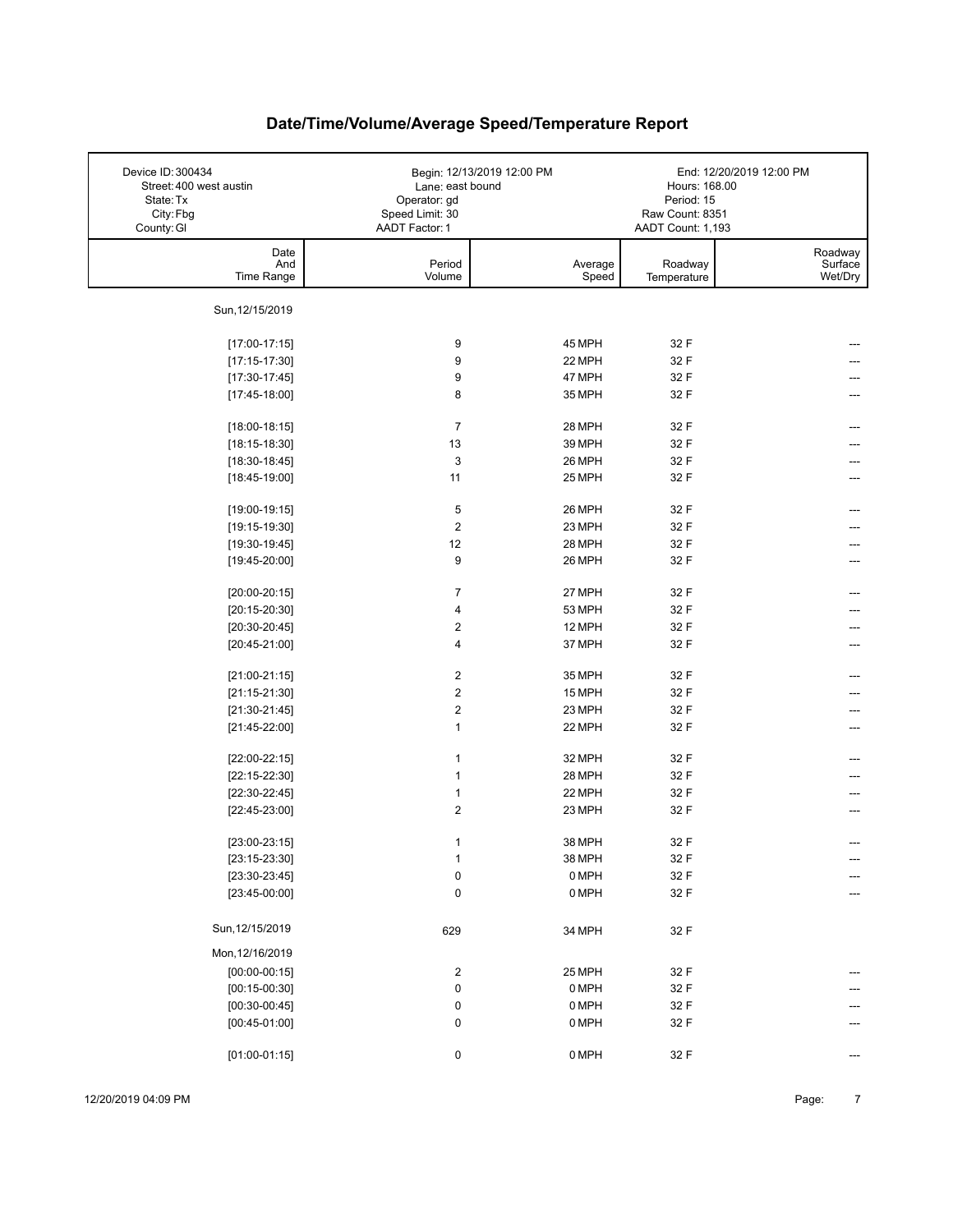| Device ID: 300434<br>Street: 400 west austin<br>State: Tx<br>City: Fbg<br>County: GI | Lane: east bound<br>Operator: gd<br>Speed Limit: 30<br>AADT Factor: 1 | Begin: 12/13/2019 12:00 PM | Hours: 168.00<br>Period: 15<br>Raw Count: 8351<br>AADT Count: 1,193 | End: 12/20/2019 12:00 PM |
|--------------------------------------------------------------------------------------|-----------------------------------------------------------------------|----------------------------|---------------------------------------------------------------------|--------------------------|
| Date                                                                                 |                                                                       |                            |                                                                     | Roadway                  |
| And<br>Time Range                                                                    | Period<br>Volume                                                      | Average<br>Speed           | Roadway<br>Temperature                                              | Surface<br>Wet/Dry       |
| Sun, 12/15/2019                                                                      |                                                                       |                            |                                                                     |                          |
| $[17:00-17:15]$                                                                      | 9                                                                     | 45 MPH                     | 32 F                                                                |                          |
| $[17:15-17:30]$                                                                      | 9                                                                     | 22 MPH                     | 32 F                                                                |                          |
| $[17:30-17:45]$                                                                      | 9                                                                     | 47 MPH                     | 32 F                                                                |                          |
| $[17:45-18:00]$                                                                      | 8                                                                     | 35 MPH                     | 32 F                                                                |                          |
| $[18:00-18:15]$                                                                      | $\overline{7}$                                                        | 28 MPH                     | 32 F                                                                |                          |
| $[18:15-18:30]$                                                                      | 13                                                                    | 39 MPH                     | 32 F                                                                |                          |
| $[18:30-18:45]$                                                                      | 3                                                                     | 26 MPH                     | 32 F                                                                |                          |
| $[18:45-19:00]$                                                                      | 11                                                                    | 25 MPH                     | 32 F                                                                |                          |
| $[19:00-19:15]$                                                                      | 5                                                                     | 26 MPH                     | 32 F                                                                |                          |
| $[19:15-19:30]$                                                                      | $\boldsymbol{2}$                                                      | 23 MPH                     | 32 F                                                                |                          |
| $[19:30-19:45]$                                                                      | 12                                                                    | 28 MPH                     | 32 F                                                                |                          |
| $[19:45-20:00]$                                                                      | 9                                                                     | 26 MPH                     | 32 F                                                                |                          |
|                                                                                      |                                                                       |                            |                                                                     |                          |
| $[20:00-20:15]$                                                                      | 7                                                                     | 27 MPH                     | 32 F                                                                |                          |
| $[20:15-20:30]$                                                                      | $\overline{\mathbf{4}}$                                               | 53 MPH                     | 32 F                                                                |                          |
| $[20:30-20:45]$                                                                      | $\overline{\mathbf{c}}$                                               | 12 MPH                     | 32 F                                                                |                          |
| $[20:45-21:00]$                                                                      | $\overline{\mathbf{4}}$                                               | 37 MPH                     | 32 F                                                                | ---                      |
| $[21:00-21:15]$                                                                      | $\boldsymbol{2}$                                                      | 35 MPH                     | 32 F                                                                |                          |
| $[21:15-21:30]$                                                                      | $\boldsymbol{2}$                                                      | 15 MPH                     | 32 F                                                                |                          |
| $[21:30-21:45]$                                                                      | $\boldsymbol{2}$                                                      | 23 MPH                     | 32 F                                                                |                          |
| $[21:45-22:00]$                                                                      | $\mathbf{1}$                                                          | 22 MPH                     | 32 F                                                                | ---                      |
| $[22:00-22:15]$                                                                      | $\mathbf{1}$                                                          | 32 MPH                     | 32 F                                                                |                          |
| $[22:15-22:30]$                                                                      | 1                                                                     | 28 MPH                     | 32 F                                                                |                          |
| $[22:30-22:45]$                                                                      | $\mathbf{1}$                                                          | 22 MPH                     | 32 F                                                                |                          |
| $[22:45-23:00]$                                                                      | $\overline{2}$                                                        | 23 MPH                     | 32 F                                                                | ---                      |
|                                                                                      |                                                                       |                            |                                                                     |                          |
| $[23:00-23:15]$                                                                      | 1                                                                     | 38 MPH                     | 32 F                                                                |                          |
| $[23:15-23:30]$<br>$[23:30-23:45]$                                                   | $\mathbf{1}$                                                          | 38 MPH<br>0 MPH            | 32 F<br>32 F                                                        | ---                      |
| $[23:45-00:00]$                                                                      | $\pmb{0}$<br>$\pmb{0}$                                                | 0 MPH                      | 32 F                                                                | ---<br>---               |
|                                                                                      |                                                                       |                            |                                                                     |                          |
| Sun, 12/15/2019                                                                      | 629                                                                   | 34 MPH                     | 32 F                                                                |                          |
| Mon, 12/16/2019                                                                      |                                                                       |                            |                                                                     |                          |
| $[00:00-00:15]$                                                                      | $\overline{\mathbf{c}}$                                               | 25 MPH                     | 32 F                                                                |                          |
| $[00:15-00:30]$                                                                      | $\pmb{0}$                                                             | 0 MPH                      | 32 F                                                                |                          |
| $[00:30-00:45]$                                                                      | 0                                                                     | 0 MPH                      | 32 F                                                                |                          |
| $[00:45-01:00]$                                                                      | $\pmb{0}$                                                             | 0 MPH                      | 32 F                                                                |                          |
| $[01:00-01:15]$                                                                      | 0                                                                     | 0 MPH                      | 32 F                                                                |                          |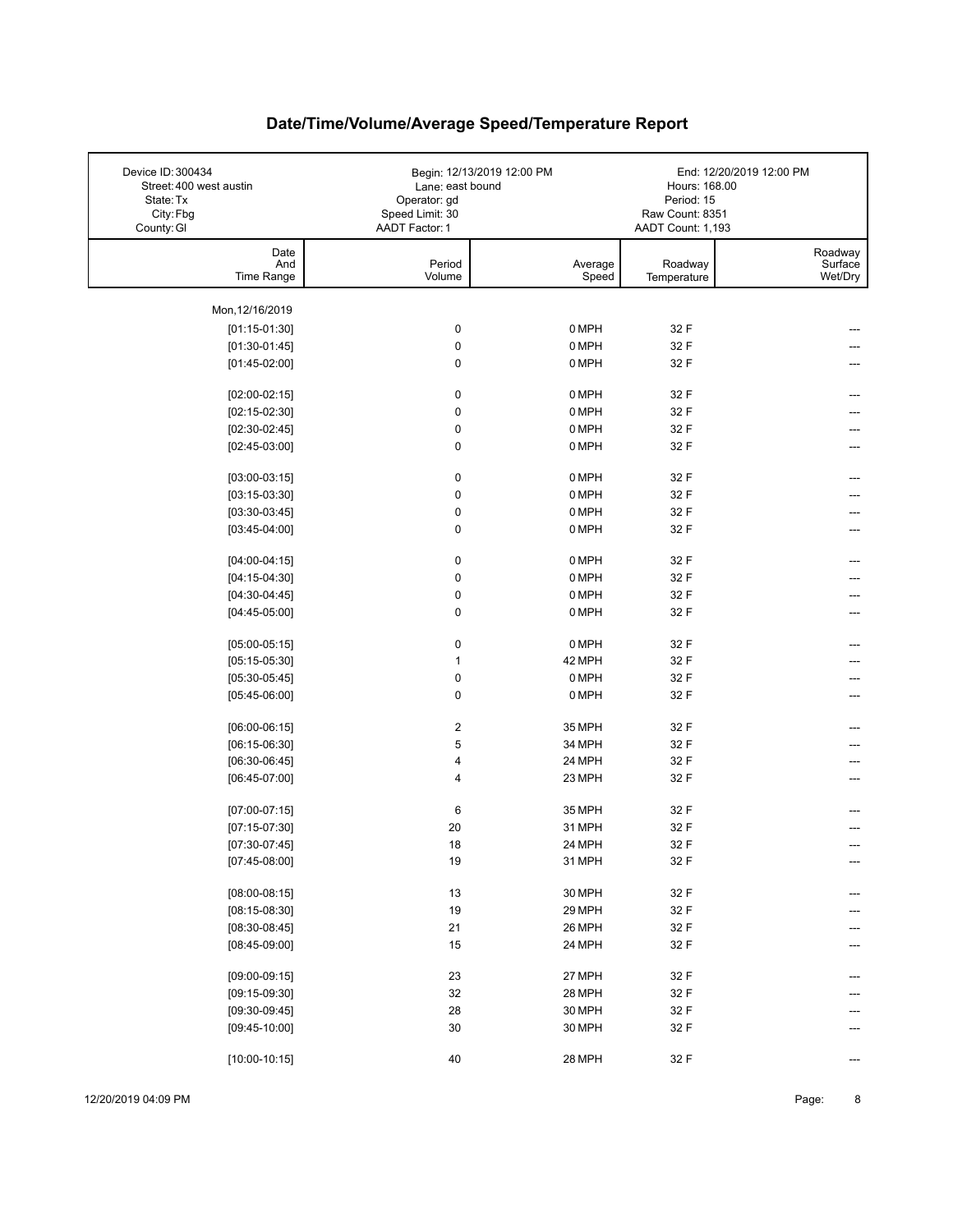| Device ID: 300434<br>Street: 400 west austin<br>State: Tx<br>City: Fbg<br>County: GI | Lane: east bound<br>Operator: gd<br>Speed Limit: 30<br>AADT Factor: 1 | Begin: 12/13/2019 12:00 PM | Hours: 168.00<br>Period: 15<br>Raw Count: 8351<br>AADT Count: 1,193 | End: 12/20/2019 12:00 PM      |
|--------------------------------------------------------------------------------------|-----------------------------------------------------------------------|----------------------------|---------------------------------------------------------------------|-------------------------------|
| Date<br>And<br>Time Range                                                            | Period<br>Volume                                                      | Average<br>Speed           | Roadway<br>Temperature                                              | Roadway<br>Surface<br>Wet/Dry |
|                                                                                      |                                                                       |                            |                                                                     |                               |
| Mon, 12/16/2019<br>$[01:15-01:30]$                                                   | $\pmb{0}$                                                             | 0 MPH                      | 32 F                                                                |                               |
| $[01:30-01:45]$                                                                      | $\pmb{0}$                                                             | 0 MPH                      | 32 F                                                                |                               |
| $[01:45-02:00]$                                                                      | 0                                                                     | 0 MPH                      | 32 F                                                                |                               |
|                                                                                      |                                                                       |                            |                                                                     |                               |
| $[02:00-02:15]$                                                                      | 0                                                                     | 0 MPH                      | 32 F                                                                |                               |
| $[02:15-02:30]$                                                                      | $\pmb{0}$                                                             | 0 MPH                      | 32 F                                                                |                               |
| $[02:30-02:45]$                                                                      | $\pmb{0}$                                                             | 0 MPH                      | 32 F                                                                |                               |
| $[02:45-03:00]$                                                                      | 0                                                                     | 0 MPH                      | 32 F                                                                |                               |
|                                                                                      |                                                                       |                            |                                                                     |                               |
| $[03:00-03:15]$                                                                      | $\pmb{0}$                                                             | 0 MPH                      | 32 F                                                                |                               |
| $[03:15-03:30]$                                                                      | $\pmb{0}$                                                             | 0 MPH                      | 32 F                                                                |                               |
| $[03:30-03:45]$                                                                      | $\pmb{0}$                                                             | 0 MPH                      | 32 F                                                                |                               |
| $[03:45-04:00]$                                                                      | 0                                                                     | 0 MPH                      | 32 F                                                                |                               |
| $[04:00-04:15]$                                                                      | $\pmb{0}$                                                             | 0 MPH                      | 32 F                                                                |                               |
| $[04:15-04:30]$                                                                      | $\pmb{0}$                                                             | 0 MPH                      | 32 F                                                                |                               |
| $[04:30-04:45]$                                                                      | 0                                                                     | 0 MPH                      | 32 F                                                                |                               |
| $[04:45-05:00]$                                                                      | $\pmb{0}$                                                             | 0 MPH                      | 32 F                                                                |                               |
|                                                                                      |                                                                       |                            |                                                                     |                               |
| $[05:00-05:15]$                                                                      | 0                                                                     | 0 MPH                      | 32 F                                                                |                               |
| $[05:15-05:30]$                                                                      | $\mathbf{1}$                                                          | 42 MPH                     | 32 F                                                                |                               |
| $[05:30-05:45]$                                                                      | $\pmb{0}$                                                             | 0 MPH                      | 32 F                                                                |                               |
| $[05:45-06:00]$                                                                      | 0                                                                     | 0 MPH                      | 32 F                                                                |                               |
|                                                                                      |                                                                       |                            |                                                                     |                               |
| $[06:00-06:15]$                                                                      | $\boldsymbol{2}$                                                      | 35 MPH                     | 32 F                                                                |                               |
| $[06:15-06:30]$                                                                      | 5                                                                     | 34 MPH                     | 32 F                                                                |                               |
| $[06:30-06:45]$                                                                      | 4                                                                     | 24 MPH                     | 32 F                                                                |                               |
| $[06:45-07:00]$                                                                      | 4                                                                     | 23 MPH                     | 32 F                                                                |                               |
| $[07:00-07:15]$                                                                      | 6                                                                     | 35 MPH                     | 32 F                                                                | ---                           |
| $[07:15-07:30]$                                                                      | 20                                                                    | 31 MPH                     | 32 F                                                                |                               |
| $[07:30-07:45]$                                                                      | 18                                                                    | 24 MPH                     | 32 F                                                                |                               |
| $[07:45-08:00]$                                                                      | 19                                                                    | 31 MPH                     | 32 F                                                                | ---                           |
|                                                                                      |                                                                       |                            |                                                                     |                               |
| $[08:00-08:15]$                                                                      | 13                                                                    | 30 MPH                     | 32 F                                                                |                               |
| $[08:15-08:30]$                                                                      | 19                                                                    | 29 MPH                     | 32 F                                                                |                               |
| $[08:30-08:45]$                                                                      | 21                                                                    | 26 MPH                     | 32 F                                                                |                               |
| $[08:45-09:00]$                                                                      | 15                                                                    | 24 MPH                     | 32 F                                                                |                               |
|                                                                                      |                                                                       |                            |                                                                     |                               |
| $[09:00-09:15]$                                                                      | 23                                                                    | 27 MPH                     | 32 F                                                                |                               |
| $[09:15-09:30]$                                                                      | 32                                                                    | 28 MPH                     | 32 F                                                                |                               |
| $[09:30-09:45]$                                                                      | 28                                                                    | 30 MPH                     | 32 F                                                                |                               |
| $[09:45-10:00]$                                                                      | 30                                                                    | 30 MPH                     | 32 F                                                                |                               |
| $[10:00-10:15]$                                                                      | 40                                                                    | 28 MPH                     | 32 F                                                                |                               |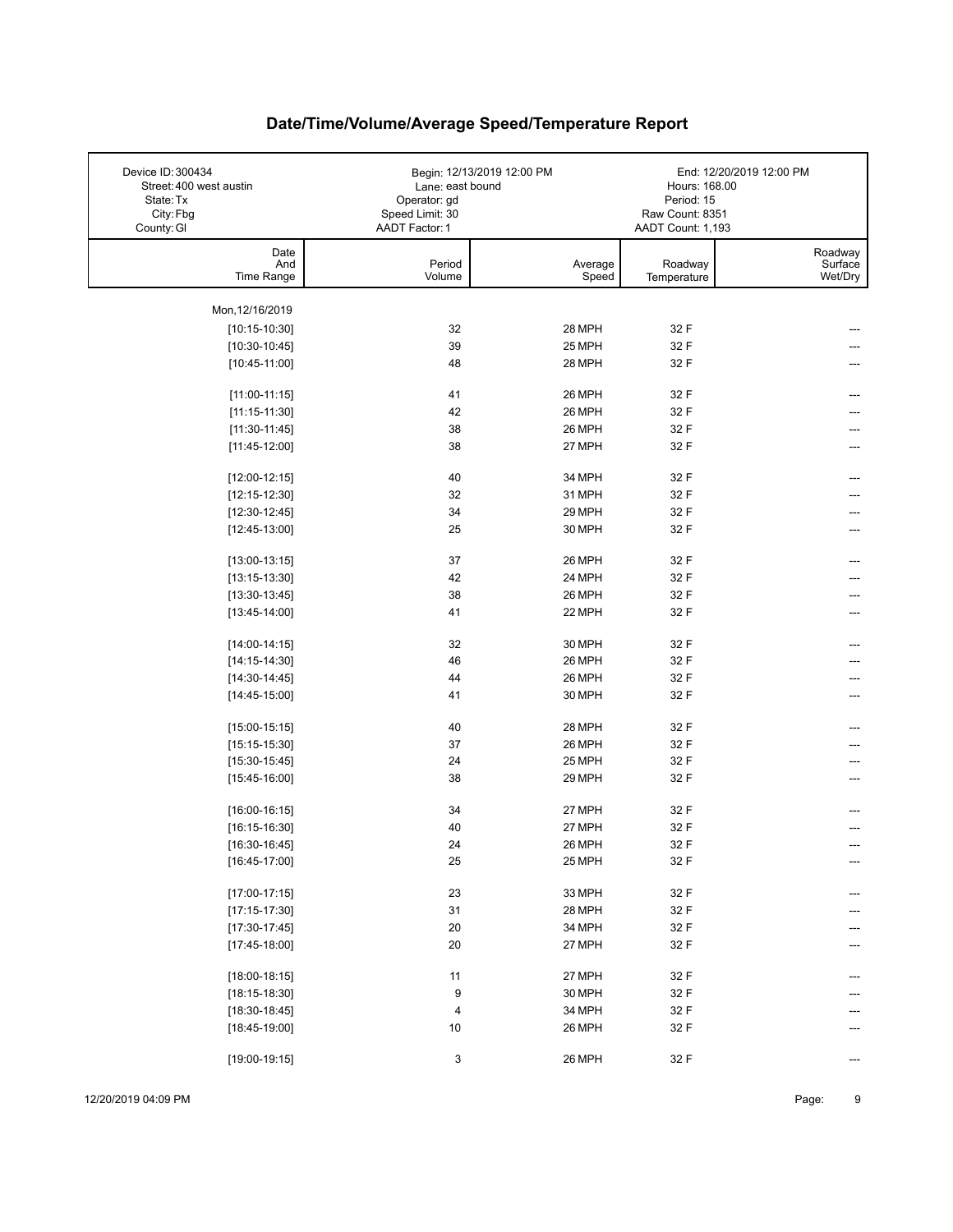| Device ID: 300434<br>Street: 400 west austin<br>State: Tx<br>City: Fbg<br>County: GI | Lane: east bound<br>Operator: gd<br>Speed Limit: 30<br>AADT Factor: 1 | Begin: 12/13/2019 12:00 PM | Hours: 168.00<br>Period: 15<br>Raw Count: 8351<br>AADT Count: 1,193 | End: 12/20/2019 12:00 PM      |
|--------------------------------------------------------------------------------------|-----------------------------------------------------------------------|----------------------------|---------------------------------------------------------------------|-------------------------------|
| Date<br>And<br>Time Range                                                            | Period<br>Volume                                                      | Average<br>Speed           | Roadway<br>Temperature                                              | Roadway<br>Surface<br>Wet/Dry |
| Mon, 12/16/2019                                                                      |                                                                       |                            |                                                                     |                               |
| $[10:15-10:30]$                                                                      | 32                                                                    | 28 MPH                     | 32 F                                                                |                               |
| $[10:30-10:45]$                                                                      | 39                                                                    | 25 MPH                     | 32 F                                                                |                               |
| $[10:45-11:00]$                                                                      | 48                                                                    | 28 MPH                     | 32 F                                                                |                               |
|                                                                                      |                                                                       |                            |                                                                     |                               |
| $[11:00-11:15]$                                                                      | 41                                                                    | 26 MPH                     | 32 F                                                                | ---                           |
| $[11:15-11:30]$                                                                      | 42                                                                    | 26 MPH                     | 32 F                                                                |                               |
| $[11:30-11:45]$                                                                      | 38                                                                    | 26 MPH                     | 32 F                                                                | ---                           |
| $[11:45-12:00]$                                                                      | 38                                                                    | 27 MPH                     | 32 F                                                                |                               |
| $[12:00-12:15]$                                                                      | 40                                                                    | 34 MPH                     | 32 F                                                                |                               |
| $[12:15-12:30]$                                                                      | 32                                                                    | 31 MPH                     | 32 F                                                                |                               |
| $[12:30-12:45]$                                                                      | 34                                                                    | 29 MPH                     | 32 F                                                                |                               |
| $[12:45-13:00]$                                                                      | 25                                                                    | 30 MPH                     | 32 F                                                                |                               |
|                                                                                      |                                                                       |                            |                                                                     |                               |
| $[13:00-13:15]$                                                                      | 37                                                                    | 26 MPH                     | 32 F                                                                | ---                           |
| $[13:15-13:30]$                                                                      | 42                                                                    | 24 MPH                     | 32 F                                                                |                               |
| $[13:30-13:45]$                                                                      | 38                                                                    | 26 MPH                     | 32 F                                                                |                               |
| $[13:45-14:00]$                                                                      | 41                                                                    | 22 MPH                     | 32 F                                                                |                               |
|                                                                                      | 32                                                                    | 30 MPH                     | 32 F                                                                | ---                           |
| $[14:00-14:15]$<br>$[14:15-14:30]$                                                   | 46                                                                    | 26 MPH                     | 32 F                                                                |                               |
|                                                                                      | 44                                                                    | 26 MPH                     | 32 F                                                                |                               |
| $[14:30-14:45]$<br>$[14:45-15:00]$                                                   | 41                                                                    | 30 MPH                     | 32 F                                                                |                               |
|                                                                                      |                                                                       |                            |                                                                     |                               |
| $[15:00-15:15]$                                                                      | 40                                                                    | 28 MPH                     | 32 F                                                                |                               |
| $[15:15-15:30]$                                                                      | 37                                                                    | 26 MPH                     | 32 F                                                                |                               |
| $[15:30-15:45]$                                                                      | 24                                                                    | 25 MPH                     | 32 F                                                                |                               |
| $[15:45-16:00]$                                                                      | 38                                                                    | 29 MPH                     | 32 F                                                                |                               |
|                                                                                      |                                                                       |                            |                                                                     |                               |
| $[16:00-16:15]$                                                                      | 34                                                                    | 27 MPH<br>27 MPH           | 32 F                                                                |                               |
| $[16:15-16:30]$                                                                      | 40                                                                    |                            | 32 F                                                                |                               |
| $[16:30-16:45]$                                                                      | 24<br>25                                                              | 26 MPH<br>25 MPH           | 32 F<br>32 F                                                        |                               |
| $[16:45-17:00]$                                                                      |                                                                       |                            |                                                                     | ---                           |
| $[17:00-17:15]$                                                                      | 23                                                                    | 33 MPH                     | 32 F                                                                |                               |
| $[17:15-17:30]$                                                                      | 31                                                                    | 28 MPH                     | 32 F                                                                |                               |
| $[17:30-17:45]$                                                                      | $20\,$                                                                | 34 MPH                     | 32 F                                                                |                               |
| $[17:45-18:00]$                                                                      | 20                                                                    | 27 MPH                     | 32 F                                                                |                               |
|                                                                                      |                                                                       |                            |                                                                     |                               |
| $[18:00-18:15]$                                                                      | 11                                                                    | 27 MPH                     | 32 F                                                                |                               |
| $[18:15-18:30]$                                                                      | 9                                                                     | 30 MPH                     | 32 F                                                                |                               |
| $[18:30-18:45]$                                                                      | 4                                                                     | 34 MPH                     | 32 F                                                                |                               |
| $[18:45-19:00]$                                                                      | 10                                                                    | 26 MPH                     | 32 F                                                                |                               |
| $[19:00-19:15]$                                                                      | 3                                                                     | 26 MPH                     | 32 F                                                                | ---                           |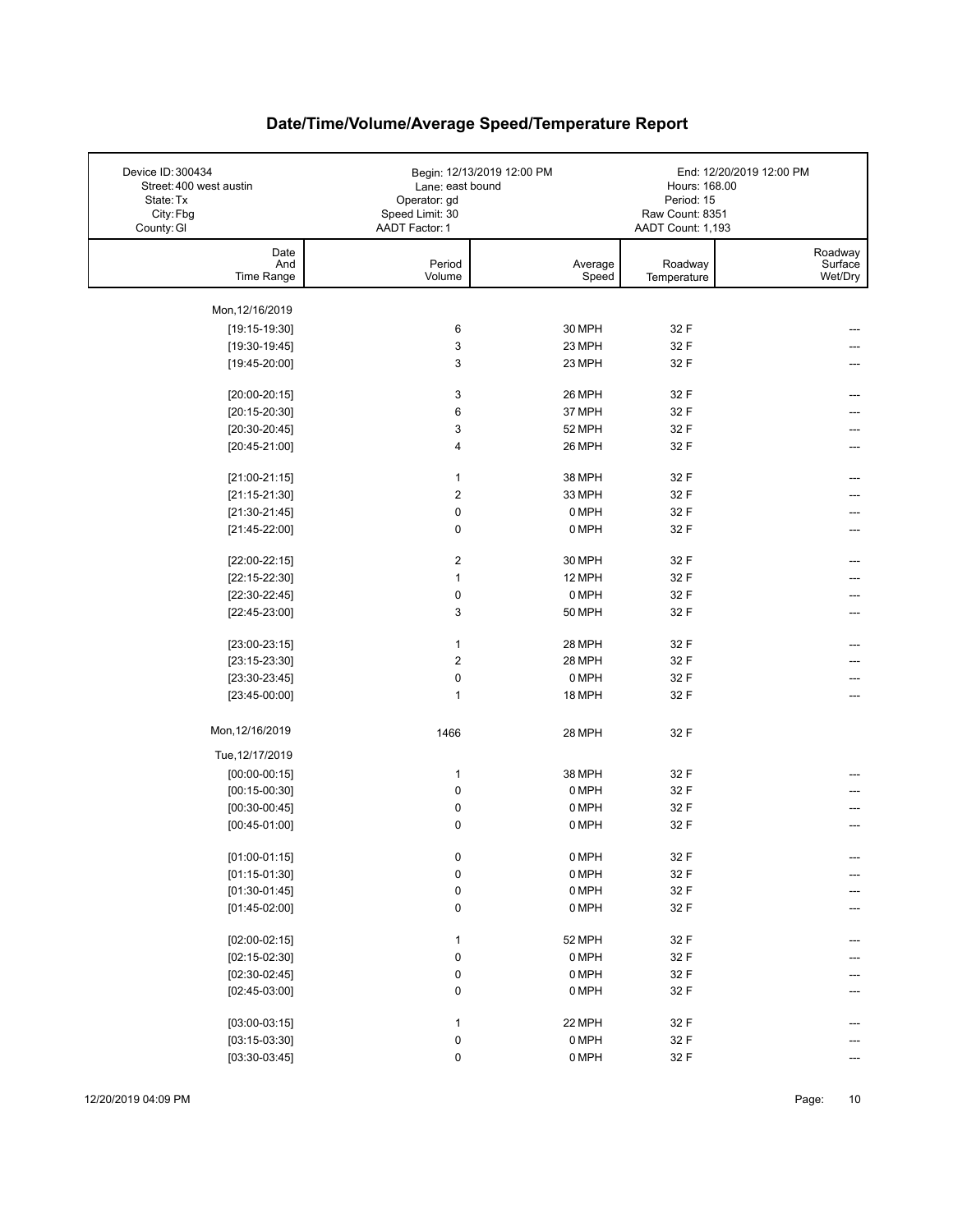| Device ID: 300434<br>Street: 400 west austin<br>State: Tx<br>City: Fbg<br>County: GI | Lane: east bound<br>Operator: gd<br>Speed Limit: 30<br>AADT Factor: 1 | Begin: 12/13/2019 12:00 PM | Hours: 168.00<br>Period: 15<br>Raw Count: 8351<br>AADT Count: 1,193 | End: 12/20/2019 12:00 PM      |
|--------------------------------------------------------------------------------------|-----------------------------------------------------------------------|----------------------------|---------------------------------------------------------------------|-------------------------------|
| Date<br>And<br>Time Range                                                            | Period<br>Volume                                                      | Average<br>Speed           | Roadway<br>Temperature                                              | Roadway<br>Surface<br>Wet/Dry |
| Mon, 12/16/2019                                                                      |                                                                       |                            |                                                                     |                               |
| $[19:15-19:30]$                                                                      | 6                                                                     | 30 MPH                     | 32 F                                                                |                               |
| $[19:30-19:45]$                                                                      | 3                                                                     | 23 MPH                     | 32 F                                                                |                               |
| $[19:45-20:00]$                                                                      | 3                                                                     | 23 MPH                     | 32 F                                                                |                               |
|                                                                                      |                                                                       |                            |                                                                     |                               |
| $[20:00-20:15]$                                                                      | 3                                                                     | 26 MPH                     | 32 F                                                                | ---                           |
| $[20:15-20:30]$                                                                      | 6                                                                     | 37 MPH                     | 32 F                                                                |                               |
| $[20:30-20:45]$                                                                      | 3                                                                     | 52 MPH                     | 32 F                                                                | ---                           |
| $[20:45-21:00]$                                                                      | 4                                                                     | 26 MPH                     | 32 F                                                                |                               |
|                                                                                      |                                                                       |                            |                                                                     |                               |
| $[21:00-21:15]$                                                                      | $\mathbf{1}$                                                          | 38 MPH                     | 32 F                                                                |                               |
| $[21:15-21:30]$                                                                      | $\overline{2}$                                                        | 33 MPH                     | 32 F                                                                |                               |
| $[21:30-21:45]$                                                                      | 0                                                                     | 0 MPH                      | 32 F                                                                |                               |
| $[21:45-22:00]$                                                                      | 0                                                                     | 0 MPH                      | 32 F                                                                |                               |
| $[22:00-22:15]$                                                                      | $\overline{2}$                                                        | 30 MPH                     | 32 F                                                                |                               |
| $[22:15-22:30]$                                                                      | $\mathbf{1}$                                                          | 12 MPH                     | 32 F                                                                |                               |
| $[22:30-22:45]$                                                                      | 0                                                                     | 0 MPH                      | 32 F                                                                |                               |
| $[22:45-23:00]$                                                                      | 3                                                                     | 50 MPH                     | 32 F                                                                |                               |
|                                                                                      |                                                                       |                            |                                                                     |                               |
| $[23:00-23:15]$                                                                      | $\mathbf{1}$                                                          | 28 MPH                     | 32 F                                                                | ---                           |
| $[23:15-23:30]$                                                                      | $\overline{2}$                                                        | 28 MPH                     | 32 F                                                                |                               |
| $[23:30-23:45]$                                                                      | 0                                                                     | 0 MPH                      | 32 F                                                                |                               |
| $[23:45-00:00]$                                                                      | $\mathbf{1}$                                                          | 18 MPH                     | 32 F                                                                |                               |
|                                                                                      |                                                                       |                            |                                                                     |                               |
| Mon, 12/16/2019                                                                      | 1466                                                                  | 28 MPH                     | 32 F                                                                |                               |
| Tue, 12/17/2019                                                                      |                                                                       |                            |                                                                     |                               |
| $[00:00-00:15]$                                                                      | $\mathbf{1}$                                                          | 38 MPH                     | 32 F                                                                |                               |
| $[00:15-00:30]$                                                                      | 0                                                                     | 0 MPH                      | 32 F                                                                |                               |
| $[00:30-00:45]$                                                                      | 0                                                                     | 0 MPH                      | 32 F                                                                |                               |
| $[00:45-01:00]$                                                                      | 0                                                                     | 0 MPH                      | 32 F                                                                |                               |
|                                                                                      |                                                                       |                            |                                                                     |                               |
| $[01:00-01:15]$                                                                      | 0                                                                     | 0 MPH                      | 32 F                                                                | ---                           |
| $[01:15-01:30]$                                                                      | 0                                                                     | 0 MPH                      | 32 F                                                                |                               |
| $[01:30-01:45]$                                                                      | 0                                                                     | 0 MPH                      | 32 F                                                                |                               |
| $[01:45-02:00]$                                                                      | 0                                                                     | 0 MPH                      | 32 F                                                                |                               |
|                                                                                      |                                                                       |                            |                                                                     |                               |
| $[02:00-02:15]$                                                                      | $\mathbf{1}$                                                          | 52 MPH                     | 32 F                                                                |                               |
| $[02:15-02:30]$                                                                      | 0                                                                     | 0 MPH                      | 32 F                                                                |                               |
| $[02:30-02:45]$                                                                      | 0                                                                     | 0 MPH                      | 32 F                                                                |                               |
| $[02:45-03:00]$                                                                      | 0                                                                     | 0 MPH                      | 32 F                                                                |                               |
| $[03:00-03:15]$                                                                      | $\mathbf{1}$                                                          | 22 MPH                     | 32 F                                                                |                               |
| $[03:15-03:30]$                                                                      | 0                                                                     | 0 MPH                      | 32 F                                                                |                               |
|                                                                                      | 0                                                                     | 0 MPH                      | 32 F                                                                |                               |
| $[03:30-03:45]$                                                                      |                                                                       |                            |                                                                     |                               |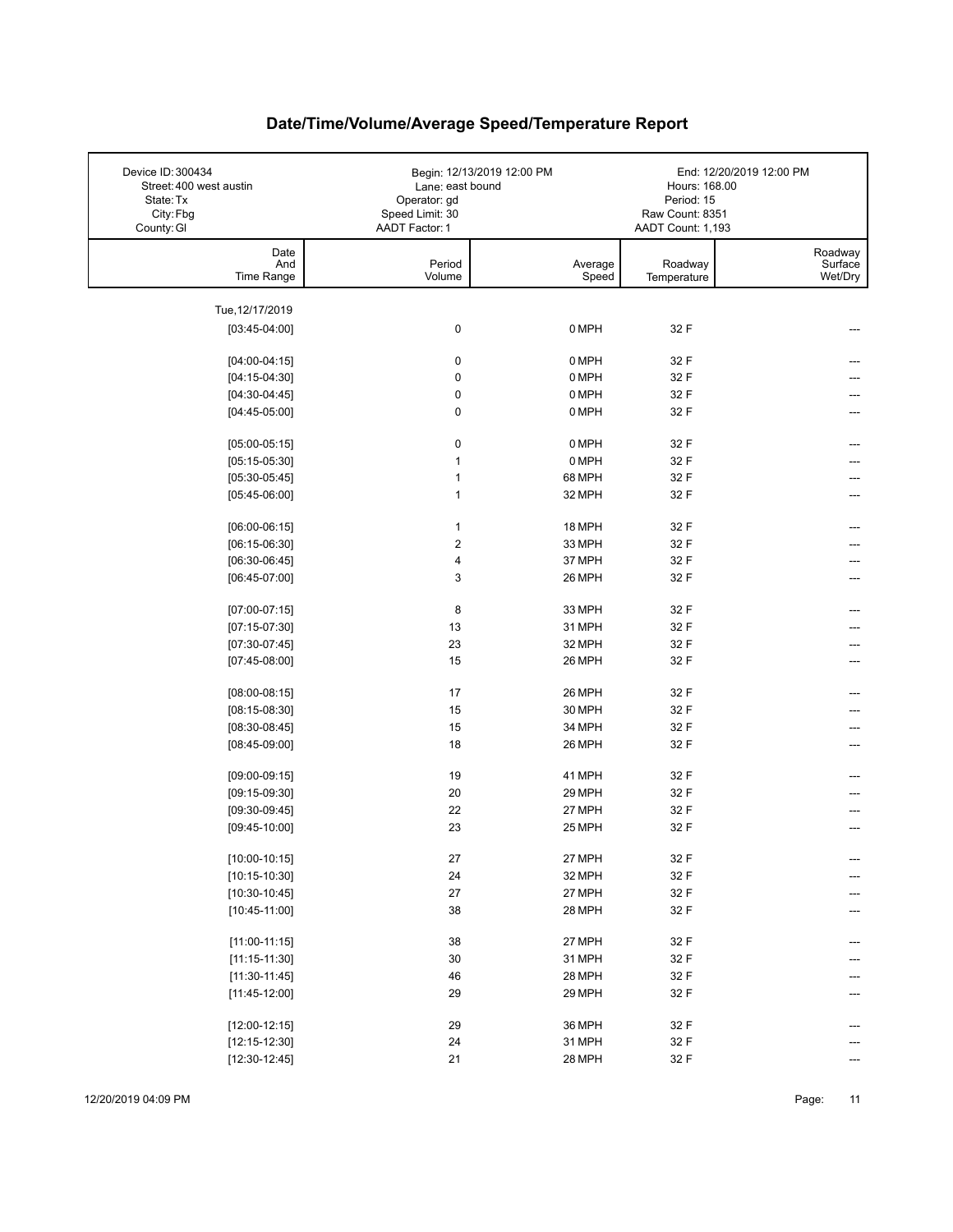| Device ID: 300434<br>Street: 400 west austin<br>State: Tx<br>City: Fbg<br>County: GI | Lane: east bound<br>Operator: gd<br>Speed Limit: 30<br>AADT Factor: 1 | Begin: 12/13/2019 12:00 PM | Hours: 168.00<br>Period: 15<br>Raw Count: 8351<br>AADT Count: 1,193 | End: 12/20/2019 12:00 PM      |
|--------------------------------------------------------------------------------------|-----------------------------------------------------------------------|----------------------------|---------------------------------------------------------------------|-------------------------------|
| Date<br>And<br>Time Range                                                            | Period<br>Volume                                                      | Average<br>Speed           | Roadway<br>Temperature                                              | Roadway<br>Surface<br>Wet/Dry |
|                                                                                      |                                                                       |                            |                                                                     |                               |
| Tue, 12/17/2019<br>$[03:45-04:00]$                                                   | 0                                                                     | 0 MPH                      | 32 F                                                                |                               |
|                                                                                      |                                                                       |                            |                                                                     |                               |
| $[04:00-04:15]$                                                                      | $\pmb{0}$                                                             | 0 MPH                      | 32 F                                                                |                               |
| $[04:15-04:30]$                                                                      | $\mathbf 0$                                                           | 0 MPH                      | 32 F                                                                |                               |
| $[04:30-04:45]$                                                                      | $\mathbf 0$                                                           | 0 MPH                      | 32 F                                                                |                               |
| $[04:45-05:00]$                                                                      | 0                                                                     | 0 MPH                      | 32 F                                                                |                               |
| $[05:00-05:15]$                                                                      | 0                                                                     | 0 MPH                      | 32 F                                                                |                               |
| $[05:15-05:30]$                                                                      | $\mathbf{1}$                                                          | 0 MPH                      | 32 F                                                                |                               |
| $[05:30-05:45]$                                                                      | $\mathbf{1}$                                                          | 68 MPH                     | 32 F                                                                |                               |
| $[05:45-06:00]$                                                                      | $\mathbf{1}$                                                          | 32 MPH                     | 32 F                                                                |                               |
| $[06:00-06:15]$                                                                      | $\mathbf{1}$                                                          | 18 MPH                     | 32 F                                                                |                               |
| $[06:15-06:30]$                                                                      | $\overline{2}$                                                        | 33 MPH                     | 32 F                                                                |                               |
| $[06:30-06:45]$                                                                      | $\overline{\mathbf{4}}$                                               | 37 MPH                     | 32 F                                                                |                               |
| $[06:45-07:00]$                                                                      | 3                                                                     | 26 MPH                     | 32 F                                                                |                               |
|                                                                                      |                                                                       |                            |                                                                     |                               |
| $[07:00-07:15]$                                                                      | 8                                                                     | 33 MPH                     | 32 F                                                                |                               |
| $[07:15-07:30]$                                                                      | 13                                                                    | 31 MPH                     | 32 F                                                                |                               |
| $[07:30-07:45]$                                                                      | 23                                                                    | 32 MPH                     | 32 F                                                                |                               |
| $[07:45-08:00]$                                                                      | 15                                                                    | 26 MPH                     | 32 F                                                                |                               |
| $[08:00-08:15]$                                                                      | 17                                                                    | 26 MPH                     | 32 F                                                                |                               |
| $[08:15-08:30]$                                                                      | 15                                                                    | 30 MPH                     | 32 F                                                                |                               |
| $[08:30-08:45]$                                                                      | 15                                                                    | 34 MPH                     | 32 F                                                                |                               |
| $[08:45-09:00]$                                                                      | 18                                                                    | 26 MPH                     | 32 F                                                                |                               |
| $[09:00-09:15]$                                                                      | 19                                                                    | 41 MPH                     | 32 F                                                                |                               |
| $[09:15-09:30]$                                                                      | 20                                                                    | 29 MPH                     | 32 F                                                                |                               |
| $[09:30-09:45]$                                                                      | 22                                                                    | 27 MPH                     | 32 F                                                                |                               |
| $[09:45-10:00]$                                                                      | 23                                                                    | 25 MPH                     | 32 F                                                                |                               |
|                                                                                      |                                                                       |                            |                                                                     |                               |
| $[10:00-10:15]$                                                                      | 27                                                                    | 27 MPH                     | 32 F                                                                | ---                           |
| $[10:15-10:30]$                                                                      | 24                                                                    | 32 MPH                     | 32 F                                                                | ---                           |
| $[10:30-10:45]$                                                                      | $27\,$                                                                | 27 MPH                     | 32 F                                                                |                               |
| $[10:45-11:00]$                                                                      | 38                                                                    | 28 MPH                     | 32 F                                                                |                               |
| $[11:00-11:15]$                                                                      | 38                                                                    | 27 MPH                     | 32 F                                                                |                               |
| $[11:15-11:30]$                                                                      | $30\,$                                                                | 31 MPH                     | 32 F                                                                |                               |
| $[11:30-11:45]$                                                                      | 46                                                                    | 28 MPH                     | 32 F                                                                |                               |
| $[11:45-12:00]$                                                                      | 29                                                                    | 29 MPH                     | 32 F                                                                |                               |
| $[12:00-12:15]$                                                                      | 29                                                                    | 36 MPH                     | 32 F                                                                |                               |
| $[12:15-12:30]$                                                                      | 24                                                                    | 31 MPH                     | 32 F                                                                |                               |
| $[12:30-12:45]$                                                                      | 21                                                                    | 28 MPH                     | 32 F                                                                |                               |
|                                                                                      |                                                                       |                            |                                                                     |                               |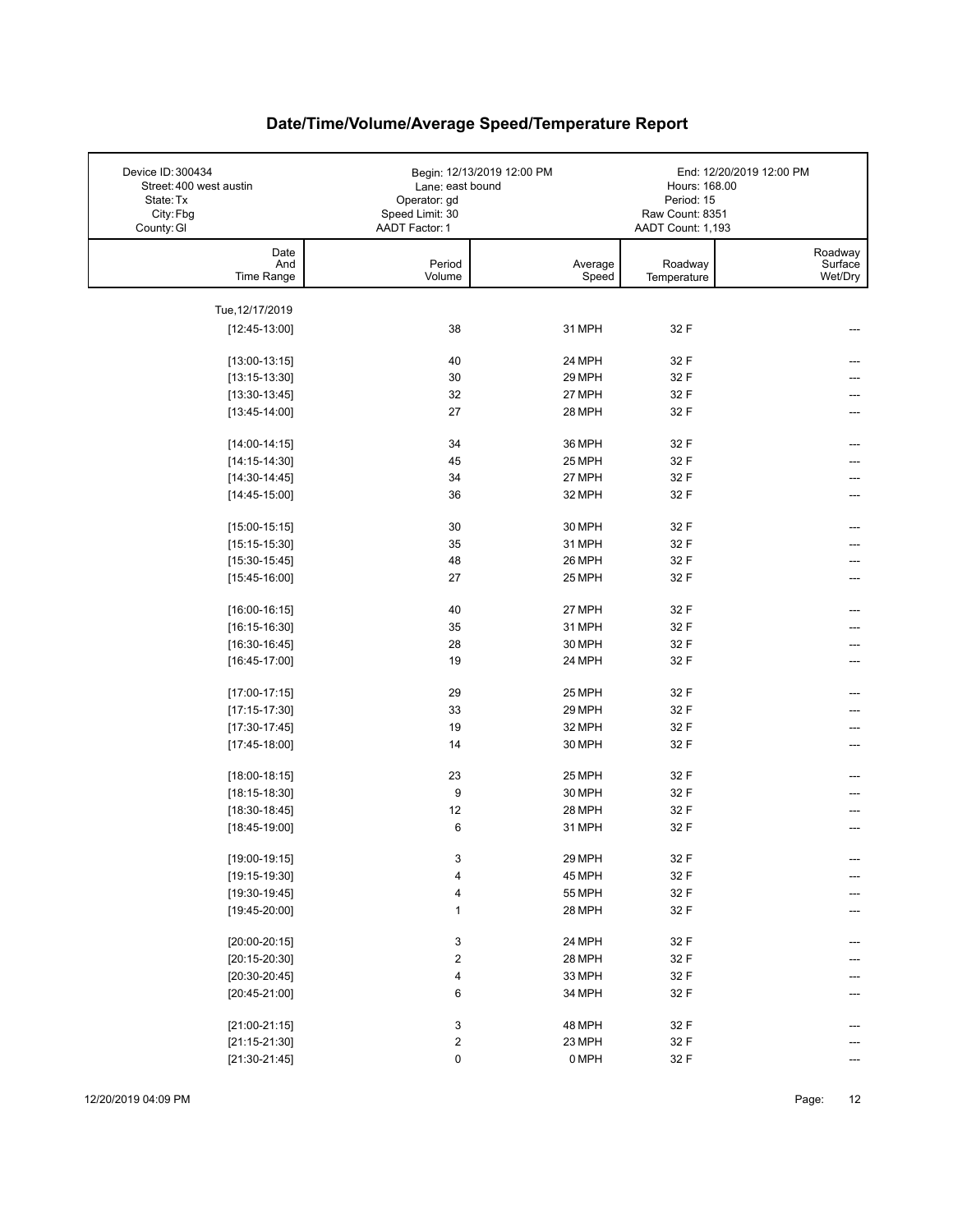| Device ID: 300434<br>Street: 400 west austin<br>State: Tx<br>City: Fbg<br>County: GI | Lane: east bound<br>Operator: gd<br>Speed Limit: 30<br>AADT Factor: 1 | Begin: 12/13/2019 12:00 PM | Hours: 168.00<br>Period: 15<br>Raw Count: 8351<br>AADT Count: 1,193 | End: 12/20/2019 12:00 PM      |
|--------------------------------------------------------------------------------------|-----------------------------------------------------------------------|----------------------------|---------------------------------------------------------------------|-------------------------------|
| Date<br>And<br>Time Range                                                            | Period<br>Volume                                                      | Average<br>Speed           | Roadway<br>Temperature                                              | Roadway<br>Surface<br>Wet/Dry |
|                                                                                      |                                                                       |                            |                                                                     |                               |
| Tue, 12/17/2019<br>$[12:45-13:00]$                                                   | 38                                                                    | 31 MPH                     | 32 F                                                                |                               |
|                                                                                      |                                                                       |                            |                                                                     |                               |
| $[13:00-13:15]$                                                                      | 40                                                                    | 24 MPH                     | 32 F                                                                |                               |
| $[13:15-13:30]$                                                                      | 30                                                                    | 29 MPH                     | 32 F                                                                |                               |
| $[13:30-13:45]$                                                                      | 32                                                                    | 27 MPH                     | 32 F                                                                |                               |
| $[13:45-14:00]$                                                                      | 27                                                                    | 28 MPH                     | 32 F                                                                |                               |
| $[14:00-14:15]$                                                                      | 34                                                                    | 36 MPH                     | 32 F                                                                |                               |
| $[14:15-14:30]$                                                                      | 45                                                                    | 25 MPH                     | 32 F                                                                |                               |
| $[14:30-14:45]$                                                                      | 34                                                                    | 27 MPH                     | 32 F                                                                |                               |
| $[14:45-15:00]$                                                                      | 36                                                                    | 32 MPH                     | 32 F                                                                |                               |
|                                                                                      |                                                                       |                            |                                                                     |                               |
| $[15:00-15:15]$                                                                      | 30                                                                    | 30 MPH                     | 32 F                                                                |                               |
| $[15:15-15:30]$                                                                      | 35                                                                    | 31 MPH                     | 32 F                                                                |                               |
| $[15:30-15:45]$                                                                      | 48                                                                    | 26 MPH                     | 32 F                                                                |                               |
| $[15:45-16:00]$                                                                      | 27                                                                    | 25 MPH                     | 32 F                                                                |                               |
| $[16:00-16:15]$                                                                      | 40                                                                    | 27 MPH                     | 32 F                                                                |                               |
| $[16:15-16:30]$                                                                      | 35                                                                    | 31 MPH                     | 32 F                                                                |                               |
| $[16:30-16:45]$                                                                      | 28                                                                    | 30 MPH                     | 32 F                                                                |                               |
| $[16:45-17:00]$                                                                      | 19                                                                    | 24 MPH                     | 32 F                                                                |                               |
| $[17:00-17:15]$                                                                      | 29                                                                    | 25 MPH                     | 32 F                                                                |                               |
| $[17:15-17:30]$                                                                      | 33                                                                    | 29 MPH                     | 32 F                                                                |                               |
| $[17:30-17:45]$                                                                      | 19                                                                    | 32 MPH                     | 32 F                                                                |                               |
| $[17:45-18:00]$                                                                      | 14                                                                    | 30 MPH                     | 32 F                                                                |                               |
|                                                                                      |                                                                       |                            |                                                                     |                               |
| $[18:00-18:15]$                                                                      | 23                                                                    | 25 MPH                     | 32 F                                                                |                               |
| $[18:15-18:30]$                                                                      | 9                                                                     | 30 MPH                     | 32 F                                                                |                               |
| $[18:30-18:45]$                                                                      | 12                                                                    | 28 MPH                     | 32 F                                                                |                               |
| $[18:45-19:00]$                                                                      | 6                                                                     | 31 MPH                     | 32 F                                                                |                               |
| $[19:00-19:15]$                                                                      | 3                                                                     | 29 MPH                     | 32 F                                                                | ---                           |
| $[19:15-19:30]$                                                                      | 4                                                                     | 45 MPH                     | 32 F                                                                | ---                           |
| $[19:30-19:45]$                                                                      | 4                                                                     | <b>55 MPH</b>              | 32 F                                                                |                               |
| $[19:45-20:00]$                                                                      | $\mathbf{1}$                                                          | 28 MPH                     | 32 F                                                                |                               |
|                                                                                      |                                                                       |                            |                                                                     |                               |
| $[20:00-20:15]$                                                                      | 3                                                                     | 24 MPH                     | 32 F                                                                |                               |
| $[20:15-20:30]$                                                                      | $\mathbf 2$                                                           | 28 MPH                     | 32 F                                                                |                               |
| $[20:30-20:45]$                                                                      | 4                                                                     | 33 MPH                     | 32 F                                                                |                               |
| $[20:45-21:00]$                                                                      | 6                                                                     | 34 MPH                     | 32 F                                                                |                               |
| $[21:00-21:15]$                                                                      | 3                                                                     | 48 MPH                     | 32 F                                                                | ---                           |
| $[21:15-21:30]$                                                                      | $\mathbf 2$                                                           | 23 MPH                     | 32 F                                                                |                               |
| $[21:30-21:45]$                                                                      | 0                                                                     | 0 MPH                      | 32 F                                                                |                               |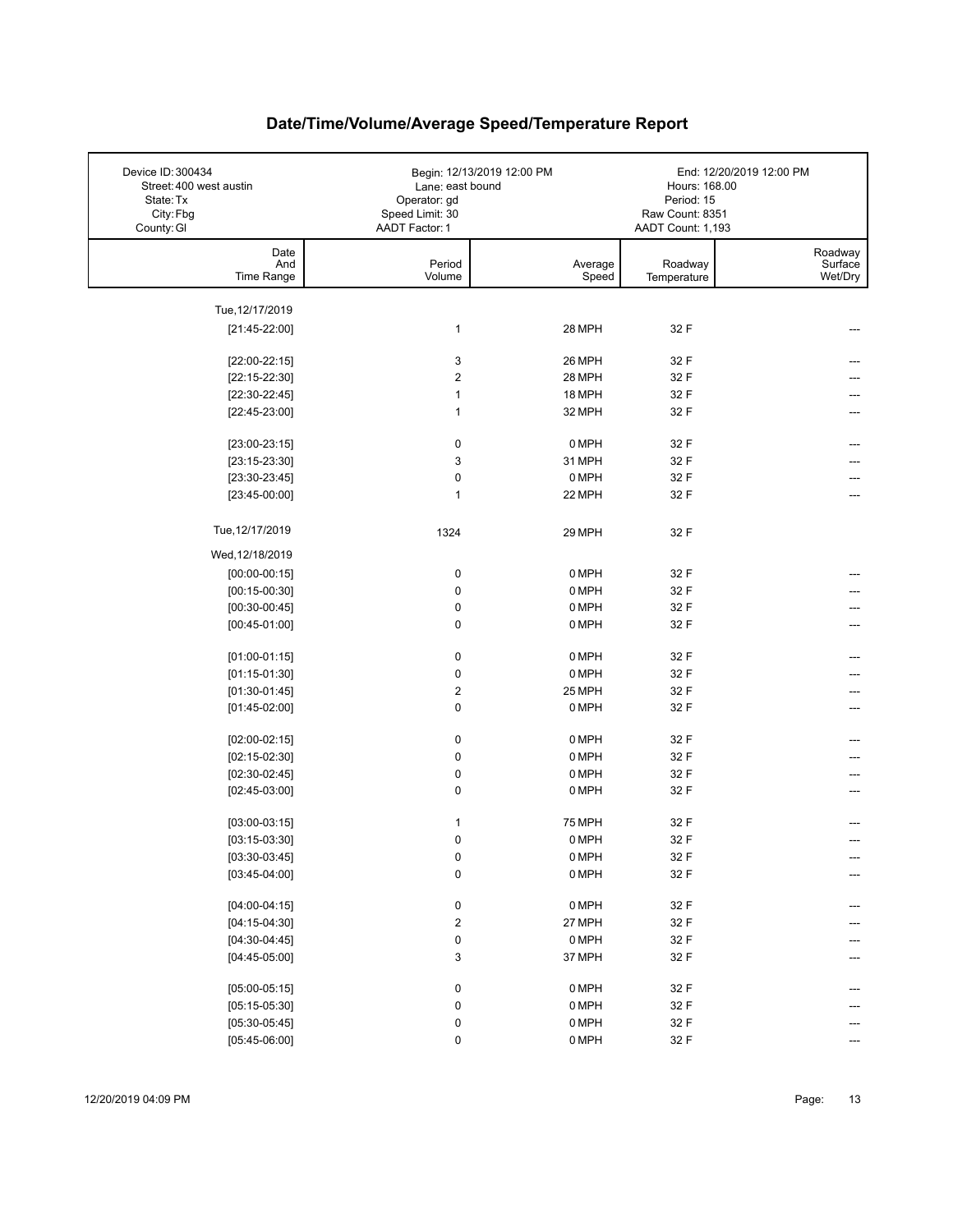| Device ID: 300434<br>Street: 400 west austin<br>State: Tx<br>City: Fbg<br>County: GI | Lane: east bound<br>Operator: gd<br>Speed Limit: 30<br><b>AADT Factor: 1</b> | Begin: 12/13/2019 12:00 PM | Hours: 168.00<br>Period: 15<br>Raw Count: 8351<br>AADT Count: 1,193 | End: 12/20/2019 12:00 PM      |
|--------------------------------------------------------------------------------------|------------------------------------------------------------------------------|----------------------------|---------------------------------------------------------------------|-------------------------------|
| Date<br>And<br>Time Range                                                            | Period<br>Volume                                                             | Average<br>Speed           | Roadway<br>Temperature                                              | Roadway<br>Surface<br>Wet/Dry |
| Tue, 12/17/2019                                                                      |                                                                              |                            |                                                                     |                               |
| $[21:45-22:00]$                                                                      | $\mathbf{1}$                                                                 | 28 MPH                     | 32 F                                                                | ---                           |
|                                                                                      |                                                                              |                            |                                                                     |                               |
| $[22:00-22:15]$                                                                      | 3                                                                            | 26 MPH                     | 32 F                                                                |                               |
| $[22:15-22:30]$                                                                      | $\boldsymbol{2}$                                                             | 28 MPH                     | 32 F                                                                |                               |
| $[22:30-22:45]$                                                                      | 1                                                                            | 18 MPH                     | 32 F                                                                |                               |
| $[22:45-23:00]$                                                                      | 1                                                                            | 32 MPH                     | 32 F                                                                |                               |
| $[23:00-23:15]$                                                                      | 0                                                                            | 0 MPH                      | 32 F                                                                |                               |
| $[23:15-23:30]$                                                                      | 3                                                                            | 31 MPH                     | 32 F                                                                |                               |
| $[23:30-23:45]$                                                                      | $\mathbf 0$                                                                  | 0 MPH                      | 32 F                                                                |                               |
| $[23:45-00:00]$                                                                      | $\mathbf{1}$                                                                 | 22 MPH                     | 32 F                                                                |                               |
|                                                                                      |                                                                              |                            |                                                                     |                               |
| Tue, 12/17/2019                                                                      | 1324                                                                         | 29 MPH                     | 32 F                                                                |                               |
| Wed, 12/18/2019                                                                      |                                                                              |                            |                                                                     |                               |
| $[00:00-00:15]$                                                                      | 0                                                                            | 0 MPH                      | 32 F                                                                |                               |
| $[00:15-00:30]$                                                                      | 0                                                                            | 0 MPH                      | 32 F                                                                |                               |
| $[00:30-00:45]$                                                                      | $\pmb{0}$                                                                    | 0 MPH                      | 32 F                                                                |                               |
| $[00:45-01:00]$                                                                      | 0                                                                            | 0 MPH                      | 32 F                                                                |                               |
| $[01:00-01:15]$                                                                      | $\pmb{0}$                                                                    | 0 MPH                      | 32 F                                                                |                               |
| $[01:15-01:30]$                                                                      | 0                                                                            | 0 MPH                      | 32 F                                                                |                               |
| $[01:30-01:45]$                                                                      | $\boldsymbol{2}$                                                             | 25 MPH                     | 32 F                                                                |                               |
| $[01:45-02:00]$                                                                      | $\pmb{0}$                                                                    | 0 MPH                      | 32 F                                                                | ---                           |
|                                                                                      |                                                                              |                            |                                                                     |                               |
| $[02:00-02:15]$                                                                      | 0                                                                            | 0 MPH                      | 32 F                                                                |                               |
| $[02:15-02:30]$                                                                      | $\pmb{0}$                                                                    | 0 MPH                      | 32 F                                                                |                               |
| $[02:30-02:45]$                                                                      | $\pmb{0}$                                                                    | 0 MPH                      | 32 F                                                                |                               |
| $[02:45-03:00]$                                                                      | 0                                                                            | 0 MPH                      | 32 F                                                                | ---                           |
| $[03:00-03:15]$                                                                      | 1                                                                            | <b>75 MPH</b>              | 32 F                                                                |                               |
| $[03:15-03:30]$                                                                      | $\mathbf 0$                                                                  | 0 MPH                      | 32 F                                                                |                               |
| $[03:30-03:45]$                                                                      | $\pmb{0}$                                                                    | 0 MPH                      | 32 F                                                                |                               |
| $[03:45-04:00]$                                                                      | $\pmb{0}$                                                                    | 0 MPH                      | 32 F                                                                |                               |
|                                                                                      |                                                                              |                            |                                                                     |                               |
| $[04:00-04:15]$                                                                      | 0                                                                            | 0 MPH                      | 32 F                                                                | ---                           |
| $[04:15-04:30]$                                                                      | $\mathbf 2$                                                                  | 27 MPH                     | 32 F                                                                |                               |
| $[04:30-04:45]$<br>$[04:45-05:00]$                                                   | 0<br>3                                                                       | 0 MPH<br>37 MPH            | 32 F<br>32 F                                                        |                               |
|                                                                                      |                                                                              |                            |                                                                     |                               |
| $[05:00-05:15]$                                                                      | 0                                                                            | 0 MPH                      | 32 F                                                                | ---                           |
| $[05:15-05:30]$                                                                      | $\pmb{0}$                                                                    | 0 MPH                      | 32 F                                                                |                               |
| $[05:30-05:45]$                                                                      | 0                                                                            | $0$ MPH                    | 32 F                                                                |                               |
| $[05:45-06:00]$                                                                      | $\pmb{0}$                                                                    | $0$ MPH                    | 32 F                                                                |                               |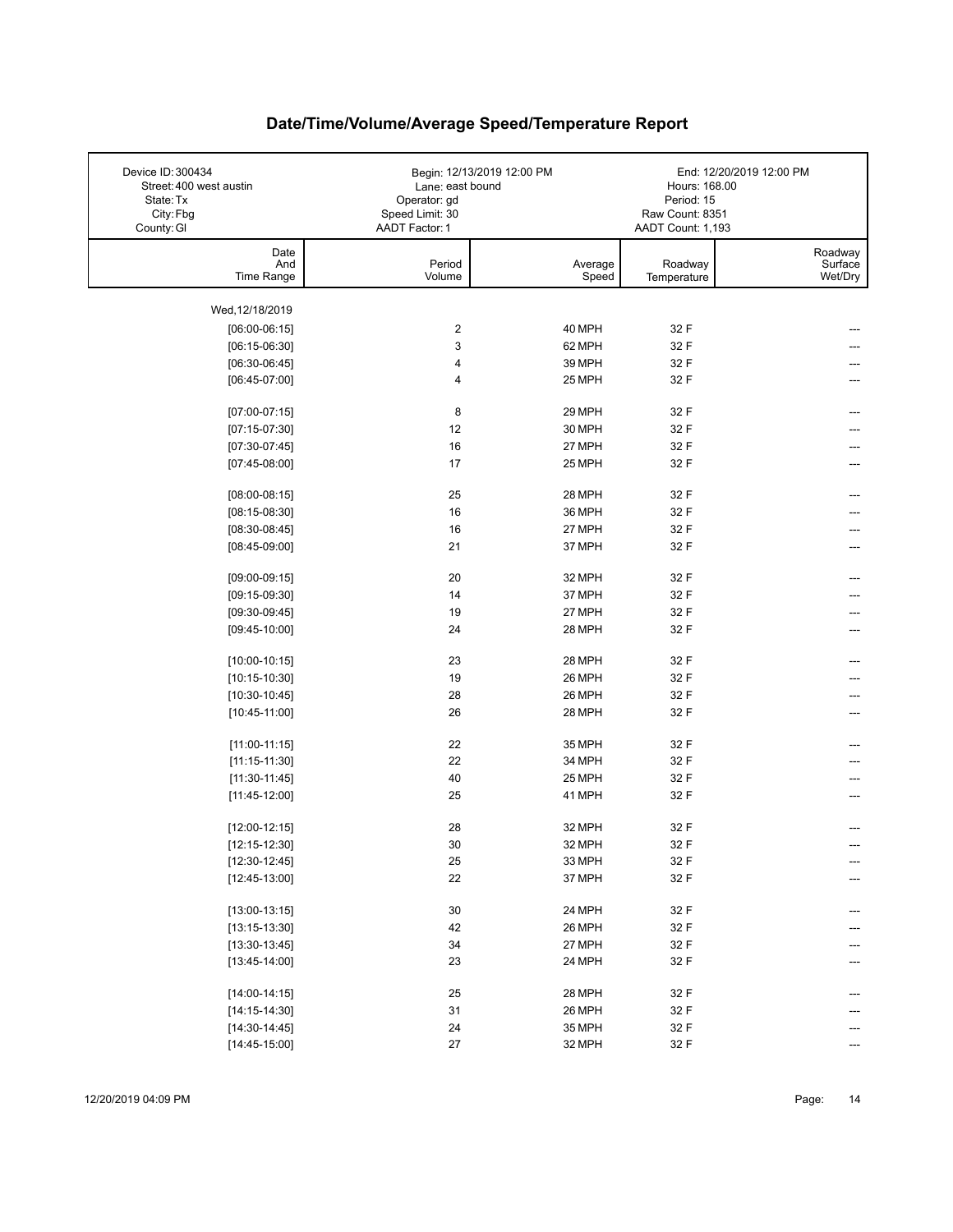| Date<br>Roadway<br>And<br>Period<br>Surface<br>Average<br>Roadway<br>Wet/Dry<br>Time Range<br>Volume<br>Speed<br>Temperature<br>Wed, 12/18/2019<br>$[06:00-06:15]$<br>2<br>40 MPH<br>32 F<br>3<br>$[06:15-06:30]$<br>62 MPH<br>32 F<br>4<br>32 F<br>$[06:30-06:45]$<br>39 MPH<br>32 F<br>$[06:45-07:00]$<br>4<br>25 MPH<br>8<br>$[07:00-07:15]$<br>29 MPH<br>32 F<br>---<br>12<br>$[07:15-07:30]$<br>30 MPH<br>32 F<br>---<br>16<br>$[07:30-07:45]$<br>27 MPH<br>32 F<br>$[07:45-08:00]$<br>17<br>25 MPH<br>32 F<br>25<br>28 MPH<br>32 F<br>$[08:00-08:15]$<br>---<br>16<br>36 MPH<br>$[08:15-08:30]$<br>32 F<br>16<br>27 MPH<br>32 F<br>$[08:30-08:45]$<br>21<br>$[08:45-09:00]$<br>37 MPH<br>32 F<br>20<br>32 F<br>32 MPH<br>$[09:00-09:15]$<br>14<br>$[09:15-09:30]$<br>37 MPH<br>32 F<br>27 MPH<br>$[09:30-09:45]$<br>19<br>32 F<br>24<br>28 MPH<br>32 F<br>$[09:45-10:00]$<br>---<br>23<br>28 MPH<br>32 F<br>$[10:00-10:15]$<br>19<br>26 MPH<br>32 F<br>$[10:15-10:30]$<br>28<br>26 MPH<br>32 F<br>$[10:30-10:45]$<br>26<br>28 MPH<br>32 F<br>$[10:45-11:00]$<br>22<br>35 MPH<br>32 F<br>$[11:00-11:15]$<br>22<br>34 MPH<br>32 F<br>$[11:15-11:30]$<br>40<br>25 MPH<br>32 F<br>$[11:30-11:45]$<br>25<br>41 MPH<br>32 F<br>$[11:45-12:00]$<br>28<br>32 MPH<br>32 F<br>$[12:00-12:15]$<br>30<br>32 MPH<br>32 F<br>$[12:15-12:30]$<br>$25\,$<br>32 F<br>33 MPH<br>$[12:30-12:45]$<br>---<br>$[12:45-13:00]$<br>22<br>37 MPH<br>32 F<br>---<br>$30\,$<br>32 F<br>$[13:00-13:15]$<br>24 MPH<br>---<br>42<br>$[13:15-13:30]$<br>26 MPH<br>32 F<br>34<br>27 MPH<br>32 F<br>$[13:30-13:45]$<br>$[13:45-14:00]$<br>23<br>24 MPH<br>32 F<br>---<br>25<br>28 MPH<br>32 F<br>$[14:00-14:15]$<br>31<br>26 MPH<br>32 F<br>$[14:15-14:30]$<br>24<br>$[14:30-14:45]$<br>35 MPH<br>32 F<br>--- | Device ID: 300434<br>Street: 400 west austin<br>State: Tx<br>City: Fbg<br>County: GI | Begin: 12/13/2019 12:00 PM<br>Lane: east bound<br>Operator: gd<br>Speed Limit: 30<br>AADT Factor: 1 |        | Hours: 168.00<br>Period: 15<br>Raw Count: 8351<br>AADT Count: 1,193 | End: 12/20/2019 12:00 PM |
|------------------------------------------------------------------------------------------------------------------------------------------------------------------------------------------------------------------------------------------------------------------------------------------------------------------------------------------------------------------------------------------------------------------------------------------------------------------------------------------------------------------------------------------------------------------------------------------------------------------------------------------------------------------------------------------------------------------------------------------------------------------------------------------------------------------------------------------------------------------------------------------------------------------------------------------------------------------------------------------------------------------------------------------------------------------------------------------------------------------------------------------------------------------------------------------------------------------------------------------------------------------------------------------------------------------------------------------------------------------------------------------------------------------------------------------------------------------------------------------------------------------------------------------------------------------------------------------------------------------------------------------------------------------------------------------------------------------------------------------------------------------------------------|--------------------------------------------------------------------------------------|-----------------------------------------------------------------------------------------------------|--------|---------------------------------------------------------------------|--------------------------|
|                                                                                                                                                                                                                                                                                                                                                                                                                                                                                                                                                                                                                                                                                                                                                                                                                                                                                                                                                                                                                                                                                                                                                                                                                                                                                                                                                                                                                                                                                                                                                                                                                                                                                                                                                                                    |                                                                                      |                                                                                                     |        |                                                                     |                          |
|                                                                                                                                                                                                                                                                                                                                                                                                                                                                                                                                                                                                                                                                                                                                                                                                                                                                                                                                                                                                                                                                                                                                                                                                                                                                                                                                                                                                                                                                                                                                                                                                                                                                                                                                                                                    |                                                                                      |                                                                                                     |        |                                                                     |                          |
|                                                                                                                                                                                                                                                                                                                                                                                                                                                                                                                                                                                                                                                                                                                                                                                                                                                                                                                                                                                                                                                                                                                                                                                                                                                                                                                                                                                                                                                                                                                                                                                                                                                                                                                                                                                    |                                                                                      |                                                                                                     |        |                                                                     |                          |
|                                                                                                                                                                                                                                                                                                                                                                                                                                                                                                                                                                                                                                                                                                                                                                                                                                                                                                                                                                                                                                                                                                                                                                                                                                                                                                                                                                                                                                                                                                                                                                                                                                                                                                                                                                                    |                                                                                      |                                                                                                     |        |                                                                     |                          |
|                                                                                                                                                                                                                                                                                                                                                                                                                                                                                                                                                                                                                                                                                                                                                                                                                                                                                                                                                                                                                                                                                                                                                                                                                                                                                                                                                                                                                                                                                                                                                                                                                                                                                                                                                                                    |                                                                                      |                                                                                                     |        |                                                                     |                          |
|                                                                                                                                                                                                                                                                                                                                                                                                                                                                                                                                                                                                                                                                                                                                                                                                                                                                                                                                                                                                                                                                                                                                                                                                                                                                                                                                                                                                                                                                                                                                                                                                                                                                                                                                                                                    |                                                                                      |                                                                                                     |        |                                                                     |                          |
|                                                                                                                                                                                                                                                                                                                                                                                                                                                                                                                                                                                                                                                                                                                                                                                                                                                                                                                                                                                                                                                                                                                                                                                                                                                                                                                                                                                                                                                                                                                                                                                                                                                                                                                                                                                    |                                                                                      |                                                                                                     |        |                                                                     |                          |
|                                                                                                                                                                                                                                                                                                                                                                                                                                                                                                                                                                                                                                                                                                                                                                                                                                                                                                                                                                                                                                                                                                                                                                                                                                                                                                                                                                                                                                                                                                                                                                                                                                                                                                                                                                                    |                                                                                      |                                                                                                     |        |                                                                     |                          |
|                                                                                                                                                                                                                                                                                                                                                                                                                                                                                                                                                                                                                                                                                                                                                                                                                                                                                                                                                                                                                                                                                                                                                                                                                                                                                                                                                                                                                                                                                                                                                                                                                                                                                                                                                                                    |                                                                                      |                                                                                                     |        |                                                                     |                          |
|                                                                                                                                                                                                                                                                                                                                                                                                                                                                                                                                                                                                                                                                                                                                                                                                                                                                                                                                                                                                                                                                                                                                                                                                                                                                                                                                                                                                                                                                                                                                                                                                                                                                                                                                                                                    |                                                                                      |                                                                                                     |        |                                                                     |                          |
|                                                                                                                                                                                                                                                                                                                                                                                                                                                                                                                                                                                                                                                                                                                                                                                                                                                                                                                                                                                                                                                                                                                                                                                                                                                                                                                                                                                                                                                                                                                                                                                                                                                                                                                                                                                    |                                                                                      |                                                                                                     |        |                                                                     |                          |
|                                                                                                                                                                                                                                                                                                                                                                                                                                                                                                                                                                                                                                                                                                                                                                                                                                                                                                                                                                                                                                                                                                                                                                                                                                                                                                                                                                                                                                                                                                                                                                                                                                                                                                                                                                                    |                                                                                      |                                                                                                     |        |                                                                     |                          |
|                                                                                                                                                                                                                                                                                                                                                                                                                                                                                                                                                                                                                                                                                                                                                                                                                                                                                                                                                                                                                                                                                                                                                                                                                                                                                                                                                                                                                                                                                                                                                                                                                                                                                                                                                                                    |                                                                                      |                                                                                                     |        |                                                                     |                          |
|                                                                                                                                                                                                                                                                                                                                                                                                                                                                                                                                                                                                                                                                                                                                                                                                                                                                                                                                                                                                                                                                                                                                                                                                                                                                                                                                                                                                                                                                                                                                                                                                                                                                                                                                                                                    |                                                                                      |                                                                                                     |        |                                                                     |                          |
|                                                                                                                                                                                                                                                                                                                                                                                                                                                                                                                                                                                                                                                                                                                                                                                                                                                                                                                                                                                                                                                                                                                                                                                                                                                                                                                                                                                                                                                                                                                                                                                                                                                                                                                                                                                    |                                                                                      |                                                                                                     |        |                                                                     |                          |
|                                                                                                                                                                                                                                                                                                                                                                                                                                                                                                                                                                                                                                                                                                                                                                                                                                                                                                                                                                                                                                                                                                                                                                                                                                                                                                                                                                                                                                                                                                                                                                                                                                                                                                                                                                                    |                                                                                      |                                                                                                     |        |                                                                     |                          |
|                                                                                                                                                                                                                                                                                                                                                                                                                                                                                                                                                                                                                                                                                                                                                                                                                                                                                                                                                                                                                                                                                                                                                                                                                                                                                                                                                                                                                                                                                                                                                                                                                                                                                                                                                                                    |                                                                                      |                                                                                                     |        |                                                                     |                          |
|                                                                                                                                                                                                                                                                                                                                                                                                                                                                                                                                                                                                                                                                                                                                                                                                                                                                                                                                                                                                                                                                                                                                                                                                                                                                                                                                                                                                                                                                                                                                                                                                                                                                                                                                                                                    |                                                                                      |                                                                                                     |        |                                                                     |                          |
|                                                                                                                                                                                                                                                                                                                                                                                                                                                                                                                                                                                                                                                                                                                                                                                                                                                                                                                                                                                                                                                                                                                                                                                                                                                                                                                                                                                                                                                                                                                                                                                                                                                                                                                                                                                    |                                                                                      |                                                                                                     |        |                                                                     |                          |
|                                                                                                                                                                                                                                                                                                                                                                                                                                                                                                                                                                                                                                                                                                                                                                                                                                                                                                                                                                                                                                                                                                                                                                                                                                                                                                                                                                                                                                                                                                                                                                                                                                                                                                                                                                                    |                                                                                      |                                                                                                     |        |                                                                     |                          |
|                                                                                                                                                                                                                                                                                                                                                                                                                                                                                                                                                                                                                                                                                                                                                                                                                                                                                                                                                                                                                                                                                                                                                                                                                                                                                                                                                                                                                                                                                                                                                                                                                                                                                                                                                                                    |                                                                                      |                                                                                                     |        |                                                                     |                          |
|                                                                                                                                                                                                                                                                                                                                                                                                                                                                                                                                                                                                                                                                                                                                                                                                                                                                                                                                                                                                                                                                                                                                                                                                                                                                                                                                                                                                                                                                                                                                                                                                                                                                                                                                                                                    |                                                                                      |                                                                                                     |        |                                                                     |                          |
|                                                                                                                                                                                                                                                                                                                                                                                                                                                                                                                                                                                                                                                                                                                                                                                                                                                                                                                                                                                                                                                                                                                                                                                                                                                                                                                                                                                                                                                                                                                                                                                                                                                                                                                                                                                    |                                                                                      |                                                                                                     |        |                                                                     |                          |
|                                                                                                                                                                                                                                                                                                                                                                                                                                                                                                                                                                                                                                                                                                                                                                                                                                                                                                                                                                                                                                                                                                                                                                                                                                                                                                                                                                                                                                                                                                                                                                                                                                                                                                                                                                                    |                                                                                      |                                                                                                     |        |                                                                     |                          |
|                                                                                                                                                                                                                                                                                                                                                                                                                                                                                                                                                                                                                                                                                                                                                                                                                                                                                                                                                                                                                                                                                                                                                                                                                                                                                                                                                                                                                                                                                                                                                                                                                                                                                                                                                                                    |                                                                                      |                                                                                                     |        |                                                                     |                          |
|                                                                                                                                                                                                                                                                                                                                                                                                                                                                                                                                                                                                                                                                                                                                                                                                                                                                                                                                                                                                                                                                                                                                                                                                                                                                                                                                                                                                                                                                                                                                                                                                                                                                                                                                                                                    |                                                                                      |                                                                                                     |        |                                                                     |                          |
|                                                                                                                                                                                                                                                                                                                                                                                                                                                                                                                                                                                                                                                                                                                                                                                                                                                                                                                                                                                                                                                                                                                                                                                                                                                                                                                                                                                                                                                                                                                                                                                                                                                                                                                                                                                    |                                                                                      |                                                                                                     |        |                                                                     |                          |
|                                                                                                                                                                                                                                                                                                                                                                                                                                                                                                                                                                                                                                                                                                                                                                                                                                                                                                                                                                                                                                                                                                                                                                                                                                                                                                                                                                                                                                                                                                                                                                                                                                                                                                                                                                                    |                                                                                      |                                                                                                     |        |                                                                     |                          |
|                                                                                                                                                                                                                                                                                                                                                                                                                                                                                                                                                                                                                                                                                                                                                                                                                                                                                                                                                                                                                                                                                                                                                                                                                                                                                                                                                                                                                                                                                                                                                                                                                                                                                                                                                                                    |                                                                                      |                                                                                                     |        |                                                                     |                          |
|                                                                                                                                                                                                                                                                                                                                                                                                                                                                                                                                                                                                                                                                                                                                                                                                                                                                                                                                                                                                                                                                                                                                                                                                                                                                                                                                                                                                                                                                                                                                                                                                                                                                                                                                                                                    |                                                                                      |                                                                                                     |        |                                                                     |                          |
|                                                                                                                                                                                                                                                                                                                                                                                                                                                                                                                                                                                                                                                                                                                                                                                                                                                                                                                                                                                                                                                                                                                                                                                                                                                                                                                                                                                                                                                                                                                                                                                                                                                                                                                                                                                    |                                                                                      |                                                                                                     |        |                                                                     |                          |
|                                                                                                                                                                                                                                                                                                                                                                                                                                                                                                                                                                                                                                                                                                                                                                                                                                                                                                                                                                                                                                                                                                                                                                                                                                                                                                                                                                                                                                                                                                                                                                                                                                                                                                                                                                                    |                                                                                      |                                                                                                     |        |                                                                     |                          |
|                                                                                                                                                                                                                                                                                                                                                                                                                                                                                                                                                                                                                                                                                                                                                                                                                                                                                                                                                                                                                                                                                                                                                                                                                                                                                                                                                                                                                                                                                                                                                                                                                                                                                                                                                                                    |                                                                                      |                                                                                                     |        |                                                                     |                          |
|                                                                                                                                                                                                                                                                                                                                                                                                                                                                                                                                                                                                                                                                                                                                                                                                                                                                                                                                                                                                                                                                                                                                                                                                                                                                                                                                                                                                                                                                                                                                                                                                                                                                                                                                                                                    |                                                                                      |                                                                                                     |        |                                                                     |                          |
|                                                                                                                                                                                                                                                                                                                                                                                                                                                                                                                                                                                                                                                                                                                                                                                                                                                                                                                                                                                                                                                                                                                                                                                                                                                                                                                                                                                                                                                                                                                                                                                                                                                                                                                                                                                    |                                                                                      |                                                                                                     |        |                                                                     |                          |
|                                                                                                                                                                                                                                                                                                                                                                                                                                                                                                                                                                                                                                                                                                                                                                                                                                                                                                                                                                                                                                                                                                                                                                                                                                                                                                                                                                                                                                                                                                                                                                                                                                                                                                                                                                                    |                                                                                      |                                                                                                     |        |                                                                     |                          |
|                                                                                                                                                                                                                                                                                                                                                                                                                                                                                                                                                                                                                                                                                                                                                                                                                                                                                                                                                                                                                                                                                                                                                                                                                                                                                                                                                                                                                                                                                                                                                                                                                                                                                                                                                                                    |                                                                                      |                                                                                                     |        |                                                                     |                          |
|                                                                                                                                                                                                                                                                                                                                                                                                                                                                                                                                                                                                                                                                                                                                                                                                                                                                                                                                                                                                                                                                                                                                                                                                                                                                                                                                                                                                                                                                                                                                                                                                                                                                                                                                                                                    |                                                                                      |                                                                                                     |        |                                                                     |                          |
|                                                                                                                                                                                                                                                                                                                                                                                                                                                                                                                                                                                                                                                                                                                                                                                                                                                                                                                                                                                                                                                                                                                                                                                                                                                                                                                                                                                                                                                                                                                                                                                                                                                                                                                                                                                    |                                                                                      |                                                                                                     |        |                                                                     |                          |
|                                                                                                                                                                                                                                                                                                                                                                                                                                                                                                                                                                                                                                                                                                                                                                                                                                                                                                                                                                                                                                                                                                                                                                                                                                                                                                                                                                                                                                                                                                                                                                                                                                                                                                                                                                                    |                                                                                      |                                                                                                     |        |                                                                     |                          |
|                                                                                                                                                                                                                                                                                                                                                                                                                                                                                                                                                                                                                                                                                                                                                                                                                                                                                                                                                                                                                                                                                                                                                                                                                                                                                                                                                                                                                                                                                                                                                                                                                                                                                                                                                                                    |                                                                                      |                                                                                                     |        |                                                                     |                          |
|                                                                                                                                                                                                                                                                                                                                                                                                                                                                                                                                                                                                                                                                                                                                                                                                                                                                                                                                                                                                                                                                                                                                                                                                                                                                                                                                                                                                                                                                                                                                                                                                                                                                                                                                                                                    | $[14:45-15:00]$                                                                      | 27                                                                                                  | 32 MPH | 32 F                                                                |                          |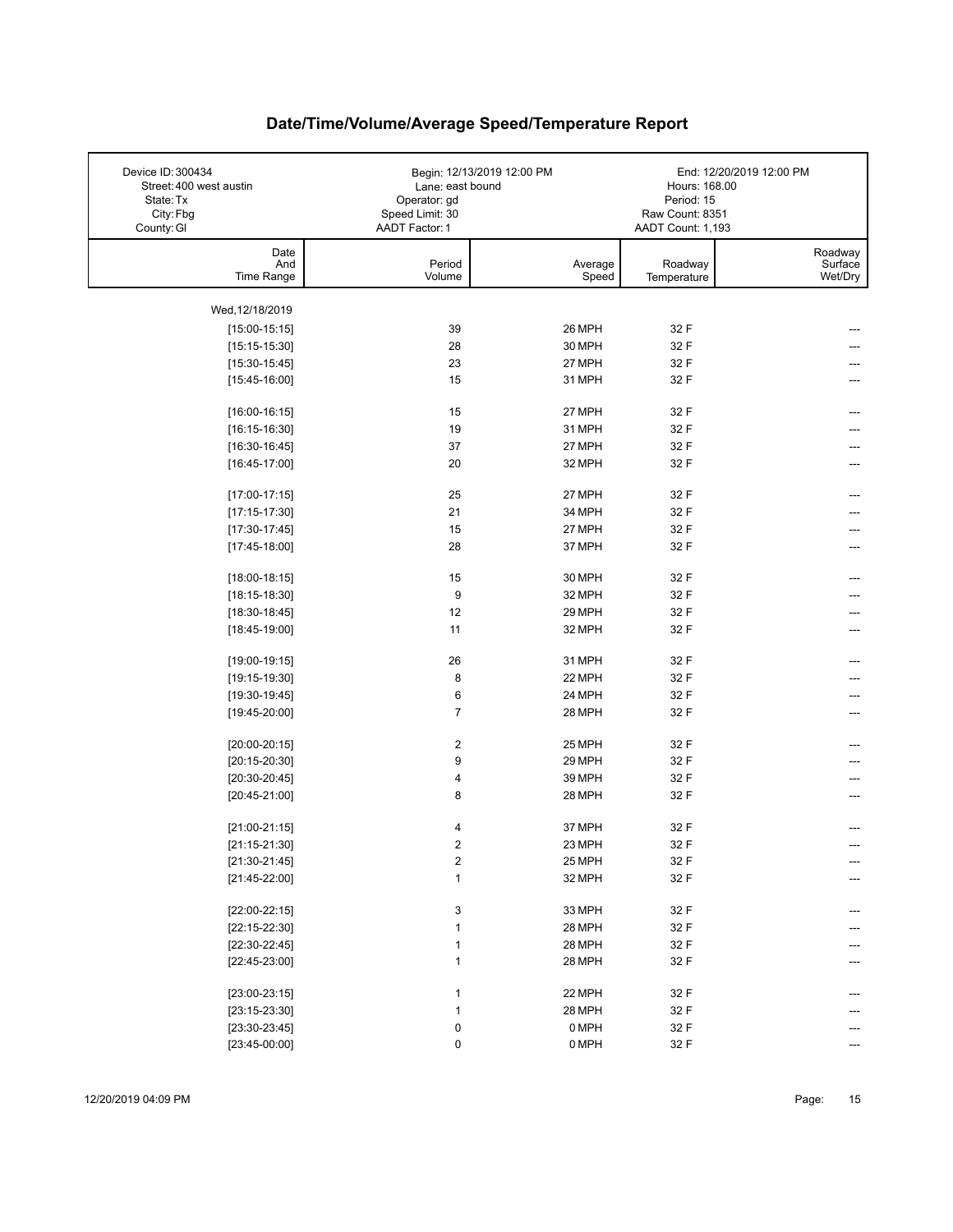| Device ID: 300434<br>Street: 400 west austin<br>State: Tx<br>City: Fbg<br>County: GI | Begin: 12/13/2019 12:00 PM<br>Lane: east bound<br>Operator: gd<br>Speed Limit: 30<br>AADT Factor: 1 |                  | Hours: 168.00<br>Period: 15<br>Raw Count: 8351<br>AADT Count: 1,193 | End: 12/20/2019 12:00 PM      |
|--------------------------------------------------------------------------------------|-----------------------------------------------------------------------------------------------------|------------------|---------------------------------------------------------------------|-------------------------------|
| Date<br>And<br>Time Range                                                            | Period<br>Volume                                                                                    | Average<br>Speed | Roadway<br>Temperature                                              | Roadway<br>Surface<br>Wet/Dry |
| Wed, 12/18/2019                                                                      |                                                                                                     |                  |                                                                     |                               |
| $[15:00-15:15]$                                                                      | 39                                                                                                  | 26 MPH           | 32 F                                                                |                               |
| $[15:15-15:30]$                                                                      | 28                                                                                                  | 30 MPH           | 32 F                                                                |                               |
| $[15:30-15:45]$                                                                      | 23                                                                                                  | 27 MPH           | 32 F                                                                |                               |
| $[15:45-16:00]$                                                                      | 15                                                                                                  | 31 MPH           | 32 F                                                                |                               |
| $[16:00-16:15]$                                                                      | 15                                                                                                  | 27 MPH           | 32 F                                                                | ---                           |
| $[16:15-16:30]$                                                                      | 19                                                                                                  | 31 MPH           | 32 F                                                                |                               |
| $[16:30-16:45]$                                                                      | 37                                                                                                  | 27 MPH           | 32 F                                                                | ---                           |
| $[16:45-17:00]$                                                                      | 20                                                                                                  | 32 MPH           | 32 F                                                                |                               |
| $[17:00-17:15]$                                                                      | 25                                                                                                  | 27 MPH           | 32 F                                                                |                               |
| $[17:15-17:30]$                                                                      | 21                                                                                                  | 34 MPH           | 32 F                                                                |                               |
| $[17:30-17:45]$                                                                      | 15                                                                                                  | 27 MPH           | 32 F                                                                |                               |
| $[17:45-18:00]$                                                                      | 28                                                                                                  | 37 MPH           | 32 F                                                                |                               |
| $[18:00-18:15]$                                                                      | 15                                                                                                  | 30 MPH           | 32 F                                                                | ---                           |
| $[18:15-18:30]$                                                                      | 9                                                                                                   | 32 MPH           | 32 F                                                                |                               |
| $[18:30-18:45]$                                                                      | 12                                                                                                  | 29 MPH           | 32 F                                                                |                               |
| $[18:45-19:00]$                                                                      | 11                                                                                                  | 32 MPH           | 32 F                                                                |                               |
| $[19:00-19:15]$                                                                      | 26                                                                                                  | 31 MPH           | 32 F                                                                | ---                           |
| $[19:15-19:30]$                                                                      | 8                                                                                                   | 22 MPH           | 32 F                                                                |                               |
| $[19:30-19:45]$                                                                      | 6                                                                                                   | 24 MPH           | 32 F                                                                |                               |
| $[19:45-20:00]$                                                                      | $\overline{7}$                                                                                      | 28 MPH           | 32 F                                                                |                               |
| $[20:00-20:15]$                                                                      | 2                                                                                                   | 25 MPH           | 32 F                                                                |                               |
| $[20:15-20:30]$                                                                      | 9                                                                                                   | 29 MPH           | 32 F                                                                |                               |
| $[20:30-20:45]$                                                                      | 4                                                                                                   | 39 MPH           | 32 F                                                                |                               |
| $[20:45-21:00]$                                                                      | 8                                                                                                   | 28 MPH           | 32 F                                                                |                               |
| $[21:00-21:15]$                                                                      | 4                                                                                                   | 37 MPH           | 32 F                                                                |                               |
| $[21:15-21:30]$                                                                      | $\overline{2}$                                                                                      | 23 MPH           | 32 F                                                                |                               |
| $[21:30-21:45]$                                                                      | 2                                                                                                   | 25 MPH           | 32 F                                                                | ---                           |
| $[21:45-22:00]$                                                                      | 1                                                                                                   | 32 MPH           | 32 F                                                                |                               |
| $[22:00-22:15]$                                                                      | 3                                                                                                   | 33 MPH           | 32 F                                                                |                               |
| $[22:15-22:30]$                                                                      | 1                                                                                                   | 28 MPH           | 32 F                                                                |                               |
| $[22:30-22:45]$                                                                      | 1                                                                                                   | 28 MPH           | 32 F                                                                |                               |
| $[22:45-23:00]$                                                                      | 1                                                                                                   | 28 MPH           | 32 F                                                                |                               |
| $[23:00-23:15]$                                                                      | $\mathbf{1}$                                                                                        | 22 MPH           | 32 F                                                                |                               |
| $[23:15-23:30]$                                                                      | 1                                                                                                   | 28 MPH           | 32 F                                                                |                               |
| $[23:30-23:45]$                                                                      | 0                                                                                                   | 0 MPH            | 32 F                                                                |                               |
| $[23:45-00:00]$                                                                      | 0                                                                                                   | 0 MPH            | 32 F                                                                |                               |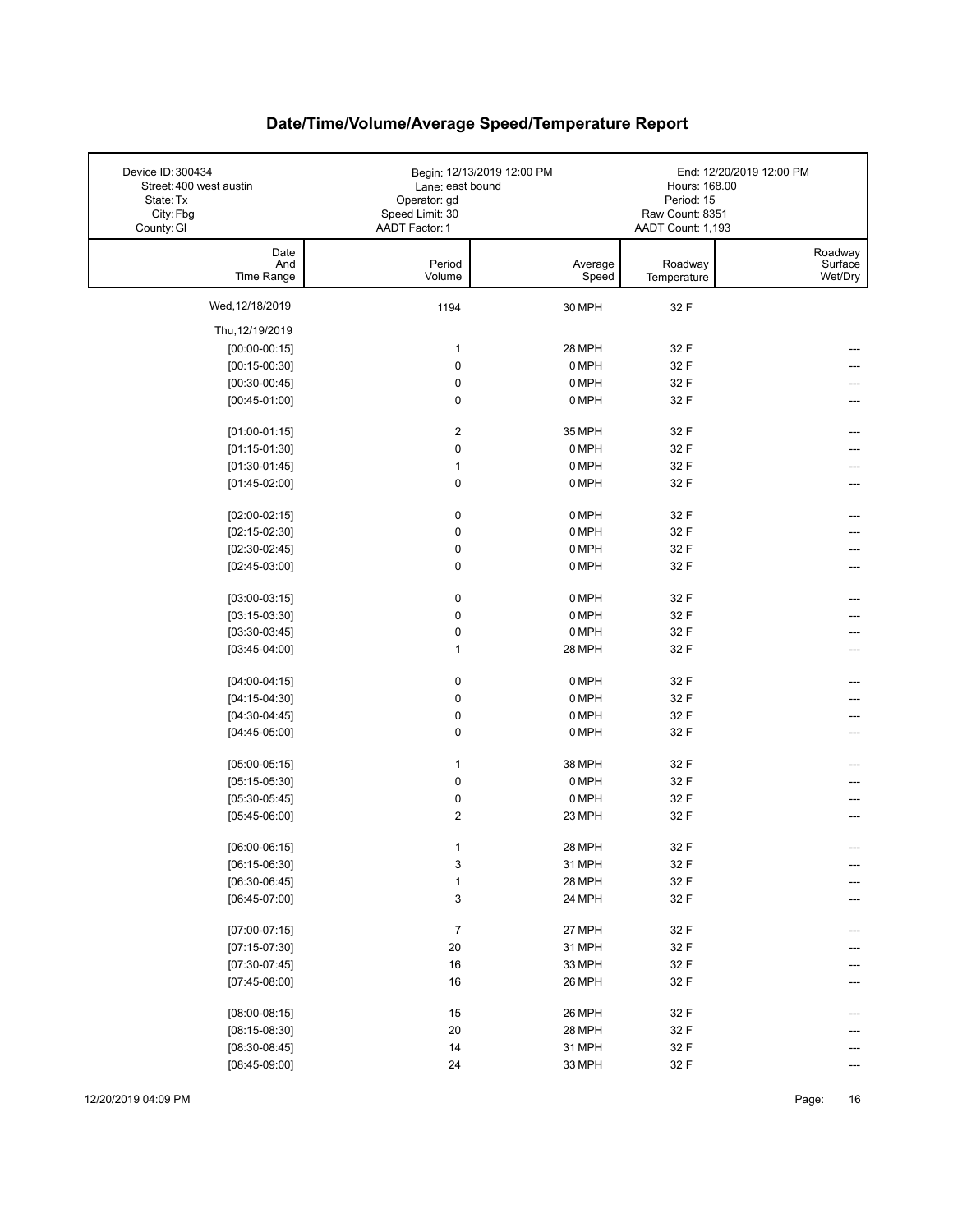| Device ID: 300434<br>Street: 400 west austin<br>State: Tx<br>City: Fbg<br>County: GI | Lane: east bound<br>Operator: gd<br>Speed Limit: 30<br>AADT Factor: 1 | Begin: 12/13/2019 12:00 PM | Hours: 168.00<br>Period: 15<br>Raw Count: 8351<br>AADT Count: 1,193 | End: 12/20/2019 12:00 PM      |
|--------------------------------------------------------------------------------------|-----------------------------------------------------------------------|----------------------------|---------------------------------------------------------------------|-------------------------------|
| Date<br>And<br>Time Range                                                            | Period<br>Volume                                                      | Average<br>Speed           | Roadway<br>Temperature                                              | Roadway<br>Surface<br>Wet/Dry |
| Wed, 12/18/2019                                                                      | 1194                                                                  | 30 MPH                     | 32 F                                                                |                               |
| Thu, 12/19/2019                                                                      |                                                                       |                            |                                                                     |                               |
| $[00:00-00:15]$                                                                      | $\mathbf{1}$                                                          | 28 MPH                     | 32 F                                                                |                               |
| $[00:15-00:30]$                                                                      | $\mathbf 0$                                                           | 0 MPH                      | 32 F                                                                |                               |
| $[00:30-00:45]$                                                                      | $\pmb{0}$                                                             | 0 MPH                      | 32 F                                                                |                               |
| $[00:45-01:00]$                                                                      | $\mathbf 0$                                                           | 0 MPH                      | 32 F                                                                |                               |
| $[01:00-01:15]$                                                                      | $\overline{2}$                                                        | 35 MPH                     | 32 F                                                                |                               |
| $[01:15-01:30]$                                                                      | $\mathbf 0$                                                           | 0 MPH                      | 32 F                                                                |                               |
| $[01:30-01:45]$                                                                      | $\mathbf{1}$                                                          | 0 MPH                      | 32 F                                                                | ---                           |
| $[01:45-02:00]$                                                                      | 0                                                                     | 0 MPH                      | 32 F                                                                |                               |
| $[02:00-02:15]$                                                                      | $\pmb{0}$                                                             | 0 MPH                      | 32 F                                                                |                               |
| $[02:15-02:30]$                                                                      | $\pmb{0}$                                                             | 0 MPH                      | 32 F                                                                |                               |
| $[02:30-02:45]$                                                                      | $\pmb{0}$                                                             | 0 MPH                      | 32 F                                                                |                               |
| $[02:45-03:00]$                                                                      | $\mathbf 0$                                                           | 0 MPH                      | 32 F                                                                |                               |
| $[03:00-03:15]$                                                                      | 0                                                                     | 0 MPH                      | 32 F                                                                | ---                           |
| $[03:15-03:30]$                                                                      | $\mathbf 0$                                                           | 0 MPH                      | 32 F                                                                |                               |
| $[03:30-03:45]$                                                                      | 0                                                                     | 0 MPH                      | 32 F                                                                |                               |
| $[03:45-04:00]$                                                                      | $\mathbf{1}$                                                          | 28 MPH                     | 32 F                                                                | ---                           |
| $[04:00-04:15]$                                                                      | 0                                                                     | 0 MPH                      | 32 F                                                                | ---                           |
| $[04:15-04:30]$                                                                      | 0                                                                     | 0 MPH                      | 32 F                                                                |                               |
| $[04:30-04:45]$                                                                      | $\pmb{0}$                                                             | 0 MPH                      | 32 F                                                                |                               |
| $[04:45-05:00]$                                                                      | $\mathbf 0$                                                           | 0 MPH                      | 32 F                                                                | ---                           |
| $[05:00-05:15]$                                                                      | $\mathbf{1}$                                                          | 38 MPH                     | 32 F                                                                |                               |
| $[05:15-05:30]$                                                                      | $\mathbf 0$                                                           | 0 MPH                      | 32 F                                                                |                               |
| $[05:30-05:45]$                                                                      | 0                                                                     | 0 MPH                      | 32 F                                                                |                               |
| $[05:45-06:00]$                                                                      | $\overline{\mathbf{c}}$                                               | 23 MPH                     | 32 F                                                                | ---                           |
| $[06:00-06:15]$                                                                      | 1                                                                     | 28 MPH                     | 32 F                                                                |                               |
| $[06:15-06:30]$                                                                      | 3                                                                     | 31 MPH                     | 32 F                                                                | ---                           |
| $[06:30-06:45]$                                                                      | $\mathbf{1}$                                                          | 28 MPH                     | 32 F                                                                |                               |
| $[06:45-07:00]$                                                                      | 3                                                                     | 24 MPH                     | 32 F                                                                |                               |
| $[07:00-07:15]$                                                                      | $\boldsymbol{7}$                                                      | 27 MPH                     | 32 F                                                                |                               |
| $[07:15-07:30]$                                                                      | 20                                                                    | 31 MPH                     | 32 F                                                                |                               |
| $[07:30-07:45]$                                                                      | 16                                                                    | 33 MPH                     | 32 F                                                                |                               |
| $[07:45-08:00]$                                                                      | 16                                                                    | 26 MPH                     | 32 F                                                                |                               |
| $[08:00-08:15]$                                                                      | 15                                                                    | 26 MPH                     | 32 F                                                                |                               |
| $[08:15-08:30]$                                                                      | 20                                                                    | 28 MPH                     | 32 F                                                                |                               |
| $[08:30-08:45]$                                                                      | 14                                                                    | 31 MPH                     | 32 F                                                                |                               |
| $[08:45-09:00]$                                                                      | 24                                                                    | 33 MPH                     | 32 F                                                                |                               |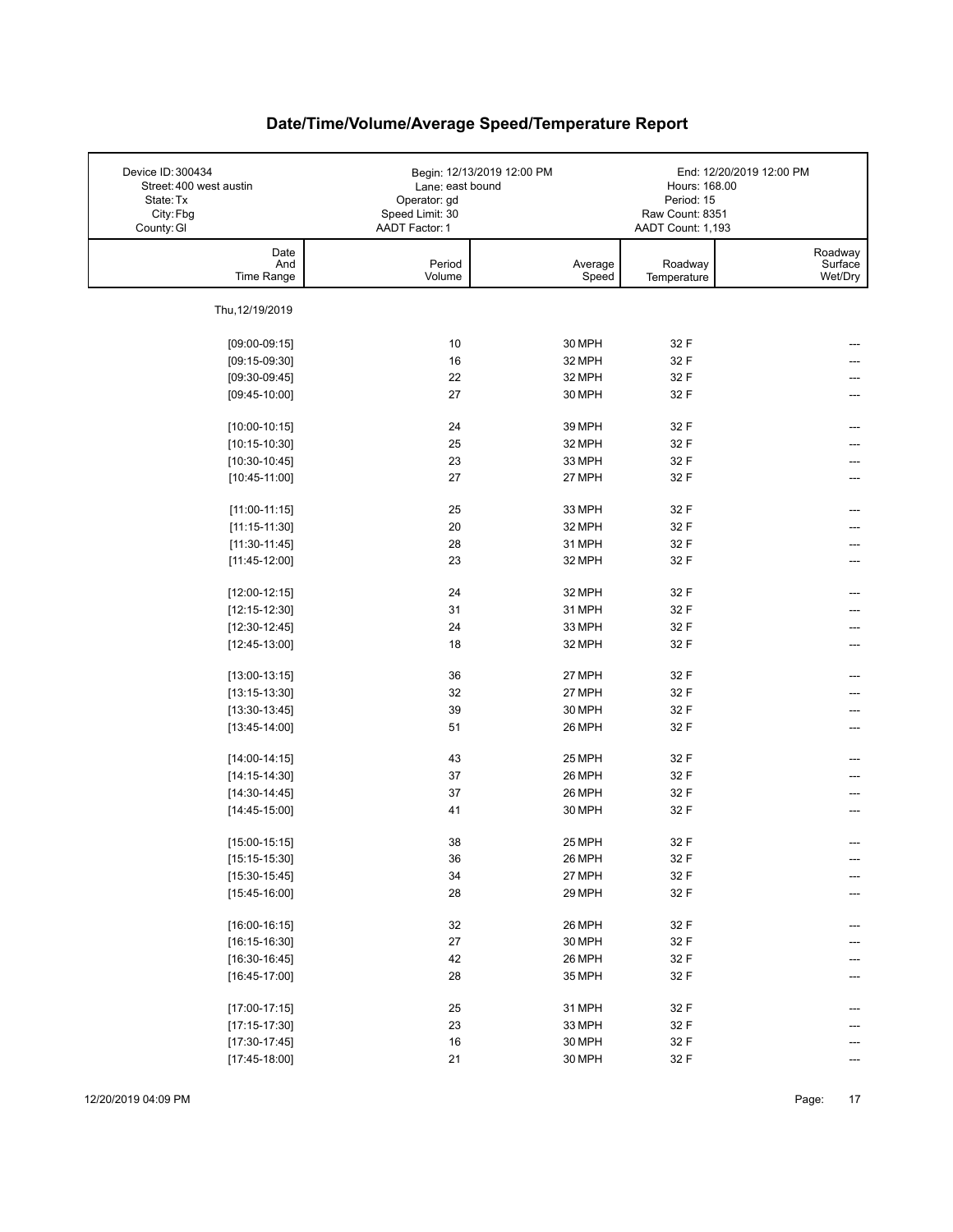| Device ID: 300434<br>Street: 400 west austin<br>State: Tx<br>City: Fbg<br>County: GI | Lane: east bound<br>Operator: gd<br>Speed Limit: 30<br>AADT Factor: 1 | Begin: 12/13/2019 12:00 PM | Hours: 168.00<br>Period: 15<br>Raw Count: 8351<br>AADT Count: 1,193 | End: 12/20/2019 12:00 PM      |
|--------------------------------------------------------------------------------------|-----------------------------------------------------------------------|----------------------------|---------------------------------------------------------------------|-------------------------------|
| Date<br>And<br>Time Range                                                            | Period<br>Volume                                                      | Average<br>Speed           | Roadway<br>Temperature                                              | Roadway<br>Surface<br>Wet/Dry |
| Thu, 12/19/2019                                                                      |                                                                       |                            |                                                                     |                               |
| $[09:00-09:15]$                                                                      | 10                                                                    | 30 MPH                     | 32 F                                                                |                               |
| $[09:15-09:30]$                                                                      | 16                                                                    | 32 MPH                     | 32 F                                                                |                               |
| $[09:30-09:45]$                                                                      | 22                                                                    | 32 MPH                     | 32 F                                                                |                               |
| $[09:45-10:00]$                                                                      | 27                                                                    | 30 MPH                     | 32 F                                                                |                               |
|                                                                                      |                                                                       |                            |                                                                     |                               |
| $[10:00-10:15]$                                                                      | 24                                                                    | 39 MPH                     | 32 F                                                                |                               |
| $[10:15-10:30]$                                                                      | 25                                                                    | 32 MPH                     | 32 F                                                                |                               |
| $[10:30-10:45]$                                                                      | 23                                                                    | 33 MPH                     | 32 F                                                                |                               |
| $[10:45-11:00]$                                                                      | 27                                                                    | 27 MPH                     | 32 F                                                                |                               |
|                                                                                      |                                                                       |                            |                                                                     |                               |
| $[11:00-11:15]$                                                                      | 25                                                                    | 33 MPH                     | 32 F                                                                |                               |
| $[11:15-11:30]$                                                                      | 20                                                                    | 32 MPH                     | 32 F                                                                |                               |
| $[11:30-11:45]$                                                                      | 28                                                                    | 31 MPH                     | 32 F                                                                |                               |
| $[11:45-12:00]$                                                                      | 23                                                                    | 32 MPH                     | 32 F                                                                |                               |
| $[12:00-12:15]$                                                                      | 24                                                                    | 32 MPH                     | 32 F                                                                |                               |
| $[12:15-12:30]$                                                                      | 31                                                                    | 31 MPH                     | 32 F                                                                |                               |
| $[12:30-12:45]$                                                                      | 24                                                                    | 33 MPH                     | 32 F                                                                |                               |
| $[12:45-13:00]$                                                                      | 18                                                                    | 32 MPH                     | 32 F                                                                |                               |
| $[13:00-13:15]$                                                                      | 36                                                                    | 27 MPH                     | 32 F                                                                | ---                           |
| $[13:15-13:30]$                                                                      | 32                                                                    | 27 MPH                     | 32 F                                                                |                               |
| $[13:30-13:45]$                                                                      | 39                                                                    | 30 MPH                     | 32 F                                                                | ---                           |
| $[13:45-14:00]$                                                                      | 51                                                                    | 26 MPH                     | 32 F                                                                | ---                           |
| $[14:00-14:15]$                                                                      | 43                                                                    | 25 MPH                     | 32 F                                                                |                               |
| $[14:15-14:30]$                                                                      | 37                                                                    | 26 MPH                     | 32 F                                                                |                               |
| $[14:30-14:45]$                                                                      | 37                                                                    | 26 MPH                     | 32 F                                                                |                               |
| $[14:45-15:00]$                                                                      | 41                                                                    | 30 MPH                     | 32 F                                                                |                               |
| $[15:00-15:15]$                                                                      | 38                                                                    | 25 MPH                     | 32 F                                                                |                               |
| $[15:15-15:30]$                                                                      | 36                                                                    | 26 MPH                     | 32 F                                                                | ---                           |
| $[15:30-15:45]$                                                                      | 34                                                                    | 27 MPH                     | 32 F                                                                | ---                           |
| $[15:45-16:00]$                                                                      | 28                                                                    | 29 MPH                     | 32 F                                                                |                               |
|                                                                                      |                                                                       |                            |                                                                     |                               |
| $[16:00-16:15]$                                                                      | 32                                                                    | 26 MPH                     | 32 F                                                                | ---                           |
| $[16:15-16:30]$                                                                      | $27\,$                                                                | 30 MPH                     | 32 F                                                                |                               |
| $[16:30-16:45]$                                                                      | 42                                                                    | 26 MPH                     | 32 F                                                                |                               |
| $[16:45-17:00]$                                                                      | 28                                                                    | 35 MPH                     | 32 F                                                                |                               |
| $[17:00-17:15]$                                                                      | 25                                                                    | 31 MPH                     | 32 F                                                                |                               |
| $[17:15-17:30]$                                                                      | 23                                                                    | 33 MPH                     | 32 F                                                                |                               |
| $[17:30-17:45]$                                                                      | $16\,$                                                                | 30 MPH                     | 32 F                                                                |                               |
| $[17:45-18:00]$                                                                      | 21                                                                    | 30 MPH                     | 32 F                                                                |                               |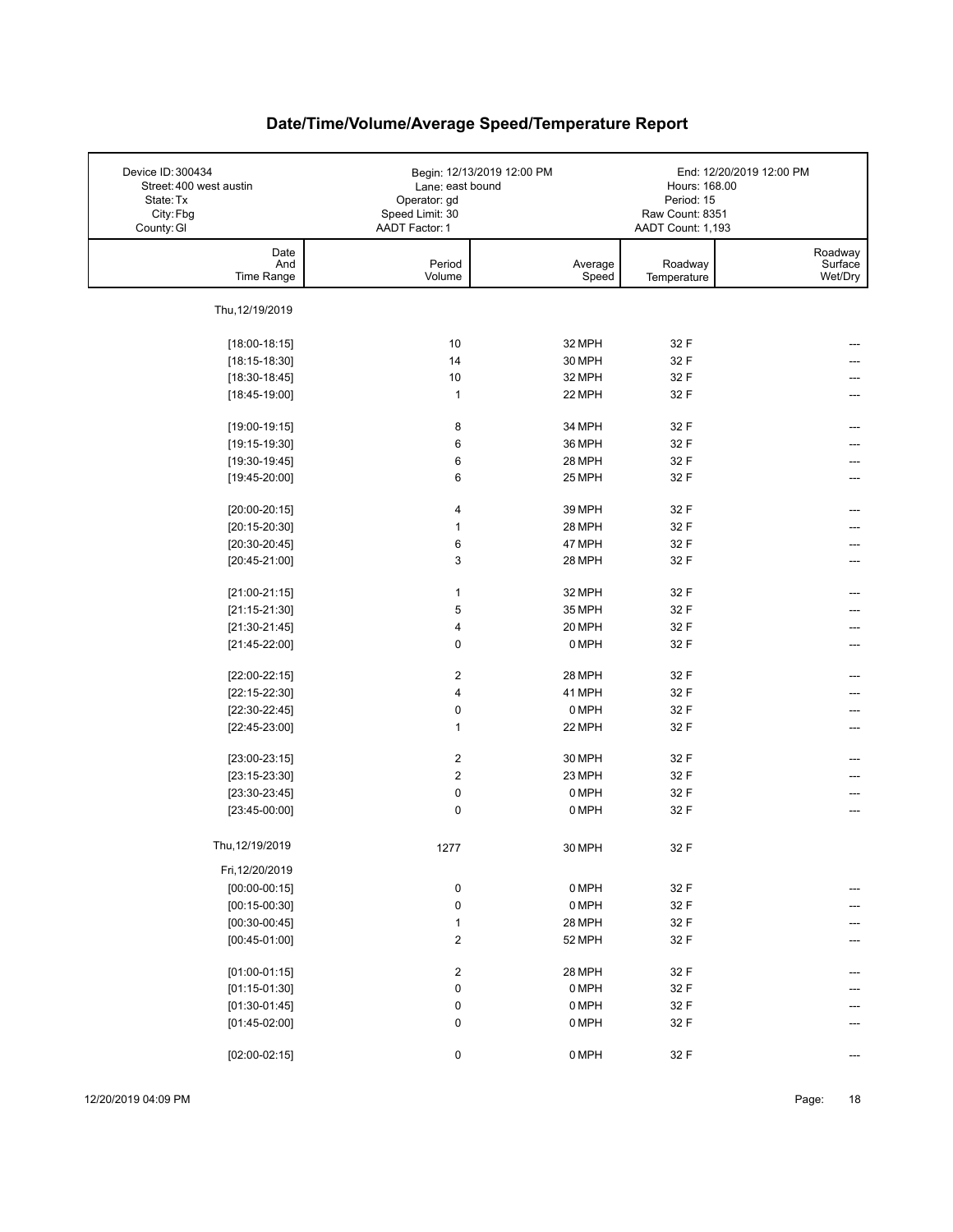| Device ID: 300434<br>Street: 400 west austin<br>State: Tx<br>City: Fbg<br>County: GI | Lane: east bound<br>Operator: gd<br>Speed Limit: 30<br>AADT Factor: 1 | Begin: 12/13/2019 12:00 PM | Hours: 168.00<br>Period: 15<br>Raw Count: 8351<br>AADT Count: 1,193 | End: 12/20/2019 12:00 PM      |
|--------------------------------------------------------------------------------------|-----------------------------------------------------------------------|----------------------------|---------------------------------------------------------------------|-------------------------------|
| Date<br>And<br>Time Range                                                            | Period<br>Volume                                                      | Average<br>Speed           | Roadway<br>Temperature                                              | Roadway<br>Surface<br>Wet/Dry |
| Thu, 12/19/2019                                                                      |                                                                       |                            |                                                                     |                               |
| $[18:00-18:15]$                                                                      | 10                                                                    | 32 MPH                     | 32 F                                                                |                               |
| $[18:15-18:30]$                                                                      | 14                                                                    | 30 MPH                     | 32 F                                                                |                               |
| $[18:30-18:45]$                                                                      | 10                                                                    | 32 MPH                     | 32 F                                                                |                               |
| $[18:45-19:00]$                                                                      | $\mathbf{1}$                                                          | 22 MPH                     | 32 F                                                                |                               |
|                                                                                      |                                                                       |                            |                                                                     |                               |
| $[19:00-19:15]$                                                                      | 8                                                                     | 34 MPH                     | 32 F                                                                |                               |
| $[19:15-19:30]$                                                                      | 6                                                                     | 36 MPH                     | 32 F                                                                |                               |
| $[19:30-19:45]$                                                                      | 6                                                                     | 28 MPH                     | 32 F                                                                |                               |
| $[19:45-20:00]$                                                                      | 6                                                                     | 25 MPH                     | 32 F                                                                |                               |
|                                                                                      |                                                                       |                            |                                                                     |                               |
| $[20:00-20:15]$                                                                      | 4                                                                     | 39 MPH                     | 32 F                                                                |                               |
| $[20:15-20:30]$                                                                      | 1                                                                     | 28 MPH                     | 32 F                                                                |                               |
| $[20:30-20:45]$                                                                      | 6                                                                     | 47 MPH                     | 32 F                                                                |                               |
| $[20:45-21:00]$                                                                      | 3                                                                     | 28 MPH                     | 32 F                                                                |                               |
|                                                                                      |                                                                       |                            |                                                                     |                               |
| $[21:00-21:15]$                                                                      | $\mathbf{1}$                                                          | 32 MPH                     | 32 F                                                                |                               |
| $[21:15-21:30]$                                                                      | 5                                                                     | 35 MPH                     | 32 F                                                                |                               |
| $[21:30-21:45]$                                                                      | 4                                                                     | 20 MPH                     | 32 F                                                                |                               |
| $[21:45-22:00]$                                                                      | 0                                                                     | 0 MPH                      | 32 F                                                                | ---                           |
| $[22:00-22:15]$                                                                      | $\boldsymbol{2}$                                                      | 28 MPH                     | 32 F                                                                | ---                           |
| $[22:15-22:30]$                                                                      | 4                                                                     | 41 MPH                     | 32 F                                                                |                               |
| $[22:30-22:45]$                                                                      | $\pmb{0}$                                                             | 0 MPH                      | 32 F                                                                |                               |
| $[22:45-23:00]$                                                                      | $\mathbf{1}$                                                          | 22 MPH                     | 32 F                                                                | ---                           |
|                                                                                      |                                                                       |                            |                                                                     |                               |
| $[23:00-23:15]$                                                                      | $\overline{c}$                                                        | 30 MPH                     | 32 F                                                                |                               |
| $[23:15-23:30]$                                                                      | $\boldsymbol{2}$                                                      | 23 MPH                     | 32 F                                                                |                               |
| $[23:30-23:45]$                                                                      | $\pmb{0}$                                                             | 0 MPH                      | 32 F                                                                | ---                           |
| $[23:45-00:00]$                                                                      | $\mathbf 0$                                                           | 0 MPH                      | 32 F                                                                | ---                           |
| Thu, 12/19/2019                                                                      | 1277                                                                  | 30 MPH                     | 32 F                                                                |                               |
| Fri, 12/20/2019                                                                      |                                                                       |                            |                                                                     |                               |
| $[00:00-00:15]$                                                                      | 0                                                                     | 0 MPH                      | 32 F                                                                | ---                           |
| $[00:15-00:30]$                                                                      | $\pmb{0}$                                                             | 0 MPH                      | 32 F                                                                |                               |
| $[00:30-00:45]$                                                                      | $\mathbf{1}$                                                          | 28 MPH                     | 32 F                                                                | ---                           |
| $[00:45-01:00]$                                                                      | $\overline{\mathbf{c}}$                                               | 52 MPH                     | 32 F                                                                | ---                           |
|                                                                                      |                                                                       |                            |                                                                     |                               |
| $[01:00-01:15]$                                                                      | $\overline{\mathbf{c}}$                                               | 28 MPH                     | 32 F                                                                | ---                           |
| $[01:15-01:30]$                                                                      | 0                                                                     | 0 MPH                      | 32 F                                                                |                               |
| $[01:30-01:45]$                                                                      | 0                                                                     | 0 MPH                      | 32 F                                                                |                               |
| $[01:45-02:00]$                                                                      | $\pmb{0}$                                                             | 0 MPH                      | 32 F                                                                |                               |
| $[02:00-02:15]$                                                                      | 0                                                                     | 0 MPH                      | 32 F                                                                |                               |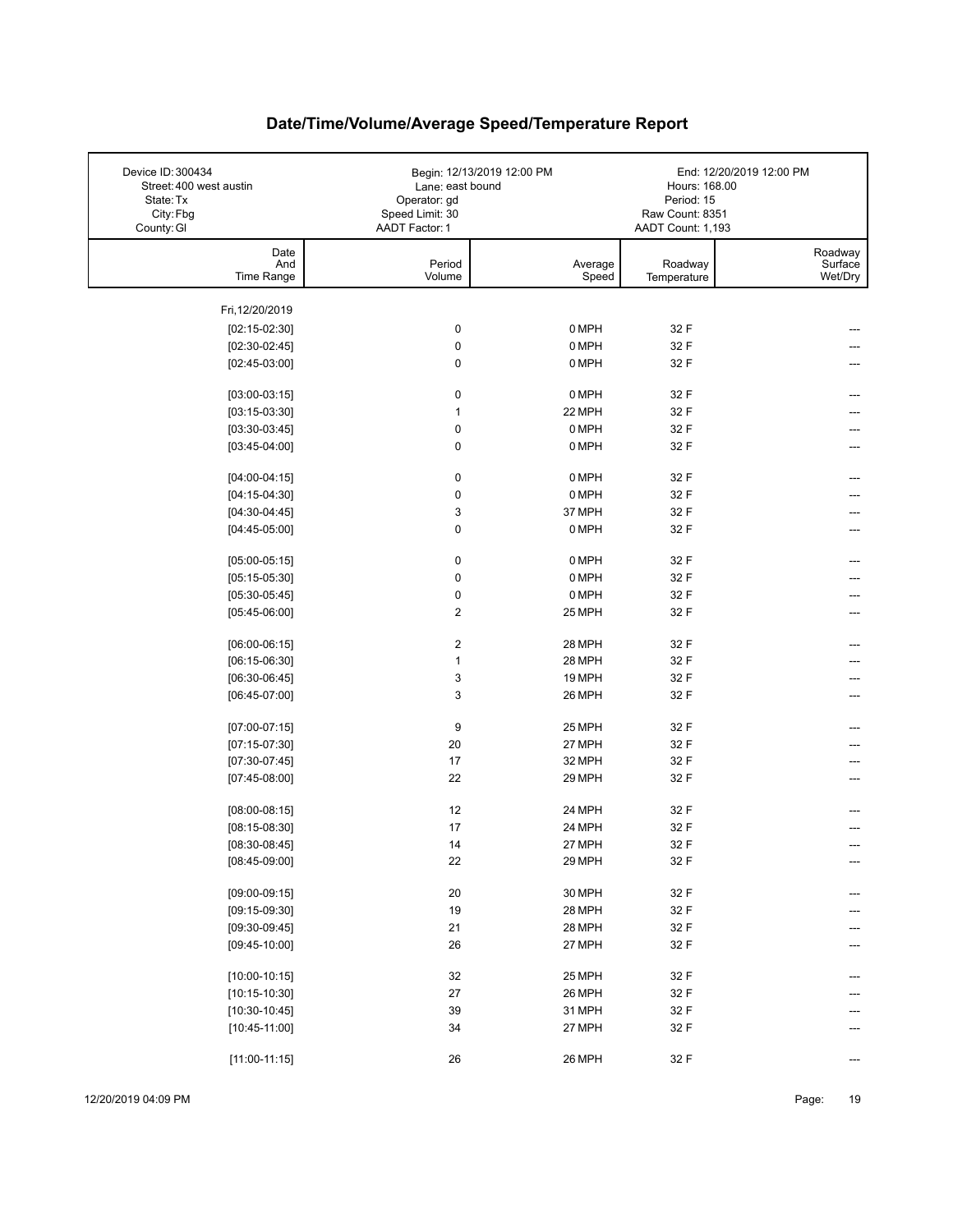| Device ID: 300434<br>Street: 400 west austin<br>State: Tx<br>City: Fbg<br>County: GI | Lane: east bound<br>Operator: gd<br>Speed Limit: 30<br>AADT Factor: 1 | Begin: 12/13/2019 12:00 PM | Hours: 168.00<br>Period: 15<br>Raw Count: 8351<br>AADT Count: 1,193 | End: 12/20/2019 12:00 PM      |
|--------------------------------------------------------------------------------------|-----------------------------------------------------------------------|----------------------------|---------------------------------------------------------------------|-------------------------------|
| Date<br>And<br>Time Range                                                            | Period<br>Volume                                                      | Average<br>Speed           | Roadway<br>Temperature                                              | Roadway<br>Surface<br>Wet/Dry |
| Fri, 12/20/2019                                                                      |                                                                       |                            |                                                                     |                               |
| $[02:15-02:30]$                                                                      | $\pmb{0}$                                                             | 0 MPH                      | 32 F                                                                |                               |
| $[02:30-02:45]$                                                                      | $\pmb{0}$                                                             | 0 MPH                      | 32 F                                                                |                               |
| $[02:45-03:00]$                                                                      | 0                                                                     | 0 MPH                      | 32 F                                                                |                               |
|                                                                                      |                                                                       |                            |                                                                     |                               |
| $[03:00-03:15]$                                                                      | 0                                                                     | 0 MPH                      | 32 F                                                                |                               |
| $[03:15-03:30]$                                                                      | $\mathbf{1}$                                                          | 22 MPH                     | 32 F                                                                |                               |
| $[03:30-03:45]$                                                                      | $\pmb{0}$                                                             | 0 MPH                      | 32 F                                                                | ---                           |
| $[03:45-04:00]$                                                                      | 0                                                                     | 0 MPH                      | 32 F                                                                |                               |
| $[04:00-04:15]$                                                                      | $\pmb{0}$                                                             | 0 MPH                      | 32 F                                                                |                               |
| $[04:15-04:30]$                                                                      | $\pmb{0}$                                                             | 0 MPH                      | 32 F                                                                |                               |
| $[04:30-04:45]$                                                                      | 3                                                                     | 37 MPH                     | 32 F                                                                |                               |
| $[04:45-05:00]$                                                                      | 0                                                                     | 0 MPH                      | 32 F                                                                |                               |
|                                                                                      |                                                                       |                            |                                                                     |                               |
| $[05:00-05:15]$                                                                      | $\pmb{0}$                                                             | 0 MPH                      | 32 F                                                                |                               |
| $[05:15-05:30]$                                                                      | 0                                                                     | 0 MPH                      | 32 F                                                                |                               |
| $[05:30-05:45]$                                                                      | 0                                                                     | 0 MPH                      | 32 F                                                                |                               |
| $[05:45-06:00]$                                                                      | $\boldsymbol{2}$                                                      | 25 MPH                     | 32 F                                                                |                               |
| $[06:00-06:15]$                                                                      | $\boldsymbol{2}$                                                      | 28 MPH                     | 32 F                                                                | ---                           |
| $[06:15-06:30]$                                                                      | $\mathbf{1}$                                                          | 28 MPH                     | 32 F                                                                |                               |
| $[06:30-06:45]$                                                                      | 3                                                                     | 19 MPH                     | 32 F                                                                |                               |
| $[06:45-07:00]$                                                                      | 3                                                                     | 26 MPH                     | 32 F                                                                |                               |
| $[07:00-07:15]$                                                                      | 9                                                                     | 25 MPH                     | 32 F                                                                |                               |
| $[07:15-07:30]$                                                                      | 20                                                                    | 27 MPH                     | 32 F                                                                |                               |
| $[07:30-07:45]$                                                                      | 17                                                                    | 32 MPH                     | 32 F                                                                |                               |
| $[07:45-08:00]$                                                                      | 22                                                                    | 29 MPH                     | 32 F                                                                |                               |
|                                                                                      |                                                                       |                            |                                                                     |                               |
| $[08:00-08:15]$                                                                      | 12<br>17                                                              | 24 MPH<br>24 MPH           | 32 F<br>32 F                                                        |                               |
| $[08:15-08:30]$                                                                      | 14                                                                    | 27 MPH                     | 32 F                                                                |                               |
| $[08:30-08:45]$<br>$[08:45-09:00]$                                                   | 22                                                                    | 29 MPH                     | 32 F                                                                |                               |
|                                                                                      |                                                                       |                            |                                                                     | ---                           |
| $[09:00-09:15]$                                                                      | $20\,$                                                                | 30 MPH                     | 32 F                                                                |                               |
| $[09:15-09:30]$                                                                      | 19                                                                    | 28 MPH                     | 32 F                                                                |                               |
| $[09:30-09:45]$                                                                      | 21                                                                    | 28 MPH                     | 32 F                                                                |                               |
| $[09:45-10:00]$                                                                      | 26                                                                    | 27 MPH                     | 32 F                                                                |                               |
| $[10:00-10:15]$                                                                      | 32                                                                    | 25 MPH                     | 32 F                                                                |                               |
| $[10:15-10:30]$                                                                      | 27                                                                    | 26 MPH                     | 32 F                                                                |                               |
| $[10:30-10:45]$                                                                      | 39                                                                    | 31 MPH                     | 32 F                                                                |                               |
| $[10:45-11:00]$                                                                      | 34                                                                    | 27 MPH                     | 32 F                                                                |                               |
|                                                                                      |                                                                       |                            |                                                                     |                               |
| $[11:00-11:15]$                                                                      | 26                                                                    | 26 MPH                     | 32 F                                                                | ---                           |